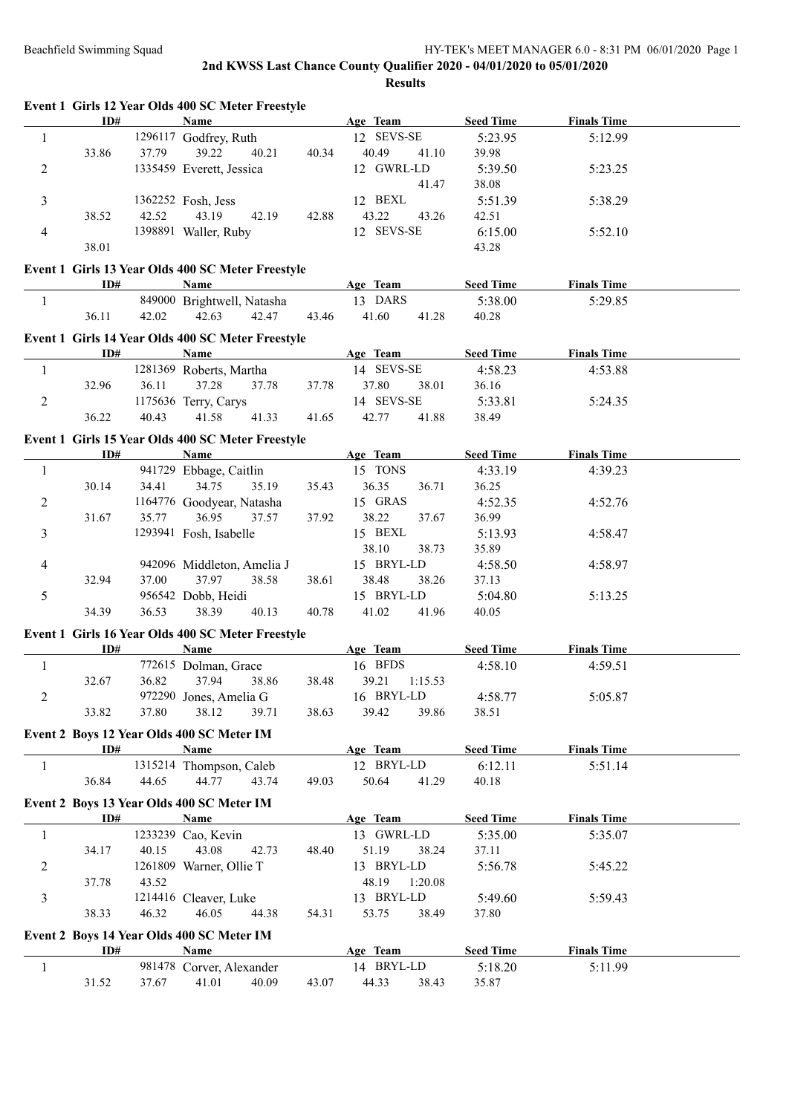| ID#   |       | Event 1 Girls 12 Year Olds 400 SC Meter Freestyle<br><b>Name</b> |                                            | Age Team                  | <b>Seed Time</b> | <b>Finals Time</b> |  |
|-------|-------|------------------------------------------------------------------|--------------------------------------------|---------------------------|------------------|--------------------|--|
|       |       | 1296117 Godfrey, Ruth                                            |                                            | 12 SEVS-SE                | 5:23.95          | 5:12.99            |  |
| 33.86 | 37.79 | 39.22<br>40.21                                                   | 40.34                                      | 40.49<br>41.10            | 39.98            |                    |  |
|       |       | 1335459 Everett, Jessica                                         |                                            | 12 GWRL-LD                | 5:39.50          | 5:23.25            |  |
|       |       |                                                                  |                                            | 41.47                     | 38.08            |                    |  |
|       |       | 1362252 Fosh, Jess                                               |                                            | 12 BEXL                   | 5:51.39          | 5:38.29            |  |
| 38.52 | 42.52 | 43.19<br>42.19                                                   | 42.88                                      | 43.22<br>43.26            | 42.51            |                    |  |
|       |       | 1398891 Waller, Ruby                                             |                                            | 12 SEVS-SE                | 6:15.00          | 5:52.10            |  |
| 38.01 |       |                                                                  |                                            |                           | 43.28            |                    |  |
|       |       |                                                                  |                                            |                           |                  |                    |  |
|       |       | Event 1 Girls 13 Year Olds 400 SC Meter Freestyle                |                                            |                           |                  |                    |  |
| ID#   |       | <b>Name</b>                                                      |                                            | <b>Example 2</b> Age Team | <b>Seed Time</b> | <b>Finals Time</b> |  |
|       |       | 849000 Brightwell, Natasha                                       |                                            | 13 DARS                   | 5:38.00          | 5:29.85            |  |
| 36.11 | 42.02 | 42.63<br>42.47                                                   | 43.46                                      | 41.60<br>41.28            | 40.28            |                    |  |
|       |       | Event 1 Girls 14 Year Olds 400 SC Meter Freestyle                |                                            |                           |                  |                    |  |
| ID#   |       | Name                                                             |                                            | Age Team                  | <b>Seed Time</b> | <b>Finals Time</b> |  |
|       |       | 1281369 Roberts, Martha                                          |                                            | 14 SEVS-SE                | 4:58.23          | 4:53.88            |  |
| 32.96 | 36.11 | 37.28<br>37.78                                                   | 37.78                                      | 37.80<br>38.01            | 36.16            |                    |  |
|       |       | 1175636 Terry, Carys                                             |                                            | 14 SEVS-SE                | 5:33.81          | 5:24.35            |  |
| 36.22 | 40.43 | 41.58<br>41.33                                                   | 41.65                                      | 42.77<br>41.88            | 38.49            |                    |  |
|       |       |                                                                  |                                            |                           |                  |                    |  |
|       |       | Event 1 Girls 15 Year Olds 400 SC Meter Freestyle                |                                            |                           |                  |                    |  |
| ID#   |       | Name                                                             |                                            | Age Team                  | <b>Seed Time</b> | <b>Finals Time</b> |  |
|       |       | 941729 Ebbage, Caitlin                                           |                                            | 15 TONS                   | 4:33.19          | 4:39.23            |  |
| 30.14 | 34.41 | 34.75<br>35.19                                                   | 35.43                                      | 36.35<br>36.71            | 36.25            |                    |  |
|       |       | 1164776 Goodyear, Natasha                                        |                                            | 15 GRAS                   | 4:52.35          | 4:52.76            |  |
| 31.67 | 35.77 | 36.95<br>37.57                                                   | 37.92                                      | 38.22<br>37.67            | 36.99            |                    |  |
|       |       | 1293941 Fosh, Isabelle                                           |                                            | 15 BEXL                   | 5:13.93          | 4:58.47            |  |
|       |       |                                                                  |                                            | 38.10<br>38.73            | 35.89            |                    |  |
|       |       | 942096 Middleton, Amelia J                                       |                                            | 15 BRYL-LD                | 4:58.50          | 4:58.97            |  |
| 32.94 | 37.00 | 37.97<br>38.58                                                   | 38.61                                      | 38.48<br>38.26            | 37.13            |                    |  |
|       |       | 956542 Dobb, Heidi                                               |                                            | 15 BRYL-LD                | 5:04.80          | 5:13.25            |  |
| 34.39 | 36.53 | 38.39<br>40.13                                                   | 40.78                                      | 41.02<br>41.96            | 40.05            |                    |  |
|       |       | Event 1 Girls 16 Year Olds 400 SC Meter Freestyle                |                                            |                           |                  |                    |  |
| ID#   |       | Name                                                             |                                            | Age Team                  | <b>Seed Time</b> | <b>Finals Time</b> |  |
|       |       | 772615 Dolman, Grace                                             |                                            | 16 BFDS                   | 4:58.10          | 4:59.51            |  |
|       | 36.82 |                                                                  |                                            |                           |                  |                    |  |
| 32.67 |       | 37.94<br>38.86                                                   | 38.48                                      | 39.21<br>1:15.53          |                  |                    |  |
|       |       | 972290 Jones, Amelia G                                           |                                            | 16 BRYL-LD                | 4:58.77          | 5:05.87            |  |
| 33.82 | 37.80 | 38.12<br>39.71                                                   | 38.63                                      | 39.42<br>39.86            | 38.51            |                    |  |
|       |       | Event 2 Boys 12 Year Olds 400 SC Meter IM                        |                                            |                           |                  |                    |  |
| ID#   |       | <b>Name</b>                                                      |                                            | Age Team                  | <b>Seed Time</b> | <b>Finals Time</b> |  |
|       |       | 1315214 Thompson, Caleb                                          |                                            | 12 BRYL-LD                | 6:12.11          | 5:51.14            |  |
| 36.84 | 44.65 | 44.77<br>43.74                                                   | 49.03                                      | 50.64<br>41.29            | 40.18            |                    |  |
|       |       | Event 2 Boys 13 Year Olds 400 SC Meter IM                        |                                            |                           |                  |                    |  |
| ID#   |       | Name                                                             |                                            |                           |                  |                    |  |
|       |       |                                                                  |                                            | Age Team                  | <b>Seed Time</b> | <b>Finals Time</b> |  |
|       |       | 1233239 Cao, Kevin                                               |                                            | 13 GWRL-LD                | 5:35.00          | 5:35.07            |  |
| 34.17 | 40.15 | 43.08<br>42.73                                                   | 48.40                                      | 51.19<br>38.24            | 37.11            |                    |  |
|       |       | 1261809 Warner, Ollie T                                          |                                            | 13 BRYL-LD                | 5:56.78          | 5:45.22            |  |
| 37.78 | 43.52 |                                                                  |                                            | 48.19<br>1:20.08          |                  |                    |  |
|       |       | 1214416 Cleaver, Luke                                            |                                            | 13 BRYL-LD                | 5:49.60          | 5:59.43            |  |
| 38.33 | 46.32 | 46.05<br>44.38                                                   | 54.31                                      | 53.75<br>38.49            | 37.80            |                    |  |
|       |       | Event 2 Boys 14 Year Olds 400 SC Meter IM                        |                                            |                           |                  |                    |  |
| ID#   |       | Name                                                             |                                            | Age Team                  | <b>Seed Time</b> | <b>Finals Time</b> |  |
|       |       |                                                                  |                                            | 14 BRYL-LD                |                  | 5:11.99            |  |
|       | 37.67 |                                                                  |                                            |                           |                  |                    |  |
| 31.52 |       |                                                                  | 981478 Corver, Alexander<br>41.01<br>40.09 | 43.07                     | 44.33<br>38.43   | 5:18.20<br>35.87   |  |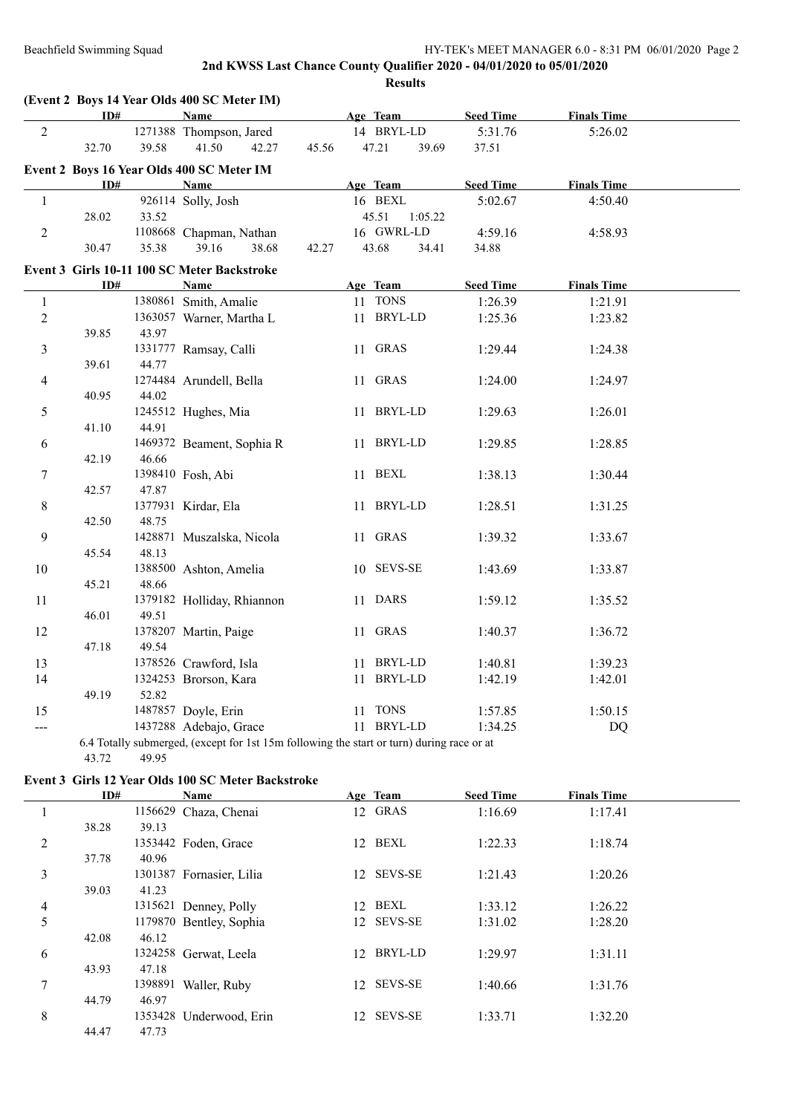|                  |       |       | (Event 2 Boys 14 Year Olds 400 SC Meter IM)                                               |       |          |                  |                  |                    |  |
|------------------|-------|-------|-------------------------------------------------------------------------------------------|-------|----------|------------------|------------------|--------------------|--|
|                  | ID#   |       | Name                                                                                      |       | Age Team |                  | <b>Seed Time</b> | <b>Finals Time</b> |  |
| 2                |       |       | 1271388 Thompson, Jared                                                                   |       |          | 14 BRYL-LD       | 5:31.76          | 5:26.02            |  |
|                  | 32.70 | 39.58 | 41.50<br>42.27                                                                            | 45.56 |          | 47.21<br>39.69   | 37.51            |                    |  |
|                  |       |       | Event 2 Boys 16 Year Olds 400 SC Meter IM                                                 |       |          |                  |                  |                    |  |
|                  | ID#   |       | Name                                                                                      |       | Age Team |                  | <b>Seed Time</b> | <b>Finals Time</b> |  |
| $\mathbf{1}$     |       |       | 926114 Solly, Josh                                                                        |       |          | 16 BEXL          | 5:02.67          | 4:50.40            |  |
|                  | 28.02 | 33.52 |                                                                                           |       |          | 45.51<br>1:05.22 |                  |                    |  |
| $\overline{c}$   |       |       | 1108668 Chapman, Nathan                                                                   |       |          | 16 GWRL-LD       | 4:59.16          | 4:58.93            |  |
|                  | 30.47 | 35.38 | 39.16<br>38.68                                                                            | 42.27 |          | 43.68<br>34.41   | 34.88            |                    |  |
|                  |       |       | Event 3 Girls 10-11 100 SC Meter Backstroke                                               |       |          |                  |                  |                    |  |
|                  | ID#   |       | <b>Name</b>                                                                               |       |          | Age Team         | <b>Seed Time</b> | <b>Finals Time</b> |  |
| $\mathbf{1}$     |       |       | 1380861 Smith, Amalie                                                                     |       |          | 11 TONS          | 1:26.39          | 1:21.91            |  |
| $\boldsymbol{2}$ |       |       | 1363057 Warner, Martha L                                                                  |       |          | 11 BRYL-LD       | 1:25.36          | 1:23.82            |  |
|                  | 39.85 | 43.97 |                                                                                           |       |          |                  |                  |                    |  |
| 3                |       |       | 1331777 Ramsay, Calli                                                                     |       |          | 11 GRAS          | 1:29.44          | 1:24.38            |  |
|                  | 39.61 | 44.77 |                                                                                           |       |          |                  |                  |                    |  |
| 4                |       |       | 1274484 Arundell, Bella                                                                   |       |          | 11 GRAS          | 1:24.00          | 1:24.97            |  |
|                  | 40.95 | 44.02 |                                                                                           |       |          |                  |                  |                    |  |
| 5                |       |       | 1245512 Hughes, Mia                                                                       |       |          | 11 BRYL-LD       | 1:29.63          | 1:26.01            |  |
|                  | 41.10 | 44.91 |                                                                                           |       |          |                  |                  |                    |  |
| 6                |       |       | 1469372 Beament, Sophia R                                                                 |       |          | 11 BRYL-LD       | 1:29.85          | 1:28.85            |  |
|                  | 42.19 | 46.66 |                                                                                           |       |          |                  |                  |                    |  |
| 7                |       |       | 1398410 Fosh, Abi                                                                         |       |          | 11 BEXL          | 1:38.13          | 1:30.44            |  |
|                  | 42.57 | 47.87 |                                                                                           |       |          |                  |                  |                    |  |
| 8                |       |       | 1377931 Kirdar, Ela                                                                       |       |          | 11 BRYL-LD       | 1:28.51          | 1:31.25            |  |
|                  | 42.50 | 48.75 |                                                                                           |       |          |                  |                  |                    |  |
| $\overline{9}$   |       |       | 1428871 Muszalska, Nicola                                                                 |       |          | 11 GRAS          | 1:39.32          | 1:33.67            |  |
|                  | 45.54 | 48.13 |                                                                                           |       |          |                  |                  |                    |  |
| 10               |       |       | 1388500 Ashton, Amelia                                                                    |       |          | 10 SEVS-SE       | 1:43.69          | 1:33.87            |  |
|                  | 45.21 | 48.66 |                                                                                           |       |          |                  |                  |                    |  |
| 11               | 46.01 | 49.51 | 1379182 Holliday, Rhiannon                                                                |       |          | 11 DARS          | 1:59.12          | 1:35.52            |  |
| 12               |       |       | 1378207 Martin, Paige                                                                     |       |          | 11 GRAS          |                  |                    |  |
|                  | 47.18 | 49.54 |                                                                                           |       |          |                  | 1:40.37          | 1:36.72            |  |
| 13               |       |       | 1378526 Crawford, Isla                                                                    |       |          | 11 BRYL-LD       | 1:40.81          | 1:39.23            |  |
| 14               |       |       | 1324253 Brorson, Kara                                                                     |       |          | 11 BRYL-LD       | 1:42.19          | 1:42.01            |  |
|                  | 49.19 | 52.82 |                                                                                           |       |          |                  |                  |                    |  |
| 15               |       |       | 1487857 Doyle, Erin                                                                       |       |          | 11 TONS          | 1:57.85          | 1:50.15            |  |
| ---              |       |       | 1437288 Adebajo, Grace                                                                    |       | 11       | <b>BRYL-LD</b>   | 1:34.25          | DQ                 |  |
|                  |       |       | 6.4 Totally submerged, (except for 1st 15m following the start or turn) during race or at |       |          |                  |                  |                    |  |
|                  | 43.72 | 49.95 |                                                                                           |       |          |                  |                  |                    |  |
|                  |       |       |                                                                                           |       |          |                  |                  |                    |  |
|                  |       |       | Event 3 Girls 12 Year Olds 100 SC Meter Backstroke                                        |       |          |                  |                  |                    |  |

|   | ID#   |         | Name                     |    | Age Team   | <b>Seed Time</b> | <b>Finals Time</b> |  |
|---|-------|---------|--------------------------|----|------------|------------------|--------------------|--|
|   |       |         | 1156629 Chaza, Chenai    |    | 12 GRAS    | 1:16.69          | 1:17.41            |  |
|   | 38.28 | 39.13   |                          |    |            |                  |                    |  |
| 2 |       |         | 1353442 Foden, Grace     |    | 12 BEXL    | 1:22.33          | 1:18.74            |  |
|   | 37.78 | 40.96   |                          |    |            |                  |                    |  |
| 3 |       |         | 1301387 Fornasier, Lilia |    | 12 SEVS-SE | 1:21.43          | 1:20.26            |  |
|   | 39.03 | 41.23   |                          |    |            |                  |                    |  |
| 4 |       |         | 1315621 Denney, Polly    | 12 | BEXL       | 1:33.12          | 1:26.22            |  |
| 5 |       |         | 1179870 Bentley, Sophia  |    | 12 SEVS-SE | 1:31.02          | 1:28.20            |  |
|   | 42.08 | 46.12   |                          |    |            |                  |                    |  |
| 6 |       |         | 1324258 Gerwat, Leela    | 12 | BRYL-LD    | 1:29.97          | 1:31.11            |  |
|   | 43.93 | 47.18   |                          |    |            |                  |                    |  |
| 7 |       | 1398891 | Waller, Ruby             |    | 12 SEVS-SE | 1:40.66          | 1:31.76            |  |
|   | 44.79 | 46.97   |                          |    |            |                  |                    |  |
| 8 |       | 1353428 | Underwood, Erin          |    | 12 SEVS-SE | 1:33.71          | 1:32.20            |  |
|   | 44.47 | 47.73   |                          |    |            |                  |                    |  |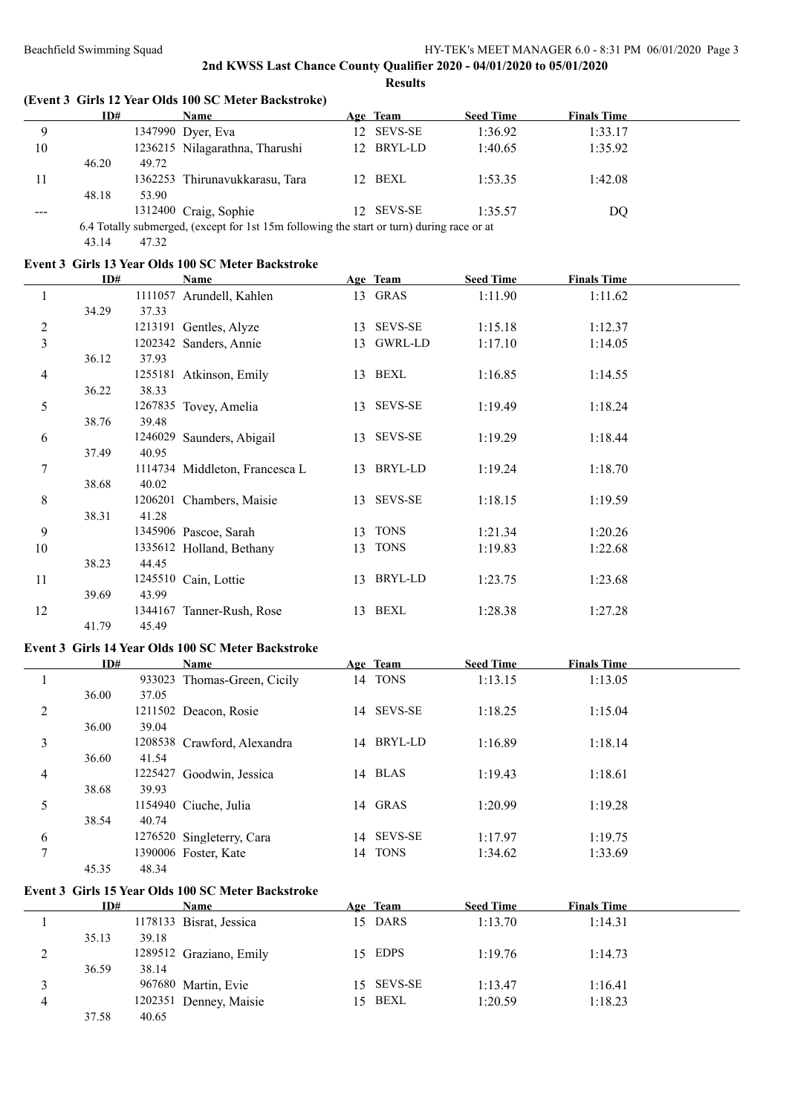### **(Event 3 Girls 12 Year Olds 100 SC Meter Backstroke)**

|         | ID#            | Name                                                                                      |                 | Age Team       | <b>Seed Time</b> | <b>Finals Time</b> |  |
|---------|----------------|-------------------------------------------------------------------------------------------|-----------------|----------------|------------------|--------------------|--|
|         |                | 1347990 Dyer, Eva                                                                         | 12.             | <b>SEVS-SE</b> | 1:36.92          | 1:33.17            |  |
| 10      |                | 1236215 Nilagarathna, Tharushi                                                            |                 | 12 BRYL-LD     | 1:40.65          | 1:35.92            |  |
|         | 46.20<br>49.72 |                                                                                           |                 |                |                  |                    |  |
|         |                | 1362253 Thirunavukkarasu, Tara                                                            | 12 <sup>1</sup> | BEXL           | 1:53.35          | 1:42.08            |  |
|         | 48.18<br>53.90 |                                                                                           |                 |                |                  |                    |  |
| $- - -$ |                | 1312400 Craig, Sophie                                                                     |                 | 12 SEVS-SE     | 1.35.57          | DO                 |  |
|         |                | 6.4 Totally submerged, (except for 1st 15m following the start or turn) during race or at |                 |                |                  |                    |  |

43.14 47.32

37.58 40.65

### **Event 3 Girls 13 Year Olds 100 SC Meter Backstroke**

|                | ID#   |       | <b>Name</b>                                        | Age Team   | <b>Seed Time</b> | <b>Finals Time</b> |  |
|----------------|-------|-------|----------------------------------------------------|------------|------------------|--------------------|--|
| $\mathbf{1}$   |       |       | 1111057 Arundell, Kahlen                           | 13 GRAS    | 1:11.90          | 1:11.62            |  |
|                | 34.29 | 37.33 |                                                    |            |                  |                    |  |
| $\overline{c}$ |       |       | 1213191 Gentles, Alyze                             | 13 SEVS-SE | 1:15.18          | 1:12.37            |  |
| 3              |       |       | 1202342 Sanders, Annie                             | 13 GWRL-LD | 1:17.10          | 1:14.05            |  |
|                | 36.12 | 37.93 |                                                    |            |                  |                    |  |
| 4              |       |       | 1255181 Atkinson, Emily                            | 13 BEXL    | 1:16.85          | 1:14.55            |  |
|                | 36.22 | 38.33 |                                                    |            |                  |                    |  |
| 5              |       |       | 1267835 Tovey, Amelia                              | 13 SEVS-SE | 1:19.49          | 1:18.24            |  |
|                | 38.76 | 39.48 |                                                    |            |                  |                    |  |
| 6              |       |       | 1246029 Saunders, Abigail                          | 13 SEVS-SE | 1:19.29          | 1:18.44            |  |
|                | 37.49 | 40.95 |                                                    |            |                  |                    |  |
| $\tau$         |       |       | 1114734 Middleton, Francesca L                     | 13 BRYL-LD | 1:19.24          | 1:18.70            |  |
|                | 38.68 | 40.02 |                                                    |            |                  |                    |  |
| 8              |       |       | 1206201 Chambers, Maisie                           | 13 SEVS-SE | 1:18.15          | 1:19.59            |  |
|                | 38.31 | 41.28 |                                                    |            |                  |                    |  |
| $\overline{9}$ |       |       | 1345906 Pascoe, Sarah                              | 13 TONS    | 1:21.34          | 1:20.26            |  |
| 10             |       |       | 1335612 Holland, Bethany                           | 13 TONS    | 1:19.83          | 1:22.68            |  |
|                | 38.23 | 44.45 |                                                    |            |                  |                    |  |
| 11             |       |       | 1245510 Cain, Lottie                               | 13 BRYL-LD | 1:23.75          | 1:23.68            |  |
|                | 39.69 | 43.99 |                                                    |            |                  |                    |  |
| 12             |       |       | 1344167 Tanner-Rush, Rose                          | 13 BEXL    | 1:28.38          | 1:27.28            |  |
|                | 41.79 | 45.49 |                                                    |            |                  |                    |  |
|                |       |       |                                                    |            |                  |                    |  |
|                |       |       |                                                    |            |                  |                    |  |
|                |       |       | Event 3 Girls 14 Year Olds 100 SC Meter Backstroke |            |                  |                    |  |
|                | ID#   |       | Name                                               | Age Team   | <b>Seed Time</b> | <b>Finals Time</b> |  |
| $\mathbf{1}$   |       |       | 933023 Thomas-Green, Cicily                        | 14 TONS    | 1:13.15          | 1:13.05            |  |
|                | 36.00 | 37.05 |                                                    |            |                  |                    |  |
| $\overline{2}$ |       |       | 1211502 Deacon, Rosie                              | 14 SEVS-SE | 1:18.25          | 1:15.04            |  |
|                | 36.00 | 39.04 |                                                    |            |                  |                    |  |
| 3              |       |       | 1208538 Crawford, Alexandra                        | 14 BRYL-LD | 1:16.89          | 1:18.14            |  |
|                | 36.60 | 41.54 |                                                    |            |                  |                    |  |
| 4              |       |       | 1225427 Goodwin, Jessica                           | 14 BLAS    | 1:19.43          | 1:18.61            |  |
|                | 38.68 | 39.93 |                                                    |            |                  |                    |  |
| 5              |       |       | 1154940 Ciuche, Julia                              | 14 GRAS    | 1:20.99          | 1:19.28            |  |
|                | 38.54 | 40.74 |                                                    |            |                  |                    |  |
| 6              |       |       | 1276520 Singleterry, Cara                          | 14 SEVS-SE | 1:17.97          | 1:19.75            |  |
| $\tau$         |       |       | 1390006 Foster, Kate                               | 14 TONS    | 1:34.62          | 1:33.69            |  |
|                | 45.35 | 48.34 |                                                    |            |                  |                    |  |
|                |       |       | Event 3 Girls 15 Year Olds 100 SC Meter Backstroke |            |                  |                    |  |
|                | ID#   |       | Name                                               | Age Team   | <b>Seed Time</b> | <b>Finals Time</b> |  |
| $\mathbf{1}$   |       |       | 1178133 Bisrat, Jessica                            | 15 DARS    | 1:13.70          | 1:14.31            |  |
|                | 35.13 | 39.18 |                                                    |            |                  |                    |  |
| $\overline{c}$ |       |       | 1289512 Graziano, Emily                            | 15 EDPS    | 1:19.76          | 1:14.73            |  |
| $\mathfrak{Z}$ | 36.59 | 38.14 | 967680 Martin, Evie                                | 15 SEVS-SE | 1:13.47          | 1:16.41            |  |

4 1202351 Denney, Maisie 15 BEXL 1:20.59 1:18.23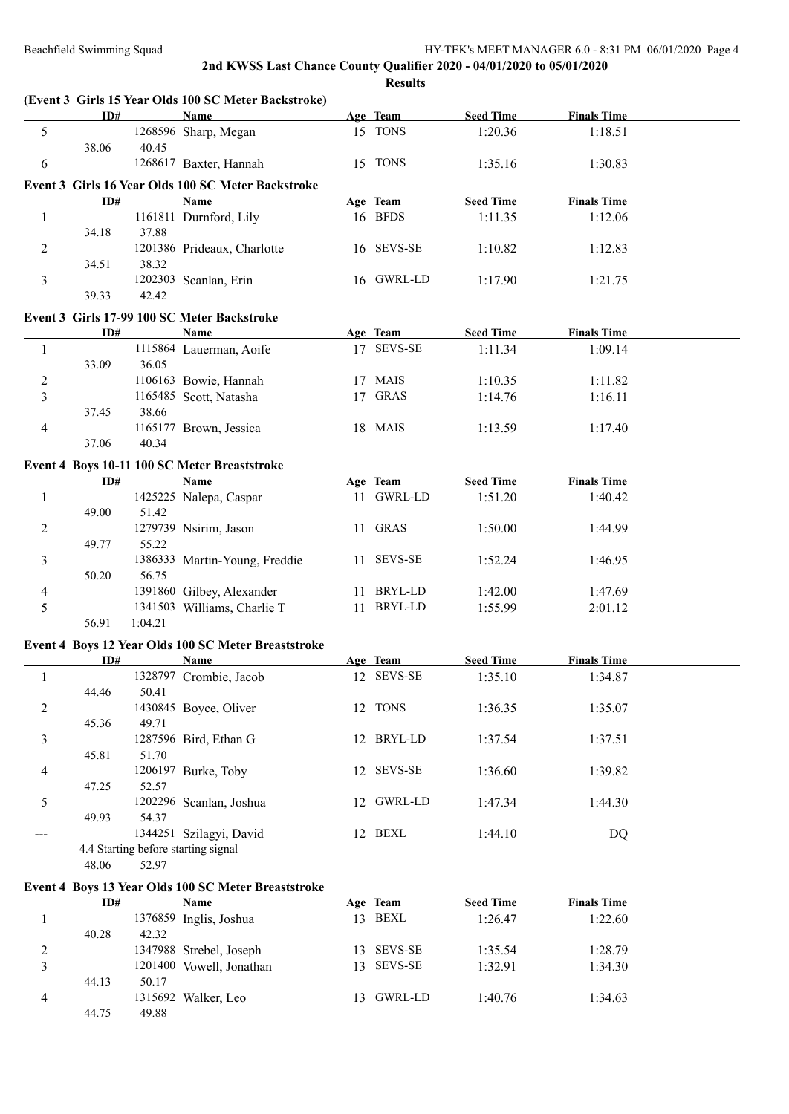44.75 49.88

#### Beachfield Swimming Squad HY-TEK's MEET MANAGER 6.0 - 8:31 PM 06/01/2020 Page 4

|                |       |         | (Event 3 Girls 15 Year Olds 100 SC Meter Backstroke)       |            |                  |                    |  |
|----------------|-------|---------|------------------------------------------------------------|------------|------------------|--------------------|--|
|                | ID#   |         | <b>Name</b>                                                | Age Team   | <b>Seed Time</b> | <b>Finals Time</b> |  |
| 5              | 38.06 | 40.45   | 1268596 Sharp, Megan                                       | 15 TONS    | 1:20.36          | 1:18.51            |  |
| 6              |       |         | 1268617 Baxter, Hannah                                     | 15 TONS    | 1:35.16          | 1:30.83            |  |
|                | ID#   |         | Event 3 Girls 16 Year Olds 100 SC Meter Backstroke<br>Name | Age Team   | <b>Seed Time</b> | <b>Finals Time</b> |  |
| 1              |       |         | 1161811 Durnford, Lily                                     | 16 BFDS    | 1:11.35          | 1:12.06            |  |
|                | 34.18 | 37.88   |                                                            |            |                  |                    |  |
| 2              | 34.51 | 38.32   | 1201386 Prideaux, Charlotte                                | 16 SEVS-SE | 1:10.82          | 1:12.83            |  |
| 3              | 39.33 | 42.42   | 1202303 Scanlan, Erin                                      | 16 GWRL-LD | 1:17.90          | 1:21.75            |  |
|                |       |         | Event 3 Girls 17-99 100 SC Meter Backstroke                |            |                  |                    |  |
|                | ID#   |         | Name                                                       | Age Team   | <b>Seed Time</b> | <b>Finals Time</b> |  |
| 1              | 33.09 | 36.05   | 1115864 Lauerman, Aoife                                    | 17 SEVS-SE | 1:11.34          | 1:09.14            |  |
|                |       |         | 1106163 Bowie, Hannah                                      | 17 MAIS    | 1:10.35          |                    |  |
| 2              |       |         |                                                            |            |                  | 1:11.82            |  |
| 3              | 37.45 | 38.66   | 1165485 Scott, Natasha                                     | 17 GRAS    | 1:14.76          | 1:16.11            |  |
| 4              |       |         | 1165177 Brown, Jessica                                     | 18 MAIS    | 1:13.59          | 1:17.40            |  |
|                | 37.06 | 40.34   |                                                            |            |                  |                    |  |
|                | ID#   |         | Event 4 Boys 10-11 100 SC Meter Breaststroke               |            |                  |                    |  |
|                |       |         | <b>Name</b>                                                | Age Team   | <b>Seed Time</b> | <b>Finals Time</b> |  |
| $\mathbf{1}$   |       |         | 1425225 Nalepa, Caspar                                     | 11 GWRL-LD | 1:51.20          | 1:40.42            |  |
| $\overline{c}$ | 49.00 | 51.42   | 1279739 Nsirim, Jason                                      | 11 GRAS    | 1:50.00          | 1:44.99            |  |
|                | 49.77 | 55.22   |                                                            |            |                  |                    |  |
| 3              |       |         | 1386333 Martin-Young, Freddie                              | 11 SEVS-SE | 1:52.24          | 1:46.95            |  |
|                | 50.20 | 56.75   |                                                            |            |                  |                    |  |
| 4              |       |         | 1391860 Gilbey, Alexander                                  | 11 BRYL-LD | 1:42.00          | 1:47.69            |  |
| 5              |       |         | 1341503 Williams, Charlie T                                | 11 BRYL-LD | 1:55.99          | 2:01.12            |  |
|                | 56.91 | 1:04.21 |                                                            |            |                  |                    |  |
|                |       |         | Event 4 Boys 12 Year Olds 100 SC Meter Breaststroke        |            |                  |                    |  |
|                | ID#   |         | Name                                                       | Age Team   | <b>Seed Time</b> | <b>Finals Time</b> |  |
|                | 44.46 | 50.41   | 1328797 Crombie, Jacob                                     | 12 SEVS-SE | 1:35.10          | 1:34.87            |  |
| 2              |       |         | 1430845 Boyce, Oliver                                      | 12 TONS    | 1:36.35          | 1:35.07            |  |
|                | 45.36 | 49.71   |                                                            |            |                  |                    |  |
| 3              |       |         | 1287596 Bird, Ethan G                                      | 12 BRYL-LD | 1:37.54          | 1:37.51            |  |
|                | 45.81 | 51.70   |                                                            |            |                  |                    |  |
| 4              |       |         | 1206197 Burke, Toby                                        | 12 SEVS-SE | 1:36.60          | 1:39.82            |  |
|                | 47.25 | 52.57   |                                                            |            |                  |                    |  |
| 5              |       |         | 1202296 Scanlan, Joshua                                    | 12 GWRL-LD | 1:47.34          | 1:44.30            |  |
|                | 49.93 | 54.37   |                                                            |            |                  |                    |  |
| ---            |       |         | 1344251 Szilagyi, David                                    | 12 BEXL    | 1:44.10          | DQ                 |  |
|                |       |         | 4.4 Starting before starting signal                        |            |                  |                    |  |
|                | 48.06 | 52.97   |                                                            |            |                  |                    |  |
|                | ID#   |         | Event 4 Boys 13 Year Olds 100 SC Meter Breaststroke        |            |                  |                    |  |
|                |       |         | <b>Name</b>                                                | Age Team   | <b>Seed Time</b> | <b>Finals Time</b> |  |
| $\mathbf{1}$   | 40.28 | 42.32   | 1376859 Inglis, Joshua                                     | 13 BEXL    | 1:26.47          | 1:22.60            |  |
| 2              |       |         | 1347988 Strebel, Joseph                                    | 13 SEVS-SE | 1:35.54          | 1:28.79            |  |
| 3              |       |         | 1201400 Vowell, Jonathan                                   | 13 SEVS-SE | 1:32.91          | 1:34.30            |  |
|                | 44.13 | 50.17   |                                                            |            |                  |                    |  |
| 4              |       |         | 1315692 Walker, Leo                                        | 13 GWRL-LD | 1:40.76          | 1:34.63            |  |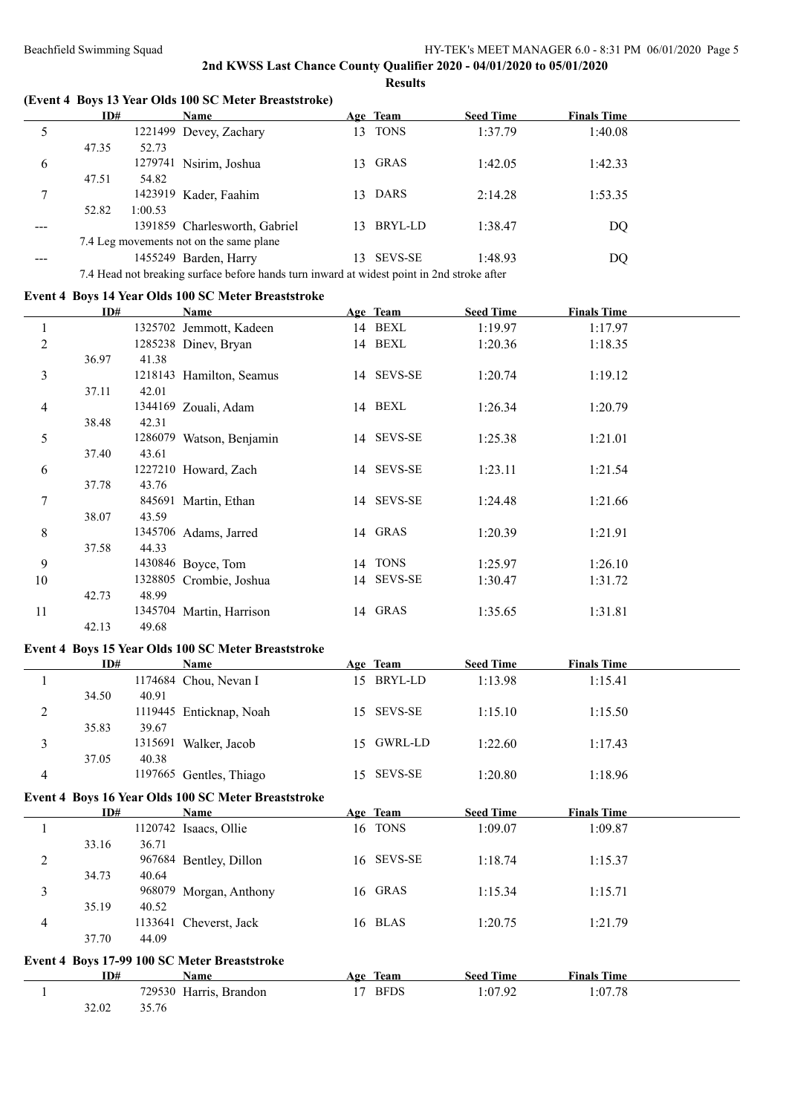#### **2nd KWSS Last Chance County Qualifier 2020 - 04/01/2020 to 05/01/2020 Results**

### **(Event 4 Boys 13 Year Olds 100 SC Meter Breaststroke)**

|   | ID#   |         | <b>Name</b>                                                                                |                 | Age Team       | <b>Seed Time</b> | <b>Finals Time</b> |  |
|---|-------|---------|--------------------------------------------------------------------------------------------|-----------------|----------------|------------------|--------------------|--|
|   |       |         | 1221499 Devey, Zachary                                                                     | 13.             | <b>TONS</b>    | 1:37.79          | 1:40.08            |  |
|   | 47.35 | 52.73   |                                                                                            |                 |                |                  |                    |  |
| 6 |       | 1279741 | Nsirim, Joshua                                                                             | $\vert 3 \vert$ | GRAS           | 1:42.05          | 1:42.33            |  |
|   | 47.51 | 54.82   |                                                                                            |                 |                |                  |                    |  |
|   |       |         | 1423919 Kader, Faahim                                                                      | $\overline{3}$  | <b>DARS</b>    | 2:14.28          | 1:53.35            |  |
|   | 52.82 | 1:00.53 |                                                                                            |                 |                |                  |                    |  |
|   |       |         | 1391859 Charlesworth, Gabriel                                                              | $\vert 3 \vert$ | BRYL-LD        | 1:38.47          | DQ                 |  |
|   |       |         | 7.4 Leg movements not on the same plane                                                    |                 |                |                  |                    |  |
|   |       |         | 1455249 Barden, Harry                                                                      | 13.             | <b>SEVS-SE</b> | 1:48.93          | DQ                 |  |
|   |       |         | 7.4 Head not breaking surface before hands turn inward at widest point in 2nd stroke after |                 |                |                  |                    |  |

### **Event 4 Boys 14 Year Olds 100 SC Meter Breaststroke**

|                          | ID#   |       | Name                                                | Age Team   | <b>Seed Time</b> | <b>Finals Time</b> |  |
|--------------------------|-------|-------|-----------------------------------------------------|------------|------------------|--------------------|--|
| $\mathbf{1}$             |       |       | 1325702 Jemmott, Kadeen                             | 14 BEXL    | 1:19.97          | 1:17.97            |  |
| $\overline{2}$           |       |       | 1285238 Dinev, Bryan                                | 14 BEXL    | 1:20.36          | 1:18.35            |  |
|                          | 36.97 | 41.38 |                                                     |            |                  |                    |  |
| 3                        |       |       | 1218143 Hamilton, Seamus                            | 14 SEVS-SE | 1:20.74          | 1:19.12            |  |
|                          | 37.11 | 42.01 |                                                     |            |                  |                    |  |
| 4                        |       |       | 1344169 Zouali, Adam                                | 14 BEXL    | 1:26.34          | 1:20.79            |  |
|                          | 38.48 | 42.31 |                                                     |            |                  |                    |  |
| 5                        |       |       | 1286079 Watson, Benjamin                            | 14 SEVS-SE | 1:25.38          | 1:21.01            |  |
|                          | 37.40 | 43.61 |                                                     |            |                  |                    |  |
| 6                        |       |       | 1227210 Howard, Zach                                | 14 SEVS-SE | 1:23.11          | 1:21.54            |  |
|                          | 37.78 | 43.76 |                                                     |            |                  |                    |  |
| 7                        |       |       | 845691 Martin, Ethan                                | 14 SEVS-SE | 1:24.48          | 1:21.66            |  |
|                          | 38.07 | 43.59 |                                                     |            |                  |                    |  |
| 8                        |       |       | 1345706 Adams, Jarred                               | 14 GRAS    | 1:20.39          | 1:21.91            |  |
|                          | 37.58 | 44.33 |                                                     |            |                  |                    |  |
| 9                        |       |       | 1430846 Boyce, Tom                                  | 14 TONS    | 1:25.97          | 1:26.10            |  |
| 10                       |       |       | 1328805 Crombie, Joshua                             | 14 SEVS-SE | 1:30.47          | 1:31.72            |  |
|                          | 42.73 | 48.99 |                                                     |            |                  |                    |  |
| 11                       |       |       | 1345704 Martin, Harrison                            | 14 GRAS    | 1:35.65          | 1:31.81            |  |
|                          | 42.13 | 49.68 |                                                     |            |                  |                    |  |
|                          |       |       | Event 4 Boys 15 Year Olds 100 SC Meter Breaststroke |            |                  |                    |  |
|                          | ID#   |       | <b>Name</b>                                         | Age Team   | <b>Seed Time</b> | <b>Finals Time</b> |  |
| $\mathbf{1}$             |       |       | 1174684 Chou, Nevan I                               | 15 BRYL-LD | 1:13.98          | 1:15.41            |  |
|                          | 34.50 | 40.91 |                                                     |            |                  |                    |  |
| $\overline{c}$           |       |       | 1119445 Enticknap, Noah                             | 15 SEVS-SE | 1:15.10          | 1:15.50            |  |
|                          | 35.83 | 39.67 |                                                     |            |                  |                    |  |
| 3                        |       |       | 1315691 Walker, Jacob                               | 15 GWRL-LD | 1:22.60          | 1:17.43            |  |
|                          | 37.05 | 40.38 |                                                     |            |                  |                    |  |
| $\overline{\mathcal{A}}$ |       |       | 1197665 Gentles, Thiago                             | 15 SEVS-SE | 1:20.80          | 1:18.96            |  |
|                          |       |       | Event 4 Boys 16 Year Olds 100 SC Meter Breaststroke |            |                  |                    |  |
|                          | ID#   |       | <b>Name</b>                                         | Age Team   | <b>Seed Time</b> | <b>Finals Time</b> |  |
| $\mathbf{1}$             |       |       | 1120742 Isaacs, Ollie                               | 16 TONS    | 1:09.07          | 1:09.87            |  |
|                          | 33.16 | 36.71 |                                                     |            |                  |                    |  |
| $\overline{c}$           |       |       | 967684 Bentley, Dillon                              | 16 SEVS-SE | 1:18.74          | 1:15.37            |  |
|                          | 34.73 | 40.64 |                                                     |            |                  |                    |  |
| 3                        |       |       | 968079 Morgan, Anthony                              | 16 GRAS    | 1:15.34          | 1:15.71            |  |
|                          | 35.19 | 40.52 |                                                     |            |                  |                    |  |
| 4                        |       |       | 1133641 Cheverst, Jack                              | 16 BLAS    | 1:20.75          | 1:21.79            |  |
|                          | 37.70 | 44.09 |                                                     |            |                  |                    |  |
|                          |       |       |                                                     |            |                  |                    |  |
|                          |       |       | Event 4 Boys 17-99 100 SC Meter Breaststroke        |            |                  |                    |  |
|                          | ID#   |       | <b>Name</b>                                         | Age Team   | <b>Seed Time</b> | <b>Finals Time</b> |  |
| 1                        |       |       | 729530 Harris, Brandon                              | 17 BFDS    | 1:07.92          | 1:07.78            |  |
|                          | 32.02 | 35.76 |                                                     |            |                  |                    |  |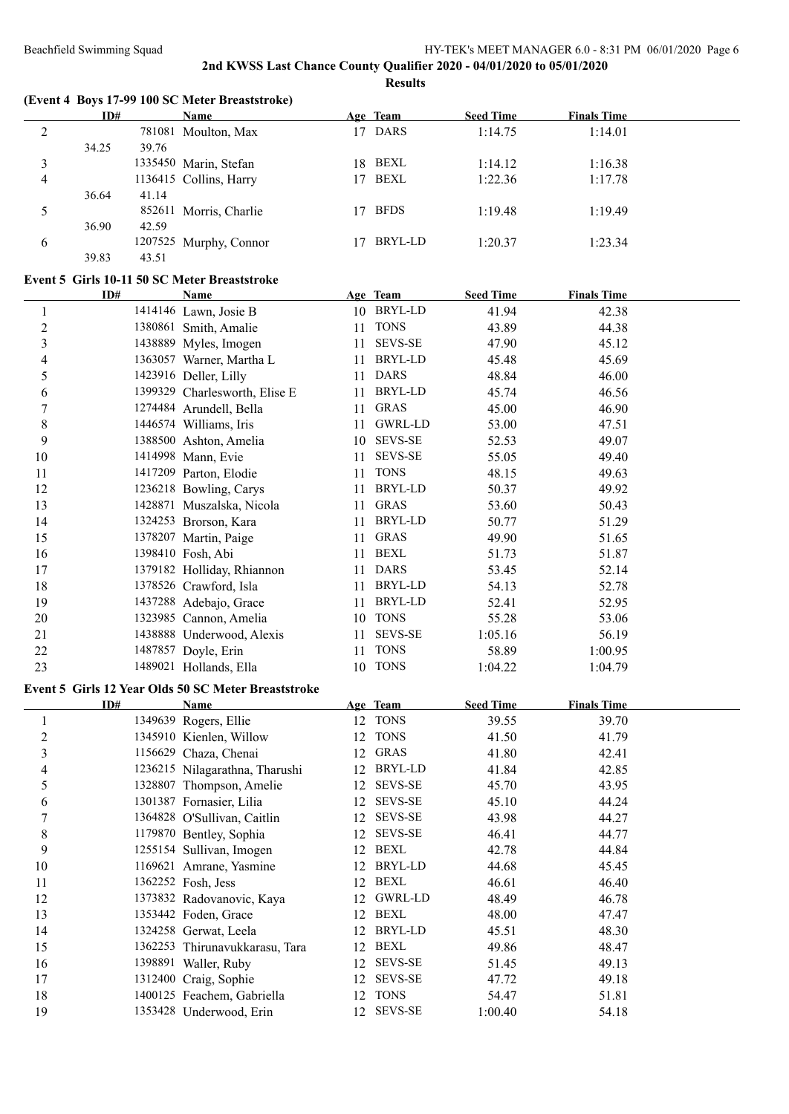**(Event 4 Boys 17-99 100 SC Meter Breaststroke) ID# Name Age Team Seed Time Finals Time** 2 781081 Moulton, Max 17 DARS 1:14.75 1:14.01 34.25 39.76 3 1335450 Marin, Stefan 18 BEXL 1:14.12 1:16.38 4 1136415 Collins, Harry 17 BEXL 1:22.36 1:17.78 36.64 41.14 5 852611 Morris, Charlie 17 BFDS 1:19.48 1:19.49 36.90 42.59 6 1207525 Murphy, Connor 17 BRYL-LD 1:20.37 1:23.34 39.83 43.51 **Event 5 Girls 10-11 50 SC Meter Breaststroke ID# Name Age Team Seed Time Finals Time** 1 1414146 Lawn, Josie B 10 BRYL-LD 41.94 42.38 2 1380861 Smith, Amalie 11 TONS 43.89 44.38 3 1438889 Myles, Imogen 11 SEVS-SE 47.90 45.12 4 1363057 Warner, Martha L 11 BRYL-LD 45.48 45.69 5 1423916 Deller, Lilly 11 DARS 48.84 46.00 6 1399329 Charlesworth, Elise E 11 BRYL-LD 45.74 46.56 7 1274484 Arundell, Bella 11 GRAS 45.00 46.90 8 1446574 Williams, Iris 11 GWRL-LD 53.00 47.51 9 1388500 Ashton, Amelia 10 SEVS-SE 52.53 49.07 10 1414998 Mann, Evie 11 SEVS-SE 55.05 49.40 11 1417209 Parton, Elodie 11 TONS 48.15 49.63 12 1236218 Bowling, Carys 11 BRYL-LD 50.37 49.92 13 1428871 Muszalska, Nicola 11 GRAS 53.60 50.43 14 1324253 Brorson, Kara 11 BRYL-LD 50.77 51.29 15 1378207 Martin, Paige 11 GRAS 49.90 51.65 16 1398410 Fosh, Abi 11 BEXL 51.73 51.87 17 1379182 Holliday, Rhiannon 11 DARS 53.45 52.14 18 1378526 Crawford, Isla 11 BRYL-LD 54.13 52.78 19 1437288 Adebajo, Grace 11 BRYL-LD 52.41 52.95 20 1323985 Cannon, Amelia 10 TONS 55.28 53.06 21 1438888 Underwood, Alexis 11 SEVS-SE 1:05.16 56.19 22 1487857 Doyle, Erin 11 TONS 58.89 1:00.95 23 1489021 Hollands, Ella 10 TONS 1:04.22 1:04.79 **Event 5 Girls 12 Year Olds 50 SC Meter Breaststroke ID# Name Age Team Seed Time Finals Time** 1 1349639 Rogers, Ellie 12 TONS 39.55 39.70 2 1345910 Kienlen, Willow 12 TONS 41.50 41.79 3 1156629 Chaza, Chenai 12 GRAS 41.80 42.41 4 1236215 Nilagarathna, Tharushi 12 BRYL-LD 41.84 42.85 5 1328807 Thompson, Amelie 12 SEVS-SE 45.70 43.95 6 1301387 Fornasier, Lilia 12 SEVS-SE 45.10 44.24 7 1364828 O'Sullivan, Caitlin 12 SEVS-SE 43.98 44.27 8 1179870 Bentley, Sophia 12 SEVS-SE 46.41 44.77 9 1255154 Sullivan, Imogen 12 BEXL 42.78 44.84 10 1169621 Amrane, Yasmine 12 BRYL-LD 44.68 45.45 11 1362252 Fosh, Jess 12 BEXL 46.61 46.40 12 1373832 Radovanovic, Kaya 12 GWRL-LD 48.49 46.78 13 1353442 Foden, Grace 12 BEXL 48.00 47.47 14 1324258 Gerwat, Leela 12 BRYL-LD 45.51 48.30 15 1362253 Thirunavukkarasu, Tara 12 BEXL 49.86 48.47 16 1398891 Waller, Ruby 12 SEVS-SE 51.45 49.13 17 1312400 Craig, Sophie 12 SEVS-SE 47.72 49.18 18 1400125 Feachem, Gabriella 12 TONS 54.47 51.81 19 1353428 Underwood, Erin 12 SEVS-SE 1:00.40 54.18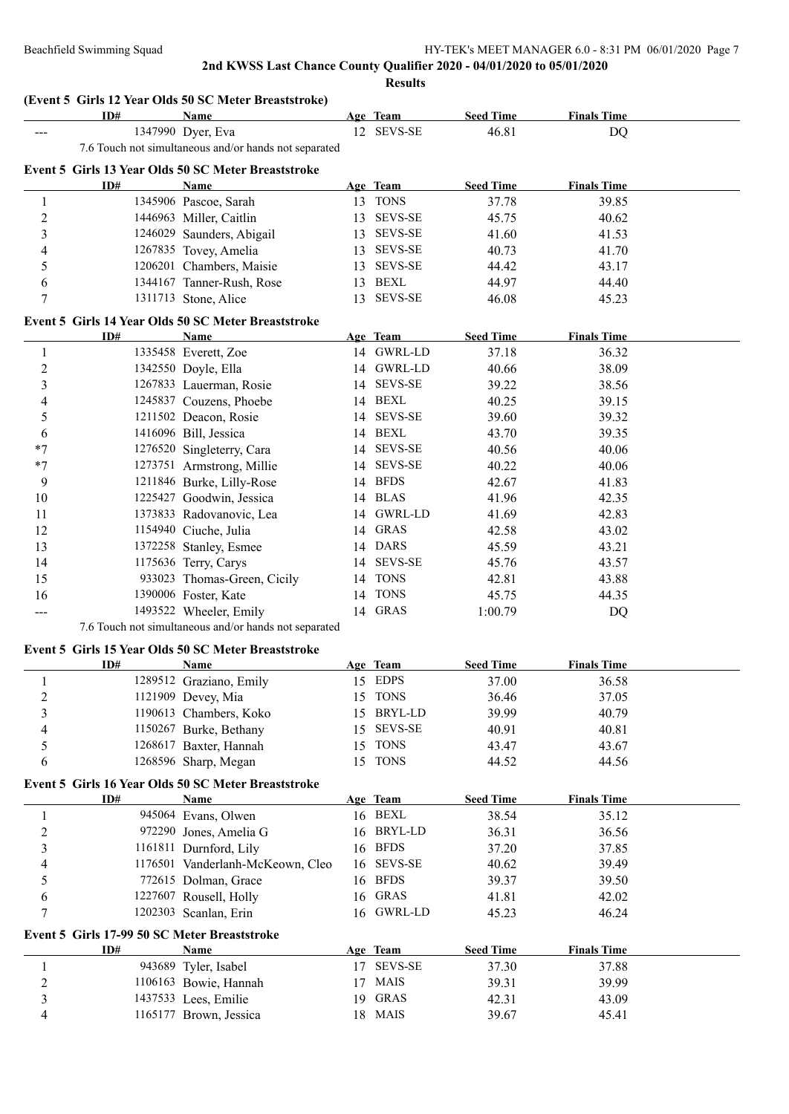|                | ID#                                          | <b>Name</b>                                           |    | Age Team       | <b>Seed Time</b> | <b>Finals Time</b> |
|----------------|----------------------------------------------|-------------------------------------------------------|----|----------------|------------------|--------------------|
|                |                                              | 1347990 Dyer, Eva                                     |    | 12 SEVS-SE     | 46.81            | <b>DQ</b>          |
|                |                                              | 7.6 Touch not simultaneous and/or hands not separated |    |                |                  |                    |
|                |                                              | Event 5 Girls 13 Year Olds 50 SC Meter Breaststroke   |    |                |                  |                    |
|                | ID#                                          | Name                                                  |    | Age Team       | <b>Seed Time</b> | <b>Finals Time</b> |
| 1              |                                              | 1345906 Pascoe, Sarah                                 |    | 13 TONS        | 37.78            | 39.85              |
| $\overline{2}$ |                                              | 1446963 Miller, Caitlin                               |    | 13 SEVS-SE     | 45.75            | 40.62              |
| 3              |                                              | 1246029 Saunders, Abigail                             | 13 | <b>SEVS-SE</b> | 41.60            | 41.53              |
| 4              |                                              | 1267835 Tovey, Amelia                                 | 13 | <b>SEVS-SE</b> | 40.73            | 41.70              |
| 5              |                                              | 1206201 Chambers, Maisie                              | 13 | <b>SEVS-SE</b> | 44.42            | 43.17              |
| 6              |                                              | 1344167 Tanner-Rush, Rose                             |    | 13 BEXL        | 44.97            | 44.40              |
| 7              |                                              | 1311713 Stone, Alice                                  |    | 13 SEVS-SE     | 46.08            | 45.23              |
|                |                                              | Event 5 Girls 14 Year Olds 50 SC Meter Breaststroke   |    |                |                  |                    |
|                | ID#                                          | Name                                                  |    | Age Team       | <b>Seed Time</b> | <b>Finals Time</b> |
| 1              |                                              | 1335458 Everett, Zoe                                  |    | 14 GWRL-LD     | 37.18            | 36.32              |
| $\overline{2}$ |                                              | 1342550 Doyle, Ella                                   |    | 14 GWRL-LD     | 40.66            | 38.09              |
| 3              |                                              | 1267833 Lauerman, Rosie                               |    | 14 SEVS-SE     | 39.22            | 38.56              |
| 4              |                                              | 1245837 Couzens, Phoebe                               | 14 | BEXL           | 40.25            | 39.15              |
| 5              |                                              | 1211502 Deacon, Rosie                                 | 14 | <b>SEVS-SE</b> | 39.60            | 39.32              |
| 6              |                                              | 1416096 Bill, Jessica                                 | 14 | <b>BEXL</b>    | 43.70            | 39.35              |
| $*7$           |                                              | 1276520 Singleterry, Cara                             | 14 | <b>SEVS-SE</b> | 40.56            | 40.06              |
| $*7$           |                                              | 1273751 Armstrong, Millie                             |    | <b>SEVS-SE</b> |                  | 40.06              |
|                |                                              |                                                       | 14 | <b>BFDS</b>    | 40.22            |                    |
| 9              |                                              | 1211846 Burke, Lilly-Rose                             | 14 |                | 42.67            | 41.83              |
| 10             |                                              | 1225427 Goodwin, Jessica                              | 14 | <b>BLAS</b>    | 41.96            | 42.35              |
| 11             |                                              | 1373833 Radovanovic, Lea                              |    | 14 GWRL-LD     | 41.69            | 42.83              |
| 12             |                                              | 1154940 Ciuche, Julia                                 | 14 | <b>GRAS</b>    | 42.58            | 43.02              |
| 13             |                                              | 1372258 Stanley, Esmee                                |    | 14 DARS        | 45.59            | 43.21              |
| 14             |                                              | 1175636 Terry, Carys                                  |    | 14 SEVS-SE     | 45.76            | 43.57              |
| 15             |                                              | 933023 Thomas-Green, Cicily                           |    | 14 TONS        | 42.81            | 43.88              |
| 16             |                                              | 1390006 Foster, Kate                                  |    | 14 TONS        | 45.75            | 44.35              |
| ---            |                                              | 1493522 Wheeler, Emily                                |    | 14 GRAS        | 1:00.79          | DQ                 |
|                |                                              | 7.6 Touch not simultaneous and/or hands not separated |    |                |                  |                    |
|                |                                              | Event 5 Girls 15 Year Olds 50 SC Meter Breaststroke   |    |                |                  |                    |
|                | ID#                                          | Name                                                  |    | Age Team       | <b>Seed Time</b> | <b>Finals Time</b> |
| 1              |                                              | 1289512 Graziano, Emily                               |    | 15 EDPS        | 37.00            | 36.58              |
| $\overline{c}$ |                                              | 1121909 Devey, Mia                                    |    | 15 TONS        | 36.46            | 37.05              |
| 3              |                                              | 1190613 Chambers, Koko                                | 15 | BRYL-LD        | 39.99            | 40.79              |
| 4              |                                              | 1150267 Burke, Bethany                                | 15 | <b>SEVS-SE</b> | 40.91            | 40.81              |
| 5              |                                              | 1268617 Baxter, Hannah                                | 15 | <b>TONS</b>    | 43.47            | 43.67              |
| 6              |                                              | 1268596 Sharp, Megan                                  |    | 15 TONS        | 44.52            | 44.56              |
|                |                                              | Event 5 Girls 16 Year Olds 50 SC Meter Breaststroke   |    |                |                  |                    |
|                | ID#                                          | Name                                                  |    | Age Team       | <b>Seed Time</b> | <b>Finals Time</b> |
| $\mathbf{1}$   |                                              | 945064 Evans, Olwen                                   |    | 16 BEXL        | 38.54            | 35.12              |
| $\overline{c}$ |                                              | 972290 Jones, Amelia G                                |    | 16 BRYL-LD     | 36.31            | 36.56              |
| 3              |                                              | 1161811 Durnford, Lily                                | 16 | <b>BFDS</b>    | 37.20            | 37.85              |
| 4              |                                              | 1176501 Vanderlanh-McKeown, Cleo                      | 16 | <b>SEVS-SE</b> | 40.62            | 39.49              |
| 5              |                                              | 772615 Dolman, Grace                                  | 16 | <b>BFDS</b>    | 39.37            | 39.50              |
| 6              |                                              | 1227607 Rousell, Holly                                | 16 | GRAS           | 41.81            | 42.02              |
| 7              |                                              | 1202303 Scanlan, Erin                                 | 16 | GWRL-LD        | 45.23            | 46.24              |
|                |                                              |                                                       |    |                |                  |                    |
|                | Event 5 Girls 17-99 50 SC Meter Breaststroke |                                                       |    |                |                  |                    |
|                | ID#                                          | Name                                                  |    | Age Team       | <b>Seed Time</b> | <b>Finals Time</b> |
| 1              |                                              | 943689 Tyler, Isabel                                  |    | 17 SEVS-SE     | 37.30            | 37.88              |
| $\overline{c}$ |                                              | 1106163 Bowie, Hannah                                 | 17 | <b>MAIS</b>    | 39.31            | 39.99              |
| 3              |                                              | 1437533 Lees, Emilie                                  |    | 19 GRAS        | 42.31            | 43.09              |
| 4              |                                              | 1165177 Brown, Jessica                                |    | 18 MAIS        | 39.67            | 45.41              |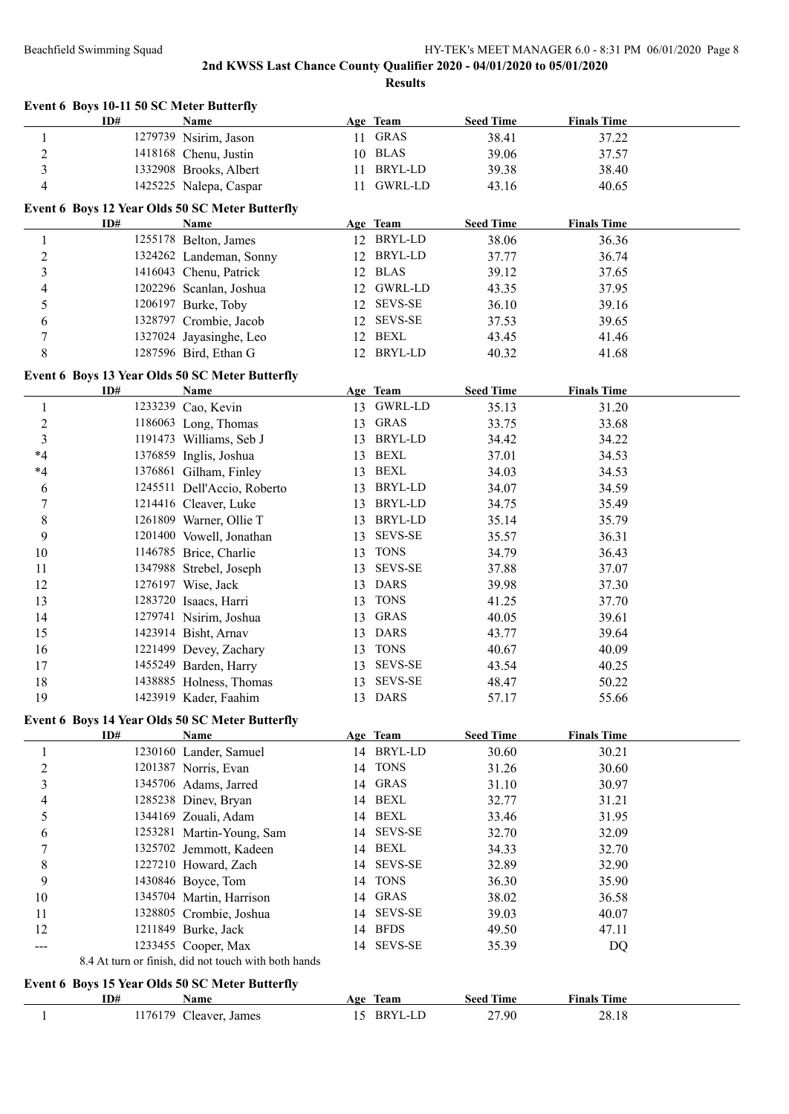|                  | ID# | Name                                                    |    | Age Team               | <b>Seed Time</b> | <b>Finals Time</b> |
|------------------|-----|---------------------------------------------------------|----|------------------------|------------------|--------------------|
| 1                |     | 1279739 Nsirim, Jason                                   |    | 11 GRAS                | 38.41            | 37.22              |
| $\boldsymbol{2}$ |     | 1418168 Chenu, Justin                                   |    | 10 BLAS                | 39.06            | 37.57              |
| 3                |     | 1332908 Brooks, Albert                                  |    | 11 BRYL-LD             | 39.38            | 38.40              |
| 4                |     | 1425225 Nalepa, Caspar                                  |    | 11 GWRL-LD             | 43.16            | 40.65              |
|                  |     | Event 6 Boys 12 Year Olds 50 SC Meter Butterfly         |    |                        |                  |                    |
|                  | ID# | <b>Name</b>                                             |    | Age Team               | <b>Seed Time</b> | <b>Finals Time</b> |
| 1                |     | 1255178 Belton, James                                   |    | 12 BRYL-LD             | 38.06            | 36.36              |
| $\boldsymbol{2}$ |     | 1324262 Landeman, Sonny                                 |    | 12 BRYL-LD             | 37.77            | 36.74              |
| 3                |     | 1416043 Chenu, Patrick                                  |    | 12 BLAS                | 39.12            | 37.65              |
| 4                |     | 1202296 Scanlan, Joshua                                 |    | 12 GWRL-LD             | 43.35            | 37.95              |
| 5                |     | 1206197 Burke, Toby                                     |    | 12 SEVS-SE             | 36.10            | 39.16              |
| 6                |     | 1328797 Crombie, Jacob                                  | 12 | <b>SEVS-SE</b>         | 37.53            | 39.65              |
| $\overline{7}$   |     | 1327024 Jayasinghe, Leo                                 |    | 12 BEXL                | 43.45            | 41.46              |
| 8                |     | 1287596 Bird, Ethan G                                   |    | 12 BRYL-LD             | 40.32            | 41.68              |
|                  |     |                                                         |    |                        |                  |                    |
|                  |     | Event 6 Boys 13 Year Olds 50 SC Meter Butterfly         |    |                        |                  |                    |
|                  | ID# | Name                                                    |    | Age Team               | <b>Seed Time</b> | <b>Finals Time</b> |
| 1                |     | 1233239 Cao, Kevin                                      |    | 13 GWRL-LD             | 35.13            | 31.20              |
| $\boldsymbol{2}$ |     | 1186063 Long, Thomas                                    |    | 13 GRAS                | 33.75            | 33.68              |
| 3                |     | 1191473 Williams, Seb J                                 |    | 13 BRYL-LD             | 34.42            | 34.22              |
| $*_{4}$          |     | 1376859 Inglis, Joshua                                  |    | 13 BEXL                | 37.01            | 34.53              |
| $*_{4}$          |     | 1376861 Gilham, Finley                                  |    | 13 BEXL                | 34.03            | 34.53              |
| 6                |     | 1245511 Dell'Accio, Roberto                             |    | 13 BRYL-LD             | 34.07            | 34.59              |
| 7                |     | 1214416 Cleaver, Luke                                   |    | 13 BRYL-LD             | 34.75            | 35.49              |
| 8                |     | 1261809 Warner, Ollie T                                 |    | 13 BRYL-LD             | 35.14            | 35.79              |
| 9                |     | 1201400 Vowell, Jonathan                                | 13 | <b>SEVS-SE</b>         | 35.57            | 36.31              |
| 10               |     | 1146785 Brice, Charlie                                  | 13 | <b>TONS</b>            | 34.79            | 36.43              |
| 11               |     | 1347988 Strebel, Joseph                                 | 13 | <b>SEVS-SE</b>         | 37.88            | 37.07              |
| 12               |     | 1276197 Wise, Jack                                      | 13 | DARS                   | 39.98            | 37.30              |
| 13               |     | 1283720 Isaacs, Harri                                   | 13 | <b>TONS</b>            | 41.25            | 37.70              |
| 14               |     | 1279741 Nsirim, Joshua                                  | 13 | <b>GRAS</b>            | 40.05            | 39.61              |
| 15               |     | 1423914 Bisht, Arnav                                    |    | 13 DARS                | 43.77            | 39.64              |
| 16               |     | 1221499 Devey, Zachary                                  | 13 | <b>TONS</b>            | 40.67            | 40.09              |
| 17               |     | 1455249 Barden, Harry                                   | 13 | <b>SEVS-SE</b>         | 43.54            | 40.25              |
| 18               |     | 1438885 Holness, Thomas                                 |    | 13 SEVS-SE             | 48.47            | 50.22              |
| 19               |     | 1423919 Kader, Faahim                                   |    | 13 DARS                | 57.17            | 55.66              |
|                  |     |                                                         |    |                        |                  |                    |
|                  | ID# | Event 6 Boys 14 Year Olds 50 SC Meter Butterfly<br>Name |    | Age Team               | <b>Seed Time</b> | <b>Finals Time</b> |
| 1                |     | 1230160 Lander, Samuel                                  |    | 14 BRYL-LD             | 30.60            | 30.21              |
| $\boldsymbol{2}$ |     | 1201387 Norris, Evan                                    |    | 14 TONS                | 31.26            | 30.60              |
| 3                |     | 1345706 Adams, Jarred                                   |    | 14 GRAS                | 31.10            | 30.97              |
| 4                |     | 1285238 Dinev, Bryan                                    |    | 14 BEXL                | 32.77            | 31.21              |
| 5                |     | 1344169 Zouali, Adam                                    |    | 14 BEXL                | 33.46            | 31.95              |
| 6                |     | 1253281 Martin-Young, Sam                               | 14 | <b>SEVS-SE</b>         | 32.70            | 32.09              |
| 7                |     | 1325702 Jemmott, Kadeen                                 |    | 14 BEXL                | 34.33            | 32.70              |
| $\,8\,$          |     | 1227210 Howard, Zach                                    | 14 | <b>SEVS-SE</b>         | 32.89            | 32.90              |
| 9                |     |                                                         |    | 14 TONS                |                  |                    |
|                  |     | 1430846 Boyce, Tom                                      |    |                        | 36.30            | 35.90              |
| 10               |     | 1345704 Martin, Harrison                                |    | 14 GRAS                | 38.02            | 36.58              |
| 11               |     | 1328805 Crombie, Joshua                                 | 14 | <b>SEVS-SE</b>         | 39.03            | 40.07              |
| 12               |     | 1211849 Burke, Jack                                     | 14 | <b>BFDS</b>            | 49.50            | 47.11              |
| ---              |     | 1233455 Cooper, Max                                     |    | 14 SEVS-SE             | 35.39            | DQ                 |
|                  |     | 8.4 At turn or finish, did not touch with both hands    |    |                        |                  |                    |
|                  |     |                                                         |    |                        |                  |                    |
|                  |     | Event 6 Boys 15 Year Olds 50 SC Meter Butterfly         |    |                        |                  |                    |
|                  | ID# | Name                                                    |    | Age Team<br>15 BRYL-LD | <b>Seed Time</b> | <b>Finals Time</b> |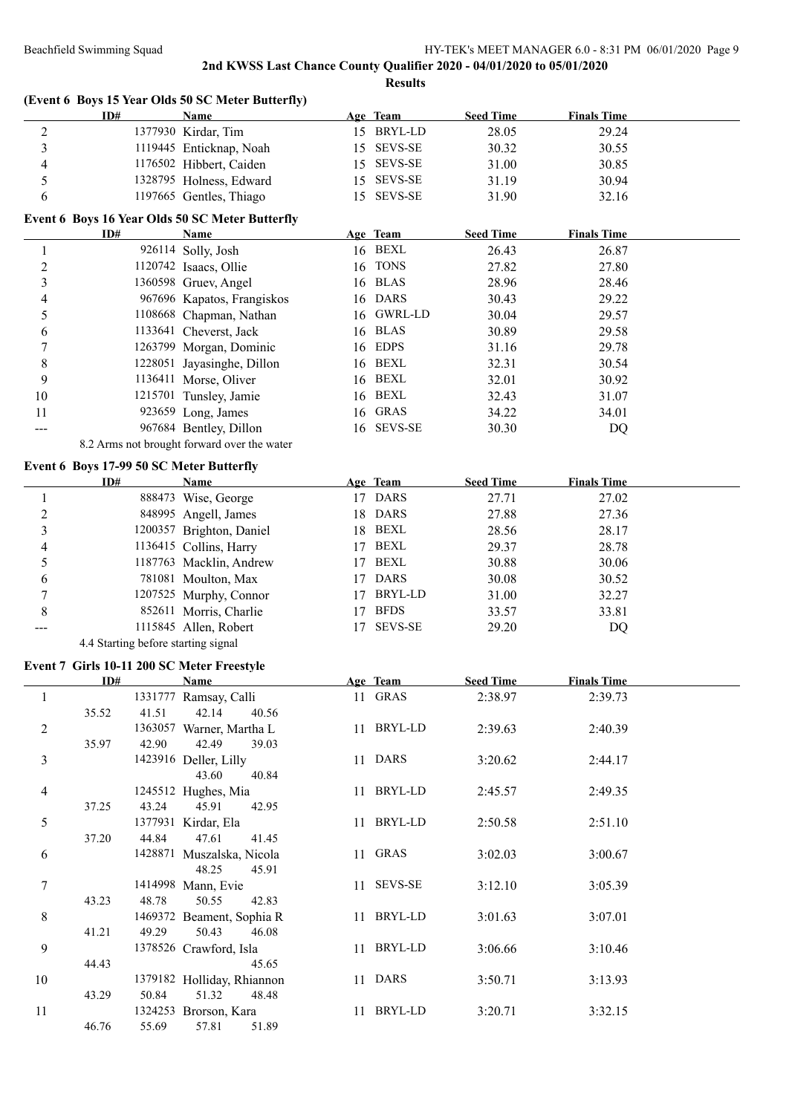|                         |       |       | (Event 6 Boys 15 Year Olds 50 SC Meter Butterfly)  |    |                |                  |                    |  |
|-------------------------|-------|-------|----------------------------------------------------|----|----------------|------------------|--------------------|--|
|                         | ID#   |       | Name                                               |    | Age Team       | <b>Seed Time</b> | <b>Finals Time</b> |  |
| $\overline{c}$          |       |       | 1377930 Kirdar, Tim                                |    | 15 BRYL-LD     | 28.05            | 29.24              |  |
| 3                       |       |       | 1119445 Enticknap, Noah                            | 15 | <b>SEVS-SE</b> | 30.32            | 30.55              |  |
| 4                       |       |       | 1176502 Hibbert, Caiden                            |    | 15 SEVS-SE     | 31.00            | 30.85              |  |
| 5                       |       |       | 1328795 Holness, Edward                            | 15 | <b>SEVS-SE</b> | 31.19            | 30.94              |  |
| 6                       |       |       | 1197665 Gentles, Thiago                            |    | 15 SEVS-SE     | 31.90            | 32.16              |  |
|                         |       |       | Event 6 Boys 16 Year Olds 50 SC Meter Butterfly    |    |                |                  |                    |  |
|                         | ID#   |       | <b>Name</b>                                        |    | Age Team       | <b>Seed Time</b> | <b>Finals Time</b> |  |
| $\mathbf{1}$            |       |       | 926114 Solly, Josh                                 |    | 16 BEXL        | 26.43            | 26.87              |  |
|                         |       |       | 1120742 Isaacs, Ollie                              |    | 16 TONS        | 27.82            | 27.80              |  |
| $\overline{c}$          |       |       |                                                    |    | 16 BLAS        |                  |                    |  |
| 3                       |       |       | 1360598 Gruev, Angel<br>967696 Kapatos, Frangiskos |    | 16 DARS        | 28.96            | 28.46              |  |
| 4                       |       |       |                                                    |    | 16 GWRL-LD     | 30.43            | 29.22              |  |
| 5                       |       |       | 1108668 Chapman, Nathan                            |    |                | 30.04            | 29.57              |  |
| 6                       |       |       | 1133641 Cheverst, Jack                             |    | 16 BLAS        | 30.89            | 29.58              |  |
| 7                       |       |       | 1263799 Morgan, Dominic                            |    | 16 EDPS        | 31.16            | 29.78              |  |
| 8                       |       |       | 1228051 Jayasinghe, Dillon                         |    | 16 BEXL        | 32.31            | 30.54              |  |
| 9                       |       |       | 1136411 Morse, Oliver                              |    | 16 BEXL        | 32.01            | 30.92              |  |
| 10                      |       |       | 1215701 Tunsley, Jamie                             |    | 16 BEXL        | 32.43            | 31.07              |  |
| 11                      |       |       | 923659 Long, James                                 |    | 16 GRAS        | 34.22            | 34.01              |  |
| ---                     |       |       | 967684 Bentley, Dillon                             | 16 | <b>SEVS-SE</b> | 30.30            | DQ                 |  |
|                         |       |       | 8.2 Arms not brought forward over the water        |    |                |                  |                    |  |
|                         |       |       | Event 6 Boys 17-99 50 SC Meter Butterfly           |    |                |                  |                    |  |
|                         | ID#   |       | <b>Name</b>                                        |    | Age Team       | <b>Seed Time</b> | <b>Finals Time</b> |  |
| 1                       |       |       | 888473 Wise, George                                |    | 17 DARS        | 27.71            | 27.02              |  |
| $\boldsymbol{2}$        |       |       | 848995 Angell, James                               |    | 18 DARS        | 27.88            | 27.36              |  |
| $\overline{\mathbf{3}}$ |       |       | 1200357 Brighton, Daniel                           |    | 18 BEXL        | 28.56            | 28.17              |  |
| 4                       |       |       | 1136415 Collins, Harry                             |    | 17 BEXL        | 29.37            | 28.78              |  |
| 5                       |       |       | 1187763 Macklin, Andrew                            | 17 | BEXL           | 30.88            | 30.06              |  |
| 6                       |       |       | 781081 Moulton, Max                                | 17 | <b>DARS</b>    | 30.08            | 30.52              |  |
| 7                       |       |       | 1207525 Murphy, Connor                             | 17 | <b>BRYL-LD</b> | 31.00            | 32.27              |  |
| 8                       |       |       | 852611 Morris, Charlie                             | 17 | <b>BFDS</b>    | 33.57            | 33.81              |  |
|                         |       |       | 1115845 Allen, Robert                              | 17 | <b>SEVS-SE</b> | 29.20            |                    |  |
| ---                     |       |       | 4.4 Starting before starting signal                |    |                |                  | DQ                 |  |
|                         |       |       |                                                    |    |                |                  |                    |  |
|                         |       |       | Event 7 Girls 10-11 200 SC Meter Freestyle         |    |                |                  |                    |  |
|                         | ID#   |       | Name                                               |    | Age Team       | <b>Seed Time</b> | <b>Finals Time</b> |  |
| $\mathbf{1}$            |       |       | 1331777 Ramsay, Calli                              |    | 11 GRAS        | 2:38.97          | 2:39.73            |  |
|                         | 35.52 | 41.51 | 42.14<br>40.56                                     |    |                |                  |                    |  |
| $\overline{c}$          |       |       | 1363057 Warner, Martha L                           |    | 11 BRYL-LD     | 2:39.63          | 2:40.39            |  |
|                         | 35.97 | 42.90 | 42.49<br>39.03                                     |    |                |                  |                    |  |
| 3                       |       |       | 1423916 Deller, Lilly                              |    | 11 DARS        | 3:20.62          | 2:44.17            |  |
|                         |       |       | 43.60<br>40.84                                     |    |                |                  |                    |  |
| 4                       |       |       | 1245512 Hughes, Mia                                |    | 11 BRYL-LD     | 2:45.57          | 2:49.35            |  |
|                         | 37.25 | 43.24 | 45.91<br>42.95                                     |    |                |                  |                    |  |
| 5                       |       |       | 1377931 Kirdar, Ela                                |    | 11 BRYL-LD     | 2:50.58          | 2:51.10            |  |
|                         | 37.20 | 44.84 | 47.61<br>41.45                                     |    |                |                  |                    |  |
| 6                       |       |       | 1428871 Muszalska, Nicola                          |    | 11 GRAS        | 3:02.03          | 3:00.67            |  |
|                         |       |       | 48.25<br>45.91                                     |    |                |                  |                    |  |
| 7                       |       |       | 1414998 Mann, Evie                                 |    | 11 SEVS-SE     | 3:12.10          | 3:05.39            |  |
|                         | 43.23 | 48.78 | 50.55<br>42.83                                     |    |                |                  |                    |  |
| 8                       |       |       | 1469372 Beament, Sophia R                          |    | 11 BRYL-LD     | 3:01.63          | 3:07.01            |  |
|                         | 41.21 | 49.29 | 50.43<br>46.08                                     |    |                |                  |                    |  |
| 9                       |       |       | 1378526 Crawford, Isla                             |    | 11 BRYL-LD     | 3:06.66          | 3:10.46            |  |
|                         | 44.43 |       | 45.65                                              |    |                |                  |                    |  |
| 10                      |       |       | 1379182 Holliday, Rhiannon                         |    | 11 DARS        | 3:50.71          | 3:13.93            |  |
|                         | 43.29 | 50.84 | 51.32<br>48.48                                     |    |                |                  |                    |  |
| 11                      |       |       | 1324253 Brorson, Kara                              |    | 11 BRYL-LD     | 3:20.71          | 3:32.15            |  |
|                         | 46.76 | 55.69 | 57.81<br>51.89                                     |    |                |                  |                    |  |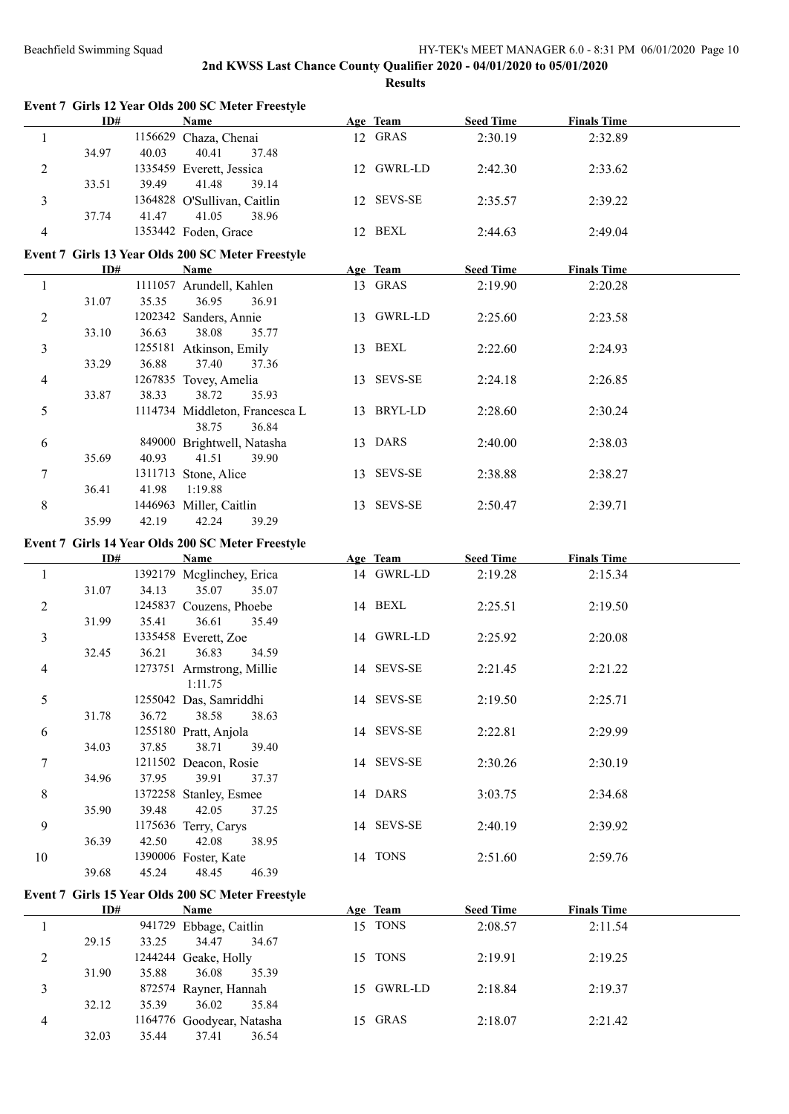|                | ID#   |       | Event 7 Girls 12 Year Olds 200 SC Meter Freestyle<br><b>Name</b> | Age Team            | <b>Seed Time</b> | <b>Finals Time</b> |  |
|----------------|-------|-------|------------------------------------------------------------------|---------------------|------------------|--------------------|--|
| 1              |       |       | 1156629 Chaza, Chenai                                            | 12 GRAS             | 2:30.19          | 2:32.89            |  |
|                | 34.97 | 40.03 | 40.41<br>37.48                                                   |                     |                  |                    |  |
| 2              |       |       | 1335459 Everett, Jessica                                         | 12 GWRL-LD          | 2:42.30          | 2:33.62            |  |
|                | 33.51 | 39.49 | 41.48<br>39.14                                                   |                     |                  |                    |  |
| 3              |       |       | 1364828 O'Sullivan, Caitlin                                      | 12 SEVS-SE          | 2:35.57          | 2:39.22            |  |
|                | 37.74 | 41.47 | 41.05<br>38.96                                                   |                     |                  |                    |  |
| 4              |       |       | 1353442 Foden, Grace                                             | 12 BEXL             | 2:44.63          | 2:49.04            |  |
|                |       |       |                                                                  |                     |                  |                    |  |
|                |       |       | Event 7 Girls 13 Year Olds 200 SC Meter Freestyle                |                     |                  |                    |  |
|                | ID#   |       | <b>Name</b>                                                      | Age Team<br>13 GRAS | <b>Seed Time</b> | <b>Finals Time</b> |  |
| $\mathbf{1}$   |       |       | 1111057 Arundell, Kahlen                                         |                     | 2:19.90          | 2:20.28            |  |
|                | 31.07 | 35.35 | 36.95<br>36.91                                                   |                     |                  |                    |  |
| $\overline{c}$ |       |       | 1202342 Sanders, Annie                                           | 13 GWRL-LD          | 2:25.60          | 2:23.58            |  |
|                | 33.10 | 36.63 | 38.08<br>35.77                                                   |                     |                  |                    |  |
| 3              |       |       | 1255181 Atkinson, Emily                                          | 13 BEXL             | 2:22.60          | 2:24.93            |  |
|                | 33.29 | 36.88 | 37.40<br>37.36                                                   |                     |                  |                    |  |
| 4              | 33.87 | 38.33 | 1267835 Tovey, Amelia<br>38.72<br>35.93                          | 13 SEVS-SE          | 2:24.18          | 2:26.85            |  |
|                |       |       | 1114734 Middleton, Francesca L                                   | 13 BRYL-LD          | 2:28.60          |                    |  |
| 5              |       |       | 38.75<br>36.84                                                   |                     |                  | 2:30.24            |  |
|                |       |       |                                                                  | 13 DARS             |                  |                    |  |
| 6              | 35.69 | 40.93 | 849000 Brightwell, Natasha<br>41.51<br>39.90                     |                     | 2:40.00          | 2:38.03            |  |
| 7              |       |       | 1311713 Stone, Alice                                             | 13 SEVS-SE          |                  | 2:38.27            |  |
|                | 36.41 | 41.98 | 1:19.88                                                          |                     | 2:38.88          |                    |  |
| 8              |       |       | 1446963 Miller, Caitlin                                          | 13 SEVS-SE          | 2:50.47          | 2:39.71            |  |
|                | 35.99 | 42.19 | 42.24<br>39.29                                                   |                     |                  |                    |  |
|                |       |       |                                                                  |                     |                  |                    |  |
|                |       |       | Event 7 Girls 14 Year Olds 200 SC Meter Freestyle                |                     |                  |                    |  |
|                | ID#   |       | <b>Name</b>                                                      | Age Team            | <b>Seed Time</b> | <b>Finals Time</b> |  |
| 1              |       |       | 1392179 Mcglinchey, Erica                                        | 14 GWRL-LD          | 2:19.28          | 2:15.34            |  |
|                | 31.07 | 34.13 | 35.07<br>35.07                                                   |                     |                  |                    |  |
| 2              |       |       | 1245837 Couzens, Phoebe                                          | 14 BEXL             | 2:25.51          | 2:19.50            |  |
|                | 31.99 | 35.41 | 36.61<br>35.49                                                   |                     |                  |                    |  |
| 3              |       |       | 1335458 Everett, Zoe                                             | 14 GWRL-LD          | 2:25.92          | 2:20.08            |  |
|                | 32.45 | 36.21 | 36.83<br>34.59                                                   |                     |                  |                    |  |
| 4              |       |       | 1273751 Armstrong, Millie                                        | 14 SEVS-SE          | 2:21.45          | 2:21.22            |  |
|                |       |       | 1:11.75                                                          |                     |                  |                    |  |
| 5              |       |       | 1255042 Das, Samriddhi                                           | 14 SEVS-SE          | 2:19.50          | 2:25.71            |  |
|                | 31.78 | 36.72 | 38.58<br>38.63                                                   |                     |                  |                    |  |
| 6              |       |       | 1255180 Pratt, Anjola                                            | 14 SEVS-SE          | 2:22.81          | 2:29.99            |  |
|                | 34.03 | 37.85 | 38.71<br>39.40                                                   |                     |                  |                    |  |
| 7              |       |       | 1211502 Deacon, Rosie                                            | 14 SEVS-SE          | 2:30.26          | 2:30.19            |  |
|                | 34.96 | 37.95 | 39.91<br>37.37                                                   |                     |                  |                    |  |
| 8              |       |       | 1372258 Stanley, Esmee                                           | 14 DARS             | 3:03.75          | 2:34.68            |  |
|                | 35.90 | 39.48 | 42.05<br>37.25                                                   |                     |                  |                    |  |
| 9              |       |       | 1175636 Terry, Carys                                             | 14 SEVS-SE          | 2:40.19          | 2:39.92            |  |
|                | 36.39 | 42.50 | 42.08<br>38.95                                                   |                     |                  |                    |  |
| $10\,$         |       |       | 1390006 Foster, Kate                                             | 14 TONS             | 2:51.60          | 2:59.76            |  |
|                | 39.68 | 45.24 | 46.39<br>48.45                                                   |                     |                  |                    |  |
|                |       |       | Event 7 Girls 15 Year Olds 200 SC Meter Freestyle                |                     |                  |                    |  |
|                | ID#   |       | Name                                                             | Age Team            | <b>Seed Time</b> | <b>Finals Time</b> |  |
| 1              |       |       | 941729 Ebbage, Caitlin                                           | 15 TONS             | 2:08.57          | 2:11.54            |  |
|                | 29.15 | 33.25 | 34.47<br>34.67                                                   |                     |                  |                    |  |
| 2              |       |       | 1244244 Geake, Holly                                             | 15 TONS             | 2:19.91          | 2:19.25            |  |
|                | 31.90 | 35.88 | 36.08<br>35.39                                                   |                     |                  |                    |  |
| 3              |       |       | 872574 Rayner, Hannah                                            | 15 GWRL-LD          | 2:18.84          | 2:19.37            |  |
|                | 32.12 | 35.39 | 36.02<br>35.84                                                   |                     |                  |                    |  |
| 4              |       |       | 1164776 Goodyear, Natasha                                        | 15 GRAS             | 2:18.07          | 2:21.42            |  |
|                | 32.03 | 35.44 | 37.41<br>36.54                                                   |                     |                  |                    |  |
|                |       |       |                                                                  |                     |                  |                    |  |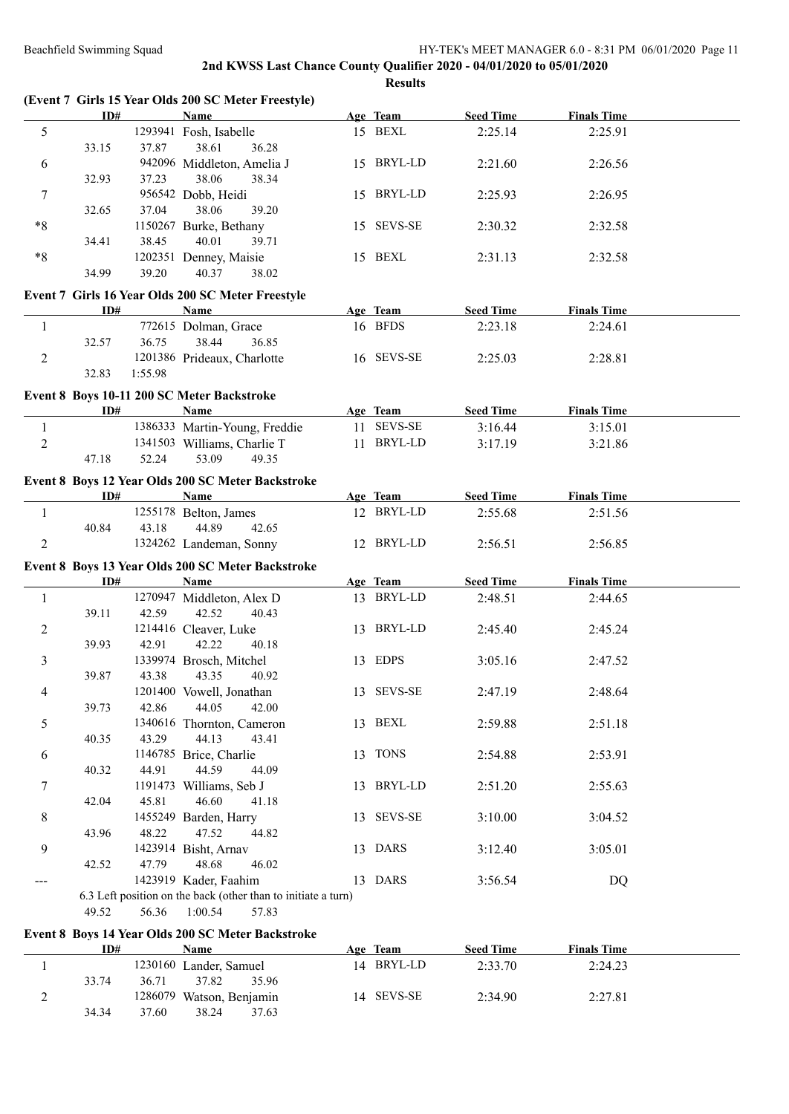|                   | ID#   |         | (Event 7 Girls 15 Year Olds 200 SC Meter Freestyle)<br><b>Name</b> | Age Team   | <b>Seed Time</b> | <b>Finals Time</b> |  |
|-------------------|-------|---------|--------------------------------------------------------------------|------------|------------------|--------------------|--|
| 5                 |       |         | 1293941 Fosh, Isabelle                                             | 15 BEXL    | 2:25.14          | 2:25.91            |  |
|                   | 33.15 | 37.87   | 38.61<br>36.28                                                     |            |                  |                    |  |
| 6                 |       |         | 942096 Middleton, Amelia J                                         | 15 BRYL-LD | 2:21.60          | 2:26.56            |  |
|                   | 32.93 | 37.23   | 38.06<br>38.34                                                     |            |                  |                    |  |
| 7                 |       |         | 956542 Dobb, Heidi                                                 | 15 BRYL-LD | 2:25.93          | 2:26.95            |  |
|                   | 32.65 | 37.04   | 38.06<br>39.20                                                     |            |                  |                    |  |
| $*8$              |       |         | 1150267 Burke, Bethany                                             | 15 SEVS-SE | 2:30.32          | 2:32.58            |  |
|                   | 34.41 | 38.45   | 40.01<br>39.71                                                     |            |                  |                    |  |
| $\boldsymbol{*}8$ |       |         | 1202351 Denney, Maisie                                             | 15 BEXL    | 2:31.13          | 2:32.58            |  |
|                   | 34.99 | 39.20   | 40.37<br>38.02                                                     |            |                  |                    |  |
|                   |       |         | Event 7 Girls 16 Year Olds 200 SC Meter Freestyle                  |            |                  |                    |  |
|                   | ID#   |         | Name                                                               | Age Team   | <b>Seed Time</b> | <b>Finals Time</b> |  |
| $\mathbf{1}$      |       |         | 772615 Dolman, Grace                                               | 16 BFDS    | 2:23.18          | 2:24.61            |  |
|                   | 32.57 | 36.75   | 38.44<br>36.85                                                     |            |                  |                    |  |
| $\overline{2}$    |       |         | 1201386 Prideaux, Charlotte                                        | 16 SEVS-SE | 2:25.03          | 2:28.81            |  |
|                   | 32.83 | 1:55.98 |                                                                    |            |                  |                    |  |
|                   |       |         | Event 8 Boys 10-11 200 SC Meter Backstroke                         |            |                  |                    |  |
|                   | ID#   |         | <b>Name</b>                                                        | Age Team   | <b>Seed Time</b> | <b>Finals Time</b> |  |
| $\mathbf{1}$      |       |         | 1386333 Martin-Young, Freddie                                      | 11 SEVS-SE | 3:16.44          | 3:15.01            |  |
| $\overline{2}$    |       |         | 1341503 Williams, Charlie T                                        | 11 BRYL-LD | 3:17.19          | 3:21.86            |  |
|                   | 47.18 | 52.24   | 53.09<br>49.35                                                     |            |                  |                    |  |
|                   |       |         | Event 8 Boys 12 Year Olds 200 SC Meter Backstroke                  |            |                  |                    |  |
|                   | ID#   |         | Name                                                               | Age Team   | <b>Seed Time</b> | <b>Finals Time</b> |  |
| 1                 |       |         | 1255178 Belton, James                                              | 12 BRYL-LD | 2:55.68          | 2:51.56            |  |
|                   | 40.84 | 43.18   | 44.89<br>42.65                                                     |            |                  |                    |  |
| $\overline{c}$    |       |         | 1324262 Landeman, Sonny                                            | 12 BRYL-LD | 2:56.51          | 2:56.85            |  |
|                   |       |         | Event 8 Boys 13 Year Olds 200 SC Meter Backstroke                  |            |                  |                    |  |
|                   | ID#   |         | <b>Name</b>                                                        | Age Team   | <b>Seed Time</b> | <b>Finals Time</b> |  |
| $\mathbf{1}$      |       |         | 1270947 Middleton, Alex D                                          | 13 BRYL-LD | 2:48.51          | 2:44.65            |  |
|                   | 39.11 | 42.59   | 42.52<br>40.43                                                     |            |                  |                    |  |
| $\mathbf{2}$      |       |         | 1214416 Cleaver, Luke                                              | 13 BRYL-LD | 2:45.40          | 2:45.24            |  |
|                   | 39.93 | 42.91   | 42.22<br>40.18                                                     |            |                  |                    |  |
| 3                 |       |         | 1339974 Brosch, Mitchel                                            | 13 EDPS    | 3:05.16          | 2:47.52            |  |
|                   | 39.87 | 43.38   | 43.35<br>40.92                                                     |            |                  |                    |  |
| $\overline{4}$    |       | 42.86   | 1201400 Vowell, Jonathan<br>44.05<br>42.00                         | 13 SEVS-SE | 2:47.19          | 2:48.64            |  |
| 5                 | 39.73 |         | 1340616 Thornton, Cameron                                          | 13 BEXL    | 2:59.88          | 2:51.18            |  |
|                   | 40.35 | 43.29   | 44.13<br>43.41                                                     |            |                  |                    |  |
| 6                 |       |         | 1146785 Brice, Charlie                                             | 13 TONS    | 2:54.88          | 2:53.91            |  |
|                   | 40.32 | 44.91   | 44.59<br>44.09                                                     |            |                  |                    |  |
| 7                 |       |         | 1191473 Williams, Seb J                                            | 13 BRYL-LD | 2:51.20          | 2:55.63            |  |
|                   | 42.04 | 45.81   | 46.60<br>41.18                                                     |            |                  |                    |  |
| 8                 |       |         | 1455249 Barden, Harry                                              | 13 SEVS-SE | 3:10.00          | 3:04.52            |  |
|                   | 43.96 | 48.22   | 47.52<br>44.82                                                     |            |                  |                    |  |
| 9                 |       |         | 1423914 Bisht, Arnav                                               | 13 DARS    | 3:12.40          | 3:05.01            |  |
|                   | 42.52 | 47.79   | 48.68<br>46.02                                                     |            |                  |                    |  |
|                   |       |         | 1423919 Kader, Faahim                                              | 13 DARS    | 3:56.54          | DQ                 |  |
|                   |       |         | 6.3 Left position on the back (other than to initiate a turn)      |            |                  |                    |  |
|                   | 49.52 | 56.36   | 1:00.54<br>57.83                                                   |            |                  |                    |  |
|                   |       |         | Event 8 Boys 14 Year Olds 200 SC Meter Backstroke                  |            |                  |                    |  |

| ID#   |       | Name                   |                          | Age Team   | <b>Seed Time</b> | <b>Finals Time</b> |  |
|-------|-------|------------------------|--------------------------|------------|------------------|--------------------|--|
|       |       | 1230160 Lander, Samuel |                          | 14 BRYL-LD | 2:33.70          | 2:24.23            |  |
| 33.74 | 36.71 | 37.82                  | 35.96                    |            |                  |                    |  |
|       |       |                        | 1286079 Watson, Benjamin | 14 SEVS-SE | 2:34.90          | 2:27.81            |  |
| 34.34 | 37.60 | 38.24                  | 37.63                    |            |                  |                    |  |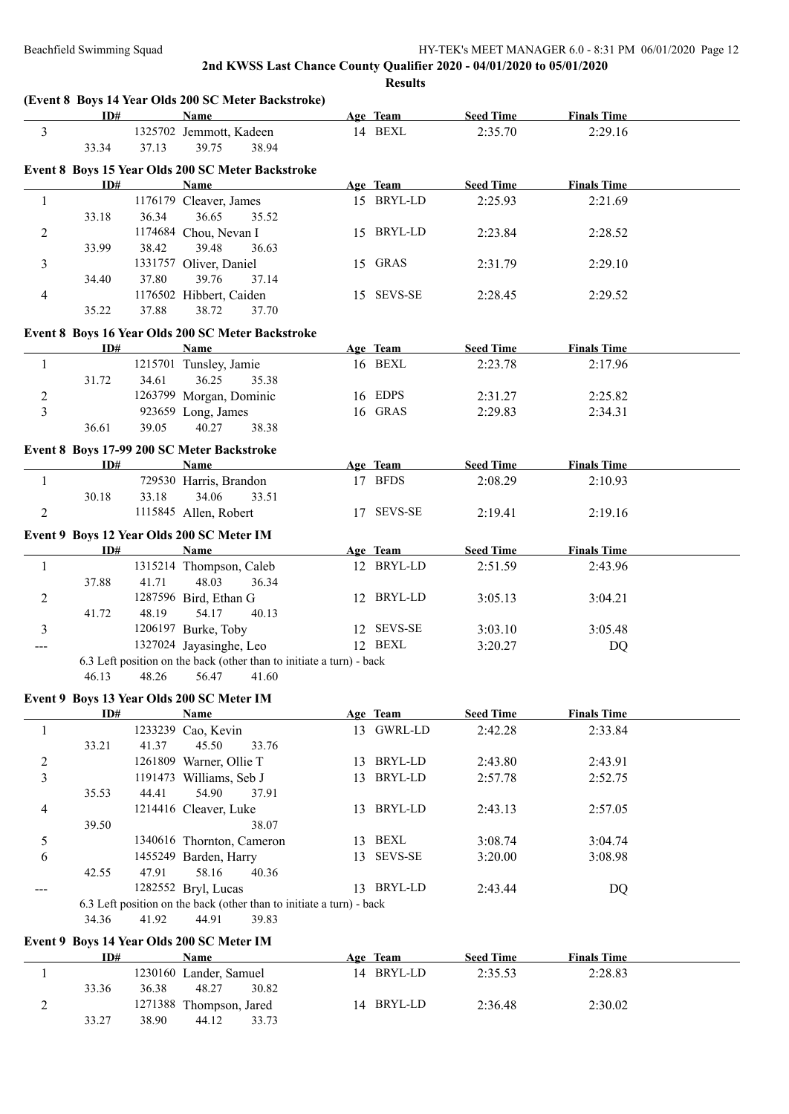|                | ID#   |       | Name                                                                 | Age Team   | <b>Seed Time</b> | <b>Finals Time</b> |  |
|----------------|-------|-------|----------------------------------------------------------------------|------------|------------------|--------------------|--|
| $\overline{3}$ |       |       | 1325702 Jemmott, Kadeen                                              | 14 BEXL    | 2:35.70          | 2:29.16            |  |
|                | 33.34 | 37.13 | 39.75<br>38.94                                                       |            |                  |                    |  |
|                |       |       | Event 8 Boys 15 Year Olds 200 SC Meter Backstroke                    |            |                  |                    |  |
|                | ID#   |       | <b>Name</b>                                                          | Age Team   | <b>Seed Time</b> | <b>Finals Time</b> |  |
| 1              |       |       | 1176179 Cleaver, James                                               | 15 BRYL-LD | 2:25.93          | 2:21.69            |  |
|                | 33.18 | 36.34 | 36.65<br>35.52                                                       |            |                  |                    |  |
| $\overline{2}$ |       |       | 1174684 Chou, Nevan I                                                | 15 BRYL-LD | 2:23.84          | 2:28.52            |  |
|                | 33.99 | 38.42 | 39.48<br>36.63                                                       |            |                  |                    |  |
| 3              |       |       | 1331757 Oliver, Daniel                                               | 15 GRAS    | 2:31.79          | 2:29.10            |  |
|                | 34.40 | 37.80 | 39.76<br>37.14                                                       |            |                  |                    |  |
| $\overline{4}$ |       |       | 1176502 Hibbert, Caiden                                              | 15 SEVS-SE | 2:28.45          | 2:29.52            |  |
|                | 35.22 | 37.88 | 38.72<br>37.70                                                       |            |                  |                    |  |
|                |       |       |                                                                      |            |                  |                    |  |
|                |       |       | Event 8 Boys 16 Year Olds 200 SC Meter Backstroke                    |            |                  |                    |  |
|                | ID#   |       | Name                                                                 | Age Team   | <b>Seed Time</b> | <b>Finals Time</b> |  |
| $\mathbf{1}$   |       |       | 1215701 Tunsley, Jamie                                               | 16 BEXL    | 2:23.78          | 2:17.96            |  |
|                | 31.72 | 34.61 | 36.25<br>35.38                                                       |            |                  |                    |  |
| $\overline{c}$ |       |       | 1263799 Morgan, Dominic                                              | 16 EDPS    | 2:31.27          | 2:25.82            |  |
| $\overline{3}$ |       |       | 923659 Long, James                                                   | 16 GRAS    | 2:29.83          | 2:34.31            |  |
|                | 36.61 | 39.05 | 40.27<br>38.38                                                       |            |                  |                    |  |
|                |       |       | Event 8 Boys 17-99 200 SC Meter Backstroke                           |            |                  |                    |  |
|                | ID#   |       | Name                                                                 | Age Team   | <b>Seed Time</b> | <b>Finals Time</b> |  |
| 1              |       |       | 729530 Harris, Brandon                                               | 17 BFDS    | 2:08.29          | 2:10.93            |  |
|                | 30.18 | 33.18 | 34.06<br>33.51                                                       |            |                  |                    |  |
| 2              |       |       | 1115845 Allen, Robert                                                | 17 SEVS-SE | 2:19.41          | 2:19.16            |  |
|                |       |       |                                                                      |            |                  |                    |  |
|                |       |       | Event 9 Boys 12 Year Olds 200 SC Meter IM                            |            |                  |                    |  |
|                | ID#   |       | Name                                                                 | Age Team   | <b>Seed Time</b> | <b>Finals Time</b> |  |
| 1              |       |       | 1315214 Thompson, Caleb                                              | 12 BRYL-LD | 2:51.59          | 2:43.96            |  |
|                | 37.88 | 41.71 | 48.03<br>36.34                                                       |            |                  |                    |  |
| $\overline{2}$ |       |       | 1287596 Bird, Ethan G                                                | 12 BRYL-LD | 3:05.13          | 3:04.21            |  |
|                | 41.72 | 48.19 | 54.17<br>40.13                                                       |            |                  |                    |  |
| 3              |       |       | 1206197 Burke, Toby                                                  | 12 SEVS-SE | 3:03.10          | 3:05.48            |  |
| ---            |       |       | 1327024 Javasinghe, Leo                                              | 12 BEXL    | 3:20.27          | DQ                 |  |
|                |       |       | 6.3 Left position on the back (other than to initiate a turn) - back |            |                  |                    |  |
|                | 46.13 | 48.26 | 56.47<br>41.60                                                       |            |                  |                    |  |
|                |       |       | Event 9 Boys 13 Year Olds 200 SC Meter IM                            |            |                  |                    |  |
|                | ID#   |       | <b>Name</b>                                                          | Age Team   | <b>Seed Time</b> | <b>Finals Time</b> |  |
| 1              |       |       | 1233239 Cao, Kevin                                                   | 13 GWRL-LD | 2:42.28          | 2:33.84            |  |
|                | 33.21 | 41.37 | 45.50<br>33.76                                                       |            |                  |                    |  |
| 2              |       |       | 1261809 Warner, Ollie T                                              | 13 BRYL-LD | 2:43.80          | 2:43.91            |  |
| 3              |       |       | 1191473 Williams, Seb J                                              | 13 BRYL-LD | 2:57.78          | 2:52.75            |  |
|                | 35.53 | 44.41 | 54.90<br>37.91                                                       |            |                  |                    |  |
| 4              |       |       | 1214416 Cleaver, Luke                                                | 13 BRYL-LD | 2:43.13          | 2:57.05            |  |
|                | 39.50 |       | 38.07                                                                |            |                  |                    |  |
| 5              |       |       | 1340616 Thornton, Cameron                                            | 13 BEXL    | 3:08.74          | 3:04.74            |  |
| 6              |       |       | 1455249 Barden, Harry                                                | 13 SEVS-SE | 3:20.00          | 3:08.98            |  |
|                | 42.55 | 47.91 | 58.16<br>40.36                                                       |            |                  |                    |  |
| ---            |       |       | 1282552 Bryl, Lucas                                                  | 13 BRYL-LD | 2:43.44          | DQ                 |  |
|                |       |       | 6.3 Left position on the back (other than to initiate a turn) - back |            |                  |                    |  |
|                | 34.36 | 41.92 | 44.91<br>39.83                                                       |            |                  |                    |  |
|                |       |       |                                                                      |            |                  |                    |  |
|                |       |       | Event 9 Boys 14 Year Olds 200 SC Meter IM                            |            |                  |                    |  |

|   | ID#   |       | Name                    |       | Age Team   | <b>Seed Time</b> | <b>Finals Time</b> |  |
|---|-------|-------|-------------------------|-------|------------|------------------|--------------------|--|
|   |       |       | 1230160 Lander, Samuel  |       | 14 BRYL-LD | 2:35.53          | 2:28.83            |  |
|   | 33.36 | 36.38 | 48.27                   | 30.82 |            |                  |                    |  |
| ∸ |       |       | 1271388 Thompson, Jared |       | 14 BRYL-LD | 2:36.48          | 2:30.02            |  |
|   | 33.27 | 38.90 | 44.12                   | 33.73 |            |                  |                    |  |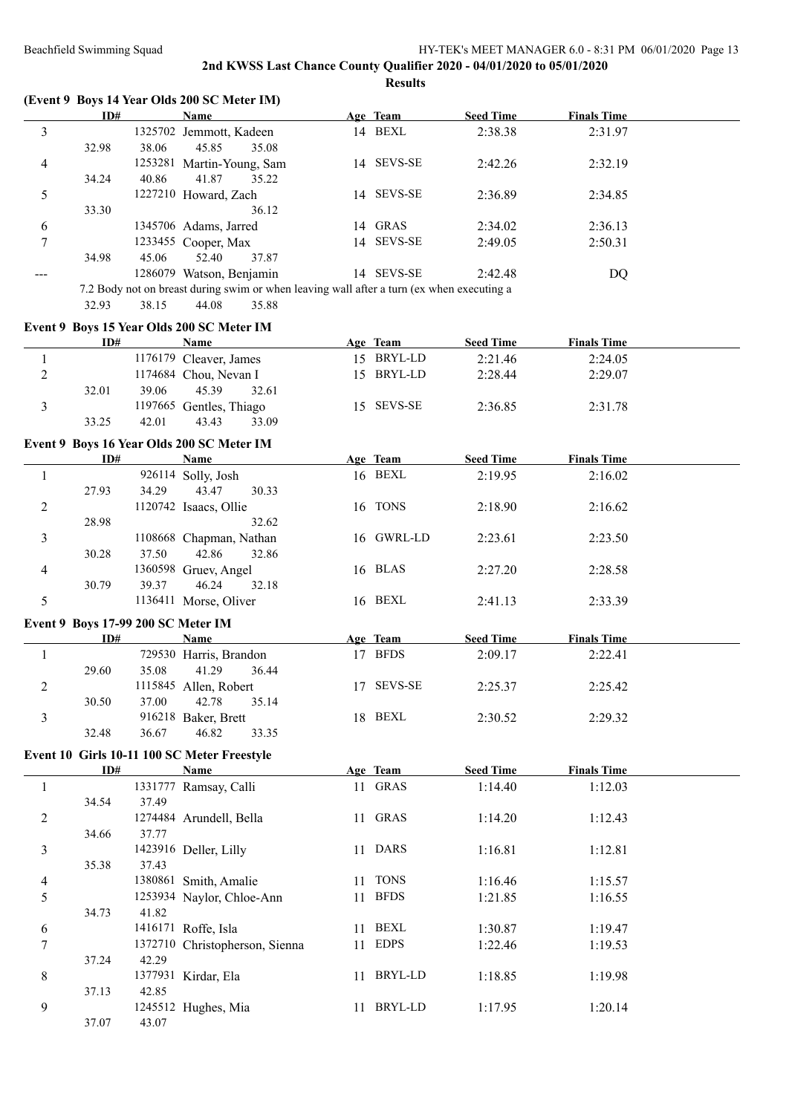#### **2nd KWSS Last Chance County Qualifier 2020 - 04/01/2020 to 05/01/2020 Results**

|                |                                    |       |                                                                                           | results             |                             |                               |  |
|----------------|------------------------------------|-------|-------------------------------------------------------------------------------------------|---------------------|-----------------------------|-------------------------------|--|
|                |                                    |       | (Event 9 Boys 14 Year Olds 200 SC Meter IM)                                               |                     |                             |                               |  |
|                | ID#                                |       | Name                                                                                      | Age Team            | <b>Seed Time</b>            | <b>Finals Time</b>            |  |
| 3              |                                    |       | 1325702 Jemmott, Kadeen                                                                   | 14 BEXL             | 2:38.38                     | 2:31.97                       |  |
|                | 32.98                              | 38.06 | 45.85<br>35.08                                                                            |                     |                             |                               |  |
| 4              |                                    |       | 1253281 Martin-Young, Sam                                                                 | 14 SEVS-SE          | 2:42.26                     | 2:32.19                       |  |
|                | 34.24                              | 40.86 | 41.87<br>35.22                                                                            |                     |                             |                               |  |
| 5              |                                    |       | 1227210 Howard, Zach                                                                      | 14 SEVS-SE          | 2:36.89                     | 2:34.85                       |  |
|                | 33.30                              |       | 36.12                                                                                     |                     |                             |                               |  |
| 6              |                                    |       | 1345706 Adams, Jarred                                                                     | 14 GRAS             | 2:34.02                     | 2:36.13                       |  |
| 7              |                                    |       | 1233455 Cooper, Max                                                                       | 14 SEVS-SE          | 2:49.05                     | 2:50.31                       |  |
|                | 34.98                              | 45.06 | 52.40<br>37.87                                                                            |                     |                             |                               |  |
| ---            |                                    |       | 1286079 Watson, Benjamin                                                                  | 14 SEVS-SE          | 2:42.48                     | <b>DQ</b>                     |  |
|                |                                    |       | 7.2 Body not on breast during swim or when leaving wall after a turn (ex when executing a |                     |                             |                               |  |
|                | 32.93                              | 38.15 | 44.08<br>35.88                                                                            |                     |                             |                               |  |
|                |                                    |       | Event 9 Boys 15 Year Olds 200 SC Meter IM                                                 |                     |                             |                               |  |
|                | ID#                                |       | <b>Name</b>                                                                               | Age Team            | <b>Seed Time</b>            | <b>Finals Time</b>            |  |
| $\mathbf{1}$   |                                    |       | 1176179 Cleaver, James                                                                    | 15 BRYL-LD          | 2:21.46                     | 2:24.05                       |  |
| $\overline{2}$ |                                    |       | 1174684 Chou, Nevan I                                                                     | 15 BRYL-LD          | 2:28.44                     | 2:29.07                       |  |
|                | 32.01                              | 39.06 | 45.39<br>32.61                                                                            |                     |                             |                               |  |
| $\mathfrak{Z}$ |                                    |       | 1197665 Gentles, Thiago                                                                   | 15 SEVS-SE          | 2:36.85                     | 2:31.78                       |  |
|                | 33.25                              | 42.01 | 33.09<br>43.43                                                                            |                     |                             |                               |  |
|                |                                    |       |                                                                                           |                     |                             |                               |  |
|                | ID#                                |       | Event 9 Boys 16 Year Olds 200 SC Meter IM                                                 |                     |                             |                               |  |
| $\mathbf{1}$   |                                    |       | Name                                                                                      | Age Team<br>16 BEXL | <b>Seed Time</b><br>2:19.95 | <b>Finals Time</b><br>2:16.02 |  |
|                |                                    | 34.29 | 926114 Solly, Josh<br>43.47                                                               |                     |                             |                               |  |
|                | 27.93                              |       | 30.33                                                                                     | 16 TONS             |                             |                               |  |
| $\overline{c}$ |                                    |       | 1120742 Isaacs, Ollie                                                                     |                     | 2:18.90                     | 2:16.62                       |  |
|                | 28.98                              |       | 32.62                                                                                     |                     | 2:23.61                     |                               |  |
| 3              | 30.28                              | 37.50 | 1108668 Chapman, Nathan<br>42.86<br>32.86                                                 | 16 GWRL-LD          |                             | 2:23.50                       |  |
|                |                                    |       |                                                                                           | 16 BLAS             |                             |                               |  |
| 4              | 30.79                              | 39.37 | 1360598 Gruev, Angel<br>46.24<br>32.18                                                    |                     | 2:27.20                     | 2:28.58                       |  |
| 5              |                                    |       | 1136411 Morse, Oliver                                                                     | 16 BEXL             | 2:41.13                     | 2:33.39                       |  |
|                |                                    |       |                                                                                           |                     |                             |                               |  |
|                |                                    |       |                                                                                           |                     |                             |                               |  |
|                | Event 9 Boys 17-99 200 SC Meter IM |       |                                                                                           |                     |                             |                               |  |
|                | ID#                                |       | Name                                                                                      | Age Team            | <b>Seed Time</b>            | <b>Finals Time</b>            |  |
| $\mathbf{1}$   |                                    |       | 729530 Harris, Brandon                                                                    | 17 BFDS             | 2:09.17                     | 2:22.41                       |  |
|                | 29.60                              | 35.08 | 41.29<br>36.44                                                                            |                     |                             |                               |  |
| $\overline{2}$ |                                    |       | 1115845 Allen, Robert                                                                     | 17 SEVS-SE          | 2:25.37                     | 2:25.42                       |  |
|                | 30.50                              | 37.00 | 42.78<br>35.14                                                                            |                     |                             |                               |  |
| 3              |                                    |       | 916218 Baker, Brett                                                                       | 18 BEXL             | 2:30.52                     | 2:29.32                       |  |

#### **Event 10 Girls 10-11 100 SC Meter Freestyle**

|                          | ID#            | Name                           |    | Age Team    | <b>Seed Time</b> | <b>Finals Time</b> |  |
|--------------------------|----------------|--------------------------------|----|-------------|------------------|--------------------|--|
|                          |                | 1331777 Ramsay, Calli          |    | 11 GRAS     | 1:14.40          | 1:12.03            |  |
|                          | 34.54<br>37.49 |                                |    |             |                  |                    |  |
| $\overline{c}$           |                | 1274484 Arundell, Bella        | 11 | GRAS        | 1:14.20          | 1:12.43            |  |
|                          | 34.66<br>37.77 |                                |    |             |                  |                    |  |
| 3                        |                | 1423916 Deller, Lilly          | 11 | DARS        | 1:16.81          | 1:12.81            |  |
|                          | 35.38<br>37.43 |                                |    |             |                  |                    |  |
| $\overline{\mathcal{A}}$ | 1380861        | Smith, Amalie                  | 11 | <b>TONS</b> | 1:16.46          | 1:15.57            |  |
| 5                        |                | 1253934 Naylor, Chloe-Ann      | 11 | <b>BFDS</b> | 1:21.85          | 1:16.55            |  |
|                          | 34.73<br>41.82 |                                |    |             |                  |                    |  |
| 6                        |                | 1416171 Roffe, Isla            | 11 | <b>BEXL</b> | 1:30.87          | 1:19.47            |  |
| $\overline{7}$           |                | 1372710 Christopherson, Sienna | 11 | <b>EDPS</b> | 1:22.46          | 1:19.53            |  |
|                          | 42.29<br>37.24 |                                |    |             |                  |                    |  |
| 8                        | 1377931        | Kirdar, Ela                    | 11 | BRYL-LD     | 1:18.85          | 1:19.98            |  |
|                          | 37.13<br>42.85 |                                |    |             |                  |                    |  |
| 9                        |                | 1245512 Hughes, Mia            | 11 | BRYL-LD     | 1:17.95          | 1:20.14            |  |
|                          | 37.07<br>43.07 |                                |    |             |                  |                    |  |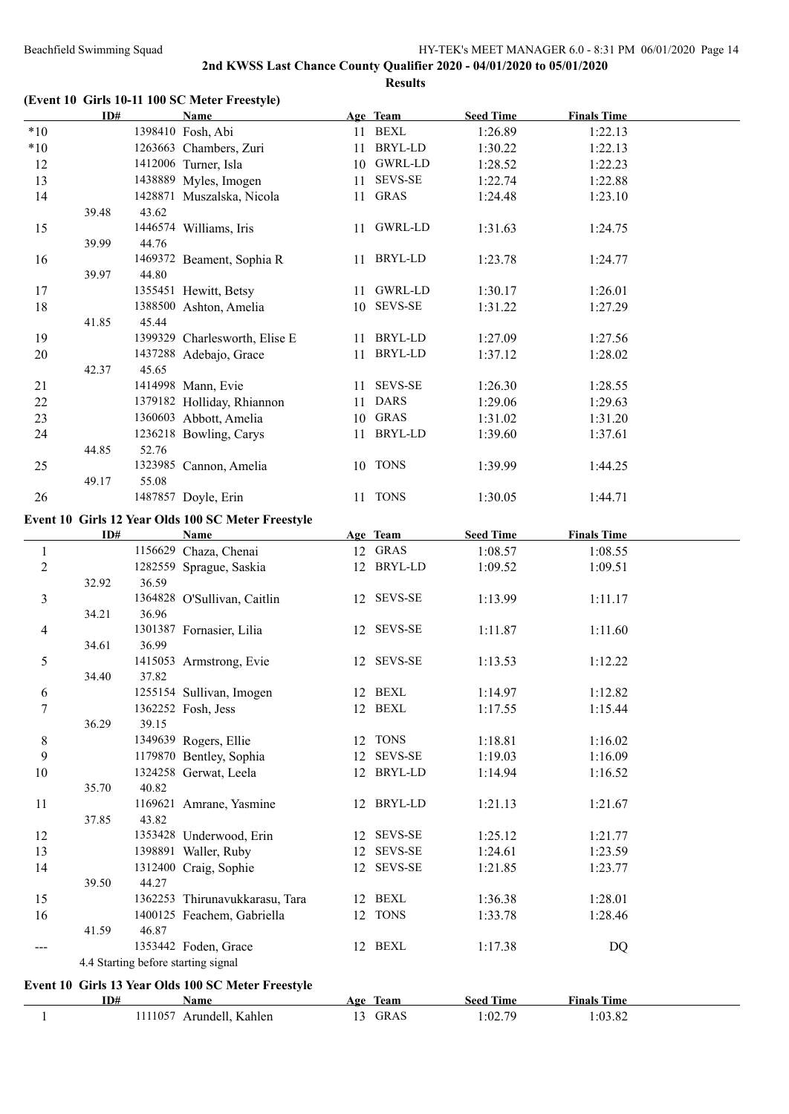**(Event 10 Girls 10-11 100 SC Meter Freestyle)**

|                          | ID#   |       | <b>Name</b>                                        |    | Age Team       | <b>Seed Time</b> | <b>Finals Time</b> |  |
|--------------------------|-------|-------|----------------------------------------------------|----|----------------|------------------|--------------------|--|
| $*10$                    |       |       | 1398410 Fosh, Abi                                  |    | 11 BEXL        | 1:26.89          | 1:22.13            |  |
| $\boldsymbol{*}10$       |       |       | 1263663 Chambers, Zuri                             |    | 11 BRYL-LD     | 1:30.22          | 1:22.13            |  |
| 12                       |       |       | 1412006 Turner, Isla                               |    | 10 GWRL-LD     | 1:28.52          | 1:22.23            |  |
| 13                       |       |       | 1438889 Myles, Imogen                              | 11 | <b>SEVS-SE</b> | 1:22.74          | 1:22.88            |  |
| 14                       |       |       | 1428871 Muszalska, Nicola                          |    | 11 GRAS        | 1:24.48          | 1:23.10            |  |
|                          | 39.48 | 43.62 |                                                    |    |                |                  |                    |  |
| 15                       |       |       | 1446574 Williams, Iris                             |    | 11 GWRL-LD     | 1:31.63          | 1:24.75            |  |
|                          | 39.99 | 44.76 |                                                    |    |                |                  |                    |  |
| 16                       |       |       | 1469372 Beament, Sophia R                          |    | 11 BRYL-LD     | 1:23.78          | 1:24.77            |  |
|                          | 39.97 | 44.80 |                                                    |    |                |                  |                    |  |
| 17                       |       |       | 1355451 Hewitt, Betsy                              |    | 11 GWRL-LD     | 1:30.17          | 1:26.01            |  |
| 18                       |       |       | 1388500 Ashton, Amelia                             |    | 10 SEVS-SE     | 1:31.22          | 1:27.29            |  |
|                          | 41.85 | 45.44 |                                                    |    |                |                  |                    |  |
| 19                       |       |       | 1399329 Charlesworth, Elise E                      |    | 11 BRYL-LD     | 1:27.09          | 1:27.56            |  |
| 20                       |       |       | 1437288 Adebajo, Grace                             |    | 11 BRYL-LD     | 1:37.12          | 1:28.02            |  |
|                          | 42.37 | 45.65 |                                                    |    |                |                  |                    |  |
| 21                       |       |       | 1414998 Mann, Evie                                 |    | 11 SEVS-SE     | 1:26.30          | 1:28.55            |  |
| $22\,$                   |       |       | 1379182 Holliday, Rhiannon                         |    | 11 DARS        | 1:29.06          | 1:29.63            |  |
| 23                       |       |       | 1360603 Abbott, Amelia                             |    | 10 GRAS        | 1:31.02          | 1:31.20            |  |
| 24                       |       |       | 1236218 Bowling, Carys                             |    | 11 BRYL-LD     | 1:39.60          | 1:37.61            |  |
|                          | 44.85 | 52.76 |                                                    |    |                |                  |                    |  |
| 25                       |       |       | 1323985 Cannon, Amelia                             |    | 10 TONS        | 1:39.99          | 1:44.25            |  |
|                          | 49.17 | 55.08 |                                                    |    |                |                  |                    |  |
| 26                       |       |       | 1487857 Doyle, Erin                                |    | 11 TONS        | 1:30.05          | 1:44.71            |  |
|                          |       |       |                                                    |    |                |                  |                    |  |
|                          |       |       | Event 10 Girls 12 Year Olds 100 SC Meter Freestyle |    |                |                  |                    |  |
|                          | ID#   |       | <b>Name</b>                                        |    | Age Team       | <b>Seed Time</b> | <b>Finals Time</b> |  |
| $\mathbf{1}$             |       |       | 1156629 Chaza, Chenai                              |    | 12 GRAS        | 1:08.57          | 1:08.55            |  |
| $\boldsymbol{2}$         |       |       | 1282559 Sprague, Saskia                            |    | 12 BRYL-LD     | 1:09.52          | 1:09.51            |  |
|                          | 32.92 | 36.59 |                                                    |    |                |                  |                    |  |
| 3                        |       |       | 1364828 O'Sullivan, Caitlin                        |    | 12 SEVS-SE     | 1:13.99          | 1:11.17            |  |
|                          | 34.21 | 36.96 |                                                    |    |                |                  |                    |  |
| $\overline{\mathcal{A}}$ |       |       | 1301387 Fornasier, Lilia                           |    | 12 SEVS-SE     | 1:11.87          | 1:11.60            |  |
|                          | 34.61 | 36.99 |                                                    |    |                |                  |                    |  |
| 5                        |       |       | 1415053 Armstrong, Evie                            |    | 12 SEVS-SE     | 1:13.53          | 1:12.22            |  |
|                          | 34.40 | 37.82 |                                                    |    |                |                  |                    |  |
| 6                        |       |       | 1255154 Sullivan, Imogen                           |    | 12 BEXL        | 1:14.97          | 1:12.82            |  |
| 7                        |       |       | 1362252 Fosh, Jess                                 |    | 12 BEXL        | 1:17.55          | 1:15.44            |  |
|                          | 36.29 | 39.15 |                                                    |    |                |                  |                    |  |
| 8                        |       |       | 1349639 Rogers, Ellie                              |    | 12 TONS        | 1:18.81          | 1:16.02            |  |
| 9                        |       |       | 1179870 Bentley, Sophia                            | 12 | <b>SEVS-SE</b> | 1:19.03          | 1:16.09            |  |
| 10                       |       |       | 1324258 Gerwat, Leela                              |    | 12 BRYL-LD     | 1:14.94          | 1:16.52            |  |
|                          | 35.70 | 40.82 |                                                    |    |                |                  |                    |  |
| 11                       |       | 43.82 | 1169621 Amrane, Yasmine                            |    | 12 BRYL-LD     | 1:21.13          | 1:21.67            |  |
|                          | 37.85 |       |                                                    |    |                |                  |                    |  |
| 12                       |       |       | 1353428 Underwood, Erin                            |    | 12 SEVS-SE     | 1:25.12          | 1:21.77            |  |
| 13                       |       |       | 1398891 Waller, Ruby                               | 12 | <b>SEVS-SE</b> | 1:24.61          | 1:23.59            |  |
| 14                       |       |       | 1312400 Craig, Sophie                              | 12 | <b>SEVS-SE</b> | 1:21.85          | 1:23.77            |  |
|                          | 39.50 | 44.27 |                                                    |    |                |                  |                    |  |
| 15                       |       |       | 1362253 Thirunavukkarasu, Tara                     |    | 12 BEXL        | 1:36.38          | 1:28.01            |  |
| 16                       |       |       | 1400125 Feachem, Gabriella                         |    | 12 TONS        | 1:33.78          | 1:28.46            |  |
|                          | 41.59 | 46.87 |                                                    |    |                |                  |                    |  |
| ---                      |       |       | 1353442 Foden, Grace                               |    | 12 BEXL        | 1:17.38          | DQ                 |  |
|                          |       |       | 4.4 Starting before starting signal                |    |                |                  |                    |  |
|                          |       |       | Event 10 Girls 13 Year Olds 100 SC Meter Freestyle |    |                |                  |                    |  |
|                          | ID#   |       | Name                                               |    | Age Team       | <b>Seed Time</b> | <b>Finals Time</b> |  |
| $\mathbf{1}$             |       |       | 1111057 Arundell, Kahlen                           |    | 13 GRAS        | 1:02.79          | 1:03.82            |  |
|                          |       |       |                                                    |    |                |                  |                    |  |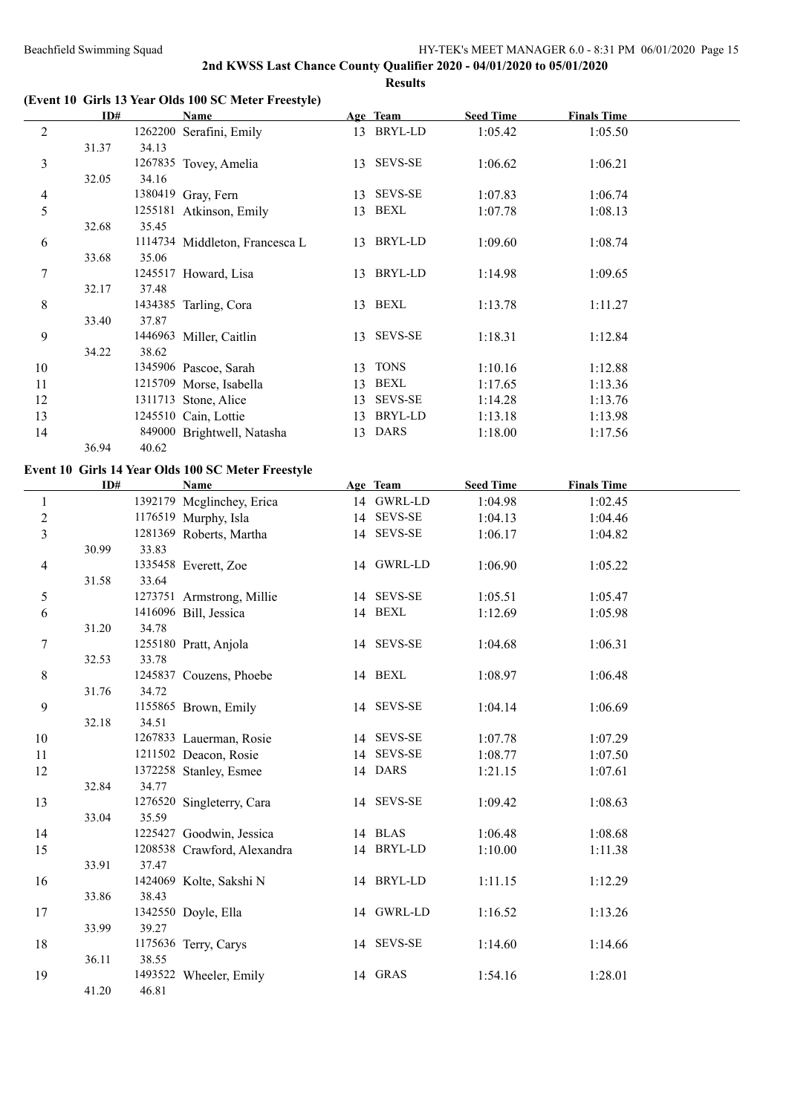### **(Event 10 Girls 13 Year Olds 100 SC Meter Freestyle)**

|                | ID#   |         | Name                           |    | Age Team       | <b>Seed Time</b> | <b>Finals Time</b> |  |
|----------------|-------|---------|--------------------------------|----|----------------|------------------|--------------------|--|
| $\overline{2}$ |       |         | 1262200 Serafini, Emily        |    | 13 BRYL-LD     | 1:05.42          | 1:05.50            |  |
|                | 31.37 | 34.13   |                                |    |                |                  |                    |  |
| $\overline{3}$ |       |         | 1267835 Tovey, Amelia          |    | 13 SEVS-SE     | 1:06.62          | 1:06.21            |  |
|                | 32.05 | 34.16   |                                |    |                |                  |                    |  |
| 4              |       |         | 1380419 Gray, Fern             | 13 | <b>SEVS-SE</b> | 1:07.83          | 1:06.74            |  |
| 5              |       |         | 1255181 Atkinson, Emily        | 13 | BEXL           | 1:07.78          | 1:08.13            |  |
|                | 32.68 | 35.45   |                                |    |                |                  |                    |  |
| 6              |       |         | 1114734 Middleton, Francesca L | 13 | BRYL-LD        | 1:09.60          | 1:08.74            |  |
|                | 33.68 | 35.06   |                                |    |                |                  |                    |  |
| 7              |       |         | 1245517 Howard, Lisa           | 13 | BRYL-LD        | 1:14.98          | 1:09.65            |  |
|                | 32.17 | 37.48   |                                |    |                |                  |                    |  |
| 8              |       | 1434385 | Tarling, Cora                  | 13 | BEXL           | 1:13.78          | 1:11.27            |  |
|                | 33.40 | 37.87   |                                |    |                |                  |                    |  |
| 9              |       |         | 1446963 Miller, Caitlin        |    | 13 SEVS-SE     | 1:18.31          | 1:12.84            |  |
|                | 34.22 | 38.62   |                                |    |                |                  |                    |  |
| 10             |       |         | 1345906 Pascoe, Sarah          | 13 | <b>TONS</b>    | 1:10.16          | 1:12.88            |  |
| 11             |       |         | 1215709 Morse, Isabella        | 13 | BEXL           | 1:17.65          | 1:13.36            |  |
| 12             |       |         | 1311713 Stone, Alice           | 13 | <b>SEVS-SE</b> | 1:14.28          | 1:13.76            |  |
| 13             |       |         | 1245510 Cain, Lottie           | 13 | BRYL-LD        | 1:13.18          | 1:13.98            |  |
| 14             |       |         | 849000 Brightwell, Natasha     | 13 | <b>DARS</b>    | 1:18.00          | 1:17.56            |  |
|                | 36.94 | 40.62   |                                |    |                |                  |                    |  |

#### **Event 10 Girls 14 Year Olds 100 SC Meter Freestyle**

|                         | ID#   |       | Name                        | Age Team   | <b>Seed Time</b> | <b>Finals Time</b> |  |
|-------------------------|-------|-------|-----------------------------|------------|------------------|--------------------|--|
| $\mathbf{1}$            |       |       | 1392179 Mcglinchey, Erica   | 14 GWRL-LD | 1:04.98          | 1:02.45            |  |
| $\sqrt{2}$              |       |       | 1176519 Murphy, Isla        | 14 SEVS-SE | 1:04.13          | 1:04.46            |  |
| $\overline{\mathbf{3}}$ |       |       | 1281369 Roberts, Martha     | 14 SEVS-SE | 1:06.17          | 1:04.82            |  |
|                         | 30.99 | 33.83 |                             |            |                  |                    |  |
| 4                       |       |       | 1335458 Everett, Zoe        | 14 GWRL-LD | 1:06.90          | 1:05.22            |  |
|                         | 31.58 | 33.64 |                             |            |                  |                    |  |
| 5                       |       |       | 1273751 Armstrong, Millie   | 14 SEVS-SE | 1:05.51          | 1:05.47            |  |
| 6                       |       |       | 1416096 Bill, Jessica       | 14 BEXL    | 1:12.69          | 1:05.98            |  |
|                         | 31.20 | 34.78 |                             |            |                  |                    |  |
| 7                       |       |       | 1255180 Pratt, Anjola       | 14 SEVS-SE | 1:04.68          | 1:06.31            |  |
|                         | 32.53 | 33.78 |                             |            |                  |                    |  |
| 8                       |       |       | 1245837 Couzens, Phoebe     | 14 BEXL    | 1:08.97          | 1:06.48            |  |
|                         | 31.76 | 34.72 |                             |            |                  |                    |  |
| 9                       |       |       | 1155865 Brown, Emily        | 14 SEVS-SE | 1:04.14          | 1:06.69            |  |
|                         | 32.18 | 34.51 |                             |            |                  |                    |  |
| 10                      |       |       | 1267833 Lauerman, Rosie     | 14 SEVS-SE | 1:07.78          | 1:07.29            |  |
| 11                      |       |       | 1211502 Deacon, Rosie       | 14 SEVS-SE | 1:08.77          | 1:07.50            |  |
| 12                      |       |       | 1372258 Stanley, Esmee      | 14 DARS    | 1:21.15          | 1:07.61            |  |
|                         | 32.84 | 34.77 |                             |            |                  |                    |  |
| 13                      |       |       | 1276520 Singleterry, Cara   | 14 SEVS-SE | 1:09.42          | 1:08.63            |  |
|                         | 33.04 | 35.59 |                             |            |                  |                    |  |
| 14                      |       |       | 1225427 Goodwin, Jessica    | 14 BLAS    | 1:06.48          | 1:08.68            |  |
| 15                      |       |       | 1208538 Crawford, Alexandra | 14 BRYL-LD | 1:10.00          | 1:11.38            |  |
|                         | 33.91 | 37.47 |                             |            |                  |                    |  |
| 16                      |       |       | 1424069 Kolte, Sakshi N     | 14 BRYL-LD | 1:11.15          | 1:12.29            |  |
|                         | 33.86 | 38.43 |                             |            |                  |                    |  |
| 17                      |       |       | 1342550 Doyle, Ella         | 14 GWRL-LD | 1:16.52          | 1:13.26            |  |
|                         | 33.99 | 39.27 |                             |            |                  |                    |  |
| 18                      |       |       | 1175636 Terry, Carys        | 14 SEVS-SE | 1:14.60          | 1:14.66            |  |
|                         | 36.11 | 38.55 |                             | 14 GRAS    |                  |                    |  |
| 19                      |       |       | 1493522 Wheeler, Emily      |            | 1:54.16          | 1:28.01            |  |
|                         | 41.20 | 46.81 |                             |            |                  |                    |  |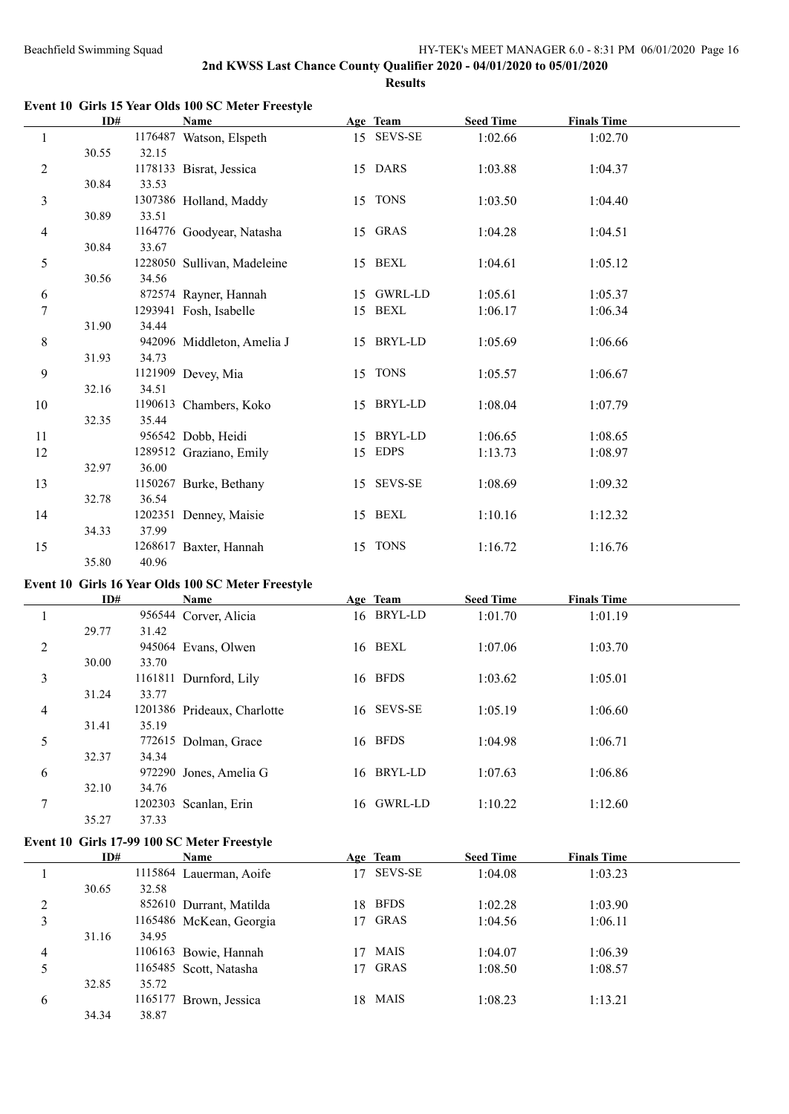**Event 10 Girls 15 Year Olds 100 SC Meter Freestyle** 

|                | ID#   |         | Name                        |    | Age Team    | <b>Seed Time</b> | <b>Finals Time</b> |  |
|----------------|-------|---------|-----------------------------|----|-------------|------------------|--------------------|--|
| 1              |       | 1176487 | Watson, Elspeth             |    | 15 SEVS-SE  | 1:02.66          | 1:02.70            |  |
|                | 30.55 | 32.15   |                             |    |             |                  |                    |  |
| $\overline{c}$ |       |         | 1178133 Bisrat, Jessica     |    | 15 DARS     | 1:03.88          | 1:04.37            |  |
|                | 30.84 | 33.53   |                             |    |             |                  |                    |  |
| 3              |       |         | 1307386 Holland, Maddy      |    | 15 TONS     | 1:03.50          | 1:04.40            |  |
|                | 30.89 | 33.51   |                             |    |             |                  |                    |  |
| 4              |       |         | 1164776 Goodyear, Natasha   |    | 15 GRAS     | 1:04.28          | 1:04.51            |  |
|                | 30.84 | 33.67   |                             |    |             |                  |                    |  |
| 5              |       |         | 1228050 Sullivan, Madeleine |    | 15 BEXL     | 1:04.61          | 1:05.12            |  |
|                | 30.56 | 34.56   |                             |    |             |                  |                    |  |
| 6              |       |         | 872574 Rayner, Hannah       |    | 15 GWRL-LD  | 1:05.61          | 1:05.37            |  |
| 7              |       |         | 1293941 Fosh, Isabelle      |    | 15 BEXL     | 1:06.17          | 1:06.34            |  |
|                | 31.90 | 34.44   |                             |    |             |                  |                    |  |
| 8              |       |         | 942096 Middleton, Amelia J  |    | 15 BRYL-LD  | 1:05.69          | 1:06.66            |  |
|                | 31.93 | 34.73   |                             |    |             |                  |                    |  |
| 9              |       |         | 1121909 Devey, Mia          |    | 15 TONS     | 1:05.57          | 1:06.67            |  |
|                | 32.16 | 34.51   |                             |    |             |                  |                    |  |
| 10             |       |         | 1190613 Chambers, Koko      |    | 15 BRYL-LD  | 1:08.04          | 1:07.79            |  |
|                | 32.35 | 35.44   |                             |    |             |                  |                    |  |
| 11             |       |         | 956542 Dobb, Heidi          |    | 15 BRYL-LD  | 1:06.65          | 1:08.65            |  |
| 12             |       |         | 1289512 Graziano, Emily     | 15 | <b>EDPS</b> | 1:13.73          | 1:08.97            |  |
|                | 32.97 | 36.00   |                             |    |             |                  |                    |  |
| 13             |       |         | 1150267 Burke, Bethany      |    | 15 SEVS-SE  | 1:08.69          | 1:09.32            |  |
|                | 32.78 | 36.54   |                             |    |             |                  |                    |  |
| 14             |       |         | 1202351 Denney, Maisie      |    | 15 BEXL     | 1:10.16          | 1:12.32            |  |
|                | 34.33 | 37.99   |                             |    |             |                  |                    |  |
| 15             |       |         | 1268617 Baxter, Hannah      |    | 15 TONS     | 1:16.72          | 1:16.76            |  |
|                | 35.80 | 40.96   |                             |    |             |                  |                    |  |
|                |       |         | . <b>.</b>                  |    |             |                  |                    |  |

#### **Event 10 Girls 16 Year Olds 100 SC Meter Freestyle**

|                          | ID#   |         | Name                        |    | Age Team       | <b>Seed Time</b> | <b>Finals Time</b> |
|--------------------------|-------|---------|-----------------------------|----|----------------|------------------|--------------------|
|                          |       |         | 956544 Corver, Alicia       |    | 16 BRYL-LD     | 1:01.70          | 1:01.19            |
|                          | 29.77 | 31.42   |                             |    |                |                  |                    |
| $\overline{2}$           |       |         | 945064 Evans, Olwen         | 16 | BEXL           | 1:07.06          | 1:03.70            |
|                          | 30.00 | 33.70   |                             |    |                |                  |                    |
| 3                        |       | 1161811 | Durnford, Lily              | 16 | <b>BFDS</b>    | 1:03.62          | 1:05.01            |
|                          | 31.24 | 33.77   |                             |    |                |                  |                    |
| $\overline{\mathcal{A}}$ |       |         | 1201386 Prideaux, Charlotte | 16 | <b>SEVS-SE</b> | 1:05.19          | 1:06.60            |
|                          | 31.41 | 35.19   |                             |    |                |                  |                    |
| 5                        |       |         | 772615 Dolman, Grace        | 16 | <b>BFDS</b>    | 1:04.98          | 1:06.71            |
|                          | 32.37 | 34.34   |                             |    |                |                  |                    |
| 6                        |       | 972290  | Jones, Amelia G             | 16 | BRYL-LD        | 1:07.63          | 1:06.86            |
|                          | 32.10 | 34.76   |                             |    |                |                  |                    |
| 7                        |       |         | 1202303 Scanlan, Erin       |    | 16 GWRL-LD     | 1:10.22          | 1:12.60            |
|                          | 35.27 | 37.33   |                             |    |                |                  |                    |

### **Event 10 Girls 17-99 100 SC Meter Freestyle**

|                | ID#   |         | <b>Name</b>             |     | Age Team    | <b>Seed Time</b> | <b>Finals Time</b> |  |
|----------------|-------|---------|-------------------------|-----|-------------|------------------|--------------------|--|
|                |       |         | 1115864 Lauerman, Aoife | 17  | SEVS-SE     | 1:04.08          | 1:03.23            |  |
|                | 30.65 | 32.58   |                         |     |             |                  |                    |  |
| $\overline{2}$ |       |         | 852610 Durrant, Matilda | 18  | <b>BFDS</b> | 1:02.28          | 1:03.90            |  |
| 3              |       |         | 1165486 McKean, Georgia | 17  | GRAS        | 1:04.56          | 1:06.11            |  |
|                | 31.16 | 34.95   |                         |     |             |                  |                    |  |
| 4              |       |         | 1106163 Bowie, Hannah   | 17  | MAIS        | 1:04.07          | 1:06.39            |  |
| 5              |       |         | 1165485 Scott, Natasha  | 17  | GRAS        | 1:08.50          | 1:08.57            |  |
|                | 32.85 | 35.72   |                         |     |             |                  |                    |  |
| 6              |       | 1165177 | Brown, Jessica          | 18. | MAIS        | 1:08.23          | 1:13.21            |  |
|                | 34.34 | 38.87   |                         |     |             |                  |                    |  |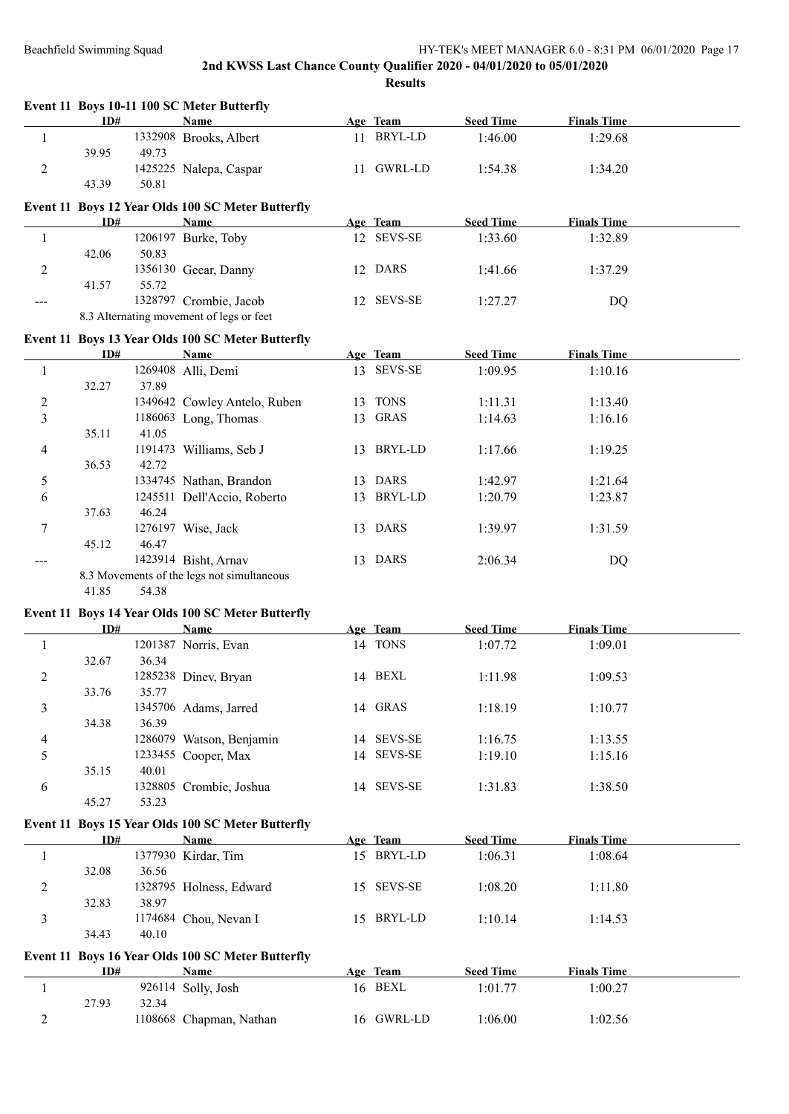|                | ID#   |       | Event 11 Boys 10-11 100 SC Meter Butterfly<br><b>Name</b> | Age Team   | <b>Seed Time</b> | <b>Finals Time</b> |  |
|----------------|-------|-------|-----------------------------------------------------------|------------|------------------|--------------------|--|
| 1              |       |       | 1332908 Brooks, Albert                                    | 11 BRYL-LD | 1:46.00          | 1:29.68            |  |
|                | 39.95 | 49.73 |                                                           |            |                  |                    |  |
| $\overline{2}$ |       |       | 1425225 Nalepa, Caspar                                    | 11 GWRL-LD | 1:54.38          | 1:34.20            |  |
|                | 43.39 | 50.81 |                                                           |            |                  |                    |  |
|                |       |       |                                                           |            |                  |                    |  |
|                |       |       | Event 11 Boys 12 Year Olds 100 SC Meter Butterfly         |            |                  |                    |  |
|                | ID#   |       | <b>Name</b>                                               | Age Team   | <b>Seed Time</b> | <b>Finals Time</b> |  |
| $\mathbf{1}$   |       |       | 1206197 Burke, Toby                                       | 12 SEVS-SE | 1:33.60          | 1:32.89            |  |
|                | 42.06 | 50.83 |                                                           |            |                  |                    |  |
| 2              |       |       | 1356130 Geear, Danny                                      | 12 DARS    | 1:41.66          | 1:37.29            |  |
|                | 41.57 | 55.72 |                                                           |            |                  |                    |  |
| ---            |       |       | 1328797 Crombie, Jacob                                    | 12 SEVS-SE | 1:27.27          | DQ                 |  |
|                |       |       | 8.3 Alternating movement of legs or feet                  |            |                  |                    |  |
|                |       |       | Event 11 Boys 13 Year Olds 100 SC Meter Butterfly         |            |                  |                    |  |
|                | ID#   |       | <b>Name</b>                                               | Age Team   | <b>Seed Time</b> | <b>Finals Time</b> |  |
| $\mathbf{1}$   |       |       | 1269408 Alli, Demi                                        | 13 SEVS-SE | 1:09.95          | 1:10.16            |  |
|                | 32.27 | 37.89 |                                                           |            |                  |                    |  |
| 2              |       |       | 1349642 Cowley Antelo, Ruben                              | 13 TONS    | 1:11.31          | 1:13.40            |  |
| 3              |       |       | 1186063 Long, Thomas                                      | 13 GRAS    | 1:14.63          | 1:16.16            |  |
|                | 35.11 | 41.05 |                                                           |            |                  |                    |  |
| 4              |       |       | 1191473 Williams, Seb J                                   | 13 BRYL-LD | 1:17.66          | 1:19.25            |  |
|                | 36.53 | 42.72 |                                                           |            |                  |                    |  |
| 5              |       |       | 1334745 Nathan, Brandon                                   | 13 DARS    | 1:42.97          | 1:21.64            |  |
| 6              |       |       | 1245511 Dell'Accio, Roberto                               | 13 BRYL-LD | 1:20.79          | 1:23.87            |  |
|                | 37.63 | 46.24 |                                                           |            |                  |                    |  |
| 7              |       |       | 1276197 Wise, Jack                                        | 13 DARS    | 1:39.97          | 1:31.59            |  |
|                | 45.12 | 46.47 |                                                           |            |                  |                    |  |
| ---            |       |       | 1423914 Bisht, Arnav                                      | 13 DARS    | 2:06.34          | DQ                 |  |
|                |       |       | 8.3 Movements of the legs not simultaneous                |            |                  |                    |  |
|                | 41.85 | 54.38 |                                                           |            |                  |                    |  |
|                |       |       |                                                           |            |                  |                    |  |
|                |       |       | Event 11 Boys 14 Year Olds 100 SC Meter Butterfly         |            |                  |                    |  |
|                | ID#   |       | <b>Name</b>                                               | Age Team   | <b>Seed Time</b> | <b>Finals Time</b> |  |
| 1              |       |       | 1201387 Norris, Evan                                      | 14 TONS    | 1:07.72          | 1:09.01            |  |
|                | 32.67 | 36.34 |                                                           |            |                  |                    |  |
| 2              |       |       | 1285238 Dinev, Bryan                                      | 14 BEXL    | 1:11.98          | 1:09.53            |  |
|                | 33.76 | 35.77 |                                                           |            |                  |                    |  |
| 3              |       |       | 1345706 Adams, Jarred                                     | 14 GRAS    | 1:18.19          | 1:10.77            |  |
|                | 34.38 |       |                                                           |            |                  |                    |  |
| 4              |       | 36.39 |                                                           |            |                  |                    |  |
|                |       |       | 1286079 Watson, Benjamin                                  | 14 SEVS-SE | 1:16.75          | 1:13.55            |  |
| 5              |       |       | 1233455 Cooper, Max                                       | 14 SEVS-SE | 1:19.10          | 1:15.16            |  |
|                | 35.15 | 40.01 |                                                           |            |                  |                    |  |
| 6              |       |       | 1328805 Crombie, Joshua                                   | 14 SEVS-SE | 1:31.83          | 1:38.50            |  |
|                | 45.27 | 53.23 |                                                           |            |                  |                    |  |
|                |       |       |                                                           |            |                  |                    |  |
|                |       |       | Event 11 Boys 15 Year Olds 100 SC Meter Butterfly         |            |                  |                    |  |
|                | ID#   |       | <b>Name</b>                                               | Age Team   | <b>Seed Time</b> | <b>Finals Time</b> |  |
| 1              |       |       | 1377930 Kirdar, Tim                                       | 15 BRYL-LD | 1:06.31          | 1:08.64            |  |
|                | 32.08 | 36.56 |                                                           |            |                  |                    |  |
| 2              |       |       | 1328795 Holness, Edward                                   | 15 SEVS-SE | 1:08.20          | 1:11.80            |  |
|                | 32.83 | 38.97 |                                                           |            |                  |                    |  |
| 3              |       |       | 1174684 Chou, Nevan I                                     | 15 BRYL-LD | 1:10.14          | 1:14.53            |  |
|                | 34.43 | 40.10 |                                                           |            |                  |                    |  |
|                |       |       | Event 11 Boys 16 Year Olds 100 SC Meter Butterfly         |            |                  |                    |  |
|                | ID#   |       | <b>Name</b>                                               | Age Team   | <b>Seed Time</b> | <b>Finals Time</b> |  |
| 1              |       |       |                                                           |            |                  |                    |  |
|                |       |       | 926114 Solly, Josh                                        | 16 BEXL    | 1:01.77          | 1:00.27            |  |
| 2              | 27.93 | 32.34 | 1108668 Chapman, Nathan                                   | 16 GWRL-LD | 1:06.00          | 1:02.56            |  |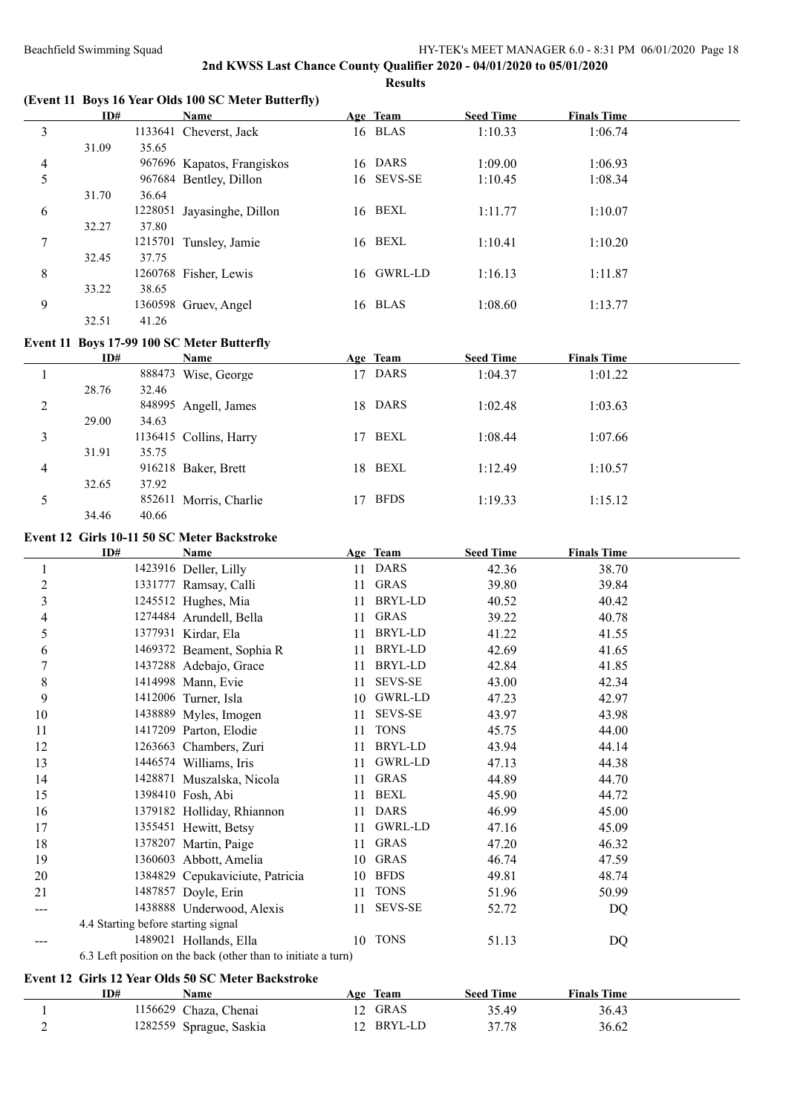| 3<br>16 BLAS<br>1133641 Cheverst, Jack<br>1:10.33<br>1:06.74<br>31.09<br>35.65<br>967696 Kapatos, Frangiskos<br>16 DARS<br>1:09.00<br>1:06.93<br>4<br>16 SEVS-SE<br>967684 Bentley, Dillon<br>5<br>1:10.45<br>1:08.34<br>36.64<br>31.70<br>16 BEXL<br>1228051 Jayasinghe, Dillon<br>1:10.07<br>6<br>1:11.77<br>37.80<br>32.27<br>1215701 Tunsley, Jamie<br>16 BEXL<br>1:10.41<br>7<br>1:10.20<br>37.75<br>32.45<br>16 GWRL-LD<br>1260768 Fisher, Lewis<br>1:16.13<br>8<br>1:11.87<br>33.22<br>38.65<br>9<br>16 BLAS<br>1360598 Gruev, Angel<br>1:08.60<br>1:13.77<br>32.51<br>41.26<br>Event 11 Boys 17-99 100 SC Meter Butterfly<br>ID#<br><b>Name</b><br>Age Team<br><b>Seed Time</b><br><b>Finals Time</b><br>17 DARS<br>888473 Wise, George<br>1:04.37<br>1:01.22<br>1<br>32.46<br>28.76<br>848995 Angell, James<br>2<br>18 DARS<br>1:02.48<br>1:03.63<br>29.00<br>34.63<br>1136415 Collins, Harry<br>17 BEXL<br>3<br>1:08.44<br>1:07.66<br>35.75<br>31.91<br>916218 Baker, Brett<br>18 BEXL<br>4<br>1:12.49<br>1:10.57<br>32.65<br>37.92<br>5<br>852611 Morris, Charlie<br>17 BFDS<br>1:19.33<br>1:15.12<br>34.46<br>40.66<br>Event 12 Girls 10-11 50 SC Meter Backstroke<br>ID#<br>Age Team<br><b>Seed Time</b><br><b>Finals Time</b><br><b>Name</b><br>11 DARS<br>1423916 Deller, Lilly<br>$\mathbf{1}$<br>42.36<br>38.70<br>$\overline{c}$<br>11 GRAS<br>1331777 Ramsay, Calli<br>39.80<br>39.84<br>3<br>1245512 Hughes, Mia<br>11 BRYL-LD<br>40.42<br>40.52<br>11 GRAS<br>1274484 Arundell, Bella<br>39.22<br>40.78<br>4<br>11 BRYL-LD<br>5<br>1377931 Kirdar, Ela<br>41.55<br>41.22<br>1469372 Beament, Sophia R<br>11 BRYL-LD<br>42.69<br>6<br>41.65<br>$\overline{7}$<br>1437288 Adebajo, Grace<br>11 BRYL-LD<br>42.84<br>41.85<br>8<br>11 SEVS-SE<br>1414998 Mann, Evie<br>43.00<br>42.34<br>9<br>1412006 Turner, Isla<br>10 GWRL-LD<br>47.23<br>42.97<br><b>SEVS-SE</b><br>10<br>1438889 Myles, Imogen<br>43.97<br>43.98<br>11<br><b>TONS</b><br>11<br>1417209 Parton, Elodie<br>45.75<br>44.00<br>11<br><b>BRYL-LD</b><br>12<br>1263663 Chambers, Zuri<br>43.94<br>44.14<br>11<br><b>GWRL-LD</b><br>47.13<br>13<br>1446574 Williams, Iris<br>44.38<br>11<br><b>GRAS</b><br>14<br>1428871 Muszalska, Nicola<br>44.89<br>44.70<br>11<br><b>BEXL</b><br>1398410 Fosh, Abi<br>15<br>45.90<br>44.72<br>11<br>16<br>1379182 Holliday, Rhiannon<br><b>DARS</b><br>46.99<br>45.00<br>11<br>17<br><b>GWRL-LD</b><br>47.16<br>45.09<br>1355451 Hewitt, Betsy<br>11<br>18<br><b>GRAS</b><br>1378207 Martin, Paige<br>47.20<br>46.32<br>11<br>19<br>1360603 Abbott, Amelia<br><b>GRAS</b><br>46.74<br>47.59<br>10<br>1384829 Cepukaviciute, Patricia<br><b>BFDS</b><br>20<br>49.81<br>48.74<br>10<br>1487857 Doyle, Erin<br><b>TONS</b><br>21<br>51.96<br>50.99<br>11<br>1438888 Underwood, Alexis<br><b>SEVS-SE</b><br>52.72<br>DQ<br>11<br>---<br>4.4 Starting before starting signal<br>10 TONS<br>1489021 Hollands, Ella<br>51.13<br>DQ<br>$---$<br>6.3 Left position on the back (other than to initiate a turn)<br>Event 12 Girls 12 Year Olds 50 SC Meter Backstroke | ID# | (Event 11 Boys 16 Year Olds 100 SC Meter Butterfly)<br><b>Name</b> | Age Team | <b>Seed Time</b> | <b>Finals Time</b> |  |
|--------------------------------------------------------------------------------------------------------------------------------------------------------------------------------------------------------------------------------------------------------------------------------------------------------------------------------------------------------------------------------------------------------------------------------------------------------------------------------------------------------------------------------------------------------------------------------------------------------------------------------------------------------------------------------------------------------------------------------------------------------------------------------------------------------------------------------------------------------------------------------------------------------------------------------------------------------------------------------------------------------------------------------------------------------------------------------------------------------------------------------------------------------------------------------------------------------------------------------------------------------------------------------------------------------------------------------------------------------------------------------------------------------------------------------------------------------------------------------------------------------------------------------------------------------------------------------------------------------------------------------------------------------------------------------------------------------------------------------------------------------------------------------------------------------------------------------------------------------------------------------------------------------------------------------------------------------------------------------------------------------------------------------------------------------------------------------------------------------------------------------------------------------------------------------------------------------------------------------------------------------------------------------------------------------------------------------------------------------------------------------------------------------------------------------------------------------------------------------------------------------------------------------------------------------------------------------------------------------------------------------------------------------------------------------------------------------------------------------------------------------------------------------------------------------------------------------------------------------------------------------------------------------------------------------------------------------------------------------------------------------------------------------------------------------------------------------|-----|--------------------------------------------------------------------|----------|------------------|--------------------|--|
|                                                                                                                                                                                                                                                                                                                                                                                                                                                                                                                                                                                                                                                                                                                                                                                                                                                                                                                                                                                                                                                                                                                                                                                                                                                                                                                                                                                                                                                                                                                                                                                                                                                                                                                                                                                                                                                                                                                                                                                                                                                                                                                                                                                                                                                                                                                                                                                                                                                                                                                                                                                                                                                                                                                                                                                                                                                                                                                                                                                                                                                                                |     |                                                                    |          |                  |                    |  |
|                                                                                                                                                                                                                                                                                                                                                                                                                                                                                                                                                                                                                                                                                                                                                                                                                                                                                                                                                                                                                                                                                                                                                                                                                                                                                                                                                                                                                                                                                                                                                                                                                                                                                                                                                                                                                                                                                                                                                                                                                                                                                                                                                                                                                                                                                                                                                                                                                                                                                                                                                                                                                                                                                                                                                                                                                                                                                                                                                                                                                                                                                |     |                                                                    |          |                  |                    |  |
|                                                                                                                                                                                                                                                                                                                                                                                                                                                                                                                                                                                                                                                                                                                                                                                                                                                                                                                                                                                                                                                                                                                                                                                                                                                                                                                                                                                                                                                                                                                                                                                                                                                                                                                                                                                                                                                                                                                                                                                                                                                                                                                                                                                                                                                                                                                                                                                                                                                                                                                                                                                                                                                                                                                                                                                                                                                                                                                                                                                                                                                                                |     |                                                                    |          |                  |                    |  |
|                                                                                                                                                                                                                                                                                                                                                                                                                                                                                                                                                                                                                                                                                                                                                                                                                                                                                                                                                                                                                                                                                                                                                                                                                                                                                                                                                                                                                                                                                                                                                                                                                                                                                                                                                                                                                                                                                                                                                                                                                                                                                                                                                                                                                                                                                                                                                                                                                                                                                                                                                                                                                                                                                                                                                                                                                                                                                                                                                                                                                                                                                |     |                                                                    |          |                  |                    |  |
|                                                                                                                                                                                                                                                                                                                                                                                                                                                                                                                                                                                                                                                                                                                                                                                                                                                                                                                                                                                                                                                                                                                                                                                                                                                                                                                                                                                                                                                                                                                                                                                                                                                                                                                                                                                                                                                                                                                                                                                                                                                                                                                                                                                                                                                                                                                                                                                                                                                                                                                                                                                                                                                                                                                                                                                                                                                                                                                                                                                                                                                                                |     |                                                                    |          |                  |                    |  |
|                                                                                                                                                                                                                                                                                                                                                                                                                                                                                                                                                                                                                                                                                                                                                                                                                                                                                                                                                                                                                                                                                                                                                                                                                                                                                                                                                                                                                                                                                                                                                                                                                                                                                                                                                                                                                                                                                                                                                                                                                                                                                                                                                                                                                                                                                                                                                                                                                                                                                                                                                                                                                                                                                                                                                                                                                                                                                                                                                                                                                                                                                |     |                                                                    |          |                  |                    |  |
|                                                                                                                                                                                                                                                                                                                                                                                                                                                                                                                                                                                                                                                                                                                                                                                                                                                                                                                                                                                                                                                                                                                                                                                                                                                                                                                                                                                                                                                                                                                                                                                                                                                                                                                                                                                                                                                                                                                                                                                                                                                                                                                                                                                                                                                                                                                                                                                                                                                                                                                                                                                                                                                                                                                                                                                                                                                                                                                                                                                                                                                                                |     |                                                                    |          |                  |                    |  |
|                                                                                                                                                                                                                                                                                                                                                                                                                                                                                                                                                                                                                                                                                                                                                                                                                                                                                                                                                                                                                                                                                                                                                                                                                                                                                                                                                                                                                                                                                                                                                                                                                                                                                                                                                                                                                                                                                                                                                                                                                                                                                                                                                                                                                                                                                                                                                                                                                                                                                                                                                                                                                                                                                                                                                                                                                                                                                                                                                                                                                                                                                |     |                                                                    |          |                  |                    |  |
|                                                                                                                                                                                                                                                                                                                                                                                                                                                                                                                                                                                                                                                                                                                                                                                                                                                                                                                                                                                                                                                                                                                                                                                                                                                                                                                                                                                                                                                                                                                                                                                                                                                                                                                                                                                                                                                                                                                                                                                                                                                                                                                                                                                                                                                                                                                                                                                                                                                                                                                                                                                                                                                                                                                                                                                                                                                                                                                                                                                                                                                                                |     |                                                                    |          |                  |                    |  |
|                                                                                                                                                                                                                                                                                                                                                                                                                                                                                                                                                                                                                                                                                                                                                                                                                                                                                                                                                                                                                                                                                                                                                                                                                                                                                                                                                                                                                                                                                                                                                                                                                                                                                                                                                                                                                                                                                                                                                                                                                                                                                                                                                                                                                                                                                                                                                                                                                                                                                                                                                                                                                                                                                                                                                                                                                                                                                                                                                                                                                                                                                |     |                                                                    |          |                  |                    |  |
|                                                                                                                                                                                                                                                                                                                                                                                                                                                                                                                                                                                                                                                                                                                                                                                                                                                                                                                                                                                                                                                                                                                                                                                                                                                                                                                                                                                                                                                                                                                                                                                                                                                                                                                                                                                                                                                                                                                                                                                                                                                                                                                                                                                                                                                                                                                                                                                                                                                                                                                                                                                                                                                                                                                                                                                                                                                                                                                                                                                                                                                                                |     |                                                                    |          |                  |                    |  |
|                                                                                                                                                                                                                                                                                                                                                                                                                                                                                                                                                                                                                                                                                                                                                                                                                                                                                                                                                                                                                                                                                                                                                                                                                                                                                                                                                                                                                                                                                                                                                                                                                                                                                                                                                                                                                                                                                                                                                                                                                                                                                                                                                                                                                                                                                                                                                                                                                                                                                                                                                                                                                                                                                                                                                                                                                                                                                                                                                                                                                                                                                |     |                                                                    |          |                  |                    |  |
|                                                                                                                                                                                                                                                                                                                                                                                                                                                                                                                                                                                                                                                                                                                                                                                                                                                                                                                                                                                                                                                                                                                                                                                                                                                                                                                                                                                                                                                                                                                                                                                                                                                                                                                                                                                                                                                                                                                                                                                                                                                                                                                                                                                                                                                                                                                                                                                                                                                                                                                                                                                                                                                                                                                                                                                                                                                                                                                                                                                                                                                                                |     |                                                                    |          |                  |                    |  |
|                                                                                                                                                                                                                                                                                                                                                                                                                                                                                                                                                                                                                                                                                                                                                                                                                                                                                                                                                                                                                                                                                                                                                                                                                                                                                                                                                                                                                                                                                                                                                                                                                                                                                                                                                                                                                                                                                                                                                                                                                                                                                                                                                                                                                                                                                                                                                                                                                                                                                                                                                                                                                                                                                                                                                                                                                                                                                                                                                                                                                                                                                |     |                                                                    |          |                  |                    |  |
|                                                                                                                                                                                                                                                                                                                                                                                                                                                                                                                                                                                                                                                                                                                                                                                                                                                                                                                                                                                                                                                                                                                                                                                                                                                                                                                                                                                                                                                                                                                                                                                                                                                                                                                                                                                                                                                                                                                                                                                                                                                                                                                                                                                                                                                                                                                                                                                                                                                                                                                                                                                                                                                                                                                                                                                                                                                                                                                                                                                                                                                                                |     |                                                                    |          |                  |                    |  |
|                                                                                                                                                                                                                                                                                                                                                                                                                                                                                                                                                                                                                                                                                                                                                                                                                                                                                                                                                                                                                                                                                                                                                                                                                                                                                                                                                                                                                                                                                                                                                                                                                                                                                                                                                                                                                                                                                                                                                                                                                                                                                                                                                                                                                                                                                                                                                                                                                                                                                                                                                                                                                                                                                                                                                                                                                                                                                                                                                                                                                                                                                |     |                                                                    |          |                  |                    |  |
|                                                                                                                                                                                                                                                                                                                                                                                                                                                                                                                                                                                                                                                                                                                                                                                                                                                                                                                                                                                                                                                                                                                                                                                                                                                                                                                                                                                                                                                                                                                                                                                                                                                                                                                                                                                                                                                                                                                                                                                                                                                                                                                                                                                                                                                                                                                                                                                                                                                                                                                                                                                                                                                                                                                                                                                                                                                                                                                                                                                                                                                                                |     |                                                                    |          |                  |                    |  |
|                                                                                                                                                                                                                                                                                                                                                                                                                                                                                                                                                                                                                                                                                                                                                                                                                                                                                                                                                                                                                                                                                                                                                                                                                                                                                                                                                                                                                                                                                                                                                                                                                                                                                                                                                                                                                                                                                                                                                                                                                                                                                                                                                                                                                                                                                                                                                                                                                                                                                                                                                                                                                                                                                                                                                                                                                                                                                                                                                                                                                                                                                |     |                                                                    |          |                  |                    |  |
|                                                                                                                                                                                                                                                                                                                                                                                                                                                                                                                                                                                                                                                                                                                                                                                                                                                                                                                                                                                                                                                                                                                                                                                                                                                                                                                                                                                                                                                                                                                                                                                                                                                                                                                                                                                                                                                                                                                                                                                                                                                                                                                                                                                                                                                                                                                                                                                                                                                                                                                                                                                                                                                                                                                                                                                                                                                                                                                                                                                                                                                                                |     |                                                                    |          |                  |                    |  |
|                                                                                                                                                                                                                                                                                                                                                                                                                                                                                                                                                                                                                                                                                                                                                                                                                                                                                                                                                                                                                                                                                                                                                                                                                                                                                                                                                                                                                                                                                                                                                                                                                                                                                                                                                                                                                                                                                                                                                                                                                                                                                                                                                                                                                                                                                                                                                                                                                                                                                                                                                                                                                                                                                                                                                                                                                                                                                                                                                                                                                                                                                |     |                                                                    |          |                  |                    |  |
|                                                                                                                                                                                                                                                                                                                                                                                                                                                                                                                                                                                                                                                                                                                                                                                                                                                                                                                                                                                                                                                                                                                                                                                                                                                                                                                                                                                                                                                                                                                                                                                                                                                                                                                                                                                                                                                                                                                                                                                                                                                                                                                                                                                                                                                                                                                                                                                                                                                                                                                                                                                                                                                                                                                                                                                                                                                                                                                                                                                                                                                                                |     |                                                                    |          |                  |                    |  |
|                                                                                                                                                                                                                                                                                                                                                                                                                                                                                                                                                                                                                                                                                                                                                                                                                                                                                                                                                                                                                                                                                                                                                                                                                                                                                                                                                                                                                                                                                                                                                                                                                                                                                                                                                                                                                                                                                                                                                                                                                                                                                                                                                                                                                                                                                                                                                                                                                                                                                                                                                                                                                                                                                                                                                                                                                                                                                                                                                                                                                                                                                |     |                                                                    |          |                  |                    |  |
|                                                                                                                                                                                                                                                                                                                                                                                                                                                                                                                                                                                                                                                                                                                                                                                                                                                                                                                                                                                                                                                                                                                                                                                                                                                                                                                                                                                                                                                                                                                                                                                                                                                                                                                                                                                                                                                                                                                                                                                                                                                                                                                                                                                                                                                                                                                                                                                                                                                                                                                                                                                                                                                                                                                                                                                                                                                                                                                                                                                                                                                                                |     |                                                                    |          |                  |                    |  |
|                                                                                                                                                                                                                                                                                                                                                                                                                                                                                                                                                                                                                                                                                                                                                                                                                                                                                                                                                                                                                                                                                                                                                                                                                                                                                                                                                                                                                                                                                                                                                                                                                                                                                                                                                                                                                                                                                                                                                                                                                                                                                                                                                                                                                                                                                                                                                                                                                                                                                                                                                                                                                                                                                                                                                                                                                                                                                                                                                                                                                                                                                |     |                                                                    |          |                  |                    |  |
|                                                                                                                                                                                                                                                                                                                                                                                                                                                                                                                                                                                                                                                                                                                                                                                                                                                                                                                                                                                                                                                                                                                                                                                                                                                                                                                                                                                                                                                                                                                                                                                                                                                                                                                                                                                                                                                                                                                                                                                                                                                                                                                                                                                                                                                                                                                                                                                                                                                                                                                                                                                                                                                                                                                                                                                                                                                                                                                                                                                                                                                                                |     |                                                                    |          |                  |                    |  |
|                                                                                                                                                                                                                                                                                                                                                                                                                                                                                                                                                                                                                                                                                                                                                                                                                                                                                                                                                                                                                                                                                                                                                                                                                                                                                                                                                                                                                                                                                                                                                                                                                                                                                                                                                                                                                                                                                                                                                                                                                                                                                                                                                                                                                                                                                                                                                                                                                                                                                                                                                                                                                                                                                                                                                                                                                                                                                                                                                                                                                                                                                |     |                                                                    |          |                  |                    |  |
|                                                                                                                                                                                                                                                                                                                                                                                                                                                                                                                                                                                                                                                                                                                                                                                                                                                                                                                                                                                                                                                                                                                                                                                                                                                                                                                                                                                                                                                                                                                                                                                                                                                                                                                                                                                                                                                                                                                                                                                                                                                                                                                                                                                                                                                                                                                                                                                                                                                                                                                                                                                                                                                                                                                                                                                                                                                                                                                                                                                                                                                                                |     |                                                                    |          |                  |                    |  |
|                                                                                                                                                                                                                                                                                                                                                                                                                                                                                                                                                                                                                                                                                                                                                                                                                                                                                                                                                                                                                                                                                                                                                                                                                                                                                                                                                                                                                                                                                                                                                                                                                                                                                                                                                                                                                                                                                                                                                                                                                                                                                                                                                                                                                                                                                                                                                                                                                                                                                                                                                                                                                                                                                                                                                                                                                                                                                                                                                                                                                                                                                |     |                                                                    |          |                  |                    |  |
|                                                                                                                                                                                                                                                                                                                                                                                                                                                                                                                                                                                                                                                                                                                                                                                                                                                                                                                                                                                                                                                                                                                                                                                                                                                                                                                                                                                                                                                                                                                                                                                                                                                                                                                                                                                                                                                                                                                                                                                                                                                                                                                                                                                                                                                                                                                                                                                                                                                                                                                                                                                                                                                                                                                                                                                                                                                                                                                                                                                                                                                                                |     |                                                                    |          |                  |                    |  |
|                                                                                                                                                                                                                                                                                                                                                                                                                                                                                                                                                                                                                                                                                                                                                                                                                                                                                                                                                                                                                                                                                                                                                                                                                                                                                                                                                                                                                                                                                                                                                                                                                                                                                                                                                                                                                                                                                                                                                                                                                                                                                                                                                                                                                                                                                                                                                                                                                                                                                                                                                                                                                                                                                                                                                                                                                                                                                                                                                                                                                                                                                |     |                                                                    |          |                  |                    |  |
|                                                                                                                                                                                                                                                                                                                                                                                                                                                                                                                                                                                                                                                                                                                                                                                                                                                                                                                                                                                                                                                                                                                                                                                                                                                                                                                                                                                                                                                                                                                                                                                                                                                                                                                                                                                                                                                                                                                                                                                                                                                                                                                                                                                                                                                                                                                                                                                                                                                                                                                                                                                                                                                                                                                                                                                                                                                                                                                                                                                                                                                                                |     |                                                                    |          |                  |                    |  |
|                                                                                                                                                                                                                                                                                                                                                                                                                                                                                                                                                                                                                                                                                                                                                                                                                                                                                                                                                                                                                                                                                                                                                                                                                                                                                                                                                                                                                                                                                                                                                                                                                                                                                                                                                                                                                                                                                                                                                                                                                                                                                                                                                                                                                                                                                                                                                                                                                                                                                                                                                                                                                                                                                                                                                                                                                                                                                                                                                                                                                                                                                |     |                                                                    |          |                  |                    |  |
|                                                                                                                                                                                                                                                                                                                                                                                                                                                                                                                                                                                                                                                                                                                                                                                                                                                                                                                                                                                                                                                                                                                                                                                                                                                                                                                                                                                                                                                                                                                                                                                                                                                                                                                                                                                                                                                                                                                                                                                                                                                                                                                                                                                                                                                                                                                                                                                                                                                                                                                                                                                                                                                                                                                                                                                                                                                                                                                                                                                                                                                                                |     |                                                                    |          |                  |                    |  |
|                                                                                                                                                                                                                                                                                                                                                                                                                                                                                                                                                                                                                                                                                                                                                                                                                                                                                                                                                                                                                                                                                                                                                                                                                                                                                                                                                                                                                                                                                                                                                                                                                                                                                                                                                                                                                                                                                                                                                                                                                                                                                                                                                                                                                                                                                                                                                                                                                                                                                                                                                                                                                                                                                                                                                                                                                                                                                                                                                                                                                                                                                |     |                                                                    |          |                  |                    |  |
|                                                                                                                                                                                                                                                                                                                                                                                                                                                                                                                                                                                                                                                                                                                                                                                                                                                                                                                                                                                                                                                                                                                                                                                                                                                                                                                                                                                                                                                                                                                                                                                                                                                                                                                                                                                                                                                                                                                                                                                                                                                                                                                                                                                                                                                                                                                                                                                                                                                                                                                                                                                                                                                                                                                                                                                                                                                                                                                                                                                                                                                                                |     |                                                                    |          |                  |                    |  |
|                                                                                                                                                                                                                                                                                                                                                                                                                                                                                                                                                                                                                                                                                                                                                                                                                                                                                                                                                                                                                                                                                                                                                                                                                                                                                                                                                                                                                                                                                                                                                                                                                                                                                                                                                                                                                                                                                                                                                                                                                                                                                                                                                                                                                                                                                                                                                                                                                                                                                                                                                                                                                                                                                                                                                                                                                                                                                                                                                                                                                                                                                |     |                                                                    |          |                  |                    |  |
|                                                                                                                                                                                                                                                                                                                                                                                                                                                                                                                                                                                                                                                                                                                                                                                                                                                                                                                                                                                                                                                                                                                                                                                                                                                                                                                                                                                                                                                                                                                                                                                                                                                                                                                                                                                                                                                                                                                                                                                                                                                                                                                                                                                                                                                                                                                                                                                                                                                                                                                                                                                                                                                                                                                                                                                                                                                                                                                                                                                                                                                                                |     |                                                                    |          |                  |                    |  |
|                                                                                                                                                                                                                                                                                                                                                                                                                                                                                                                                                                                                                                                                                                                                                                                                                                                                                                                                                                                                                                                                                                                                                                                                                                                                                                                                                                                                                                                                                                                                                                                                                                                                                                                                                                                                                                                                                                                                                                                                                                                                                                                                                                                                                                                                                                                                                                                                                                                                                                                                                                                                                                                                                                                                                                                                                                                                                                                                                                                                                                                                                |     |                                                                    |          |                  |                    |  |
|                                                                                                                                                                                                                                                                                                                                                                                                                                                                                                                                                                                                                                                                                                                                                                                                                                                                                                                                                                                                                                                                                                                                                                                                                                                                                                                                                                                                                                                                                                                                                                                                                                                                                                                                                                                                                                                                                                                                                                                                                                                                                                                                                                                                                                                                                                                                                                                                                                                                                                                                                                                                                                                                                                                                                                                                                                                                                                                                                                                                                                                                                |     |                                                                    |          |                  |                    |  |
|                                                                                                                                                                                                                                                                                                                                                                                                                                                                                                                                                                                                                                                                                                                                                                                                                                                                                                                                                                                                                                                                                                                                                                                                                                                                                                                                                                                                                                                                                                                                                                                                                                                                                                                                                                                                                                                                                                                                                                                                                                                                                                                                                                                                                                                                                                                                                                                                                                                                                                                                                                                                                                                                                                                                                                                                                                                                                                                                                                                                                                                                                |     |                                                                    |          |                  |                    |  |
|                                                                                                                                                                                                                                                                                                                                                                                                                                                                                                                                                                                                                                                                                                                                                                                                                                                                                                                                                                                                                                                                                                                                                                                                                                                                                                                                                                                                                                                                                                                                                                                                                                                                                                                                                                                                                                                                                                                                                                                                                                                                                                                                                                                                                                                                                                                                                                                                                                                                                                                                                                                                                                                                                                                                                                                                                                                                                                                                                                                                                                                                                |     |                                                                    |          |                  |                    |  |
|                                                                                                                                                                                                                                                                                                                                                                                                                                                                                                                                                                                                                                                                                                                                                                                                                                                                                                                                                                                                                                                                                                                                                                                                                                                                                                                                                                                                                                                                                                                                                                                                                                                                                                                                                                                                                                                                                                                                                                                                                                                                                                                                                                                                                                                                                                                                                                                                                                                                                                                                                                                                                                                                                                                                                                                                                                                                                                                                                                                                                                                                                |     |                                                                    |          |                  |                    |  |
|                                                                                                                                                                                                                                                                                                                                                                                                                                                                                                                                                                                                                                                                                                                                                                                                                                                                                                                                                                                                                                                                                                                                                                                                                                                                                                                                                                                                                                                                                                                                                                                                                                                                                                                                                                                                                                                                                                                                                                                                                                                                                                                                                                                                                                                                                                                                                                                                                                                                                                                                                                                                                                                                                                                                                                                                                                                                                                                                                                                                                                                                                |     |                                                                    |          |                  |                    |  |
|                                                                                                                                                                                                                                                                                                                                                                                                                                                                                                                                                                                                                                                                                                                                                                                                                                                                                                                                                                                                                                                                                                                                                                                                                                                                                                                                                                                                                                                                                                                                                                                                                                                                                                                                                                                                                                                                                                                                                                                                                                                                                                                                                                                                                                                                                                                                                                                                                                                                                                                                                                                                                                                                                                                                                                                                                                                                                                                                                                                                                                                                                |     |                                                                    |          |                  |                    |  |
|                                                                                                                                                                                                                                                                                                                                                                                                                                                                                                                                                                                                                                                                                                                                                                                                                                                                                                                                                                                                                                                                                                                                                                                                                                                                                                                                                                                                                                                                                                                                                                                                                                                                                                                                                                                                                                                                                                                                                                                                                                                                                                                                                                                                                                                                                                                                                                                                                                                                                                                                                                                                                                                                                                                                                                                                                                                                                                                                                                                                                                                                                |     |                                                                    |          |                  |                    |  |
|                                                                                                                                                                                                                                                                                                                                                                                                                                                                                                                                                                                                                                                                                                                                                                                                                                                                                                                                                                                                                                                                                                                                                                                                                                                                                                                                                                                                                                                                                                                                                                                                                                                                                                                                                                                                                                                                                                                                                                                                                                                                                                                                                                                                                                                                                                                                                                                                                                                                                                                                                                                                                                                                                                                                                                                                                                                                                                                                                                                                                                                                                |     |                                                                    |          |                  |                    |  |
|                                                                                                                                                                                                                                                                                                                                                                                                                                                                                                                                                                                                                                                                                                                                                                                                                                                                                                                                                                                                                                                                                                                                                                                                                                                                                                                                                                                                                                                                                                                                                                                                                                                                                                                                                                                                                                                                                                                                                                                                                                                                                                                                                                                                                                                                                                                                                                                                                                                                                                                                                                                                                                                                                                                                                                                                                                                                                                                                                                                                                                                                                |     |                                                                    |          |                  |                    |  |
|                                                                                                                                                                                                                                                                                                                                                                                                                                                                                                                                                                                                                                                                                                                                                                                                                                                                                                                                                                                                                                                                                                                                                                                                                                                                                                                                                                                                                                                                                                                                                                                                                                                                                                                                                                                                                                                                                                                                                                                                                                                                                                                                                                                                                                                                                                                                                                                                                                                                                                                                                                                                                                                                                                                                                                                                                                                                                                                                                                                                                                                                                |     |                                                                    |          |                  |                    |  |
|                                                                                                                                                                                                                                                                                                                                                                                                                                                                                                                                                                                                                                                                                                                                                                                                                                                                                                                                                                                                                                                                                                                                                                                                                                                                                                                                                                                                                                                                                                                                                                                                                                                                                                                                                                                                                                                                                                                                                                                                                                                                                                                                                                                                                                                                                                                                                                                                                                                                                                                                                                                                                                                                                                                                                                                                                                                                                                                                                                                                                                                                                |     |                                                                    |          |                  |                    |  |
|                                                                                                                                                                                                                                                                                                                                                                                                                                                                                                                                                                                                                                                                                                                                                                                                                                                                                                                                                                                                                                                                                                                                                                                                                                                                                                                                                                                                                                                                                                                                                                                                                                                                                                                                                                                                                                                                                                                                                                                                                                                                                                                                                                                                                                                                                                                                                                                                                                                                                                                                                                                                                                                                                                                                                                                                                                                                                                                                                                                                                                                                                |     |                                                                    |          |                  |                    |  |
|                                                                                                                                                                                                                                                                                                                                                                                                                                                                                                                                                                                                                                                                                                                                                                                                                                                                                                                                                                                                                                                                                                                                                                                                                                                                                                                                                                                                                                                                                                                                                                                                                                                                                                                                                                                                                                                                                                                                                                                                                                                                                                                                                                                                                                                                                                                                                                                                                                                                                                                                                                                                                                                                                                                                                                                                                                                                                                                                                                                                                                                                                |     |                                                                    |          |                  |                    |  |
|                                                                                                                                                                                                                                                                                                                                                                                                                                                                                                                                                                                                                                                                                                                                                                                                                                                                                                                                                                                                                                                                                                                                                                                                                                                                                                                                                                                                                                                                                                                                                                                                                                                                                                                                                                                                                                                                                                                                                                                                                                                                                                                                                                                                                                                                                                                                                                                                                                                                                                                                                                                                                                                                                                                                                                                                                                                                                                                                                                                                                                                                                |     |                                                                    |          |                  |                    |  |
|                                                                                                                                                                                                                                                                                                                                                                                                                                                                                                                                                                                                                                                                                                                                                                                                                                                                                                                                                                                                                                                                                                                                                                                                                                                                                                                                                                                                                                                                                                                                                                                                                                                                                                                                                                                                                                                                                                                                                                                                                                                                                                                                                                                                                                                                                                                                                                                                                                                                                                                                                                                                                                                                                                                                                                                                                                                                                                                                                                                                                                                                                |     |                                                                    |          |                  |                    |  |

| ID# | Name                    | Age | Team    | Seed Time | <b>Finals Time</b> |
|-----|-------------------------|-----|---------|-----------|--------------------|
|     | 1156629 Chaza, Chenai   |     | GRAS    | 35.49     | 36.43              |
|     | 1282559 Sprague, Saskia |     | BRYL-LD | 37.78     | 36.62              |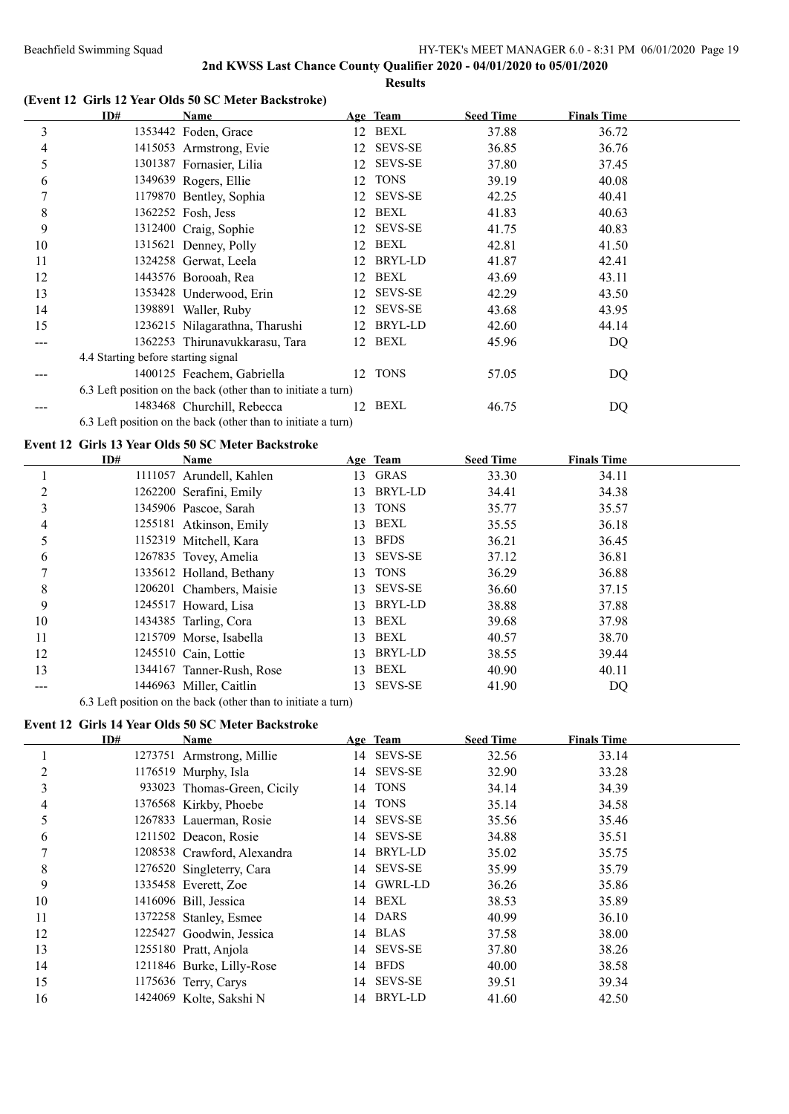## **2nd KWSS Last Chance County Qualifier 2020 - 04/01/2020 to 05/01/2020**

**Results**

#### **(Event 12 Girls 12 Year Olds 50 SC Meter Backstroke)**

|    | ID#                                 | Name                                                          |    | Age Team       | <b>Seed Time</b> | <b>Finals Time</b> |  |
|----|-------------------------------------|---------------------------------------------------------------|----|----------------|------------------|--------------------|--|
| 3  |                                     | 1353442 Foden, Grace                                          | 12 | BEXL           | 37.88            | 36.72              |  |
| 4  |                                     | 1415053 Armstrong, Evie                                       | 12 | <b>SEVS-SE</b> | 36.85            | 36.76              |  |
| 5  |                                     | 1301387 Fornasier, Lilia                                      | 12 | <b>SEVS-SE</b> | 37.80            | 37.45              |  |
| 6  |                                     | 1349639 Rogers, Ellie                                         | 12 | <b>TONS</b>    | 39.19            | 40.08              |  |
|    |                                     | 1179870 Bentley, Sophia                                       | 12 | <b>SEVS-SE</b> | 42.25            | 40.41              |  |
| 8  |                                     | 1362252 Fosh, Jess                                            | 12 | BEXL           | 41.83            | 40.63              |  |
| 9  |                                     | 1312400 Craig, Sophie                                         | 12 | <b>SEVS-SE</b> | 41.75            | 40.83              |  |
| 10 |                                     | 1315621 Denney, Polly                                         | 12 | BEXL           | 42.81            | 41.50              |  |
| 11 |                                     | 1324258 Gerwat, Leela                                         | 12 | BRYL-LD        | 41.87            | 42.41              |  |
| 12 |                                     | 1443576 Borooah, Rea                                          | 12 | BEXL           | 43.69            | 43.11              |  |
| 13 |                                     | 1353428 Underwood, Erin                                       | 12 | <b>SEVS-SE</b> | 42.29            | 43.50              |  |
| 14 |                                     | 1398891 Waller, Ruby                                          | 12 | <b>SEVS-SE</b> | 43.68            | 43.95              |  |
| 15 |                                     | 1236215 Nilagarathna, Tharushi                                | 12 | BRYL-LD        | 42.60            | 44.14              |  |
|    |                                     | 1362253 Thirunavukkarasu, Tara                                | 12 | BEXL           | 45.96            | DQ                 |  |
|    | 4.4 Starting before starting signal |                                                               |    |                |                  |                    |  |
|    |                                     | 1400125 Feachem, Gabriella                                    | 12 | <b>TONS</b>    | 57.05            | DQ                 |  |
|    |                                     | 6.3 Left position on the back (other than to initiate a turn) |    |                |                  |                    |  |
|    |                                     | 1483468 Churchill, Rebecca                                    | 12 | <b>BEXL</b>    | 46.75            | DQ                 |  |
|    |                                     | 6.3 Left position on the back (other than to initiate a turn) |    |                |                  |                    |  |

#### **Event 12 Girls 13 Year Olds 50 SC Meter Backstroke**

|    | ID# | Name                      |    | Age Team       | <b>Seed Time</b> | <b>Finals Time</b> |  |
|----|-----|---------------------------|----|----------------|------------------|--------------------|--|
|    |     | 1111057 Arundell, Kahlen  | 13 | GRAS           | 33.30            | 34.11              |  |
|    |     | 1262200 Serafini, Emily   | 13 | BRYL-LD        | 34.41            | 34.38              |  |
|    |     | 1345906 Pascoe, Sarah     | 13 | <b>TONS</b>    | 35.77            | 35.57              |  |
| 4  |     | 1255181 Atkinson, Emily   | 13 | BEXL           | 35.55            | 36.18              |  |
|    |     | 1152319 Mitchell, Kara    | 13 | <b>BFDS</b>    | 36.21            | 36.45              |  |
| 6  |     | 1267835 Tovey, Amelia     | 13 | <b>SEVS-SE</b> | 37.12            | 36.81              |  |
|    |     | 1335612 Holland, Bethany  | 13 | <b>TONS</b>    | 36.29            | 36.88              |  |
| 8  |     | 1206201 Chambers, Maisie  | 13 | <b>SEVS-SE</b> | 36.60            | 37.15              |  |
| 9  |     | 1245517 Howard, Lisa      | 13 | BRYL-LD        | 38.88            | 37.88              |  |
| 10 |     | 1434385 Tarling, Cora     | 13 | BEXL           | 39.68            | 37.98              |  |
| 11 |     | 1215709 Morse, Isabella   | 13 | BEXL           | 40.57            | 38.70              |  |
| 12 |     | 1245510 Cain, Lottie      | 13 | BRYL-LD        | 38.55            | 39.44              |  |
| 13 |     | 1344167 Tanner-Rush, Rose | 13 | BEXL           | 40.90            | 40.11              |  |
|    |     | 1446963 Miller, Caitlin   | 13 | <b>SEVS-SE</b> | 41.90            | DQ                 |  |

6.3 Left position on the back (other than to initiate a turn)

### **Event 12 Girls 14 Year Olds 50 SC Meter Backstroke**

|    | ID# | Name                        |    | Age Team       | <b>Seed Time</b> | <b>Finals Time</b> |
|----|-----|-----------------------------|----|----------------|------------------|--------------------|
|    |     | 1273751 Armstrong, Millie   | 14 | <b>SEVS-SE</b> | 32.56            | 33.14              |
| 2  |     | 1176519 Murphy, Isla        | 14 | <b>SEVS-SE</b> | 32.90            | 33.28              |
| 3  |     | 933023 Thomas-Green, Cicily | 14 | <b>TONS</b>    | 34.14            | 34.39              |
| 4  |     | 1376568 Kirkby, Phoebe      | 14 | <b>TONS</b>    | 35.14            | 34.58              |
| 5  |     | 1267833 Lauerman, Rosie     |    | 14 SEVS-SE     | 35.56            | 35.46              |
| 6  |     | 1211502 Deacon, Rosie       | 14 | <b>SEVS-SE</b> | 34.88            | 35.51              |
| 7  |     | 1208538 Crawford, Alexandra |    | 14 BRYL-LD     | 35.02            | 35.75              |
| 8  |     | 1276520 Singleterry, Cara   | 14 | <b>SEVS-SE</b> | 35.99            | 35.79              |
| 9  |     | 1335458 Everett, Zoe        |    | 14 GWRL-LD     | 36.26            | 35.86              |
| 10 |     | 1416096 Bill, Jessica       | 14 | BEXL           | 38.53            | 35.89              |
| 11 |     | 1372258 Stanley, Esmee      | 14 | DARS           | 40.99            | 36.10              |
| 12 |     | 1225427 Goodwin, Jessica    |    | 14 BLAS        | 37.58            | 38.00              |
| 13 |     | 1255180 Pratt, Anjola       | 14 | SEVS-SE        | 37.80            | 38.26              |
| 14 |     | 1211846 Burke, Lilly-Rose   | 14 | <b>BFDS</b>    | 40.00            | 38.58              |
| 15 |     | 1175636 Terry, Carys        | 14 | <b>SEVS-SE</b> | 39.51            | 39.34              |
| 16 |     | 1424069 Kolte, Sakshi N     | 14 | BRYL-LD        | 41.60            | 42.50              |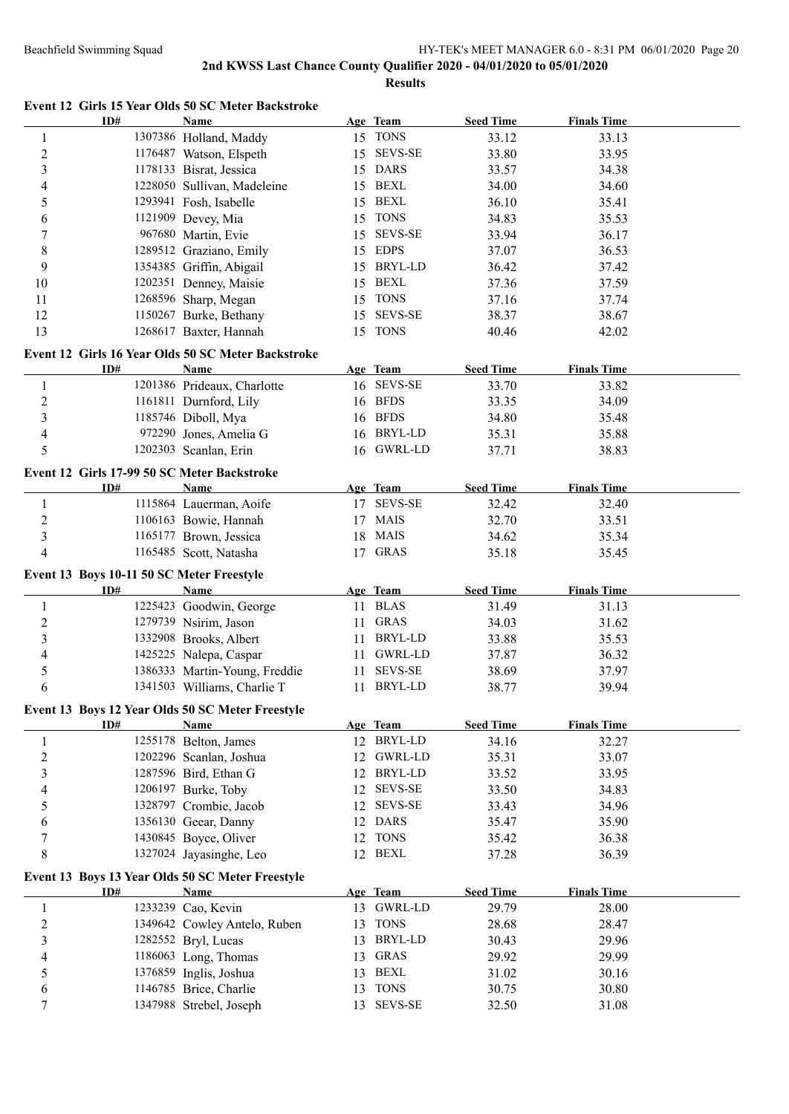|                                |                                             | Event 12 Girls 15 Year Olds 50 SC Meter Backstroke         |                 |                     |                           |                             |
|--------------------------------|---------------------------------------------|------------------------------------------------------------|-----------------|---------------------|---------------------------|-----------------------------|
|                                | ID#                                         | Name<br>1307386 Holland, Maddy                             |                 | Age Team<br>15 TONS | <b>Seed Time</b><br>33.12 | <b>Finals Time</b><br>33.13 |
| $\mathbf{1}$<br>$\overline{c}$ |                                             | 1176487 Watson, Elspeth                                    | 15              | <b>SEVS-SE</b>      | 33.80                     | 33.95                       |
| 3                              |                                             | 1178133 Bisrat, Jessica                                    |                 | 15 DARS             | 33.57                     | 34.38                       |
| $\overline{\mathcal{A}}$       |                                             | 1228050 Sullivan, Madeleine                                |                 | 15 BEXL             | 34.00                     | 34.60                       |
| 5                              |                                             | 1293941 Fosh, Isabelle                                     |                 | 15 BEXL             | 36.10                     | 35.41                       |
| 6                              |                                             | 1121909 Devey, Mia                                         | 15              | <b>TONS</b>         | 34.83                     | 35.53                       |
| $\sqrt{ }$                     |                                             | 967680 Martin, Evie                                        | 15              | <b>SEVS-SE</b>      | 33.94                     | 36.17                       |
| 8                              |                                             | 1289512 Graziano, Emily                                    |                 | 15 EDPS             | 37.07                     | 36.53                       |
| 9                              |                                             | 1354385 Griffin, Abigail                                   | 15              | <b>BRYL-LD</b>      | 36.42                     | 37.42                       |
| 10                             |                                             | 1202351 Denney, Maisie                                     | 15              | <b>BEXL</b>         | 37.36                     | 37.59                       |
| 11                             |                                             | 1268596 Sharp, Megan                                       | 15              | <b>TONS</b>         | 37.16                     | 37.74                       |
| 12                             |                                             | 1150267 Burke, Bethany                                     | 15              | <b>SEVS-SE</b>      | 38.37                     | 38.67                       |
| 13                             |                                             | 1268617 Baxter, Hannah                                     |                 | 15 TONS             | 40.46                     | 42.02                       |
|                                |                                             |                                                            |                 |                     |                           |                             |
|                                | ID#                                         | Event 12 Girls 16 Year Olds 50 SC Meter Backstroke<br>Name |                 | Age Team            | <b>Seed Time</b>          | <b>Finals Time</b>          |
|                                |                                             | 1201386 Prideaux, Charlotte                                |                 | 16 SEVS-SE          | 33.70                     | 33.82                       |
| $\mathbf{1}$<br>$\overline{c}$ |                                             | 1161811 Durnford, Lily                                     |                 | 16 BFDS             | 33.35                     | 34.09                       |
| 3                              |                                             | 1185746 Diboll, Mya                                        |                 | 16 BFDS             | 34.80                     |                             |
|                                |                                             |                                                            |                 | 16 BRYL-LD          |                           | 35.48                       |
| 4<br>5                         |                                             | 972290 Jones, Amelia G                                     |                 | 16 GWRL-LD          | 35.31                     | 35.88                       |
|                                |                                             | 1202303 Scanlan, Erin                                      |                 |                     | 37.71                     | 38.83                       |
|                                | Event 12 Girls 17-99 50 SC Meter Backstroke |                                                            |                 |                     |                           |                             |
|                                | ID#                                         | Name                                                       |                 | Age Team            | <b>Seed Time</b>          | <b>Finals Time</b>          |
| $\mathbf{1}$                   |                                             | 1115864 Lauerman, Aoife                                    | 17 <sup>7</sup> | <b>SEVS-SE</b>      | 32.42                     | 32.40                       |
| $\overline{c}$                 |                                             | 1106163 Bowie, Hannah                                      | 17              | <b>MAIS</b>         | 32.70                     | 33.51                       |
| 3                              |                                             | 1165177 Brown, Jessica                                     | 18              | <b>MAIS</b>         | 34.62                     | 35.34                       |
| 4                              |                                             | 1165485 Scott, Natasha                                     | 17 <sup>7</sup> | <b>GRAS</b>         | 35.18                     | 35.45                       |
|                                | Event 13 Boys 10-11 50 SC Meter Freestyle   |                                                            |                 |                     |                           |                             |
|                                | ID#                                         | Name                                                       |                 | Age Team            | <b>Seed Time</b>          | <b>Finals Time</b>          |
| $\mathbf{1}$                   |                                             | 1225423 Goodwin, George                                    |                 | 11 BLAS             | 31.49                     | 31.13                       |
| $\overline{c}$                 |                                             | 1279739 Nsirim, Jason                                      | 11              | <b>GRAS</b>         | 34.03                     | 31.62                       |
| $\overline{\mathbf{3}}$        |                                             | 1332908 Brooks, Albert                                     | 11              | BRYL-LD             | 33.88                     | 35.53                       |
| 4                              |                                             | 1425225 Nalepa, Caspar                                     | 11              | <b>GWRL-LD</b>      | 37.87                     | 36.32                       |
| 5                              |                                             | 1386333 Martin-Young, Freddie                              | 11              | <b>SEVS-SE</b>      | 38.69                     | 37.97                       |
| 6                              |                                             | 1341503 Williams, Charlie T                                |                 | 11 BRYL-LD          | 38.77                     | 39.94                       |
|                                |                                             | Event 13 Boys 12 Year Olds 50 SC Meter Freestyle           |                 |                     |                           |                             |
|                                | ID#                                         | <b>Name</b>                                                |                 | Age Team            | <b>Seed Time</b>          | <b>Finals Time</b>          |
| $\mathbf{1}$                   |                                             | 1255178 Belton, James                                      |                 | 12 BRYL-LD          | 34.16                     | 32.27                       |
| $\overline{c}$                 |                                             | 1202296 Scanlan, Joshua                                    | 12              | <b>GWRL-LD</b>      | 35.31                     | 33.07                       |
| $\overline{\mathbf{3}}$        |                                             | 1287596 Bird, Ethan G                                      |                 | 12 BRYL-LD          | 33.52                     | 33.95                       |
| 4                              |                                             | 1206197 Burke, Toby                                        | 12              | <b>SEVS-SE</b>      | 33.50                     | 34.83                       |
| 5                              |                                             | 1328797 Crombie, Jacob                                     | 12              | <b>SEVS-SE</b>      | 33.43                     | 34.96                       |
| 6                              |                                             | 1356130 Geear, Danny                                       |                 | 12 DARS             | 35.47                     | 35.90                       |
| $\boldsymbol{7}$               |                                             | 1430845 Boyce, Oliver                                      | 12              | <b>TONS</b>         | 35.42                     | 36.38                       |
| 8                              |                                             | 1327024 Jayasinghe, Leo                                    |                 | 12 BEXL             | 37.28                     | 36.39                       |
|                                |                                             | Event 13 Boys 13 Year Olds 50 SC Meter Freestyle           |                 |                     |                           |                             |
|                                | ID#                                         | <b>Name</b>                                                |                 | Age Team            | <b>Seed Time</b>          | <b>Finals Time</b>          |
| $\mathbf{1}$                   |                                             | 1233239 Cao, Kevin                                         | 13              | <b>GWRL-LD</b>      | 29.79                     | 28.00                       |
| $\overline{c}$                 |                                             | 1349642 Cowley Antelo, Ruben                               | 13              | <b>TONS</b>         | 28.68                     | 28.47                       |
| $\overline{\mathbf{3}}$        |                                             | 1282552 Bryl, Lucas                                        | 13              | BRYL-LD             | 30.43                     | 29.96                       |
| 4                              |                                             | 1186063 Long, Thomas                                       | 13              | <b>GRAS</b>         | 29.92                     | 29.99                       |
| 5                              |                                             | 1376859 Inglis, Joshua                                     | 13              | <b>BEXL</b>         | 31.02                     | 30.16                       |
| 6                              |                                             | 1146785 Brice, Charlie                                     | 13              | <b>TONS</b>         | 30.75                     | 30.80                       |
| $\boldsymbol{7}$               |                                             | 1347988 Strebel, Joseph                                    | 13              | <b>SEVS-SE</b>      | 32.50                     | 31.08                       |
|                                |                                             |                                                            |                 |                     |                           |                             |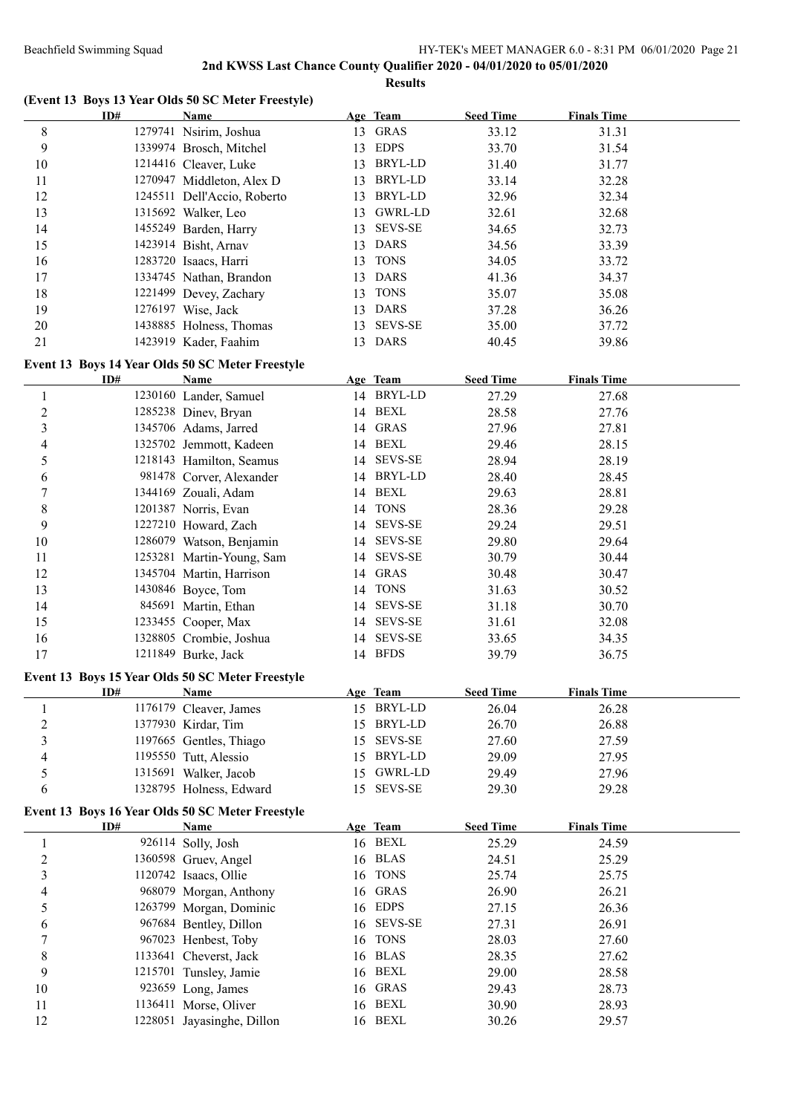# **2nd KWSS Last Chance County Qualifier 2020 - 04/01/2020 to 05/01/2020**

**Results**

| (Event 13 Boys 13 Year Olds 50 SC Meter Freestyle) |     |                                                  |    |                |                  |                    |  |  |  |  |
|----------------------------------------------------|-----|--------------------------------------------------|----|----------------|------------------|--------------------|--|--|--|--|
|                                                    | ID# | Name                                             |    | Age Team       | <b>Seed Time</b> | <b>Finals Time</b> |  |  |  |  |
| 8                                                  |     | 1279741 Nsirim, Joshua                           |    | 13 GRAS        | 33.12            | 31.31              |  |  |  |  |
| 9                                                  |     | 1339974 Brosch, Mitchel                          | 13 | <b>EDPS</b>    | 33.70            | 31.54              |  |  |  |  |
| 10                                                 |     | 1214416 Cleaver, Luke                            | 13 | BRYL-LD        | 31.40            | 31.77              |  |  |  |  |
| 11                                                 |     | 1270947 Middleton, Alex D                        | 13 | BRYL-LD        | 33.14            | 32.28              |  |  |  |  |
| 12                                                 |     | 1245511 Dell'Accio, Roberto                      | 13 | BRYL-LD        | 32.96            | 32.34              |  |  |  |  |
| 13                                                 |     | 1315692 Walker, Leo                              | 13 | GWRL-LD        | 32.61            | 32.68              |  |  |  |  |
| 14                                                 |     | 1455249 Barden, Harry                            | 13 | <b>SEVS-SE</b> | 34.65            | 32.73              |  |  |  |  |
| 15                                                 |     | 1423914 Bisht, Arnav                             | 13 | <b>DARS</b>    | 34.56            | 33.39              |  |  |  |  |
| 16                                                 |     | 1283720 Isaacs, Harri                            | 13 | <b>TONS</b>    | 34.05            | 33.72              |  |  |  |  |
| 17                                                 |     | 1334745 Nathan, Brandon                          | 13 | DARS           | 41.36            | 34.37              |  |  |  |  |
| 18                                                 |     | 1221499 Devey, Zachary                           | 13 | <b>TONS</b>    | 35.07            | 35.08              |  |  |  |  |
| 19                                                 |     | 1276197 Wise, Jack                               | 13 | <b>DARS</b>    | 37.28            | 36.26              |  |  |  |  |
| 20                                                 |     | 1438885 Holness, Thomas                          | 13 | <b>SEVS-SE</b> | 35.00            | 37.72              |  |  |  |  |
| 21                                                 |     | 1423919 Kader, Faahim                            |    | 13 DARS        | 40.45            | 39.86              |  |  |  |  |
|                                                    |     | Event 13 Boys 14 Year Olds 50 SC Meter Freestyle |    |                |                  |                    |  |  |  |  |
|                                                    | ID# | <b>Name</b>                                      |    | Age Team       | <b>Seed Time</b> | <b>Finals Time</b> |  |  |  |  |
| $\mathbf{1}$                                       |     | 1230160 Lander, Samuel                           |    | 14 BRYL-LD     | 27.29            | 27.68              |  |  |  |  |
| $\mathbf{2}$                                       |     | 1285238 Dinev, Bryan                             |    | 14 BEXL        | 28.58            | 27.76              |  |  |  |  |
| $\mathfrak{Z}$                                     |     | 1345706 Adams, Jarred                            |    | 14 GRAS        | 27.96            | 27.81              |  |  |  |  |
| 4                                                  |     | 1325702 Jemmott, Kadeen                          |    | 14 BEXL        | 29.46            | 28.15              |  |  |  |  |
| 5                                                  |     | 1218143 Hamilton, Seamus                         |    | 14 SEVS-SE     | 28.94            | 28.19              |  |  |  |  |
| 6                                                  |     | 981478 Corver, Alexander                         |    | 14 BRYL-LD     | 28.40            | 28.45              |  |  |  |  |
| 7                                                  |     | 1344169 Zouali, Adam                             | 14 | BEXL           | 29.63            | 28.81              |  |  |  |  |
| 8                                                  |     | 1201387 Norris, Evan                             |    | 14 TONS        | 28.36            | 29.28              |  |  |  |  |
| 9                                                  |     | 1227210 Howard, Zach                             | 14 | <b>SEVS-SE</b> | 29.24            | 29.51              |  |  |  |  |
| 10                                                 |     | 1286079 Watson, Benjamin                         | 14 | <b>SEVS-SE</b> | 29.80            | 29.64              |  |  |  |  |
| 11                                                 |     | 1253281 Martin-Young, Sam                        | 14 | <b>SEVS-SE</b> | 30.79            | 30.44              |  |  |  |  |
| 12                                                 |     |                                                  | 14 | <b>GRAS</b>    | 30.48            | 30.47              |  |  |  |  |
| 13                                                 |     | 1345704 Martin, Harrison                         |    | 14 TONS        |                  |                    |  |  |  |  |
|                                                    |     | 1430846 Boyce, Tom                               |    | 14 SEVS-SE     | 31.63            | 30.52<br>30.70     |  |  |  |  |
| 14<br>15                                           |     | 845691 Martin, Ethan                             |    | 14 SEVS-SE     | 31.18<br>31.61   | 32.08              |  |  |  |  |
| 16                                                 |     | 1233455 Cooper, Max<br>1328805 Crombie, Joshua   |    | 14 SEVS-SE     | 33.65            | 34.35              |  |  |  |  |
| 17                                                 |     | 1211849 Burke, Jack                              |    | 14 BFDS        |                  |                    |  |  |  |  |
|                                                    |     |                                                  |    |                | 39.79            | 36.75              |  |  |  |  |
|                                                    |     | Event 13 Boys 15 Year Olds 50 SC Meter Freestyle |    |                |                  |                    |  |  |  |  |
|                                                    | ID# | <b>Name</b>                                      |    | Age Team       | <b>Seed Time</b> | <b>Finals Time</b> |  |  |  |  |
| $\mathbf{1}$                                       |     | 1176179 Cleaver, James                           |    | 15 BRYL-LD     | 26.04            | 26.28              |  |  |  |  |
| $\overline{c}$                                     |     | 1377930 Kirdar, Tim                              | 15 | BRYL-LD        | 26.70            | 26.88              |  |  |  |  |
| 3                                                  |     | 1197665 Gentles, Thiago                          | 15 | <b>SEVS-SE</b> | 27.60            | 27.59              |  |  |  |  |
| 4                                                  |     | 1195550 Tutt, Alessio                            | 15 | BRYL-LD        | 29.09            | 27.95              |  |  |  |  |
| 5                                                  |     | 1315691 Walker, Jacob                            | 15 | <b>GWRL-LD</b> | 29.49            | 27.96              |  |  |  |  |
| 6                                                  |     | 1328795 Holness, Edward                          | 15 | <b>SEVS-SE</b> | 29.30            | 29.28              |  |  |  |  |
|                                                    |     | Event 13 Boys 16 Year Olds 50 SC Meter Freestyle |    |                |                  |                    |  |  |  |  |
|                                                    | ID# | <b>Name</b>                                      |    | Age Team       | <b>Seed Time</b> | <b>Finals Time</b> |  |  |  |  |
| $\mathbf{1}$                                       |     | 926114 Solly, Josh                               |    | 16 BEXL        | 25.29            | 24.59              |  |  |  |  |
| $\mathbf{2}$                                       |     | 1360598 Gruev, Angel                             |    | 16 BLAS        | 24.51            | 25.29              |  |  |  |  |
| $\mathfrak{Z}$                                     |     | 1120742 Isaacs, Ollie                            | 16 | <b>TONS</b>    | 25.74            | 25.75              |  |  |  |  |
| $\overline{4}$                                     |     | 968079 Morgan, Anthony                           | 16 | <b>GRAS</b>    | 26.90            | 26.21              |  |  |  |  |
| 5                                                  |     | 1263799 Morgan, Dominic                          | 16 | <b>EDPS</b>    | 27.15            | 26.36              |  |  |  |  |
| 6                                                  |     | 967684 Bentley, Dillon                           | 16 | <b>SEVS-SE</b> | 27.31            | 26.91              |  |  |  |  |
| 7                                                  |     | 967023 Henbest, Toby                             | 16 | <b>TONS</b>    | 28.03            | 27.60              |  |  |  |  |
| 8                                                  |     | 1133641 Cheverst, Jack                           | 16 | <b>BLAS</b>    | 28.35            | 27.62              |  |  |  |  |
| 9                                                  |     | 1215701 Tunsley, Jamie                           | 16 | <b>BEXL</b>    | 29.00            | 28.58              |  |  |  |  |
| 10                                                 |     | 923659 Long, James                               | 16 | <b>GRAS</b>    | 29.43            | 28.73              |  |  |  |  |
| 11                                                 |     | 1136411 Morse, Oliver                            | 16 | <b>BEXL</b>    | 30.90            | 28.93              |  |  |  |  |
| 12                                                 |     | 1228051 Jayasinghe, Dillon                       | 16 | <b>BEXL</b>    | 30.26            | 29.57              |  |  |  |  |
|                                                    |     |                                                  |    |                |                  |                    |  |  |  |  |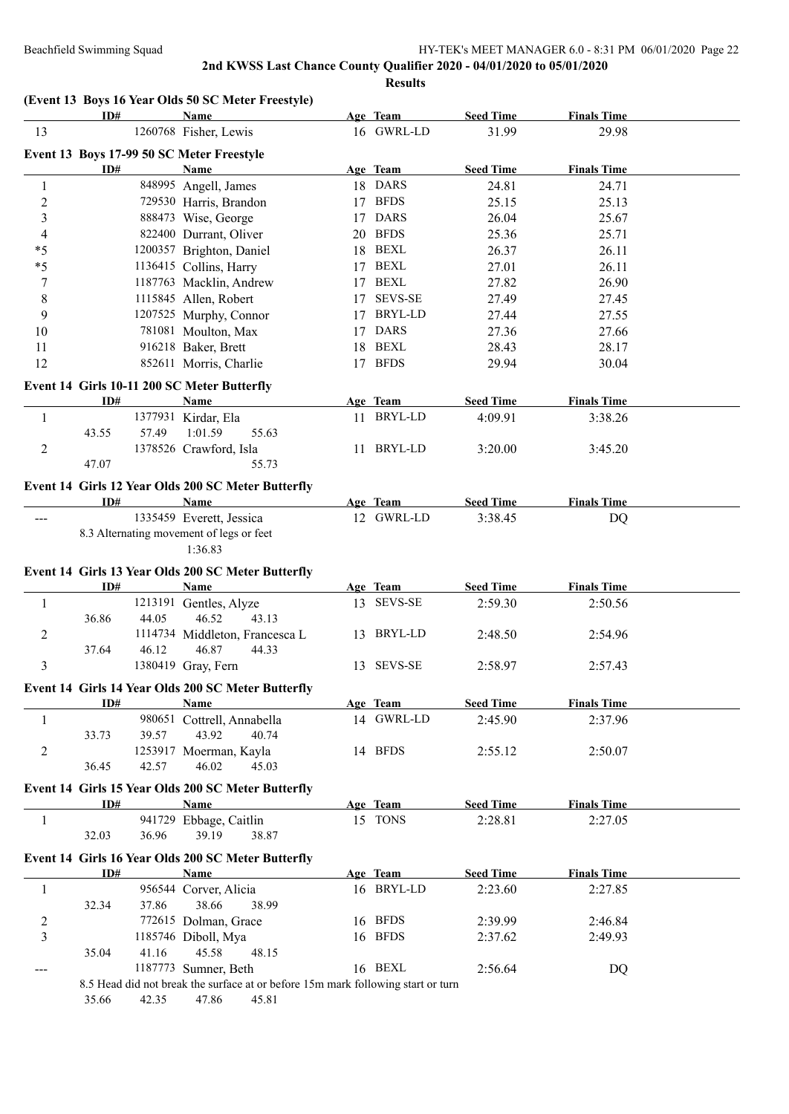### **2nd KWSS Last Chance County Qualifier 2020 - 04/01/2020 to 05/01/2020 Results**

### **(Event 13 Boys 16 Year Olds 50 SC Meter Freestyle)**

|                                           | ID#   |        | (EVER IS DOVE IO ICAL ORE 50 SC MERT FRESHME)<br><b>Name</b>                     |    | Age Team               | <b>Seed Time</b> | <b>Finals Time</b> |  |
|-------------------------------------------|-------|--------|----------------------------------------------------------------------------------|----|------------------------|------------------|--------------------|--|
| 13                                        |       |        | 1260768 Fisher, Lewis                                                            |    | 16 GWRL-LD             | 31.99            | 29.98              |  |
|                                           |       |        |                                                                                  |    |                        |                  |                    |  |
|                                           | ID#   |        | Event 13 Boys 17-99 50 SC Meter Freestyle<br>Name                                |    | Age Team               | <b>Seed Time</b> | <b>Finals Time</b> |  |
| $\mathbf{1}$                              |       |        | 848995 Angell, James                                                             |    | 18 DARS                | 24.81            | 24.71              |  |
| $\mathbf{2}$                              |       |        | 729530 Harris, Brandon                                                           |    | 17 BFDS                | 25.15            | 25.13              |  |
| 3                                         |       |        | 888473 Wise, George                                                              |    | 17 DARS                | 26.04            | 25.67              |  |
| $\overline{4}$                            |       |        | 822400 Durrant, Oliver                                                           |    | 20 BFDS                | 25.36            | 25.71              |  |
| $*5$                                      |       |        | 1200357 Brighton, Daniel                                                         |    | 18 BEXL                | 26.37            | 26.11              |  |
| $*5$                                      |       |        | 1136415 Collins, Harry                                                           |    | 17 BEXL                | 27.01            | 26.11              |  |
| 7                                         |       |        | 1187763 Macklin, Andrew                                                          | 17 | <b>BEXL</b>            | 27.82            | 26.90              |  |
| 8                                         |       |        | 1115845 Allen, Robert                                                            | 17 | <b>SEVS-SE</b>         | 27.49            | 27.45              |  |
| 9                                         |       |        | 1207525 Murphy, Connor                                                           | 17 | BRYL-LD                | 27.44            | 27.55              |  |
| 10                                        |       |        | 781081 Moulton, Max                                                              | 17 | <b>DARS</b>            | 27.36            | 27.66              |  |
| 11                                        |       |        | 916218 Baker, Brett                                                              |    | 18 BEXL                | 28.43            | 28.17              |  |
| 12                                        |       |        | 852611 Morris, Charlie                                                           |    | 17 BFDS                | 29.94            | 30.04              |  |
|                                           |       |        |                                                                                  |    |                        |                  |                    |  |
|                                           |       |        | Event 14 Girls 10-11 200 SC Meter Butterfly                                      |    |                        |                  |                    |  |
|                                           | ID#   |        | Name                                                                             |    | Age Team               | <b>Seed Time</b> | <b>Finals Time</b> |  |
| $\mathbf{1}$                              |       |        | 1377931 Kirdar, Ela                                                              |    | 11 BRYL-LD             | 4:09.91          | 3:38.26            |  |
|                                           | 43.55 | 57.49  | 1:01.59<br>55.63                                                                 |    |                        |                  |                    |  |
| $\overline{2}$                            |       |        | 1378526 Crawford, Isla                                                           |    | 11 BRYL-LD             | 3:20.00          | 3:45.20            |  |
|                                           | 47.07 |        | 55.73                                                                            |    |                        |                  |                    |  |
|                                           |       |        | Event 14 Girls 12 Year Olds 200 SC Meter Butterfly                               |    |                        |                  |                    |  |
|                                           | ID#   |        | Name                                                                             |    | Age Team               | <b>Seed Time</b> | <b>Finals Time</b> |  |
|                                           |       |        | 1335459 Everett, Jessica                                                         |    | 12 GWRL-LD             | 3:38.45          | DQ                 |  |
|                                           |       |        | 8.3 Alternating movement of legs or feet                                         |    |                        |                  |                    |  |
|                                           |       |        | 1:36.83                                                                          |    |                        |                  |                    |  |
|                                           |       |        | Event 14 Girls 13 Year Olds 200 SC Meter Butterfly                               |    |                        |                  |                    |  |
|                                           | ID#   |        | <b>Name</b>                                                                      |    | Age Team               | <b>Seed Time</b> | <b>Finals Time</b> |  |
| $\mathbf{1}$                              |       |        | 1213191 Gentles, Alyze                                                           |    | 13 SEVS-SE             | 2:59.30          | 2:50.56            |  |
|                                           | 36.86 | 44.05  | 46.52<br>43.13                                                                   |    |                        |                  |                    |  |
| $\overline{c}$                            |       |        | 1114734 Middleton, Francesca L                                                   |    | 13 BRYL-LD             | 2:48.50          | 2:54.96            |  |
|                                           | 37.64 | 46.12  | 46.87<br>44.33                                                                   |    |                        |                  |                    |  |
| 3                                         |       |        | 1380419 Gray, Fern                                                               |    | 13 SEVS-SE             | 2:58.97          | 2:57.43            |  |
|                                           |       |        | Event 14 Girls 14 Year Olds 200 SC Meter Butterfly                               |    |                        |                  |                    |  |
|                                           | ID#   |        | <b>Name</b>                                                                      |    | Age Team               | <b>Seed Time</b> | <b>Finals Time</b> |  |
| 1                                         |       |        | 980651 Cottrell, Annabella                                                       |    | 14 GWRL-LD             | 2:45.90          | 2:37.96            |  |
|                                           | 33.73 | 39.57  | 43.92<br>40.74                                                                   |    |                        |                  |                    |  |
| 2                                         |       |        | 1253917 Moerman, Kayla                                                           |    | 14 BFDS                | 2:55.12          | 2:50.07            |  |
|                                           | 36.45 | 42.57  | 46.02<br>45.03                                                                   |    |                        |                  |                    |  |
|                                           |       |        | Event 14 Girls 15 Year Olds 200 SC Meter Butterfly                               |    |                        |                  |                    |  |
|                                           | ID#   |        | <b>Name</b>                                                                      |    | Age Team               | <b>Seed Time</b> | <b>Finals Time</b> |  |
| -1                                        |       | 941729 | Ebbage, Caitlin                                                                  |    | 15 TONS                | 2:28.81          | 2:27.05            |  |
|                                           | 32.03 | 36.96  | 39.19<br>38.87                                                                   |    |                        |                  |                    |  |
|                                           |       |        |                                                                                  |    |                        |                  |                    |  |
|                                           |       |        | Event 14 Girls 16 Year Olds 200 SC Meter Butterfly                               |    |                        |                  |                    |  |
|                                           | ID#   |        | Name                                                                             |    | Age Team<br>16 BRYL-LD | <b>Seed Time</b> | <b>Finals Time</b> |  |
| $\mathbf{1}$                              | 32.34 | 37.86  | 956544 Corver, Alicia<br>38.66<br>38.99                                          |    |                        | 2:23.60          | 2:27.85            |  |
|                                           |       |        | 772615 Dolman, Grace                                                             |    | 16 BFDS                | 2:39.99          | 2:46.84            |  |
| $\overline{c}$<br>$\overline{\mathbf{3}}$ |       |        | 1185746 Diboll, Mya                                                              |    | 16 BFDS                | 2:37.62          | 2:49.93            |  |
|                                           | 35.04 | 41.16  | 45.58<br>48.15                                                                   |    |                        |                  |                    |  |
|                                           |       |        | 1187773 Sumner, Beth                                                             |    | 16 BEXL                | 2:56.64          | DQ                 |  |
|                                           |       |        | 8.5 Head did not break the surface at or before 15m mark following start or turn |    |                        |                  |                    |  |
|                                           |       |        |                                                                                  |    |                        |                  |                    |  |

35.66 42.35 47.86 45.81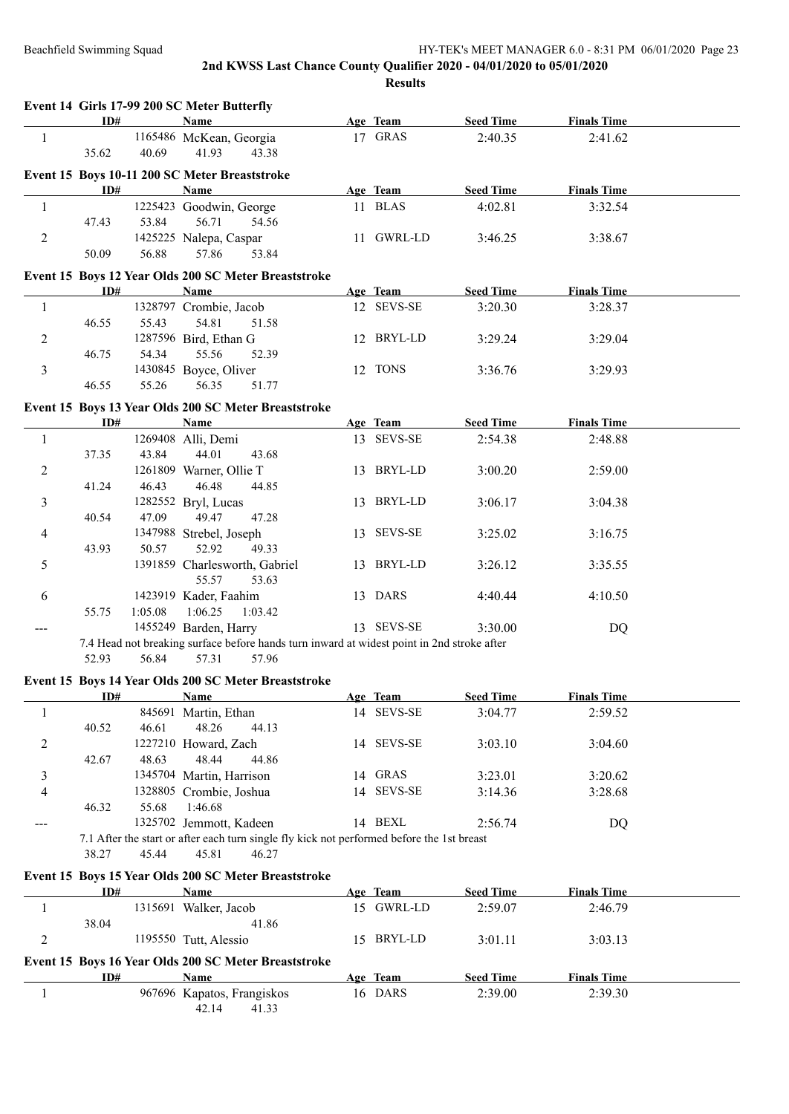### **2nd KWSS Last Chance County Qualifier 2020 - 04/01/2020 to 05/01/2020 Results**

|                | ID#   |         | Event 14 Girls 17-99 200 SC Meter Butterfly<br>Name                                        | Age Team   | <b>Seed Time</b> | <b>Finals Time</b> |  |
|----------------|-------|---------|--------------------------------------------------------------------------------------------|------------|------------------|--------------------|--|
| -1             |       |         | 1165486 McKean, Georgia                                                                    | 17 GRAS    | 2:40.35          | 2:41.62            |  |
|                | 35.62 | 40.69   | 41.93<br>43.38                                                                             |            |                  |                    |  |
|                |       |         | Event 15 Boys 10-11 200 SC Meter Breaststroke                                              |            |                  |                    |  |
|                | ID#   |         | <b>Name</b>                                                                                | Age Team   | <b>Seed Time</b> | <b>Finals Time</b> |  |
| 1              |       |         | 1225423 Goodwin, George                                                                    | 11 BLAS    | 4:02.81          | 3:32.54            |  |
|                | 47.43 | 53.84   | 56.71<br>54.56                                                                             |            |                  |                    |  |
| $\overline{2}$ |       |         | 1425225 Nalepa, Caspar                                                                     | 11 GWRL-LD | 3:46.25          | 3:38.67            |  |
|                | 50.09 | 56.88   | 57.86<br>53.84                                                                             |            |                  |                    |  |
|                |       |         | Event 15 Boys 12 Year Olds 200 SC Meter Breaststroke                                       |            |                  |                    |  |
|                | ID#   |         | <b>Name</b>                                                                                | Age Team   | <b>Seed Time</b> | <b>Finals Time</b> |  |
| 1              |       |         | 1328797 Crombie, Jacob                                                                     | 12 SEVS-SE | 3:20.30          | 3:28.37            |  |
|                | 46.55 | 55.43   | 54.81<br>51.58                                                                             |            |                  |                    |  |
| $\overline{2}$ |       |         | 1287596 Bird, Ethan G                                                                      | 12 BRYL-LD | 3:29.24          | 3:29.04            |  |
|                | 46.75 | 54.34   | 55.56<br>52.39                                                                             |            |                  |                    |  |
| $\overline{3}$ |       |         | 1430845 Boyce, Oliver                                                                      | 12 TONS    | 3:36.76          | 3:29.93            |  |
|                | 46.55 | 55.26   | 56.35<br>51.77                                                                             |            |                  |                    |  |
|                |       |         |                                                                                            |            |                  |                    |  |
|                | ID#   |         | Event 15 Boys 13 Year Olds 200 SC Meter Breaststroke                                       | Age Team   | <b>Seed Time</b> | <b>Finals Time</b> |  |
|                |       |         | <b>Name</b><br>1269408 Alli, Demi                                                          | 13 SEVS-SE | 2:54.38          | 2:48.88            |  |
| 1              | 37.35 | 43.84   | 44.01<br>43.68                                                                             |            |                  |                    |  |
| 2              |       |         | 1261809 Warner, Ollie T                                                                    | 13 BRYL-LD | 3:00.20          | 2:59.00            |  |
|                | 41.24 | 46.43   | 46.48<br>44.85                                                                             |            |                  |                    |  |
| 3              |       |         | 1282552 Bryl, Lucas                                                                        | 13 BRYL-LD | 3:06.17          | 3:04.38            |  |
|                | 40.54 | 47.09   | 49.47<br>47.28                                                                             |            |                  |                    |  |
| 4              |       |         | 1347988 Strebel, Joseph                                                                    | 13 SEVS-SE | 3:25.02          | 3:16.75            |  |
|                | 43.93 | 50.57   | 52.92<br>49.33                                                                             |            |                  |                    |  |
| 5              |       |         | 1391859 Charlesworth, Gabriel                                                              | 13 BRYL-LD | 3:26.12          | 3:35.55            |  |
|                |       |         | 55.57<br>53.63                                                                             |            |                  |                    |  |
| 6              |       |         | 1423919 Kader, Faahim                                                                      | 13 DARS    | 4:40.44          | 4:10.50            |  |
|                | 55.75 | 1:05.08 | 1:06.25<br>1:03.42                                                                         |            |                  |                    |  |
| ---            |       |         | 1455249 Barden, Harry                                                                      | 13 SEVS-SE | 3:30.00          | DQ                 |  |
|                |       |         | 7.4 Head not breaking surface before hands turn inward at widest point in 2nd stroke after |            |                  |                    |  |
|                | 52.93 | 56.84   | 57.31<br>57.96                                                                             |            |                  |                    |  |
|                |       |         | Event 15 Boys 14 Year Olds 200 SC Meter Breaststroke                                       |            |                  |                    |  |
|                | ID#   |         | Name                                                                                       | Age Team   | <b>Seed Time</b> | <b>Finals Time</b> |  |
| 1              |       |         | 845691 Martin, Ethan                                                                       | 14 SEVS-SE | 3:04.77          | 2:59.52            |  |
|                | 40.52 | 46.61   | 48.26<br>44.13                                                                             |            |                  |                    |  |
| 2              |       |         | 1227210 Howard, Zach                                                                       | 14 SEVS-SE | 3:03.10          | 3:04.60            |  |
|                | 42.67 | 48.63   | 48.44<br>44.86                                                                             |            |                  |                    |  |
| 3              |       |         | 1345704 Martin, Harrison                                                                   | 14 GRAS    | 3:23.01          | 3:20.62            |  |
| $\overline{4}$ |       |         | 1328805 Crombie, Joshua                                                                    | 14 SEVS-SE | 3:14.36          | 3:28.68            |  |
|                | 46.32 | 55.68   | 1:46.68                                                                                    |            |                  |                    |  |
|                |       |         | 1325702 Jemmott, Kadeen                                                                    | 14 BEXL    | 2:56.74          | DQ                 |  |
|                |       |         | 7.1 After the start or after each turn single fly kick not performed before the 1st breast |            |                  |                    |  |
|                | 38.27 | 45.44   | 45.81<br>46.27                                                                             |            |                  |                    |  |
|                |       |         | Event 15 Boys 15 Year Olds 200 SC Meter Breaststroke                                       |            |                  |                    |  |
|                | ID#   |         | <b>Name</b>                                                                                | Age Team   | <b>Seed Time</b> | <b>Finals Time</b> |  |
| 1              |       |         | 1315691 Walker, Jacob                                                                      | 15 GWRL-LD | 2:59.07          | 2:46.79            |  |
|                | 38.04 |         | 41.86                                                                                      |            |                  |                    |  |
| 2              |       |         | 1195550 Tutt, Alessio                                                                      | 15 BRYL-LD | 3:01.11          | 3:03.13            |  |
|                |       |         |                                                                                            |            |                  |                    |  |

### **Event 15 Boys 16 Year Olds 200 SC Meter Breaststroke**

| ID# | Name                       | Age | Team        | <b>Seed Time</b> | <b>Finals Time</b> |
|-----|----------------------------|-----|-------------|------------------|--------------------|
|     | 967696 Kapatos, Frangiskos | 16  | <b>DARS</b> | 2:39.00          | 2:39.30            |
|     | 41.33                      |     |             |                  |                    |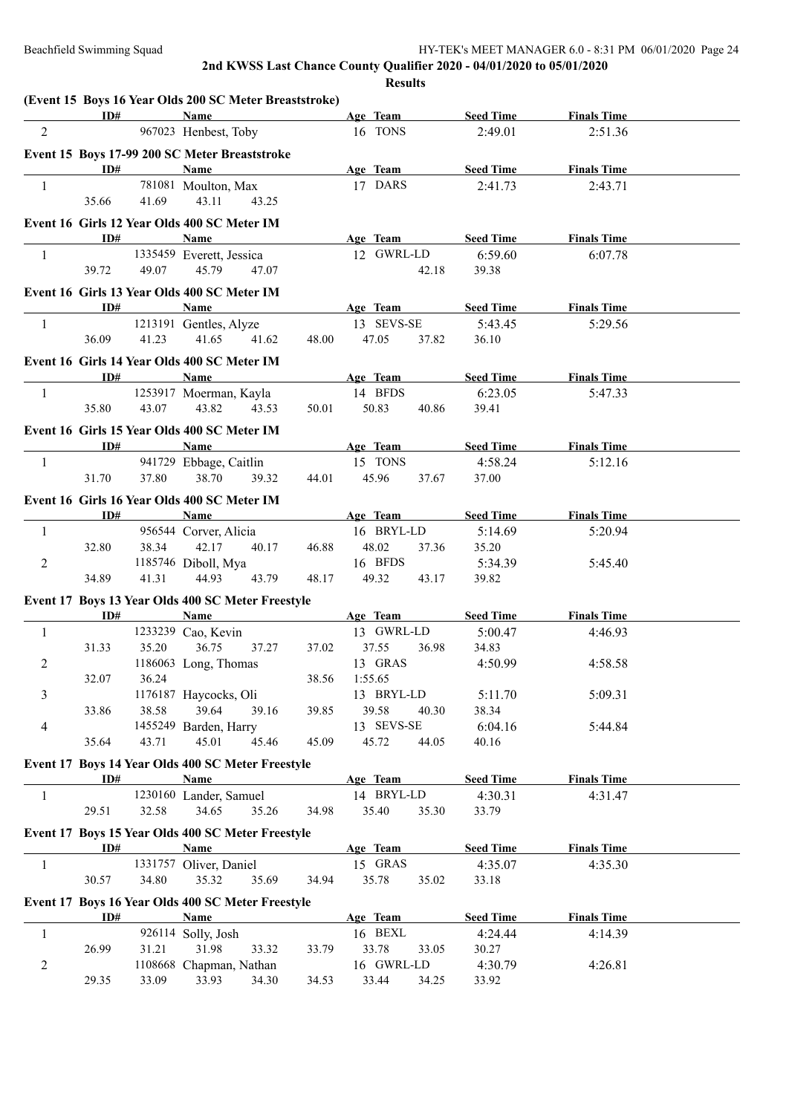|                          | ID#   |       | (Event 15 Boys 16 Year Olds 200 SC Meter Breaststroke)<br><b>Name</b> |       | Age Team   |       | <b>Seed Time</b> | <b>Finals Time</b> |  |
|--------------------------|-------|-------|-----------------------------------------------------------------------|-------|------------|-------|------------------|--------------------|--|
| $\overline{2}$           |       |       | 967023 Henbest, Toby                                                  |       | 16 TONS    |       | 2:49.01          | 2:51.36            |  |
|                          |       |       |                                                                       |       |            |       |                  |                    |  |
|                          |       |       | Event 15 Boys 17-99 200 SC Meter Breaststroke                         |       |            |       |                  |                    |  |
|                          | ID#   |       | Name                                                                  |       | Age Team   |       | <b>Seed Time</b> | <b>Finals Time</b> |  |
| $\mathbf{1}$             |       |       | 781081 Moulton, Max                                                   |       | 17 DARS    |       | 2:41.73          | 2:43.71            |  |
|                          | 35.66 | 41.69 | 43.11<br>43.25                                                        |       |            |       |                  |                    |  |
|                          |       |       | Event 16 Girls 12 Year Olds 400 SC Meter IM                           |       |            |       |                  |                    |  |
|                          | ID#   |       | Name                                                                  |       | Age Team   |       | <b>Seed Time</b> | <b>Finals Time</b> |  |
| 1                        |       |       | 1335459 Everett, Jessica                                              |       | 12 GWRL-LD |       | 6:59.60          | 6:07.78            |  |
|                          | 39.72 | 49.07 | 45.79<br>47.07                                                        |       |            | 42.18 | 39.38            |                    |  |
|                          |       |       | Event 16 Girls 13 Year Olds 400 SC Meter IM                           |       |            |       |                  |                    |  |
|                          | ID#   |       | Name                                                                  |       | Age Team   |       | <b>Seed Time</b> | <b>Finals Time</b> |  |
| 1                        |       |       | 1213191 Gentles, Alyze                                                |       | 13 SEVS-SE |       | 5:43.45          | 5:29.56            |  |
|                          | 36.09 | 41.23 | 41.65<br>41.62                                                        | 48.00 | 47.05      | 37.82 | 36.10            |                    |  |
|                          |       |       | Event 16 Girls 14 Year Olds 400 SC Meter IM                           |       |            |       |                  |                    |  |
|                          | ID#   |       | Name                                                                  |       | Age Team   |       | <b>Seed Time</b> | <b>Finals Time</b> |  |
| $\mathbf{1}$             |       |       | 1253917 Moerman, Kayla                                                |       | 14 BFDS    |       | 6:23.05          | 5:47.33            |  |
|                          | 35.80 | 43.07 | 43.82<br>43.53                                                        | 50.01 | 50.83      | 40.86 | 39.41            |                    |  |
|                          |       |       | Event 16 Girls 15 Year Olds 400 SC Meter IM                           |       |            |       |                  |                    |  |
|                          | ID#   |       | <b>Name</b>                                                           |       | Age Team   |       | <b>Seed Time</b> | <b>Finals Time</b> |  |
| $\mathbf{1}$             |       |       | 941729 Ebbage, Caitlin                                                |       | 15 TONS    |       | 4:58.24          | 5:12.16            |  |
|                          | 31.70 | 37.80 | 38.70<br>39.32                                                        | 44.01 | 45.96      | 37.67 | 37.00            |                    |  |
|                          |       |       |                                                                       |       |            |       |                  |                    |  |
|                          |       |       | Event 16 Girls 16 Year Olds 400 SC Meter IM                           |       |            |       |                  |                    |  |
|                          | ID#   |       | Name                                                                  |       | Age Team   |       | <b>Seed Time</b> | <b>Finals Time</b> |  |
| 1                        |       |       | 956544 Corver, Alicia                                                 |       | 16 BRYL-LD |       | 5:14.69          | 5:20.94            |  |
|                          | 32.80 | 38.34 | 42.17<br>40.17                                                        | 46.88 | 48.02      | 37.36 | 35.20            |                    |  |
| $\overline{c}$           |       |       | 1185746 Diboll, Mya                                                   |       | 16 BFDS    |       | 5:34.39          | 5:45.40            |  |
|                          | 34.89 | 41.31 | 44.93<br>43.79                                                        | 48.17 | 49.32      | 43.17 | 39.82            |                    |  |
|                          |       |       | Event 17 Boys 13 Year Olds 400 SC Meter Freestyle                     |       |            |       |                  |                    |  |
|                          | ID#   |       | Name                                                                  |       | Age Team   |       | <b>Seed Time</b> | <b>Finals Time</b> |  |
| $\mathbf{1}$             |       |       | 1233239 Cao, Kevin                                                    |       | 13 GWRL-LD |       | 5:00.47          | 4:46.93            |  |
|                          | 31.33 | 35.20 | 36.75<br>37.27                                                        | 37.02 | 37.55      | 36.98 | 34.83            |                    |  |
| $\overline{c}$           |       |       | 1186063 Long, Thomas                                                  |       | 13 GRAS    |       | 4:50.99          | 4:58.58            |  |
|                          | 32.07 | 36.24 |                                                                       | 38.56 | 1:55.65    |       |                  |                    |  |
| 3                        |       |       | 1176187 Haycocks, Oli                                                 |       | 13 BRYL-LD |       | 5:11.70          | 5:09.31            |  |
|                          | 33.86 | 38.58 | 39.64<br>39.16                                                        | 39.85 | 39.58      | 40.30 | 38.34            |                    |  |
| $\overline{\mathcal{A}}$ |       |       | 1455249 Barden, Harry                                                 |       | 13 SEVS-SE |       | 6:04.16          | 5:44.84            |  |
|                          | 35.64 | 43.71 | 45.01<br>45.46                                                        | 45.09 | 45.72      | 44.05 | 40.16            |                    |  |
|                          |       |       | Event 17 Boys 14 Year Olds 400 SC Meter Freestyle                     |       |            |       |                  |                    |  |
|                          | ID#   |       | <b>Name</b>                                                           |       | Age Team   |       | <b>Seed Time</b> | <b>Finals Time</b> |  |
| 1                        |       |       | 1230160 Lander, Samuel                                                |       | 14 BRYL-LD |       | 4:30.31          | 4:31.47            |  |
|                          | 29.51 | 32.58 | 34.65<br>35.26                                                        | 34.98 | 35.40      | 35.30 | 33.79            |                    |  |
|                          |       |       | Event 17 Boys 15 Year Olds 400 SC Meter Freestyle                     |       |            |       |                  |                    |  |
|                          | ID#   |       | Name                                                                  |       | Age Team   |       | <b>Seed Time</b> | <b>Finals Time</b> |  |
| 1                        |       |       | 1331757 Oliver, Daniel                                                |       | 15 GRAS    |       | 4:35.07          | 4:35.30            |  |
|                          | 30.57 | 34.80 | 35.32<br>35.69                                                        | 34.94 | 35.78      | 35.02 | 33.18            |                    |  |
|                          |       |       |                                                                       |       |            |       |                  |                    |  |
|                          | ID#   |       | Event 17 Boys 16 Year Olds 400 SC Meter Freestyle<br><b>Name</b>      |       | Age Team   |       | <b>Seed Time</b> | <b>Finals Time</b> |  |
| $\mathbf{1}$             |       |       | 926114 Solly, Josh                                                    |       | 16 BEXL    |       | 4:24.44          | 4:14.39            |  |
|                          | 26.99 | 31.21 | 31.98<br>33.32                                                        | 33.79 | 33.78      | 33.05 | 30.27            |                    |  |
| $\overline{2}$           |       |       | 1108668 Chapman, Nathan                                               |       | 16 GWRL-LD |       | 4:30.79          | 4:26.81            |  |
|                          | 29.35 | 33.09 | 33.93<br>34.30                                                        | 34.53 | 33.44      | 34.25 | 33.92            |                    |  |
|                          |       |       |                                                                       |       |            |       |                  |                    |  |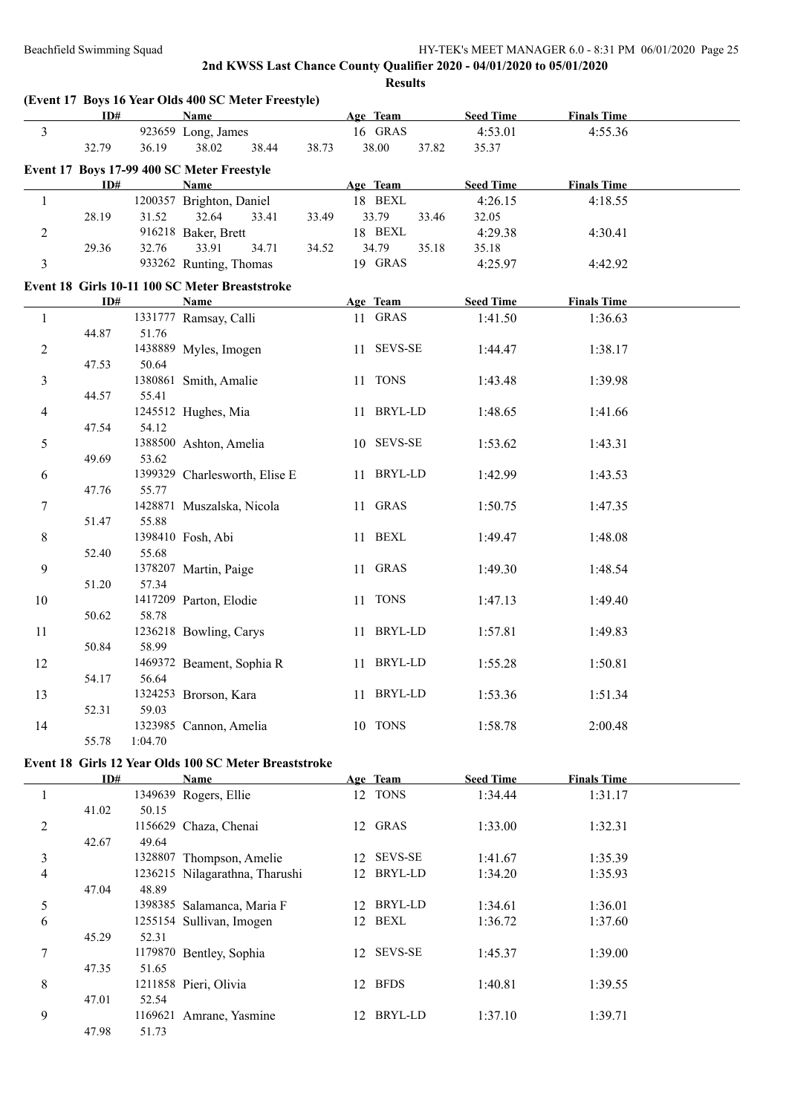|                          | ID#   |         | (Event 17 Boys 16 Year Olds 400 SC Meter Freestyle)<br><b>Name</b> | Age Team       | <b>Seed Time</b> | <b>Finals Time</b> |  |
|--------------------------|-------|---------|--------------------------------------------------------------------|----------------|------------------|--------------------|--|
| $\overline{3}$           |       |         | 923659 Long, James                                                 | 16 GRAS        | 4:53.01          | 4:55.36            |  |
|                          | 32.79 | 36.19   | 38.02<br>38.44<br>38.73                                            | 38.00<br>37.82 | 35.37            |                    |  |
|                          |       |         | Event 17 Boys 17-99 400 SC Meter Freestyle                         |                |                  |                    |  |
|                          | ID#   |         | Name                                                               | Age Team       | <b>Seed Time</b> | <b>Finals Time</b> |  |
| 1                        |       |         | 1200357 Brighton, Daniel                                           | 18 BEXL        | 4:26.15          | 4:18.55            |  |
|                          | 28.19 | 31.52   | 32.64<br>33.41<br>33.49                                            | 33.79<br>33.46 | 32.05            |                    |  |
| $\overline{c}$           |       |         | 916218 Baker, Brett                                                | 18 BEXL        | 4:29.38          | 4:30.41            |  |
|                          | 29.36 | 32.76   | 33.91<br>34.71<br>34.52                                            | 34.79<br>35.18 | 35.18            |                    |  |
| 3                        |       |         | 933262 Runting, Thomas                                             | 19 GRAS        | 4:25.97          | 4:42.92            |  |
|                          |       |         | Event 18 Girls 10-11 100 SC Meter Breaststroke                     |                |                  |                    |  |
|                          | ID#   |         | <b>Name</b>                                                        | Age Team       | <b>Seed Time</b> | <b>Finals Time</b> |  |
| 1                        |       |         | 1331777 Ramsay, Calli                                              | 11 GRAS        | 1:41.50          | 1:36.63            |  |
|                          | 44.87 | 51.76   |                                                                    |                |                  |                    |  |
| 2                        |       |         | 1438889 Myles, Imogen                                              | 11 SEVS-SE     | 1:44.47          | 1:38.17            |  |
|                          | 47.53 | 50.64   |                                                                    |                |                  |                    |  |
| 3                        |       |         | 1380861 Smith, Amalie                                              | 11 TONS        | 1:43.48          | 1:39.98            |  |
|                          | 44.57 | 55.41   |                                                                    |                |                  |                    |  |
| 4                        | 47.54 | 54.12   | 1245512 Hughes, Mia                                                | 11 BRYL-LD     | 1:48.65          | 1:41.66            |  |
| 5                        |       |         | 1388500 Ashton, Amelia                                             | 10 SEVS-SE     | 1:53.62          | 1:43.31            |  |
|                          | 49.69 | 53.62   |                                                                    |                |                  |                    |  |
| 6                        |       |         | 1399329 Charlesworth, Elise E                                      | 11 BRYL-LD     | 1:42.99          | 1:43.53            |  |
|                          | 47.76 | 55.77   |                                                                    |                |                  |                    |  |
| 7                        |       |         | 1428871 Muszalska, Nicola                                          | 11 GRAS        | 1:50.75          | 1:47.35            |  |
|                          | 51.47 | 55.88   |                                                                    |                |                  |                    |  |
| 8                        |       |         | 1398410 Fosh, Abi                                                  | 11 BEXL        | 1:49.47          | 1:48.08            |  |
|                          | 52.40 | 55.68   |                                                                    |                |                  |                    |  |
| 9                        |       |         | 1378207 Martin, Paige                                              | 11 GRAS        | 1:49.30          | 1:48.54            |  |
|                          | 51.20 | 57.34   |                                                                    |                |                  |                    |  |
| 10                       |       |         | 1417209 Parton, Elodie                                             | 11 TONS        | 1:47.13          | 1:49.40            |  |
|                          | 50.62 | 58.78   |                                                                    |                |                  |                    |  |
| 11                       |       |         | 1236218 Bowling, Carys                                             | 11 BRYL-LD     | 1:57.81          | 1:49.83            |  |
|                          | 50.84 | 58.99   |                                                                    |                |                  |                    |  |
| 12                       |       |         | 1469372 Beament, Sophia R                                          | 11 BRYL-LD     | 1:55.28          | 1:50.81            |  |
|                          | 54.17 | 56.64   |                                                                    |                |                  |                    |  |
| 13                       |       | 59.03   | 1324253 Brorson, Kara                                              | 11 BRYL-LD     | 1:53.36          | 1:51.34            |  |
| 14                       | 52.31 |         | 1323985 Cannon, Amelia                                             | 10 TONS        | 1:58.78          | 2:00.48            |  |
|                          | 55.78 | 1:04.70 |                                                                    |                |                  |                    |  |
|                          |       |         |                                                                    |                |                  |                    |  |
|                          | ID#   |         | Event 18 Girls 12 Year Olds 100 SC Meter Breaststroke              | Age Team       | <b>Seed Time</b> | <b>Finals Time</b> |  |
| $\mathbf{1}$             |       |         | <b>Name</b><br>1349639 Rogers, Ellie                               | 12 TONS        | 1:34.44          | 1:31.17            |  |
|                          | 41.02 | 50.15   |                                                                    |                |                  |                    |  |
| 2                        |       |         | 1156629 Chaza, Chenai                                              | 12 GRAS        | 1:33.00          | 1:32.31            |  |
|                          | 42.67 | 49.64   |                                                                    |                |                  |                    |  |
| 3                        |       |         | 1328807 Thompson, Amelie                                           | 12 SEVS-SE     | 1:41.67          | 1:35.39            |  |
| $\overline{\mathcal{L}}$ |       |         | 1236215 Nilagarathna, Tharushi                                     | 12 BRYL-LD     | 1:34.20          | 1:35.93            |  |
|                          | 47.04 | 48.89   |                                                                    |                |                  |                    |  |
| 5                        |       |         | 1398385 Salamanca, Maria F                                         | 12 BRYL-LD     | 1:34.61          | 1:36.01            |  |
| 6                        |       |         | 1255154 Sullivan, Imogen                                           | 12 BEXL        | 1:36.72          | 1:37.60            |  |
|                          | 45.29 | 52.31   |                                                                    |                |                  |                    |  |
| 7                        |       |         | 1179870 Bentley, Sophia                                            | 12 SEVS-SE     | 1:45.37          | 1:39.00            |  |
|                          | 47.35 | 51.65   |                                                                    |                |                  |                    |  |
| 8                        |       |         | 1211858 Pieri, Olivia                                              | 12 BFDS        | 1:40.81          | 1:39.55            |  |
|                          | 47.01 | 52.54   |                                                                    |                |                  |                    |  |
| 9                        |       |         | 1169621 Amrane, Yasmine                                            | 12 BRYL-LD     | 1:37.10          | 1:39.71            |  |
|                          | 47.98 | 51.73   |                                                                    |                |                  |                    |  |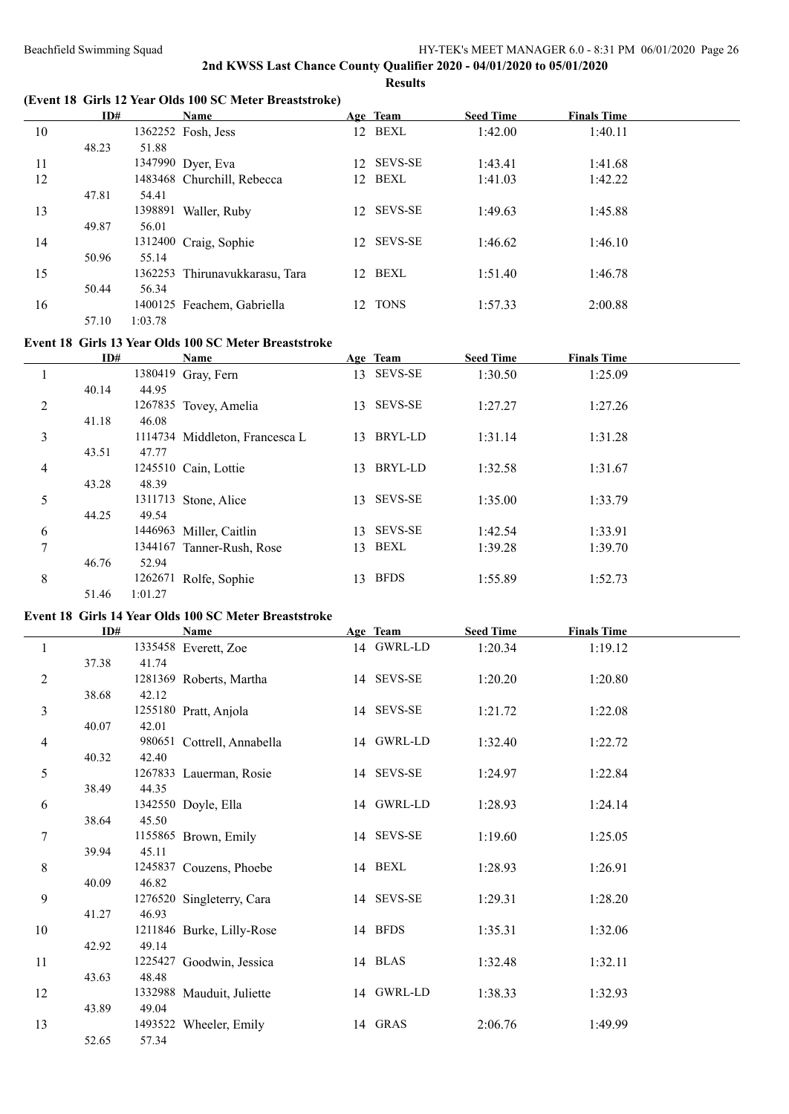### **(Event 18 Girls 12 Year Olds 100 SC Meter Breaststroke)**

|    | ID#   |         | Name                           |     | Age Team       | <b>Seed Time</b> | <b>Finals Time</b> |  |
|----|-------|---------|--------------------------------|-----|----------------|------------------|--------------------|--|
| 10 |       |         | 1362252 Fosh, Jess             | 12. | BEXL           | 1:42.00          | 1:40.11            |  |
|    | 48.23 | 51.88   |                                |     |                |                  |                    |  |
| 11 |       |         | 1347990 Dyer, Eva              | 12. | <b>SEVS-SE</b> | 1:43.41          | 1:41.68            |  |
| 12 |       |         | 1483468 Churchill, Rebecca     | 12. | BEXL           | 1:41.03          | 1:42.22            |  |
|    | 47.81 | 54.41   |                                |     |                |                  |                    |  |
| 13 |       | 1398891 | Waller, Ruby                   | 12. | <b>SEVS-SE</b> | 1:49.63          | 1:45.88            |  |
|    | 49.87 | 56.01   |                                |     |                |                  |                    |  |
| 14 |       |         | 1312400 Craig, Sophie          | 12  | <b>SEVS-SE</b> | 1:46.62          | 1:46.10            |  |
|    | 50.96 | 55.14   |                                |     |                |                  |                    |  |
| 15 |       |         | 1362253 Thirunavukkarasu, Tara | 12. | BEXL           | 1:51.40          | 1:46.78            |  |
|    | 50.44 | 56.34   |                                |     |                |                  |                    |  |
| 16 |       |         | 1400125 Feachem, Gabriella     | 12. | <b>TONS</b>    | 1:57.33          | 2:00.88            |  |
|    | 57.10 | 1:03.78 |                                |     |                |                  |                    |  |

#### **Event 18 Girls 13 Year Olds 100 SC Meter Breaststroke**

|   | ID#   |         | Name                           |    | Age Team       | <b>Seed Time</b> | <b>Finals Time</b> |  |
|---|-------|---------|--------------------------------|----|----------------|------------------|--------------------|--|
|   |       |         | 1380419 Gray, Fern             | 13 | <b>SEVS-SE</b> | 1:30.50          | 1:25.09            |  |
|   | 40.14 | 44.95   |                                |    |                |                  |                    |  |
| 2 |       |         | 1267835 Tovey, Amelia          | 13 | <b>SEVS-SE</b> | 1:27.27          | 1:27.26            |  |
|   | 41.18 | 46.08   |                                |    |                |                  |                    |  |
| 3 |       |         | 1114734 Middleton, Francesca L | 13 | BRYL-LD        | 1:31.14          | 1:31.28            |  |
|   | 43.51 | 47.77   |                                |    |                |                  |                    |  |
| 4 |       |         | 1245510 Cain, Lottie           | 13 | BRYL-LD        | 1:32.58          | 1:31.67            |  |
|   | 43.28 | 48.39   |                                |    |                |                  |                    |  |
| 5 |       |         | 1311713 Stone, Alice           | 13 | <b>SEVS-SE</b> | 1:35.00          | 1:33.79            |  |
|   | 44.25 | 49.54   |                                |    |                |                  |                    |  |
| 6 |       |         | 1446963 Miller, Caitlin        | 13 | <b>SEVS-SE</b> | 1:42.54          | 1:33.91            |  |
| 7 |       |         | 1344167 Tanner-Rush, Rose      | 13 | BEXL           | 1:39.28          | 1:39.70            |  |
|   | 46.76 | 52.94   |                                |    |                |                  |                    |  |
| 8 |       |         | 1262671 Rolfe, Sophie          | 13 | <b>BFDS</b>    | 1:55.89          | 1:52.73            |  |
|   | 51.46 | 1:01.27 |                                |    |                |                  |                    |  |

#### **Event 18 Girls 14 Year Olds 100 SC Meter Breaststroke**

|                | ID#   |         | Name                       | Age Team   | <b>Seed Time</b> | <b>Finals Time</b> |  |
|----------------|-------|---------|----------------------------|------------|------------------|--------------------|--|
| 1              |       |         | 1335458 Everett, Zoe       | 14 GWRL-LD | 1:20.34          | 1:19.12            |  |
|                | 37.38 | 41.74   |                            |            |                  |                    |  |
| $\overline{2}$ |       |         | 1281369 Roberts, Martha    | 14 SEVS-SE | 1:20.20          | 1:20.80            |  |
|                | 38.68 | 42.12   |                            |            |                  |                    |  |
| 3              |       |         | 1255180 Pratt, Anjola      | 14 SEVS-SE | 1:21.72          | 1:22.08            |  |
|                | 40.07 | 42.01   |                            |            |                  |                    |  |
| $\overline{4}$ |       |         | 980651 Cottrell, Annabella | 14 GWRL-LD | 1:32.40          | 1:22.72            |  |
| 5              | 40.32 | 42.40   | 1267833 Lauerman, Rosie    | 14 SEVS-SE | 1:24.97          | 1:22.84            |  |
|                | 38.49 | 44.35   |                            |            |                  |                    |  |
| 6              |       |         | 1342550 Doyle, Ella        | 14 GWRL-LD | 1:28.93          | 1:24.14            |  |
|                | 38.64 | 45.50   |                            |            |                  |                    |  |
| 7              |       |         | 1155865 Brown, Emily       | 14 SEVS-SE | 1:19.60          | 1:25.05            |  |
|                | 39.94 | 45.11   |                            |            |                  |                    |  |
| 8              |       |         | 1245837 Couzens, Phoebe    | 14 BEXL    | 1:28.93          | 1:26.91            |  |
|                | 40.09 | 46.82   |                            |            |                  |                    |  |
| 9              |       |         | 1276520 Singleterry, Cara  | 14 SEVS-SE | 1:29.31          | 1:28.20            |  |
|                | 41.27 | 46.93   |                            |            |                  |                    |  |
| 10             |       |         | 1211846 Burke, Lilly-Rose  | 14 BFDS    | 1:35.31          | 1:32.06            |  |
|                | 42.92 | 49.14   |                            |            |                  |                    |  |
| 11             |       | 1225427 | Goodwin, Jessica           | 14 BLAS    | 1:32.48          | 1:32.11            |  |
| 12             | 43.63 | 48.48   | 1332988 Mauduit, Juliette  | 14 GWRL-LD | 1:38.33          | 1:32.93            |  |
|                | 43.89 | 49.04   |                            |            |                  |                    |  |
| 13             |       |         | 1493522 Wheeler, Emily     | 14 GRAS    | 2:06.76          | 1:49.99            |  |
|                | 52.65 | 57.34   |                            |            |                  |                    |  |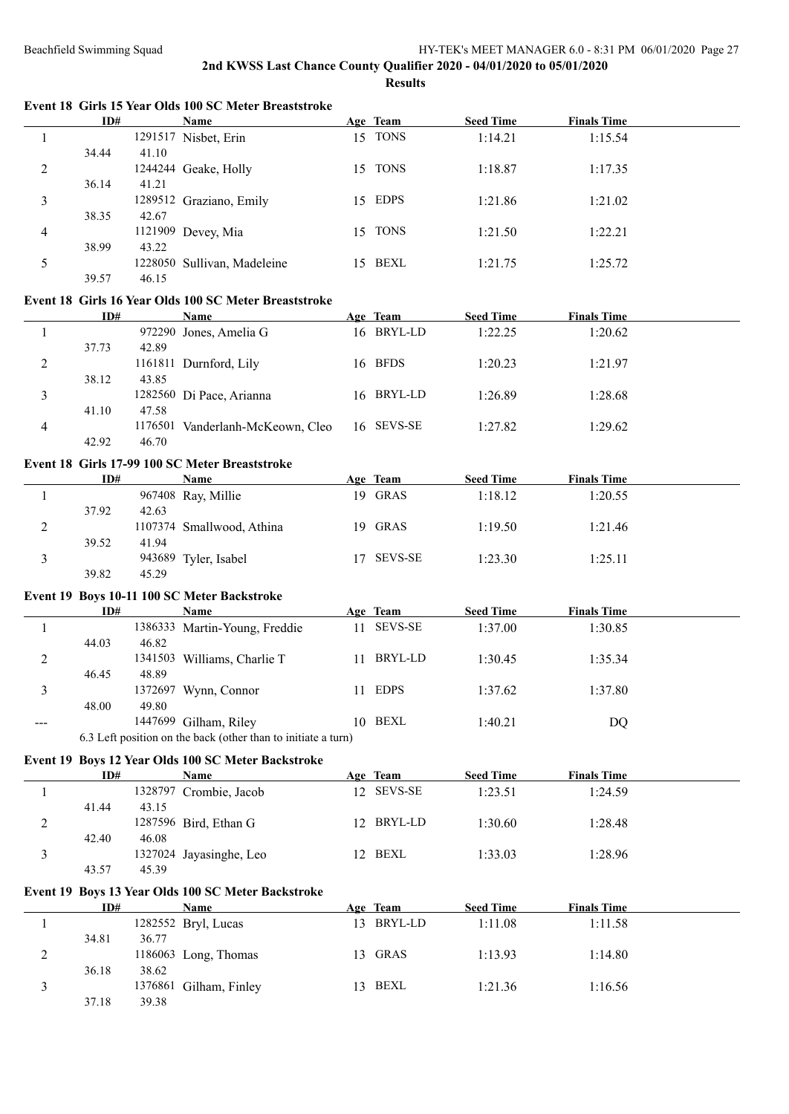|                | ID#   |       | Event 18 Girls 15 Year Olds 100 SC Meter Breaststroke         |            | <b>Seed Time</b> |                    |  |
|----------------|-------|-------|---------------------------------------------------------------|------------|------------------|--------------------|--|
|                |       |       | <b>Name</b>                                                   | Age Team   |                  | <b>Finals Time</b> |  |
| 1              |       |       | 1291517 Nisbet, Erin                                          | 15 TONS    | 1:14.21          | 1:15.54            |  |
|                | 34.44 | 41.10 |                                                               |            |                  |                    |  |
| 2              |       |       | 1244244 Geake, Holly                                          | 15 TONS    | 1:18.87          | 1:17.35            |  |
|                | 36.14 | 41.21 |                                                               |            |                  |                    |  |
| 3              |       |       | 1289512 Graziano, Emily                                       | 15 EDPS    | 1:21.86          | 1:21.02            |  |
|                | 38.35 | 42.67 |                                                               |            |                  |                    |  |
| 4              |       |       | 1121909 Devey, Mia                                            | 15 TONS    | 1:21.50          | 1:22.21            |  |
|                | 38.99 | 43.22 |                                                               |            |                  |                    |  |
| 5              |       |       | 1228050 Sullivan, Madeleine                                   | 15 BEXL    | 1:21.75          | 1:25.72            |  |
|                | 39.57 | 46.15 |                                                               |            |                  |                    |  |
|                |       |       |                                                               |            |                  |                    |  |
|                |       |       | Event 18 Girls 16 Year Olds 100 SC Meter Breaststroke         |            |                  |                    |  |
|                | ID#   |       | Name                                                          | Age Team   | <b>Seed Time</b> | <b>Finals Time</b> |  |
| $\mathbf{1}$   |       |       | 972290 Jones, Amelia G                                        | 16 BRYL-LD | 1:22.25          | 1:20.62            |  |
|                | 37.73 | 42.89 |                                                               |            |                  |                    |  |
| $\overline{c}$ |       |       | 1161811 Durnford, Lily                                        | 16 BFDS    | 1:20.23          | 1:21.97            |  |
|                | 38.12 | 43.85 |                                                               |            |                  |                    |  |
| 3              |       |       | 1282560 Di Pace, Arianna                                      | 16 BRYL-LD | 1:26.89          | 1:28.68            |  |
|                | 41.10 | 47.58 |                                                               |            |                  |                    |  |
| 4              |       |       | 1176501 Vanderlanh-McKeown, Cleo                              | 16 SEVS-SE | 1:27.82          | 1:29.62            |  |
|                | 42.92 | 46.70 |                                                               |            |                  |                    |  |
|                |       |       | Event 18 Girls 17-99 100 SC Meter Breaststroke                |            |                  |                    |  |
|                | ID#   |       | Name                                                          | Age Team   | <b>Seed Time</b> | <b>Finals Time</b> |  |
| 1              |       |       | 967408 Ray, Millie                                            | 19 GRAS    | 1:18.12          | 1:20.55            |  |
|                |       |       |                                                               |            |                  |                    |  |
|                | 37.92 | 42.63 |                                                               |            |                  |                    |  |
| 2              |       |       | 1107374 Smallwood, Athina                                     | 19 GRAS    | 1:19.50          | 1:21.46            |  |
|                | 39.52 | 41.94 |                                                               |            |                  |                    |  |
| 3              |       |       | 943689 Tyler, Isabel                                          | 17 SEVS-SE | 1:23.30          | 1:25.11            |  |
|                | 39.82 | 45.29 |                                                               |            |                  |                    |  |
|                |       |       | Event 19 Boys 10-11 100 SC Meter Backstroke                   |            |                  |                    |  |
|                | ID#   |       | <b>Name</b>                                                   | Age Team   | <b>Seed Time</b> | <b>Finals Time</b> |  |
| 1              |       |       | 1386333 Martin-Young, Freddie                                 | 11 SEVS-SE | 1:37.00          | 1:30.85            |  |
|                | 44.03 | 46.82 |                                                               |            |                  |                    |  |
| 2              |       |       | 1341503 Williams, Charlie T                                   | 11 BRYL-LD | 1:30.45          | 1:35.34            |  |
|                | 46.45 | 48.89 |                                                               |            |                  |                    |  |
| 3              |       |       | 1372697 Wynn, Connor                                          | 11 EDPS    | 1:37.62          | 1:37.80            |  |
|                |       | 49.80 |                                                               |            |                  |                    |  |
|                | 48.00 |       |                                                               | 10 BEXL    |                  |                    |  |
| ---            |       |       | 1447699 Gilham, Riley                                         |            | 1:40.21          | DQ                 |  |
|                |       |       | 6.3 Left position on the back (other than to initiate a turn) |            |                  |                    |  |
|                |       |       | Event 19 Boys 12 Year Olds 100 SC Meter Backstroke            |            |                  |                    |  |
|                | ID#   |       | Name                                                          | Age Team   | <b>Seed Time</b> | <b>Finals Time</b> |  |
| $\mathbf{1}$   |       |       | 1328797 Crombie, Jacob                                        | 12 SEVS-SE | 1:23.51          | 1:24.59            |  |
|                | 41.44 | 43.15 |                                                               |            |                  |                    |  |
| 2              |       |       | 1287596 Bird, Ethan G                                         | 12 BRYL-LD | 1:30.60          | 1:28.48            |  |
|                | 42.40 | 46.08 |                                                               |            |                  |                    |  |
| 3              |       |       | 1327024 Jayasinghe, Leo                                       | 12 BEXL    | 1:33.03          | 1:28.96            |  |
|                | 43.57 | 45.39 |                                                               |            |                  |                    |  |
|                |       |       |                                                               |            |                  |                    |  |
|                |       |       | Event 19 Boys 13 Year Olds 100 SC Meter Backstroke            |            |                  |                    |  |
|                | ID#   |       | <b>Name</b>                                                   | Age Team   | <b>Seed Time</b> | <b>Finals Time</b> |  |
| 1              |       |       | 1282552 Bryl, Lucas                                           | 13 BRYL-LD | 1:11.08          | 1:11.58            |  |
|                | 34.81 | 36.77 |                                                               |            |                  |                    |  |
| 2              |       |       | 1186063 Long, Thomas                                          | 13 GRAS    | 1:13.93          | 1:14.80            |  |
|                | 36.18 | 38.62 |                                                               |            |                  |                    |  |
| 3              |       |       | 1376861 Gilham, Finley                                        | 13 BEXL    | 1:21.36          | 1:16.56            |  |
|                | 37.18 | 39.38 |                                                               |            |                  |                    |  |
|                |       |       |                                                               |            |                  |                    |  |
|                |       |       |                                                               |            |                  |                    |  |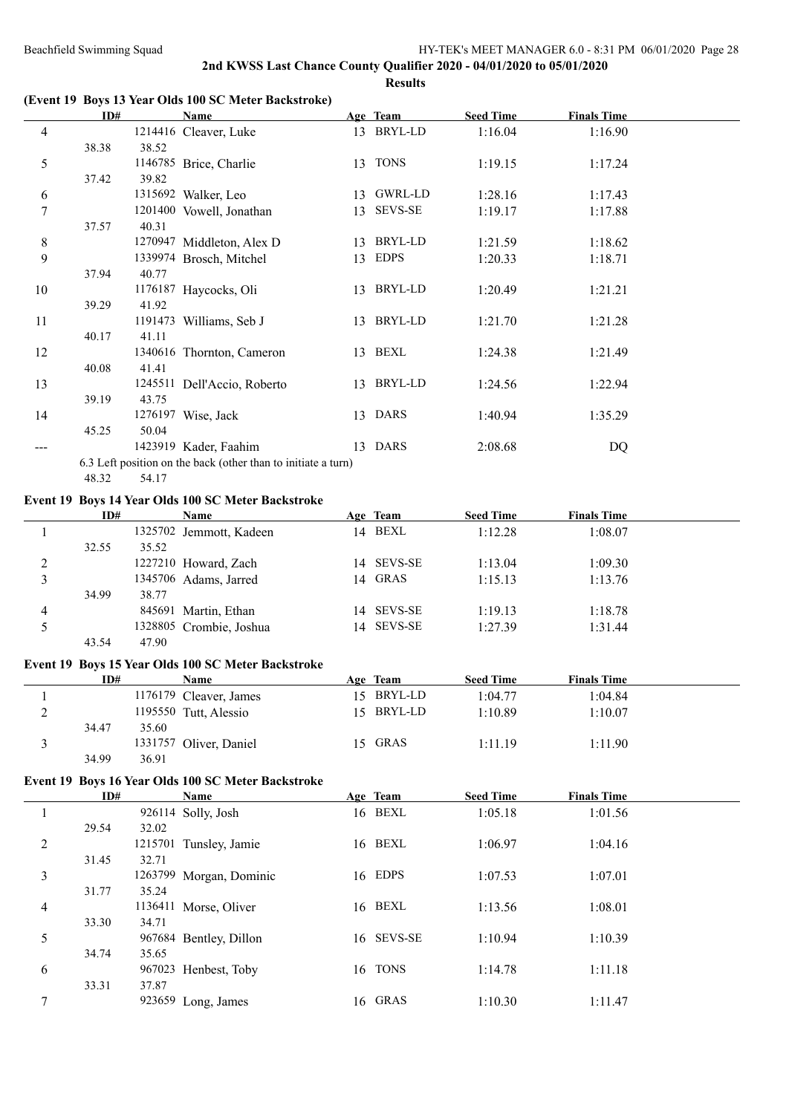### **(Event 19 Boys 13 Year Olds 100 SC Meter Backstroke)**

|                | ID#   |         | Name                                                          |    | Age Team       | <b>Seed Time</b> | <b>Finals Time</b> |  |
|----------------|-------|---------|---------------------------------------------------------------|----|----------------|------------------|--------------------|--|
| 4              |       |         | 1214416 Cleaver, Luke                                         |    | 13 BRYL-LD     | 1:16.04          | 1:16.90            |  |
|                | 38.38 | 38.52   |                                                               |    |                |                  |                    |  |
| 5              |       |         | 1146785 Brice, Charlie                                        |    | 13 TONS        | 1:19.15          | 1:17.24            |  |
|                | 37.42 | 39.82   |                                                               |    |                |                  |                    |  |
| 6              |       |         | 1315692 Walker, Leo                                           |    | 13 GWRL-LD     | 1:28.16          | 1:17.43            |  |
| $\overline{7}$ |       |         | 1201400 Vowell, Jonathan                                      | 13 | <b>SEVS-SE</b> | 1:19.17          | 1:17.88            |  |
|                | 37.57 | 40.31   |                                                               |    |                |                  |                    |  |
| $\,8\,$        |       | 1270947 | Middleton, Alex D                                             | 13 | BRYL-LD        | 1:21.59          | 1:18.62            |  |
| 9              |       |         | 1339974 Brosch, Mitchel                                       | 13 | <b>EDPS</b>    | 1:20.33          | 1:18.71            |  |
|                | 37.94 | 40.77   |                                                               |    |                |                  |                    |  |
| 10             |       |         | 1176187 Haycocks, Oli                                         |    | 13 BRYL-LD     | 1:20.49          | 1:21.21            |  |
|                | 39.29 | 41.92   |                                                               |    |                |                  |                    |  |
| 11             |       | 1191473 | Williams, Seb J                                               | 13 | BRYL-LD        | 1:21.70          | 1:21.28            |  |
|                | 40.17 | 41.11   |                                                               |    |                |                  |                    |  |
| 12             |       |         | 1340616 Thornton, Cameron                                     | 13 | BEXL           | 1:24.38          | 1:21.49            |  |
|                | 40.08 | 41.41   |                                                               |    |                |                  |                    |  |
| 13             |       |         | 1245511 Dell'Accio, Roberto                                   | 13 | BRYL-LD        | 1:24.56          | 1:22.94            |  |
|                | 39.19 | 43.75   |                                                               |    |                |                  |                    |  |
| 14             |       |         | 1276197 Wise, Jack                                            |    | 13 DARS        | 1:40.94          | 1:35.29            |  |
|                | 45.25 | 50.04   |                                                               |    |                |                  |                    |  |
|                |       |         | 1423919 Kader, Faahim                                         |    | 13 DARS        | 2:08.68          | DQ                 |  |
|                |       |         | 6.3 Left position on the back (other than to initiate a turn) |    |                |                  |                    |  |
|                | 48.32 | 54.17   |                                                               |    |                |                  |                    |  |

### **Event 19 Boys 14 Year Olds 100 SC Meter Backstroke**

|   | ID#   |       | Name                    | Age Team   | <b>Seed Time</b> | <b>Finals Time</b> |  |
|---|-------|-------|-------------------------|------------|------------------|--------------------|--|
|   |       |       | 1325702 Jemmott, Kadeen | 14 BEXL    | 1:12.28          | 1:08.07            |  |
|   | 32.55 | 35.52 |                         |            |                  |                    |  |
|   |       |       | 1227210 Howard, Zach    | 14 SEVS-SE | 1:13.04          | 1:09.30            |  |
|   |       |       | 1345706 Adams, Jarred   | 14 GRAS    | 1:15.13          | 1:13.76            |  |
|   | 34.99 | 38.77 |                         |            |                  |                    |  |
| 4 |       |       | 845691 Martin, Ethan    | 14 SEVS-SE | 1:19.13          | 1:18.78            |  |
|   |       |       | 1328805 Crombie, Joshua | 14 SEVS-SE | 1:27.39          | 1:31.44            |  |
|   | 43.54 | 47.90 |                         |            |                  |                    |  |

#### **Event 19 Boys 15 Year Olds 100 SC Meter Backstroke**

|   | ID#            | Name                   | Age Team   | <b>Seed Time</b> | <b>Finals Time</b> |  |
|---|----------------|------------------------|------------|------------------|--------------------|--|
|   |                | 1176179 Cleaver, James | 15 BRYL-LD | 1:04.77          | 1:04.84            |  |
| ∠ |                | 1195550 Tutt, Alessio  | 15 BRYL-LD | 1:10.89          | 1:10.07            |  |
|   | 34.47          | 35.60                  |            |                  |                    |  |
|   |                | 1331757 Oliver, Daniel | 15 GRAS    | 1:11.19          | 1:11.90            |  |
|   | 34.99<br>36.91 |                        |            |                  |                    |  |

#### **Event 19 Boys 16 Year Olds 100 SC Meter Backstroke**

|   | ID#   |        | <b>Name</b>             | Age Team   | <b>Seed Time</b> | <b>Finals Time</b> |  |
|---|-------|--------|-------------------------|------------|------------------|--------------------|--|
|   |       |        | 926114 Solly, Josh      | 16 BEXL    | 1:05.18          | 1:01.56            |  |
|   | 29.54 | 32.02  |                         |            |                  |                    |  |
| 2 |       |        | 1215701 Tunsley, Jamie  | 16 BEXL    | 1:06.97          | 1:04.16            |  |
|   | 31.45 | 32.71  |                         |            |                  |                    |  |
| 3 |       |        | 1263799 Morgan, Dominic | 16 EDPS    | 1:07.53          | 1:07.01            |  |
|   | 31.77 | 35.24  |                         |            |                  |                    |  |
| 4 |       |        | 1136411 Morse, Oliver   | 16 BEXL    | 1:13.56          | 1:08.01            |  |
|   | 33.30 | 34.71  |                         |            |                  |                    |  |
| 5 |       |        | 967684 Bentley, Dillon  | 16 SEVS-SE | 1:10.94          | 1:10.39            |  |
|   | 34.74 | 35.65  |                         |            |                  |                    |  |
| 6 |       | 967023 | Henbest, Toby           | 16 TONS    | 1:14.78          | 1:11.18            |  |
|   | 33.31 | 37.87  |                         |            |                  |                    |  |
| ⇁ |       |        | 923659 Long, James      | 16 GRAS    | 1:10.30          | 1:11.47            |  |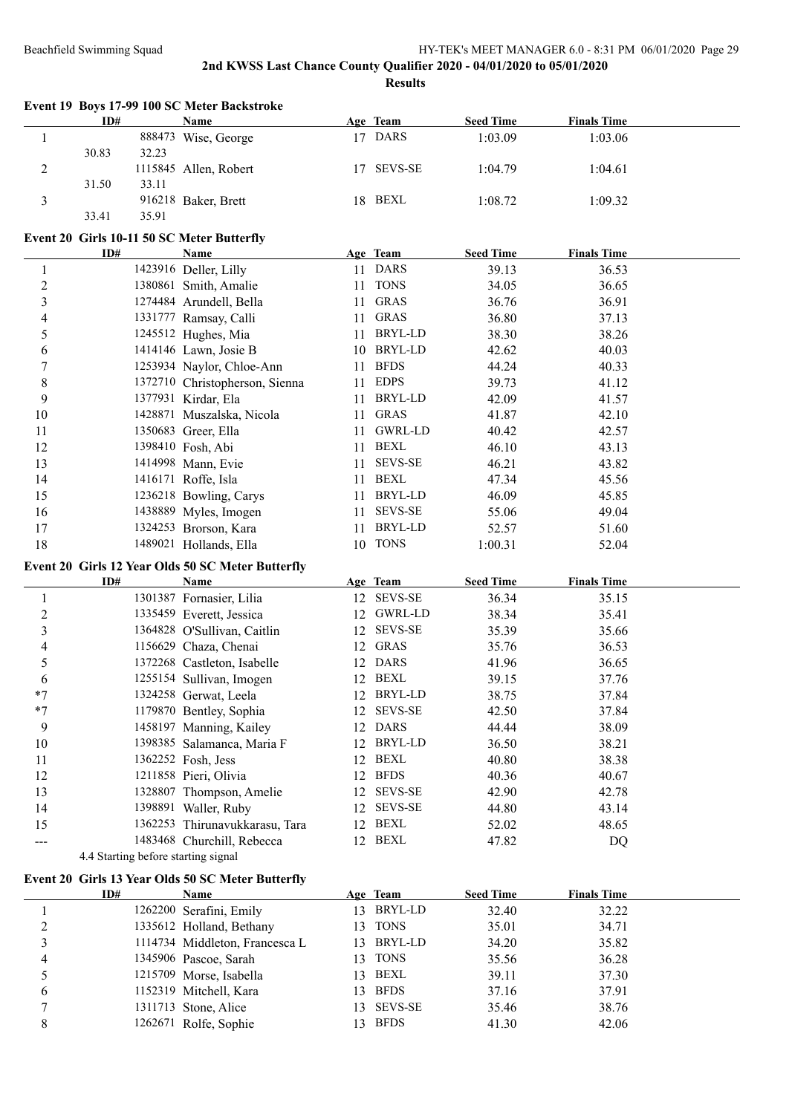|                  | ID#   |       | Event 19 Boys 17-99 100 SC Meter Backstroke<br>Name |    | Age Team                  | <b>Seed Time</b> | <b>Finals Time</b> |  |
|------------------|-------|-------|-----------------------------------------------------|----|---------------------------|------------------|--------------------|--|
| 1                |       |       | 888473 Wise, George                                 |    | 17 DARS                   | 1:03.09          | 1:03.06            |  |
|                  | 30.83 | 32.23 |                                                     |    |                           |                  |                    |  |
| 2                |       |       | 1115845 Allen, Robert                               |    | 17 SEVS-SE                | 1:04.79          | 1:04.61            |  |
|                  | 31.50 | 33.11 |                                                     |    |                           |                  |                    |  |
| 3                |       |       | 916218 Baker, Brett                                 |    | 18 BEXL                   | 1:08.72          | 1:09.32            |  |
|                  | 33.41 | 35.91 |                                                     |    |                           |                  |                    |  |
|                  |       |       | Event 20 Girls 10-11 50 SC Meter Butterfly          |    |                           |                  |                    |  |
|                  | ID#   |       | Name                                                |    | Age Team                  | <b>Seed Time</b> | <b>Finals Time</b> |  |
| $\mathbf{1}$     |       |       | 1423916 Deller, Lilly                               |    | 11 DARS                   | 39.13            | 36.53              |  |
| $\boldsymbol{2}$ |       |       | 1380861 Smith, Amalie                               |    | 11 TONS                   | 34.05            | 36.65              |  |
| 3                |       |       | 1274484 Arundell, Bella                             |    | 11 GRAS                   | 36.76            | 36.91              |  |
| 4                |       |       | 1331777 Ramsay, Calli                               |    | 11 GRAS                   | 36.80            | 37.13              |  |
| 5                |       |       | 1245512 Hughes, Mia                                 |    | 11 BRYL-LD                | 38.30            | 38.26              |  |
| 6                |       |       | 1414146 Lawn, Josie B                               |    | 10 BRYL-LD                | 42.62            | 40.03              |  |
| 7                |       |       | 1253934 Naylor, Chloe-Ann                           | 11 | <b>BFDS</b>               | 44.24            | 40.33              |  |
| 8                |       |       | 1372710 Christopherson, Sienna                      |    | 11 EDPS                   | 39.73            | 41.12              |  |
| 9                |       |       | 1377931 Kirdar, Ela                                 |    | 11 BRYL-LD                | 42.09            | 41.57              |  |
| 10               |       |       | 1428871 Muszalska, Nicola                           |    | 11 GRAS                   | 41.87            | 42.10              |  |
| 11               |       |       | 1350683 Greer, Ella                                 |    | 11 GWRL-LD                | 40.42            | 42.57              |  |
| 12               |       |       | 1398410 Fosh, Abi                                   |    | 11 BEXL                   | 46.10            | 43.13              |  |
| 13               |       |       | 1414998 Mann, Evie                                  |    | 11 SEVS-SE                | 46.21            | 43.82              |  |
| 14               |       |       | 1416171 Roffe, Isla                                 |    | 11 BEXL                   | 47.34            | 45.56              |  |
| 15               |       |       | 1236218 Bowling, Carys                              |    | 11 BRYL-LD                | 46.09            | 45.85              |  |
| 16               |       |       | 1438889 Myles, Imogen                               |    | <b>SEVS-SE</b>            | 55.06            |                    |  |
|                  |       |       |                                                     | 11 | <b>BRYL-LD</b>            |                  | 49.04              |  |
| 17               |       |       | 1324253 Brorson, Kara                               | 11 |                           | 52.57            | 51.60              |  |
| 18               |       |       | 1489021 Hollands, Ella                              |    | 10 TONS                   | 1:00.31          | 52.04              |  |
|                  |       |       | Event 20 Girls 12 Year Olds 50 SC Meter Butterfly   |    |                           |                  |                    |  |
|                  | ID#   |       | <b>Name</b>                                         |    | Age Team                  | <b>Seed Time</b> | <b>Finals Time</b> |  |
| 1                |       |       | 1301387 Fornasier, Lilia                            |    | 12 SEVS-SE                | 36.34            | 35.15              |  |
| $\overline{c}$   |       |       | 1335459 Everett, Jessica                            |    | 12 GWRL-LD                | 38.34            | 35.41              |  |
| $\mathfrak{Z}$   |       |       | 1364828 O'Sullivan, Caitlin                         |    | 12 SEVS-SE                | 35.39            | 35.66              |  |
| 4                |       |       | 1156629 Chaza, Chenai                               |    | 12 GRAS                   | 35.76            | 36.53              |  |
| 5                |       |       | 1372268 Castleton, Isabelle                         |    | 12 DARS                   | 41.96            | 36.65              |  |
| 6                |       |       | 1255154 Sullivan, Imogen                            |    | 12 BEXL                   | 39.15            | 37.76              |  |
| $*7$             |       |       | 1324258 Gerwat, Leela                               |    | 12 BRYL-LD                | 38.75            | 37.84              |  |
| $*7$             |       |       | 1179870 Bentley, Sophia                             | 12 | <b>SEVS-SE</b>            | 42.50            | 37.84              |  |
| 9                |       |       | 1458197 Manning, Kailey                             | 12 | <b>DARS</b>               | 44.44            | 38.09              |  |
| 10               |       |       | 1398385 Salamanca, Maria F                          | 12 | BRYL-LD                   | 36.50            | 38.21              |  |
| 11               |       |       | 1362252 Fosh, Jess                                  |    | 12 BEXL                   | 40.80            | 38.38              |  |
| 12               |       |       | 1211858 Pieri, Olivia                               | 12 | <b>BFDS</b>               | 40.36            | 40.67              |  |
| 13               |       |       | 1328807 Thompson, Amelie                            |    | 12 SEVS-SE                | 42.90            | 42.78              |  |
| 14               |       |       | 1398891 Waller, Ruby                                | 12 | <b>SEVS-SE</b>            | 44.80            | 43.14              |  |
| 15               |       |       | 1362253 Thirunavukkarasu, Tara                      |    | 12 BEXL                   | 52.02            | 48.65              |  |
|                  |       |       | 1483468 Churchill, Rebecca                          |    | 12 BEXL                   | 47.82            | DQ                 |  |
|                  |       |       | 4.4 Starting before starting signal                 |    |                           |                  |                    |  |
|                  |       |       | Event 20 Girls 13 Year Olds 50 SC Meter Butterfly   |    |                           |                  |                    |  |
|                  |       |       | <b>Name</b>                                         |    | Age Team                  | <b>Seed Time</b> | <b>Finals Time</b> |  |
|                  |       |       |                                                     |    | 13 BRYL-LD                | 32.40            | 32.22              |  |
|                  | ID#   |       |                                                     |    |                           |                  |                    |  |
| 1                |       |       | 1262200 Serafini, Emily                             |    |                           |                  |                    |  |
| $\mathfrak{2}$   |       |       | 1335612 Holland, Bethany                            | 13 | <b>TONS</b>               | 35.01            | 34.71              |  |
| 3                |       |       | 1114734 Middleton, Francesca L                      | 13 | BRYL-LD                   | 34.20            | 35.82              |  |
| 4                |       |       | 1345906 Pascoe, Sarah                               | 13 | <b>TONS</b>               | 35.56            | 36.28              |  |
| 5                |       |       | 1215709 Morse, Isabella                             | 13 | BEXL                      | 39.11            | 37.30              |  |
| 6                |       |       | 1152319 Mitchell, Kara                              |    | 13 BFDS                   | 37.16            | 37.91              |  |
| 7<br>8           |       |       | 1311713 Stone, Alice<br>1262671 Rolfe, Sophie       | 13 | <b>SEVS-SE</b><br>13 BFDS | 35.46<br>41.30   | 38.76<br>42.06     |  |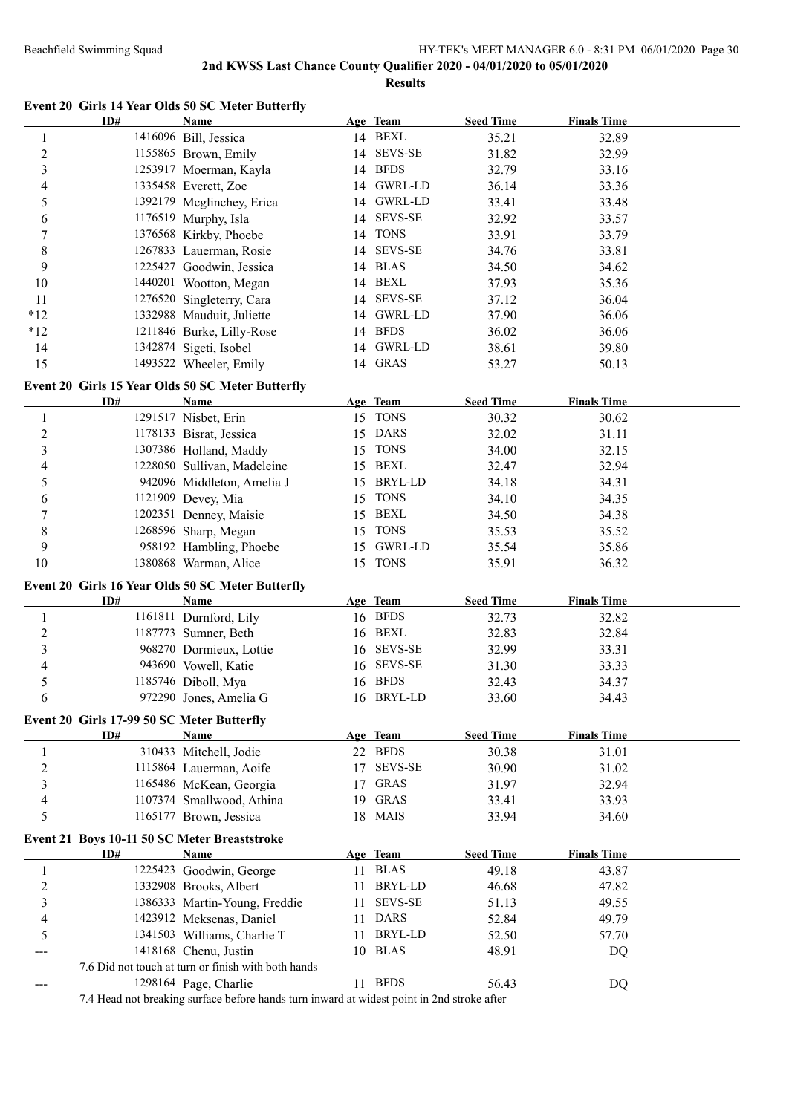**Results**

|                         | ID#                                        | <b>Name</b>                                         |    | Age Team            | <b>Seed Time</b> | <b>Finals Time</b> |  |
|-------------------------|--------------------------------------------|-----------------------------------------------------|----|---------------------|------------------|--------------------|--|
| 1                       |                                            | 1416096 Bill, Jessica                               |    | 14 BEXL             | 35.21            | 32.89              |  |
| $\overline{c}$          |                                            | 1155865 Brown, Emily                                |    | 14 SEVS-SE          | 31.82            | 32.99              |  |
| $\overline{\mathbf{3}}$ |                                            | 1253917 Moerman, Kayla                              |    | 14 BFDS             | 32.79            | 33.16              |  |
| 4                       |                                            | 1335458 Everett, Zoe                                |    | 14 GWRL-LD          | 36.14            | 33.36              |  |
| 5                       |                                            | 1392179 Mcglinchey, Erica                           |    | 14 GWRL-LD          | 33.41            | 33.48              |  |
| 6                       |                                            | 1176519 Murphy, Isla                                | 14 | <b>SEVS-SE</b>      | 32.92            | 33.57              |  |
| 7                       |                                            | 1376568 Kirkby, Phoebe                              | 14 | <b>TONS</b>         | 33.91            | 33.79              |  |
| 8                       |                                            | 1267833 Lauerman, Rosie                             | 14 | <b>SEVS-SE</b>      | 34.76            | 33.81              |  |
| 9                       |                                            | 1225427 Goodwin, Jessica                            | 14 | <b>BLAS</b>         | 34.50            | 34.62              |  |
| 10                      |                                            | 1440201 Wootton, Megan                              |    | 14 BEXL             | 37.93            | 35.36              |  |
| 11                      |                                            | 1276520 Singleterry, Cara                           | 14 | <b>SEVS-SE</b>      | 37.12            | 36.04              |  |
| $*12$                   |                                            | 1332988 Mauduit, Juliette                           |    | 14 GWRL-LD          | 37.90            | 36.06              |  |
| $*12$                   |                                            | 1211846 Burke, Lilly-Rose                           | 14 | <b>BFDS</b>         | 36.02            | 36.06              |  |
| 14                      |                                            | 1342874 Sigeti, Isobel                              |    | 14 GWRL-LD          | 38.61            | 39.80              |  |
| 15                      |                                            | 1493522 Wheeler, Emily                              |    | 14 GRAS             | 53.27            | 50.13              |  |
|                         |                                            |                                                     |    |                     |                  |                    |  |
|                         |                                            | Event 20 Girls 15 Year Olds 50 SC Meter Butterfly   |    |                     |                  |                    |  |
|                         | ID#                                        | <b>Name</b>                                         |    | Age Team            | <b>Seed Time</b> | <b>Finals Time</b> |  |
| $\mathbf{1}$            |                                            | 1291517 Nisbet, Erin                                |    | 15 TONS             | 30.32            | 30.62              |  |
| $\boldsymbol{2}$        |                                            | 1178133 Bisrat, Jessica                             | 15 | DARS                | 32.02            | 31.11              |  |
| $\overline{\mathbf{3}}$ |                                            | 1307386 Holland, Maddy                              |    | 15 TONS             | 34.00            | 32.15              |  |
| 4                       |                                            | 1228050 Sullivan, Madeleine                         |    | 15 BEXL             | 32.47            | 32.94              |  |
| 5                       |                                            | 942096 Middleton, Amelia J                          | 15 | BRYL-LD             | 34.18            | 34.31              |  |
| 6                       |                                            | 1121909 Devey, Mia                                  |    | 15 TONS             | 34.10            | 34.35              |  |
| 7                       |                                            | 1202351 Denney, Maisie                              |    | 15 BEXL             | 34.50            | 34.38              |  |
| 8                       |                                            | 1268596 Sharp, Megan                                |    | 15 TONS             | 35.53            | 35.52              |  |
| 9                       |                                            | 958192 Hambling, Phoebe                             |    | 15 GWRL-LD          | 35.54            | 35.86              |  |
| 10                      |                                            | 1380868 Warman, Alice                               |    | 15 TONS             | 35.91            | 36.32              |  |
|                         |                                            | Event 20 Girls 16 Year Olds 50 SC Meter Butterfly   |    |                     |                  |                    |  |
|                         | ID#                                        | <b>Name</b>                                         |    | Age Team            | <b>Seed Time</b> | <b>Finals Time</b> |  |
| 1                       |                                            | 1161811 Durnford, Lily                              |    | 16 BFDS             | 32.73            | 32.82              |  |
| $\overline{c}$          |                                            | 1187773 Sumner, Beth                                |    | 16 BEXL             | 32.83            | 32.84              |  |
| 3                       |                                            | 968270 Dormieux, Lottie                             |    | 16 SEVS-SE          | 32.99            | 33.31              |  |
| 4                       |                                            | 943690 Vowell, Katie                                | 16 | <b>SEVS-SE</b>      | 31.30            | 33.33              |  |
| 5                       |                                            | 1185746 Diboll, Mya                                 | 16 | <b>BFDS</b>         | 32.43            | 34.37              |  |
| 6                       |                                            | 972290 Jones, Amelia G                              |    | 16 BRYL-LD          | 33.60            | 34.43              |  |
|                         |                                            |                                                     |    |                     |                  |                    |  |
|                         | Event 20 Girls 17-99 50 SC Meter Butterfly |                                                     |    |                     |                  |                    |  |
|                         | ID#                                        | Name<br>310433 Mitchell, Jodie                      |    | Age Team<br>22 BFDS | <b>Seed Time</b> | <b>Finals Time</b> |  |
| 1                       |                                            |                                                     |    |                     | 30.38            | 31.01              |  |
| $\overline{c}$          |                                            | 1115864 Lauerman, Aoife                             | 17 | <b>SEVS-SE</b>      | 30.90            | 31.02              |  |
| 3                       |                                            | 1165486 McKean, Georgia                             | 17 | <b>GRAS</b>         | 31.97            | 32.94              |  |
| 4                       |                                            | 1107374 Smallwood, Athina                           | 19 | <b>GRAS</b>         | 33.41            | 33.93              |  |
| 5                       |                                            | 1165177 Brown, Jessica                              |    | 18 MAIS             | 33.94            | 34.60              |  |
|                         |                                            | Event 21 Boys 10-11 50 SC Meter Breaststroke        |    |                     |                  |                    |  |
|                         | ID#                                        | <b>Name</b>                                         |    | Age Team            | <b>Seed Time</b> | <b>Finals Time</b> |  |
| $\mathbf{1}$            |                                            | 1225423 Goodwin, George                             | 11 | <b>BLAS</b>         | 49.18            | 43.87              |  |
| $\overline{c}$          |                                            | 1332908 Brooks, Albert                              | 11 | <b>BRYL-LD</b>      | 46.68            | 47.82              |  |
| $\overline{\mathbf{3}}$ |                                            | 1386333 Martin-Young, Freddie                       | 11 | <b>SEVS-SE</b>      | 51.13            | 49.55              |  |
| 4                       |                                            | 1423912 Meksenas, Daniel                            | 11 | <b>DARS</b>         | 52.84            | 49.79              |  |
| 5                       |                                            | 1341503 Williams, Charlie T                         | 11 | BRYL-LD             | 52.50            | 57.70              |  |
|                         |                                            | 1418168 Chenu, Justin                               | 10 | <b>BLAS</b>         | 48.91            | DQ                 |  |
|                         |                                            | 7.6 Did not touch at turn or finish with both hands |    |                     |                  |                    |  |
| ---                     |                                            | 1298164 Page, Charlie                               |    | 11 BFDS             | 56.43            | DQ                 |  |
|                         |                                            |                                                     |    |                     |                  |                    |  |

7.4 Head not breaking surface before hands turn inward at widest point in 2nd stroke after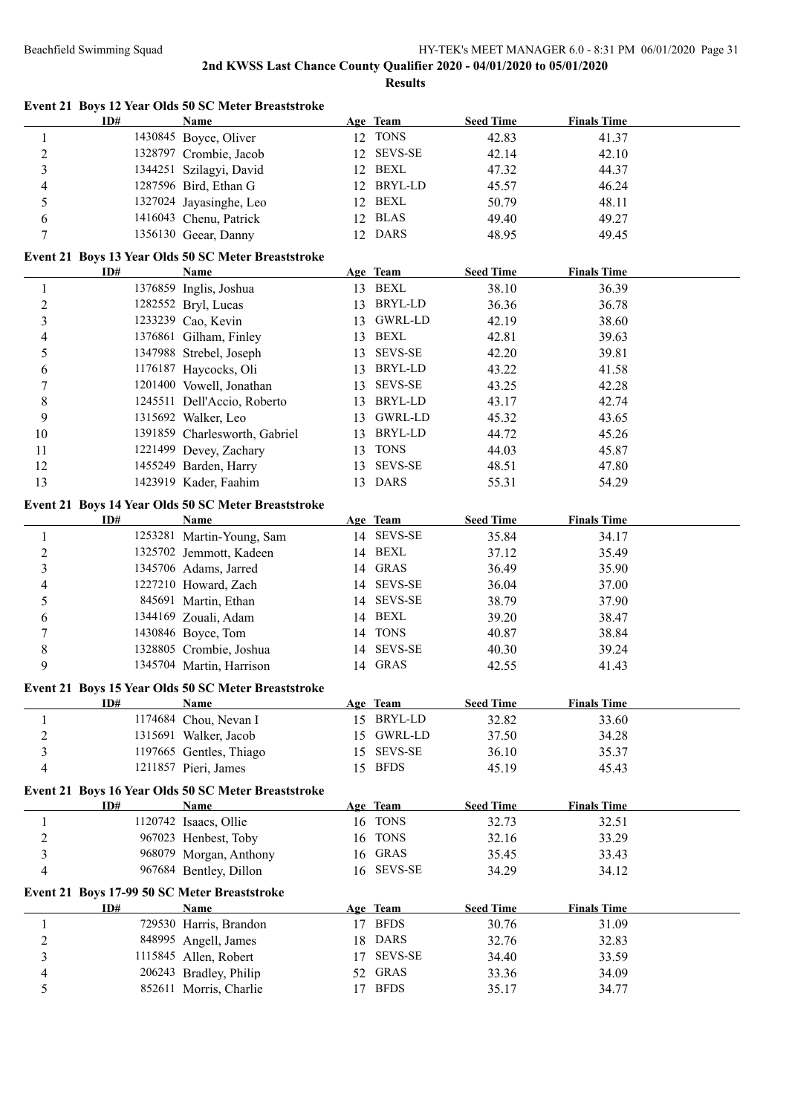|                  | ID# | Event 21 Boys 12 Year Olds 50 SC Meter Breaststroke<br><b>Name</b> |    | Age Team       | <b>Seed Time</b> | <b>Finals Time</b> |  |
|------------------|-----|--------------------------------------------------------------------|----|----------------|------------------|--------------------|--|
| $\mathbf{1}$     |     | 1430845 Boyce, Oliver                                              |    | 12 TONS        | 42.83            | 41.37              |  |
| $\sqrt{2}$       |     | 1328797 Crombie, Jacob                                             |    | 12 SEVS-SE     | 42.14            | 42.10              |  |
| 3                |     | 1344251 Szilagyi, David                                            |    | 12 BEXL        | 47.32            | 44.37              |  |
| 4                |     | 1287596 Bird, Ethan G                                              |    | 12 BRYL-LD     | 45.57            | 46.24              |  |
| 5                |     | 1327024 Jayasinghe, Leo                                            |    | 12 BEXL        | 50.79            | 48.11              |  |
| 6                |     | 1416043 Chenu, Patrick                                             |    | 12 BLAS        | 49.40            | 49.27              |  |
| 7                |     | 1356130 Geear, Danny                                               |    | 12 DARS        | 48.95            | 49.45              |  |
|                  |     |                                                                    |    |                |                  |                    |  |
|                  |     | Event 21 Boys 13 Year Olds 50 SC Meter Breaststroke                |    |                |                  |                    |  |
|                  | ID# | <b>Name</b>                                                        |    | Age Team       | <b>Seed Time</b> | <b>Finals Time</b> |  |
| $\mathbf{1}$     |     | 1376859 Inglis, Joshua                                             |    | 13 BEXL        | 38.10            | 36.39              |  |
| $\overline{c}$   |     | 1282552 Bryl, Lucas                                                |    | 13 BRYL-LD     | 36.36            | 36.78              |  |
| $\mathfrak{Z}$   |     | 1233239 Cao, Kevin                                                 |    | 13 GWRL-LD     | 42.19            | 38.60              |  |
| 4                |     | 1376861 Gilham, Finley                                             |    | 13 BEXL        | 42.81            | 39.63              |  |
| 5                |     | 1347988 Strebel, Joseph                                            |    | 13 SEVS-SE     | 42.20            | 39.81              |  |
| 6                |     | 1176187 Haycocks, Oli                                              |    | 13 BRYL-LD     | 43.22            | 41.58              |  |
| 7                |     | 1201400 Vowell, Jonathan                                           | 13 | <b>SEVS-SE</b> | 43.25            | 42.28              |  |
| 8                |     | 1245511 Dell'Accio, Roberto                                        |    | 13 BRYL-LD     | 43.17            | 42.74              |  |
| 9                |     | 1315692 Walker, Leo                                                |    | 13 GWRL-LD     | 45.32            | 43.65              |  |
| 10               |     | 1391859 Charlesworth, Gabriel                                      |    | 13 BRYL-LD     | 44.72            | 45.26              |  |
| 11               |     | 1221499 Devey, Zachary                                             |    | 13 TONS        | 44.03            | 45.87              |  |
| 12               |     | 1455249 Barden, Harry                                              | 13 | <b>SEVS-SE</b> | 48.51            | 47.80              |  |
| 13               |     | 1423919 Kader, Faahim                                              |    | 13 DARS        | 55.31            | 54.29              |  |
|                  |     | Event 21 Boys 14 Year Olds 50 SC Meter Breaststroke                |    |                |                  |                    |  |
|                  | ID# | <b>Name</b>                                                        |    | Age Team       | <b>Seed Time</b> | <b>Finals Time</b> |  |
| $\mathbf{1}$     |     | 1253281 Martin-Young, Sam                                          |    | 14 SEVS-SE     | 35.84            | 34.17              |  |
| $\overline{c}$   |     | 1325702 Jemmott, Kadeen                                            |    | 14 BEXL        | 37.12            | 35.49              |  |
| 3                |     | 1345706 Adams, Jarred                                              |    | 14 GRAS        | 36.49            | 35.90              |  |
| $\overline{4}$   |     | 1227210 Howard, Zach                                               |    | 14 SEVS-SE     | 36.04            | 37.00              |  |
| 5                |     | 845691 Martin, Ethan                                               |    | 14 SEVS-SE     | 38.79            | 37.90              |  |
| 6                |     | 1344169 Zouali, Adam                                               |    | 14 BEXL        | 39.20            | 38.47              |  |
| 7                |     | 1430846 Boyce, Tom                                                 |    | 14 TONS        | 40.87            | 38.84              |  |
| $\,8\,$          |     | 1328805 Crombie, Joshua                                            | 14 | <b>SEVS-SE</b> | 40.30            | 39.24              |  |
| 9                |     | 1345704 Martin, Harrison                                           |    | 14 GRAS        | 42.55            | 41.43              |  |
|                  |     |                                                                    |    |                |                  |                    |  |
|                  |     | Event 21 Boys 15 Year Olds 50 SC Meter Breaststroke                |    |                |                  |                    |  |
|                  | ID# | <b>Name</b>                                                        |    | Age Team       | <b>Seed Time</b> | <b>Finals Time</b> |  |
| 1                |     | 1174684 Chou, Nevan I                                              |    | 15 BRYL-LD     | 32.82            | 33.60              |  |
| $\overline{c}$   |     | 1315691 Walker, Jacob                                              | 15 | GWRL-LD        | 37.50            | 34.28              |  |
| 3                |     | 1197665 Gentles, Thiago                                            | 15 | <b>SEVS-SE</b> | 36.10            | 35.37              |  |
| $\overline{4}$   |     | 1211857 Pieri, James                                               | 15 | <b>BFDS</b>    | 45.19            | 45.43              |  |
|                  |     | Event 21 Boys 16 Year Olds 50 SC Meter Breaststroke                |    |                |                  |                    |  |
|                  | ID# | <b>Name</b>                                                        |    | Age Team       | <b>Seed Time</b> | <b>Finals Time</b> |  |
| 1                |     | 1120742 Isaacs, Ollie                                              |    | 16 TONS        | 32.73            | 32.51              |  |
| $\boldsymbol{2}$ |     | 967023 Henbest, Toby                                               |    | 16 TONS        | 32.16            | 33.29              |  |
| 3                |     | 968079 Morgan, Anthony                                             | 16 | <b>GRAS</b>    | 35.45            | 33.43              |  |
| $\overline{4}$   |     | 967684 Bentley, Dillon                                             | 16 | <b>SEVS-SE</b> | 34.29            | 34.12              |  |
|                  |     |                                                                    |    |                |                  |                    |  |
|                  | ID# | Event 21 Boys 17-99 50 SC Meter Breaststroke<br>Name               |    | Age Team       | <b>Seed Time</b> | <b>Finals Time</b> |  |
|                  |     |                                                                    |    | 17 BFDS        |                  |                    |  |
| $\mathbf{1}$     |     | 729530 Harris, Brandon                                             |    |                | 30.76            | 31.09              |  |
| $\boldsymbol{2}$ |     | 848995 Angell, James                                               | 18 | <b>DARS</b>    | 32.76            | 32.83              |  |
| 3                |     | 1115845 Allen, Robert                                              | 17 | <b>SEVS-SE</b> | 34.40            | 33.59              |  |
| 4                |     | 206243 Bradley, Philip                                             | 52 | <b>GRAS</b>    | 33.36            | 34.09              |  |
| 5                |     | 852611 Morris, Charlie                                             |    | 17 BFDS        | 35.17            | 34.77              |  |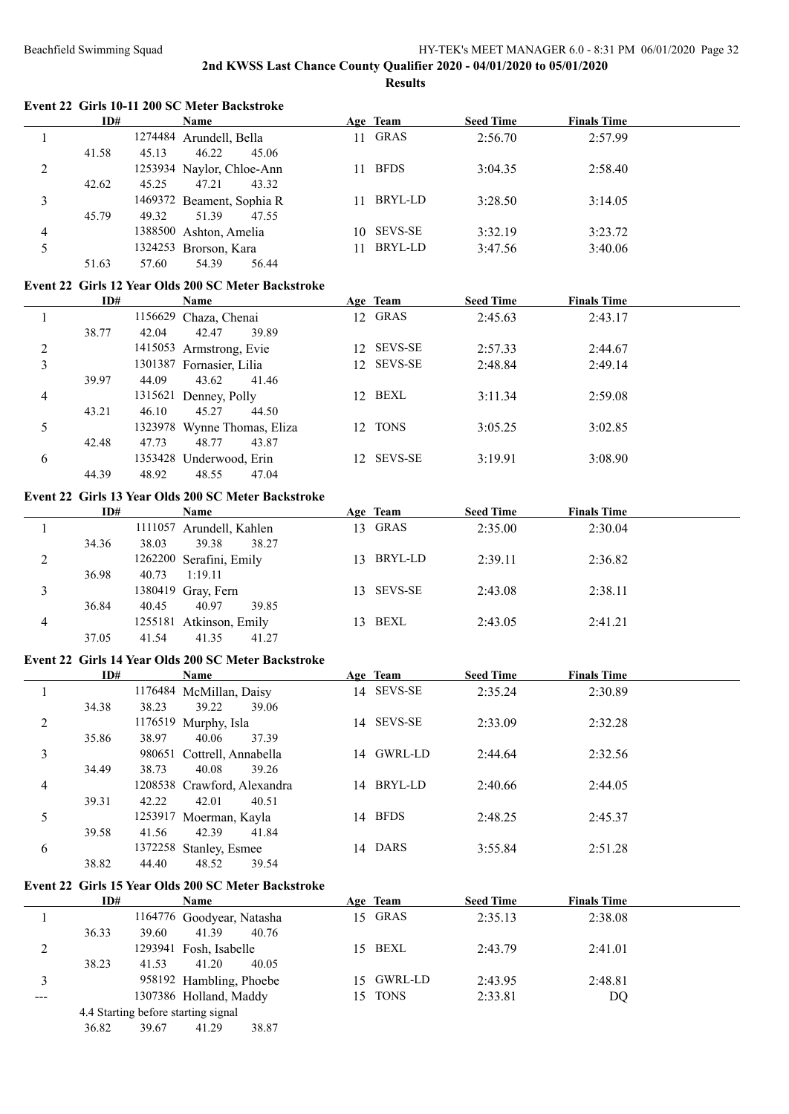#### **2nd KWSS Last Chance County Qualifier 2020 - 04/01/2020 to 05/01/2020 Results**

#### **Event 22 Girls 10-11 200 SC Meter Backstroke**

|   | ID#   |         | Name                      |     | Age Team    | <b>Seed Time</b> | <b>Finals Time</b> |  |
|---|-------|---------|---------------------------|-----|-------------|------------------|--------------------|--|
|   |       |         | 1274484 Arundell, Bella   | 11. | GRAS        | 2:56.70          | 2:57.99            |  |
|   | 41.58 | 45.13   | 46.22<br>45.06            |     |             |                  |                    |  |
| 2 |       |         | 1253934 Naylor, Chloe-Ann | 11. | <b>BFDS</b> | 3:04.35          | 2:58.40            |  |
|   | 42.62 | 45.25   | 47.21<br>43.32            |     |             |                  |                    |  |
|   |       | 1469372 | Beament, Sophia R         | 11  | BRYL-LD     | 3:28.50          | 3:14.05            |  |
|   | 45.79 | 49.32   | 51.39<br>47.55            |     |             |                  |                    |  |
| 4 |       |         | 1388500 Ashton, Amelia    | 10. | SEVS-SE     | 3:32.19          | 3:23.72            |  |
|   |       |         | 1324253 Brorson, Kara     | 11. | BRYL-LD     | 3:47.56          | 3:40.06            |  |
|   | 51.63 | 57.60   | 54.39<br>56.44            |     |             |                  |                    |  |

#### **Event 22 Girls 12 Year Olds 200 SC Meter Backstroke**

|   | ID#   |       | Name                        |       | Age Team   | <b>Seed Time</b> | <b>Finals Time</b> |  |
|---|-------|-------|-----------------------------|-------|------------|------------------|--------------------|--|
|   |       |       | 1156629 Chaza, Chenai       |       | 12 GRAS    | 2:45.63          | 2:43.17            |  |
|   | 38.77 | 42.04 | 42.47                       | 39.89 |            |                  |                    |  |
| 2 |       |       | 1415053 Armstrong, Evie     |       | 12 SEVS-SE | 2:57.33          | 2:44.67            |  |
| 3 |       |       | 1301387 Fornasier, Lilia    |       | 12 SEVS-SE | 2:48.84          | 2:49.14            |  |
|   | 39.97 | 44.09 | 43.62                       | 41.46 |            |                  |                    |  |
| 4 |       |       | 1315621 Denney, Polly       |       | 12 BEXL    | 3:11.34          | 2:59.08            |  |
|   | 43.21 | 46.10 | 45.27                       | 44.50 |            |                  |                    |  |
| 5 |       |       | 1323978 Wynne Thomas, Eliza |       | 12 TONS    | 3:05.25          | 3:02.85            |  |
|   | 42.48 | 47.73 | 48.77                       | 43.87 |            |                  |                    |  |
| 6 |       |       | 1353428 Underwood, Erin     |       | 12 SEVS-SE | 3:19.91          | 3:08.90            |  |
|   | 44.39 | 48.92 | 48.55                       | 47.04 |            |                  |                    |  |

### **Event 22 Girls 13 Year Olds 200 SC Meter Backstroke**

|   | ID#            | Name                     |     | Age Team       | <b>Seed Time</b> | <b>Finals Time</b> |  |
|---|----------------|--------------------------|-----|----------------|------------------|--------------------|--|
|   |                | 1111057 Arundell, Kahlen |     | 13 GRAS        | 2:35.00          | 2:30.04            |  |
|   | 34.36<br>38.03 | 38.27<br>39.38           |     |                |                  |                    |  |
| 2 |                | 1262200 Serafini, Emily  | 13  | BRYL-LD        | 2:39.11          | 2:36.82            |  |
|   | 36.98<br>40.73 | 1:19.11                  |     |                |                  |                    |  |
|   |                | 1380419 Gray, Fern       | 13  | <b>SEVS-SE</b> | 2:43.08          | 2:38.11            |  |
|   | 36.84<br>40.45 | 39.85<br>40.97           |     |                |                  |                    |  |
| 4 |                | 1255181 Atkinson, Emily  | 13. | BEXL           | 2:43.05          | 2:41.21            |  |
|   | 37.05<br>41.54 | 41.35<br>41.27           |     |                |                  |                    |  |

#### **Event 22 Girls 14 Year Olds 200 SC Meter Backstroke**

|   | ID#   |         | Name                        | Age Team   | <b>Seed Time</b> | <b>Finals Time</b> |  |
|---|-------|---------|-----------------------------|------------|------------------|--------------------|--|
|   |       |         | 1176484 McMillan, Daisy     | 14 SEVS-SE | 2:35.24          | 2:30.89            |  |
|   | 34.38 | 38.23   | 39.06<br>39.22              |            |                  |                    |  |
| 2 |       |         | 1176519 Murphy, Isla        | 14 SEVS-SE | 2:33.09          | 2:32.28            |  |
|   | 35.86 | 38.97   | 37.39<br>40.06              |            |                  |                    |  |
| 3 |       | 980651  | Cottrell, Annabella         | 14 GWRL-LD | 2:44.64          | 2:32.56            |  |
|   | 34.49 | 38.73   | 40.08<br>39.26              |            |                  |                    |  |
| 4 |       |         | 1208538 Crawford, Alexandra | 14 BRYL-LD | 2:40.66          | 2:44.05            |  |
|   | 39.31 | 42.22   | 42.01<br>40.51              |            |                  |                    |  |
| 5 |       | 1253917 | Moerman, Kayla              | 14 BFDS    | 2:48.25          | 2:45.37            |  |
|   | 39.58 | 41.56   | 42.39<br>41.84              |            |                  |                    |  |
| 6 |       |         | 1372258 Stanley, Esmee      | 14 DARS    | 3:55.84          | 2:51.28            |  |
|   | 38.82 | 44.40   | 48.52<br>39.54              |            |                  |                    |  |

#### **Event 22 Girls 15 Year Olds 200 SC Meter Backstroke**

|         | ID#                                 | Name                                 |     | Age Team    | <b>Seed Time</b> | <b>Finals Time</b> |  |
|---------|-------------------------------------|--------------------------------------|-----|-------------|------------------|--------------------|--|
|         |                                     | 1164776 Goodyear, Natasha            |     | 15 GRAS     | 2:35.13          | 2:38.08            |  |
|         | 36.33<br>39.60                      | 41.39<br>40.76                       |     |             |                  |                    |  |
| 2       | 1293941                             | Fosh, Isabelle                       |     | 15 BEXL     | 2:43.79          | 2:41.01            |  |
|         | 38.23<br>41.53                      | 41.20<br>40.05                       |     |             |                  |                    |  |
|         |                                     | 958192 Hambling, Phoebe              |     | 15 GWRL-LD  | 2:43.95          | 2:48.81            |  |
| $- - -$ |                                     | 1307386 Holland, Maddy               | 15. | <b>TONS</b> | 2:33.81          | DQ                 |  |
|         | 4.4 Starting before starting signal |                                      |     |             |                  |                    |  |
|         | $\sim$ 00                           | $20 f$ $\overline{5}$ $1120$<br>200B |     |             |                  |                    |  |

36.82 39.67 41.29 38.87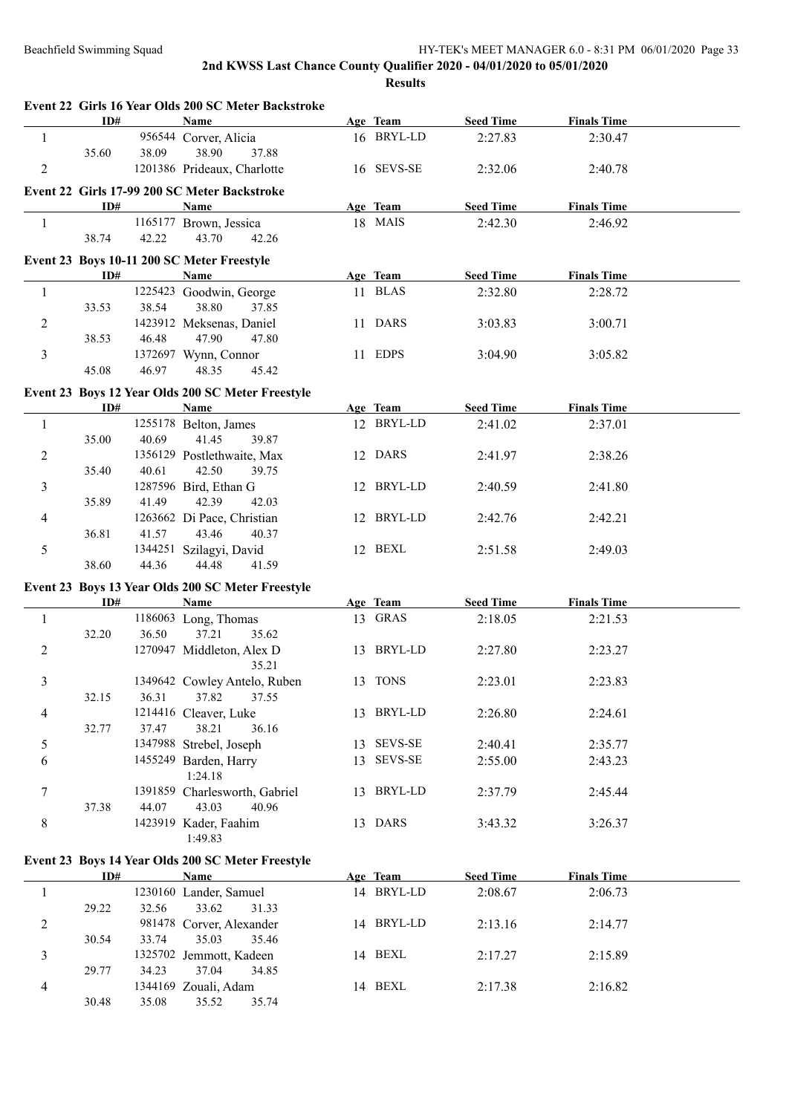|                | ID#   |       | Name                                              | Age Team   | <b>Seed Time</b> | <b>Finals Time</b> |  |
|----------------|-------|-------|---------------------------------------------------|------------|------------------|--------------------|--|
| 1              |       |       | 956544 Corver, Alicia                             | 16 BRYL-LD | 2:27.83          | 2:30.47            |  |
|                | 35.60 | 38.09 | 38.90<br>37.88                                    |            |                  |                    |  |
| 2              |       |       | 1201386 Prideaux, Charlotte                       | 16 SEVS-SE | 2:32.06          | 2:40.78            |  |
|                |       |       | Event 22 Girls 17-99 200 SC Meter Backstroke      |            |                  |                    |  |
|                | ID#   |       | Name                                              | Age Team   | <b>Seed Time</b> | <b>Finals Time</b> |  |
|                |       |       |                                                   | 18 MAIS    |                  |                    |  |
| -1             |       |       | 1165177 Brown, Jessica                            |            | 2:42.30          | 2:46.92            |  |
|                | 38.74 | 42.22 | 43.70<br>42.26                                    |            |                  |                    |  |
|                |       |       | Event 23 Boys 10-11 200 SC Meter Freestyle        |            |                  |                    |  |
|                | ID#   |       | <b>Name</b>                                       | Age Team   | <b>Seed Time</b> | <b>Finals Time</b> |  |
| 1              |       |       | 1225423 Goodwin, George                           | 11 BLAS    | 2:32.80          | 2:28.72            |  |
|                | 33.53 | 38.54 | 38.80<br>37.85                                    |            |                  |                    |  |
| 2              |       |       | 1423912 Meksenas, Daniel                          | 11 DARS    | 3:03.83          | 3:00.71            |  |
|                | 38.53 | 46.48 | 47.90<br>47.80                                    |            |                  |                    |  |
| 3              |       |       | 1372697 Wynn, Connor                              | 11 EDPS    | 3:04.90          | 3:05.82            |  |
|                | 45.08 | 46.97 | 48.35<br>45.42                                    |            |                  |                    |  |
|                |       |       | Event 23 Boys 12 Year Olds 200 SC Meter Freestyle |            |                  |                    |  |
|                | ID#   |       | Name                                              | Age Team   | <b>Seed Time</b> | <b>Finals Time</b> |  |
| 1              |       |       | 1255178 Belton, James                             | 12 BRYL-LD | 2:41.02          | 2:37.01            |  |
|                | 35.00 | 40.69 | 41.45<br>39.87                                    |            |                  |                    |  |
| 2              |       |       | 1356129 Postlethwaite, Max                        | 12 DARS    | 2:41.97          | 2:38.26            |  |
|                | 35.40 | 40.61 | 42.50<br>39.75                                    |            |                  |                    |  |
| 3              |       |       | 1287596 Bird, Ethan G                             | 12 BRYL-LD | 2:40.59          | 2:41.80            |  |
|                | 35.89 | 41.49 | 42.39<br>42.03                                    |            |                  |                    |  |
| $\overline{4}$ |       |       | 1263662 Di Pace, Christian                        | 12 BRYL-LD | 2:42.76          | 2:42.21            |  |
|                | 36.81 | 41.57 | 43.46<br>40.37                                    |            |                  |                    |  |
| 5              |       |       | 1344251 Szilagyi, David                           | 12 BEXL    | 2:51.58          | 2:49.03            |  |
|                | 38.60 | 44.36 | 44.48<br>41.59                                    |            |                  |                    |  |
|                |       |       |                                                   |            |                  |                    |  |
|                |       |       | Event 23 Boys 13 Year Olds 200 SC Meter Freestyle |            |                  |                    |  |
|                | ID#   |       | Name                                              | Age Team   | <b>Seed Time</b> | <b>Finals Time</b> |  |
| $\mathbf{1}$   |       |       | 1186063 Long, Thomas                              | 13 GRAS    | 2:18.05          | 2:21.53            |  |
|                | 32.20 | 36.50 | 37.21<br>35.62                                    |            |                  |                    |  |
| $\overline{c}$ |       |       | 1270947 Middleton, Alex D                         | 13 BRYL-LD | 2:27.80          | 2:23.27            |  |
|                |       |       | 35.21                                             |            |                  |                    |  |
| 3              |       |       | 1349642 Cowley Antelo, Ruben                      | 13 TONS    | 2:23.01          | 2:23.83            |  |
|                | 32.15 | 36.31 | 37.82<br>37.55                                    |            |                  |                    |  |
| 4              |       |       | 1214416 Cleaver, Luke                             | 13 BRYL-LD | 2:26.80          | 2:24.61            |  |
|                | 32.77 | 37.47 | 38.21<br>36.16                                    |            |                  |                    |  |
| 5              |       |       | 1347988 Strebel, Joseph                           | 13 SEVS-SE | 2:40.41          | 2:35.77            |  |
| 6              |       |       | 1455249 Barden, Harry                             | 13 SEVS-SE | 2:55.00          | 2:43.23            |  |
|                |       |       | 1:24.18                                           |            |                  |                    |  |
| 7              |       |       | 1391859 Charlesworth, Gabriel                     | 13 BRYL-LD | 2:37.79          | 2:45.44            |  |
|                | 37.38 | 44.07 | 43.03<br>40.96                                    |            |                  |                    |  |
| 8              |       |       | 1423919 Kader, Faahim                             | 13 DARS    | 3:43.32          | 3:26.37            |  |
|                |       |       | 1:49.83                                           |            |                  |                    |  |
|                |       |       | Event 23 Boys 14 Year Olds 200 SC Meter Freestyle |            |                  |                    |  |
|                | ID#   |       | <b>Name</b>                                       | Age Team   | <b>Seed Time</b> | <b>Finals Time</b> |  |
| 1              |       |       | 1230160 Lander, Samuel                            | 14 BRYL-LD | 2:08.67          | 2:06.73            |  |
|                | 29.22 | 32.56 | 33.62<br>31.33                                    |            |                  |                    |  |
| 2              |       |       | 981478 Corver, Alexander                          | 14 BRYL-LD | 2:13.16          | 2:14.77            |  |
|                | 30.54 | 33.74 | 35.03<br>35.46                                    |            |                  |                    |  |
|                |       |       | 1325702 Jemmott, Kadeen                           | 14 BEXL    | 2:17.27          | 2:15.89            |  |
| 3              |       |       |                                                   |            |                  |                    |  |
|                |       |       | 34.85                                             |            |                  |                    |  |
| $\overline{4}$ | 29.77 | 34.23 | 37.04<br>1344169 Zouali, Adam                     | 14 BEXL    | 2:17.38          | 2:16.82            |  |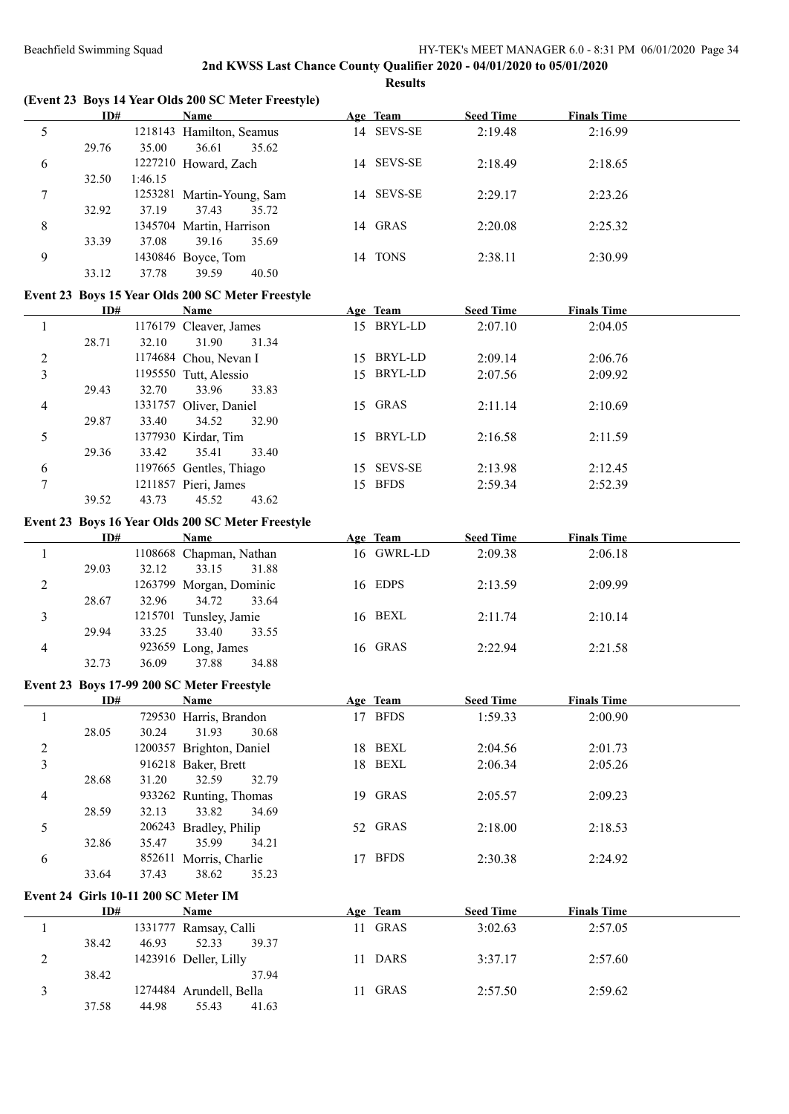#### **2nd KWSS Last Chance County Qualifier 2020 - 04/01/2020 to 05/01/2020 Results**

|   |       |         |                          |                                                     |    | results        |                  |                    |
|---|-------|---------|--------------------------|-----------------------------------------------------|----|----------------|------------------|--------------------|
|   | ID#   |         | <b>Name</b>              | (Event 23 Boys 14 Year Olds 200 SC Meter Freestyle) |    | Age Team       | <b>Seed Time</b> | <b>Finals Time</b> |
| 5 |       |         | 1218143 Hamilton, Seamus |                                                     |    | 14 SEVS-SE     | 2:19.48          | 2:16.99            |
|   | 29.76 | 35.00   | 36.61                    | 35.62                                               |    |                |                  |                    |
| 6 |       |         | 1227210 Howard, Zach     |                                                     | 14 | <b>SEVS-SE</b> | 2:18.49          | 2:18.65            |
|   | 32.50 | 1:46.15 |                          |                                                     |    |                |                  |                    |
| 7 |       | 1253281 | Martin-Young, Sam        |                                                     |    | 14 SEVS-SE     | 2:29.17          | 2:23.26            |
|   | 32.92 | 37.19   | 37.43                    | 35.72                                               |    |                |                  |                    |
| 8 |       |         | 1345704 Martin, Harrison |                                                     |    | 14 GRAS        | 2:20.08          | 2:25.32            |
|   | 33.39 | 37.08   | 39.16                    | 35.69                                               |    |                |                  |                    |
| 9 |       |         | 1430846 Boyce, Tom       |                                                     |    | 14 TONS        | 2:38.11          | 2:30.99            |
|   | 33.12 | 37.78   | 39.59                    | 40.50                                               |    |                |                  |                    |
|   |       |         |                          | Event 23 Boys 15 Year Olds 200 SC Meter Freestyle   |    |                |                  |                    |
|   | ID#   |         | <b>Name</b>              |                                                     |    | Age Team       | <b>Seed Time</b> | <b>Finals Time</b> |
|   |       | 1176179 | Cleaver, James           |                                                     | 15 | BRYL-LD        | 2:07.10          | 2:04.05            |
|   | 28.71 | 32.10   | 31.90                    | 31.34                                               |    |                |                  |                    |

|   |       |       | 1176179 Cleaver, James  |       |     | 15 BRYL-LD  | 2:07.10 | 2:04.05 |
|---|-------|-------|-------------------------|-------|-----|-------------|---------|---------|
|   | 28.71 | 32.10 | 31.90                   | 31.34 |     |             |         |         |
| 2 |       |       | 1174684 Chou, Nevan I   |       |     | 15 BRYL-LD  | 2:09.14 | 2:06.76 |
| 3 |       |       | 1195550 Tutt, Alessio   |       |     | 15 BRYL-LD  | 2:07.56 | 2:09.92 |
|   | 29.43 | 32.70 | 33.96                   | 33.83 |     |             |         |         |
| 4 |       |       | 1331757 Oliver, Daniel  |       |     | 15 GRAS     | 2:11.14 | 2:10.69 |
|   | 29.87 | 33.40 | 34.52                   | 32.90 |     |             |         |         |
| 5 |       |       | 1377930 Kirdar, Tim     |       |     | 15 BRYL-LD  | 2:16.58 | 2:11.59 |
|   | 29.36 | 33.42 | 35.41                   | 33.40 |     |             |         |         |
| 6 |       |       | 1197665 Gentles, Thiago |       |     | 15 SEVS-SE  | 2:13.98 | 2:12.45 |
| 7 |       |       | 1211857 Pieri, James    |       | 15. | <b>BFDS</b> | 2:59.34 | 2:52.39 |
|   | 39.52 | 43.73 | 45.52                   | 43.62 |     |             |         |         |

#### **Event 23 Boys 16 Year Olds 200 SC Meter Freestyle**

|   | ID#   |       | Name                   |                         | Age Team   | <b>Seed Time</b> | <b>Finals Time</b> |  |
|---|-------|-------|------------------------|-------------------------|------------|------------------|--------------------|--|
|   |       |       |                        | 1108668 Chapman, Nathan | 16 GWRL-LD | 2:09.38          | 2:06.18            |  |
|   | 29.03 | 32.12 | 33.15                  | 31.88                   |            |                  |                    |  |
| 2 |       |       |                        | 1263799 Morgan, Dominic | 16 EDPS    | 2:13.59          | 2:09.99            |  |
|   | 28.67 | 32.96 | 34.72                  | 33.64                   |            |                  |                    |  |
| 3 |       |       | 1215701 Tunsley, Jamie |                         | 16 BEXL    | 2:11.74          | 2:10.14            |  |
|   | 29.94 | 33.25 | 33.40                  | 33.55                   |            |                  |                    |  |
| 4 |       |       | 923659 Long, James     |                         | 16 GRAS    | 2:22.94          | 2:21.58            |  |
|   | 32.73 | 36.09 | 37.88                  | 34.88                   |            |                  |                    |  |

#### **Event 23 Boys 17-99 200 SC Meter Freestyle**

|   | ID#   |        | Name                     |       |     | Age Team    | <b>Seed Time</b> | <b>Finals Time</b> |  |
|---|-------|--------|--------------------------|-------|-----|-------------|------------------|--------------------|--|
|   |       |        | 729530 Harris, Brandon   |       | 17  | <b>BFDS</b> | 1:59.33          | 2:00.90            |  |
|   | 28.05 | 30.24  | 31.93                    | 30.68 |     |             |                  |                    |  |
| 2 |       |        | 1200357 Brighton, Daniel |       | 18. | BEXL        | 2:04.56          | 2:01.73            |  |
| 3 |       |        | 916218 Baker, Brett      |       |     | 18 BEXL     | 2:06.34          | 2:05.26            |  |
|   | 28.68 | 31.20  | 32.59                    | 32.79 |     |             |                  |                    |  |
| 4 |       |        | 933262 Runting, Thomas   |       |     | 19 GRAS     | 2:05.57          | 2:09.23            |  |
|   | 28.59 | 32.13  | 33.82                    | 34.69 |     |             |                  |                    |  |
| 5 |       |        | 206243 Bradley, Philip   |       |     | 52 GRAS     | 2:18.00          | 2:18.53            |  |
|   | 32.86 | 35.47  | 35.99                    | 34.21 |     |             |                  |                    |  |
| 6 |       | 852611 | Morris, Charlie          |       | 17  | <b>BFDS</b> | 2:30.38          | 2:24.92            |  |
|   | 33.64 | 37.43  | 38.62                    | 35.23 |     |             |                  |                    |  |
|   |       |        |                          |       |     |             |                  |                    |  |

#### **Event 24 Girls 10-11 200 SC Meter IM**

|   | ID#   | <b>Name</b>             |       | Age Team | <b>Seed Time</b> | <b>Finals Time</b> |
|---|-------|-------------------------|-------|----------|------------------|--------------------|
|   |       | 1331777 Ramsay, Calli   | 11    | GRAS     | 3:02.63          | 2:57.05            |
|   | 38.42 | 46.93<br>52.33          | 39.37 |          |                  |                    |
| ∠ |       | 1423916 Deller, Lilly   |       | 11 DARS  | 3:37.17          | 2:57.60            |
|   | 38.42 |                         | 37.94 |          |                  |                    |
|   |       | 1274484 Arundell, Bella | 11.   | GRAS     | 2:57.50          | 2:59.62            |
|   | 37.58 | 44.98<br>55.43          | 41.63 |          |                  |                    |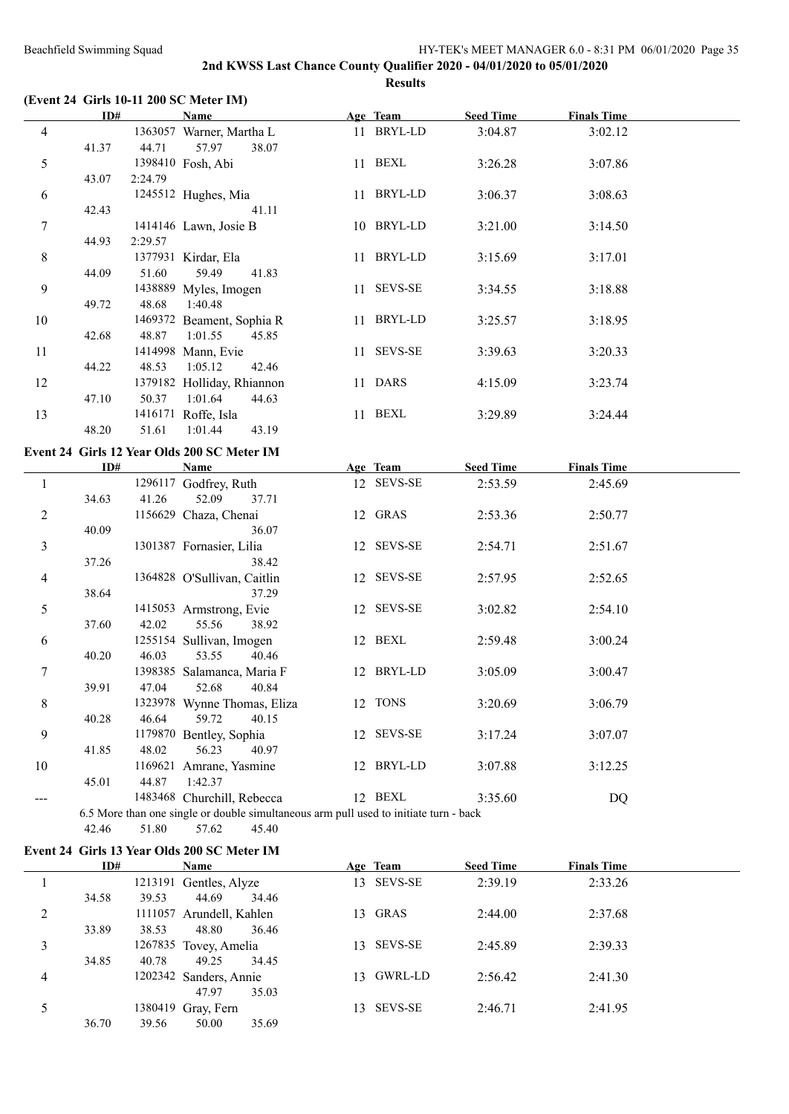**(Event 24 Girls 10-11 200 SC Meter IM)**

|                          | ID#   |         | $1.24$ GH IS TV-11 200 SC METER TIME                                                  | Age Team   | Seed Time        | <b>Finals Time</b> |  |
|--------------------------|-------|---------|---------------------------------------------------------------------------------------|------------|------------------|--------------------|--|
|                          |       |         | <b>Name</b>                                                                           |            |                  |                    |  |
| $\overline{4}$           |       |         | 1363057 Warner, Martha L                                                              | 11 BRYL-LD | 3:04.87          | 3:02.12            |  |
|                          | 41.37 | 44.71   | 57.97<br>38.07                                                                        |            |                  |                    |  |
| 5                        |       |         | 1398410 Fosh, Abi                                                                     | 11 BEXL    | 3:26.28          | 3:07.86            |  |
|                          | 43.07 | 2:24.79 |                                                                                       |            |                  |                    |  |
| 6                        |       |         | 1245512 Hughes, Mia                                                                   | 11 BRYL-LD | 3:06.37          | 3:08.63            |  |
|                          | 42.43 |         | 41.11                                                                                 |            |                  |                    |  |
| $\tau$                   |       |         | 1414146 Lawn, Josie B                                                                 | 10 BRYL-LD | 3:21.00          | 3:14.50            |  |
|                          | 44.93 | 2:29.57 |                                                                                       |            |                  |                    |  |
| 8                        |       |         | 1377931 Kirdar, Ela                                                                   | 11 BRYL-LD | 3:15.69          | 3:17.01            |  |
|                          | 44.09 | 51.60   | 59.49<br>41.83                                                                        |            |                  |                    |  |
| 9                        |       |         | 1438889 Myles, Imogen                                                                 | 11 SEVS-SE | 3:34.55          | 3:18.88            |  |
|                          | 49.72 | 48.68   | 1:40.48                                                                               |            |                  |                    |  |
| 10                       |       |         | 1469372 Beament, Sophia R                                                             | 11 BRYL-LD | 3:25.57          | 3:18.95            |  |
|                          | 42.68 | 48.87   | 1:01.55<br>45.85                                                                      |            |                  |                    |  |
| 11                       |       |         | 1414998 Mann, Evie                                                                    | 11 SEVS-SE | 3:39.63          | 3:20.33            |  |
|                          |       |         | 1:05.12<br>42.46                                                                      |            |                  |                    |  |
|                          | 44.22 | 48.53   |                                                                                       |            |                  |                    |  |
| 12                       |       |         | 1379182 Holliday, Rhiannon                                                            | 11 DARS    | 4:15.09          | 3:23.74            |  |
|                          | 47.10 | 50.37   | 1:01.64<br>44.63                                                                      |            |                  |                    |  |
| 13                       |       |         | 1416171 Roffe, Isla                                                                   | 11 BEXL    | 3:29.89          | 3:24.44            |  |
|                          | 48.20 | 51.61   | 1:01.44<br>43.19                                                                      |            |                  |                    |  |
|                          |       |         | Event 24 Girls 12 Year Olds 200 SC Meter IM                                           |            |                  |                    |  |
|                          | ID#   |         | Name                                                                                  | Age Team   | <b>Seed Time</b> | <b>Finals Time</b> |  |
| $\mathbf{1}$             |       |         | 1296117 Godfrey, Ruth                                                                 | 12 SEVS-SE | 2:53.59          | 2:45.69            |  |
|                          | 34.63 | 41.26   | 52.09<br>37.71                                                                        |            |                  |                    |  |
| $\overline{c}$           |       |         | 1156629 Chaza, Chenai                                                                 | 12 GRAS    | 2:53.36          | 2:50.77            |  |
|                          | 40.09 |         | 36.07                                                                                 |            |                  |                    |  |
| 3                        |       |         | 1301387 Fornasier, Lilia                                                              | 12 SEVS-SE | 2:54.71          | 2:51.67            |  |
|                          | 37.26 |         | 38.42                                                                                 |            |                  |                    |  |
|                          |       |         | 1364828 O'Sullivan, Caitlin                                                           | 12 SEVS-SE |                  |                    |  |
| $\overline{\mathcal{A}}$ |       |         |                                                                                       |            | 2:57.95          | 2:52.65            |  |
|                          | 38.64 |         | 37.29                                                                                 |            |                  |                    |  |
| 5                        |       |         | 1415053 Armstrong, Evie                                                               | 12 SEVS-SE | 3:02.82          | 2:54.10            |  |
|                          | 37.60 | 42.02   | 55.56<br>38.92                                                                        |            |                  |                    |  |
| 6                        |       |         | 1255154 Sullivan, Imogen                                                              | 12 BEXL    | 2:59.48          | 3:00.24            |  |
|                          | 40.20 | 46.03   | 53.55<br>40.46                                                                        |            |                  |                    |  |
| $\tau$                   |       |         | 1398385 Salamanca, Maria F                                                            | 12 BRYL-LD | 3:05.09          | 3:00.47            |  |
|                          | 39.91 | 47.04   | 52.68<br>40.84                                                                        |            |                  |                    |  |
| 8                        |       |         | 1323978 Wynne Thomas, Eliza                                                           | 12 TONS    | 3:20.69          | 3:06.79            |  |
|                          | 40.28 | 46.64   | 59.72<br>40.15                                                                        |            |                  |                    |  |
| 9                        |       |         | 1179870 Bentley, Sophia                                                               | 12 SEVS-SE | 3:17.24          | 3:07.07            |  |
|                          | 41.85 | 48.02   | 56.23<br>40.97                                                                        |            |                  |                    |  |
| 10                       |       |         | 1169621 Amrane, Yasmine                                                               | 12 BRYL-LD | 3:07.88          | 3:12.25            |  |
|                          | 45.01 | 44.87   | 1:42.37                                                                               |            |                  |                    |  |
| ---                      |       |         | 1483468 Churchill, Rebecca                                                            | 12 BEXL    | 3:35.60          | <b>DQ</b>          |  |
|                          |       |         | 6.5 More than one single or double simultaneous arm pull used to initiate turn - back |            |                  |                    |  |
|                          | 42.46 | 51.80   | 45.40<br>57.62                                                                        |            |                  |                    |  |
|                          |       |         |                                                                                       |            |                  |                    |  |

### **Event 24 Girls 13 Year Olds 200 SC Meter IM**

|   | ID#   |         | Name                   |       |     | Age Team       | <b>Seed Time</b> | <b>Finals Time</b> |  |
|---|-------|---------|------------------------|-------|-----|----------------|------------------|--------------------|--|
|   |       |         | 1213191 Gentles, Alyze |       |     | 13 SEVS-SE     | 2:39.19          | 2:33.26            |  |
|   | 34.58 | 39.53   | 44.69                  | 34.46 |     |                |                  |                    |  |
| 2 |       | 1111057 | Arundell, Kahlen       |       | 13. | GRAS           | 2:44.00          | 2:37.68            |  |
|   | 33.89 | 38.53   | 48.80                  | 36.46 |     |                |                  |                    |  |
| 3 |       |         | 1267835 Tovey, Amelia  |       | 13. | <b>SEVS-SE</b> | 2:45.89          | 2:39.33            |  |
|   | 34.85 | 40.78   | 49.25                  | 34.45 |     |                |                  |                    |  |
| 4 |       |         | 1202342 Sanders, Annie |       | 13. | GWRL-LD        | 2:56.42          | 2:41.30            |  |
|   |       |         | 47.97                  | 35.03 |     |                |                  |                    |  |
|   |       |         | 1380419 Gray, Fern     |       | 13  | <b>SEVS-SE</b> | 2:46.71          | 2:41.95            |  |
|   | 36.70 | 39.56   | 50.00                  | 35.69 |     |                |                  |                    |  |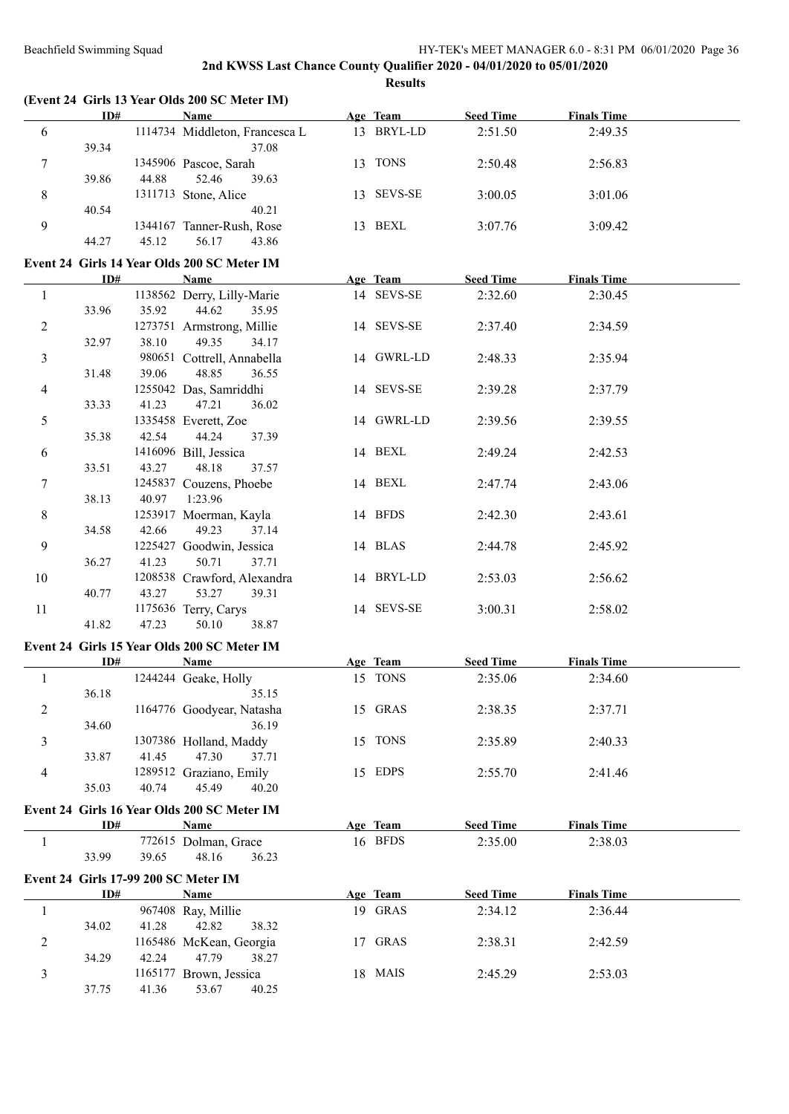|                | ID#   |       | (Event 24 Girls 13 Year Olds 200 SC Meter IM)<br><b>Name</b> | Age Team   | <b>Seed Time</b> | <b>Finals Time</b> |  |
|----------------|-------|-------|--------------------------------------------------------------|------------|------------------|--------------------|--|
| 6              |       |       | 1114734 Middleton, Francesca L                               | 13 BRYL-LD | 2:51.50          | 2:49.35            |  |
|                | 39.34 |       | 37.08                                                        |            |                  |                    |  |
| 7              |       |       | 1345906 Pascoe, Sarah                                        | 13 TONS    | 2:50.48          | 2:56.83            |  |
|                | 39.86 | 44.88 | 52.46<br>39.63                                               |            |                  |                    |  |
| 8              |       |       | 1311713 Stone, Alice                                         | 13 SEVS-SE | 3:00.05          | 3:01.06            |  |
|                | 40.54 |       | 40.21                                                        |            |                  |                    |  |
| 9              |       |       | 1344167 Tanner-Rush, Rose                                    | 13 BEXL    | 3:07.76          | 3:09.42            |  |
|                | 44.27 | 45.12 | 56.17<br>43.86                                               |            |                  |                    |  |
|                |       |       |                                                              |            |                  |                    |  |
|                |       |       | Event 24 Girls 14 Year Olds 200 SC Meter IM                  |            |                  |                    |  |
|                | ID#   |       | <b>Name</b>                                                  | Age Team   | <b>Seed Time</b> | <b>Finals Time</b> |  |
| 1              |       |       | 1138562 Derry, Lilly-Marie                                   | 14 SEVS-SE | 2:32.60          | 2:30.45            |  |
|                | 33.96 | 35.92 | 44.62<br>35.95                                               |            |                  |                    |  |
| $\overline{2}$ |       |       | 1273751 Armstrong, Millie                                    | 14 SEVS-SE | 2:37.40          | 2:34.59            |  |
|                | 32.97 | 38.10 | 49.35<br>34.17                                               |            |                  |                    |  |
| 3              |       |       | 980651 Cottrell, Annabella                                   | 14 GWRL-LD | 2:48.33          | 2:35.94            |  |
|                | 31.48 | 39.06 | 48.85<br>36.55                                               |            |                  |                    |  |
| 4              |       |       | 1255042 Das, Samriddhi                                       | 14 SEVS-SE | 2:39.28          | 2:37.79            |  |
|                | 33.33 | 41.23 | 47.21<br>36.02                                               |            |                  |                    |  |
| 5              |       |       | 1335458 Everett, Zoe                                         | 14 GWRL-LD | 2:39.56          | 2:39.55            |  |
|                | 35.38 | 42.54 | 44.24<br>37.39                                               |            |                  |                    |  |
| 6              |       |       | 1416096 Bill, Jessica                                        | 14 BEXL    | 2:49.24          | 2:42.53            |  |
|                | 33.51 | 43.27 | 48.18<br>37.57                                               |            |                  |                    |  |
| 7              |       |       | 1245837 Couzens, Phoebe                                      | 14 BEXL    | 2:47.74          | 2:43.06            |  |
|                | 38.13 | 40.97 | 1:23.96                                                      |            |                  |                    |  |
| 8              |       |       | 1253917 Moerman, Kayla                                       | 14 BFDS    | 2:42.30          | 2:43.61            |  |
|                | 34.58 | 42.66 | 49.23<br>37.14                                               |            |                  |                    |  |
| 9              |       |       | 1225427 Goodwin, Jessica                                     | 14 BLAS    | 2:44.78          | 2:45.92            |  |
|                | 36.27 | 41.23 | 50.71<br>37.71                                               |            |                  |                    |  |
| 10             |       |       | 1208538 Crawford, Alexandra                                  | 14 BRYL-LD | 2:53.03          | 2:56.62            |  |
|                | 40.77 | 43.27 | 53.27<br>39.31                                               |            |                  |                    |  |
| 11             |       |       | 1175636 Terry, Carys                                         | 14 SEVS-SE | 3:00.31          | 2:58.02            |  |
|                | 41.82 | 47.23 | 50.10<br>38.87                                               |            |                  |                    |  |
|                |       |       |                                                              |            |                  |                    |  |
|                |       |       | Event 24 Girls 15 Year Olds 200 SC Meter IM                  |            |                  |                    |  |
|                | ID#   |       | Name                                                         | Age Team   | <b>Seed Time</b> | <b>Finals Time</b> |  |
| $\mathbf{1}$   |       |       | 1244244 Geake, Holly                                         | 15 TONS    | 2:35.06          | 2:34.60            |  |
|                | 36.18 |       | 35.15                                                        |            |                  |                    |  |
| 2              |       |       | 1164776 Goodyear, Natasha                                    | 15 GRAS    | 2:38.35          | 2:37.71            |  |
|                | 34.60 |       | 36.19                                                        |            |                  |                    |  |
| 3              |       |       | 1307386 Holland, Maddy                                       | 15 TONS    | 2:35.89          | 2:40.33            |  |
|                | 33.87 | 41.45 | 47.30<br>37.71                                               |            |                  |                    |  |
| 4              |       |       | 1289512 Graziano, Emily                                      | 15 EDPS    | 2:55.70          | 2:41.46            |  |
|                | 35.03 | 40.74 | 45.49<br>40.20                                               |            |                  |                    |  |
|                |       |       | Event 24 Girls 16 Year Olds 200 SC Meter IM                  |            |                  |                    |  |
|                | ID#   |       | <b>Name</b>                                                  | Age Team   | <b>Seed Time</b> | <b>Finals Time</b> |  |
| 1              |       |       | 772615 Dolman, Grace                                         | 16 BFDS    | 2:35.00          | 2:38.03            |  |
|                | 33.99 | 39.65 | 48.16<br>36.23                                               |            |                  |                    |  |
|                |       |       |                                                              |            |                  |                    |  |
|                |       |       | Event 24 Girls 17-99 200 SC Meter IM                         |            |                  |                    |  |
|                | ID#   |       | Name                                                         | Age Team   | <b>Seed Time</b> | <b>Finals Time</b> |  |
| $\mathbf{1}$   |       |       | 967408 Ray, Millie                                           | 19 GRAS    | 2:34.12          | 2:36.44            |  |
|                |       | 41.28 | 42.82<br>38.32                                               |            |                  |                    |  |
|                | 34.02 |       |                                                              |            |                  |                    |  |
| 2              |       |       | 1165486 McKean, Georgia                                      | 17 GRAS    | 2:38.31          | 2:42.59            |  |
|                | 34.29 | 42.24 | 47.79<br>38.27                                               |            |                  |                    |  |
| 3              | 37.75 | 41.36 | 1165177 Brown, Jessica                                       | 18 MAIS    | 2:45.29          | 2:53.03            |  |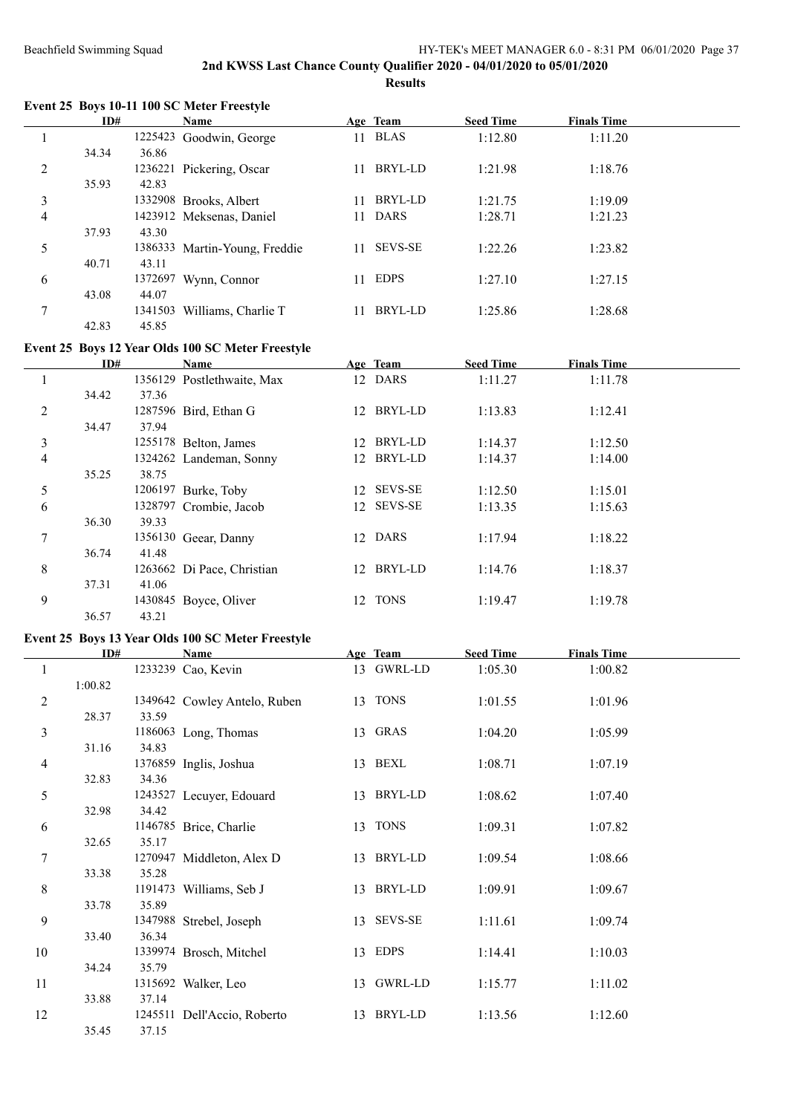#### **2nd KWSS Last Chance County Qualifier 2020 - 04/01/2020 to 05/01/2020 Results**

**Event 25 Boys 10-11 100 SC Meter Freestyle**

33.88 37.14

35.45 37.15

|                | ID#     |       | <b>Name</b>                                       | Age Team   | <b>Seed Time</b> | <b>Finals Time</b> |  |
|----------------|---------|-------|---------------------------------------------------|------------|------------------|--------------------|--|
| $\mathbf{1}$   |         |       | 1225423 Goodwin, George                           | 11 BLAS    | 1:12.80          | 1:11.20            |  |
|                | 34.34   | 36.86 |                                                   |            |                  |                    |  |
| $\overline{c}$ |         |       | 1236221 Pickering, Oscar                          | 11 BRYL-LD | 1:21.98          | 1:18.76            |  |
|                | 35.93   | 42.83 |                                                   |            |                  |                    |  |
| $\mathfrak{Z}$ |         |       | 1332908 Brooks, Albert                            | 11 BRYL-LD | 1:21.75          | 1:19.09            |  |
| $\overline{4}$ |         |       | 1423912 Meksenas, Daniel                          | 11 DARS    | 1:28.71          | 1:21.23            |  |
|                | 37.93   | 43.30 |                                                   |            |                  |                    |  |
| 5              |         |       | 1386333 Martin-Young, Freddie                     | 11 SEVS-SE | 1:22.26          | 1:23.82            |  |
|                | 40.71   | 43.11 |                                                   |            |                  |                    |  |
| 6              |         |       | 1372697 Wynn, Connor                              | 11 EDPS    | 1:27.10          | 1:27.15            |  |
|                | 43.08   | 44.07 |                                                   |            |                  |                    |  |
| $\tau$         |         |       | 1341503 Williams, Charlie T                       | 11 BRYL-LD | 1:25.86          | 1:28.68            |  |
|                | 42.83   | 45.85 |                                                   |            |                  |                    |  |
|                |         |       |                                                   |            |                  |                    |  |
|                |         |       | Event 25 Boys 12 Year Olds 100 SC Meter Freestyle |            |                  |                    |  |
|                | ID#     |       | Name                                              | Age Team   | <b>Seed Time</b> | <b>Finals Time</b> |  |
| $\mathbf{1}$   |         |       | 1356129 Postlethwaite, Max                        | 12 DARS    | 1:11.27          | 1:11.78            |  |
|                | 34.42   | 37.36 |                                                   |            |                  |                    |  |
| $\overline{c}$ |         |       | 1287596 Bird, Ethan G                             | 12 BRYL-LD | 1:13.83          | 1:12.41            |  |
|                | 34.47   | 37.94 |                                                   |            |                  |                    |  |
| 3              |         |       | 1255178 Belton, James                             | 12 BRYL-LD | 1:14.37          | 1:12.50            |  |
| $\overline{4}$ |         |       | 1324262 Landeman, Sonny                           | 12 BRYL-LD | 1:14.37          | 1:14.00            |  |
|                | 35.25   | 38.75 |                                                   |            |                  |                    |  |
| 5              |         |       | 1206197 Burke, Toby                               | 12 SEVS-SE | 1:12.50          | 1:15.01            |  |
| 6              |         |       | 1328797 Crombie, Jacob                            | 12 SEVS-SE | 1:13.35          | 1:15.63            |  |
|                | 36.30   | 39.33 |                                                   |            |                  |                    |  |
| $\tau$         |         |       | 1356130 Geear, Danny                              | 12 DARS    | 1:17.94          | 1:18.22            |  |
|                | 36.74   | 41.48 |                                                   |            |                  |                    |  |
| 8              |         |       | 1263662 Di Pace, Christian                        | 12 BRYL-LD | 1:14.76          | 1:18.37            |  |
|                | 37.31   | 41.06 |                                                   |            |                  |                    |  |
| 9              |         |       | 1430845 Boyce, Oliver                             | 12 TONS    | 1:19.47          | 1:19.78            |  |
|                | 36.57   | 43.21 |                                                   |            |                  |                    |  |
|                |         |       | Event 25 Boys 13 Year Olds 100 SC Meter Freestyle |            |                  |                    |  |
|                | ID#     |       | Name                                              | Age Team   | <b>Seed Time</b> | <b>Finals Time</b> |  |
| $\mathbf{1}$   |         |       | 1233239 Cao, Kevin                                | 13 GWRL-LD | 1:05.30          | 1:00.82            |  |
|                | 1:00.82 |       |                                                   |            |                  |                    |  |
| $\overline{c}$ |         |       | 1349642 Cowley Antelo, Ruben                      | 13 TONS    | 1:01.55          | 1:01.96            |  |
|                | 28.37   | 33.59 |                                                   |            |                  |                    |  |
| 3              |         |       | 1186063 Long, Thomas                              | 13 GRAS    | 1:04.20          | 1:05.99            |  |
|                | 31.16   | 34.83 |                                                   |            |                  |                    |  |
| 4              |         |       | 1376859 Inglis, Joshua                            | 13 BEXL    | 1:08.71          | 1:07.19            |  |
|                | 32.83   | 34.36 |                                                   |            |                  |                    |  |
| 5              |         |       | 1243527 Lecuyer, Edouard                          | 13 BRYL-LD | 1:08.62          | 1:07.40            |  |
|                | 32.98   | 34.42 |                                                   |            |                  |                    |  |
| 6              |         |       | 1146785 Brice, Charlie                            | 13 TONS    | 1:09.31          | 1:07.82            |  |
|                | 32.65   | 35.17 |                                                   |            |                  |                    |  |
| $\tau$         |         |       | 1270947 Middleton, Alex D                         | 13 BRYL-LD | 1:09.54          | 1:08.66            |  |
|                | 33.38   | 35.28 |                                                   |            |                  |                    |  |
| 8              |         |       | 1191473 Williams, Seb J                           | 13 BRYL-LD | 1:09.91          | 1:09.67            |  |
|                | 33.78   | 35.89 |                                                   |            |                  |                    |  |
| 9              |         |       | 1347988 Strebel, Joseph                           | 13 SEVS-SE | 1:11.61          | 1:09.74            |  |
|                | 33.40   | 36.34 |                                                   |            |                  |                    |  |
| $10\,$         |         |       | 1339974 Brosch, Mitchel                           | 13 EDPS    | 1:14.41          | 1:10.03            |  |
|                | 34.24   | 35.79 |                                                   |            |                  |                    |  |
| 11             |         |       | 1315692 Walker, Leo                               | 13 GWRL-LD | 1:15.77          | 1:11.02            |  |

12 1245511 Dell'Accio, Roberto 13 BRYL-LD 1:13.56 1:12.60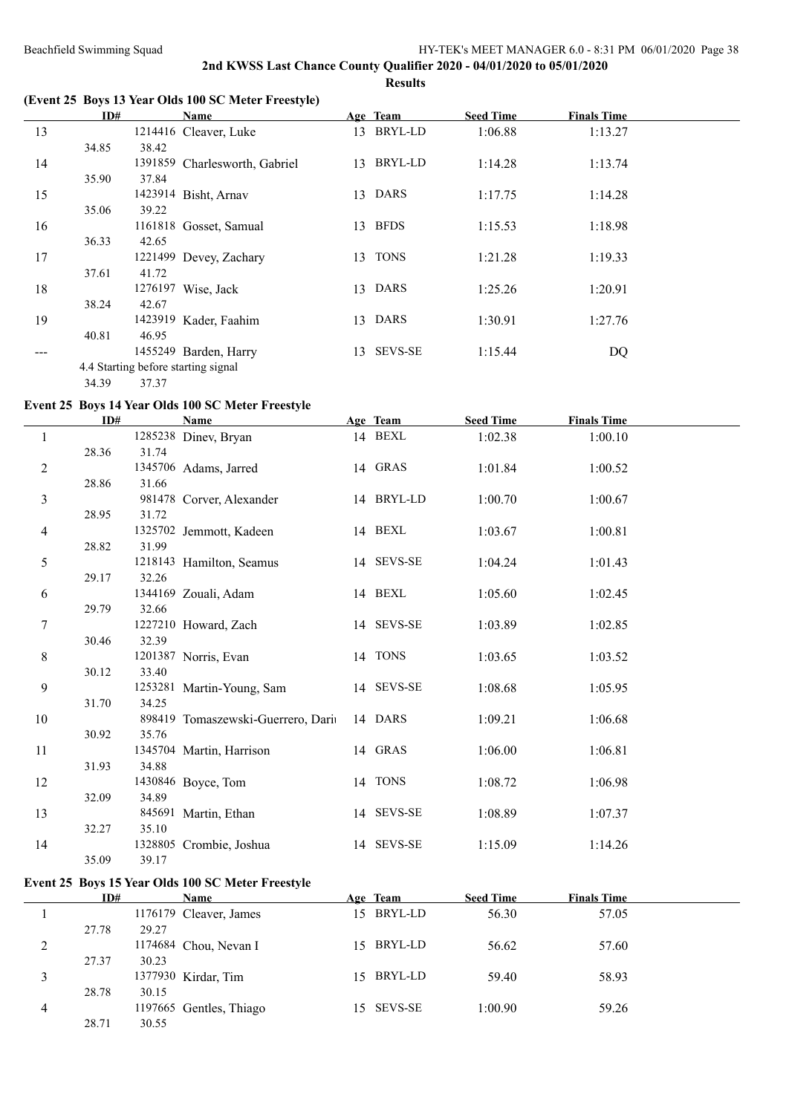### **(Event 25 Boys 13 Year Olds 100 SC Meter Freestyle)**

|    | ID#                                 |         | Name                          |    | Age Team       | <b>Seed Time</b> | <b>Finals Time</b> |  |
|----|-------------------------------------|---------|-------------------------------|----|----------------|------------------|--------------------|--|
| 13 |                                     |         | 1214416 Cleaver, Luke         |    | 13 BRYL-LD     | 1:06.88          | 1:13.27            |  |
|    | 34.85                               | 38.42   |                               |    |                |                  |                    |  |
| 14 |                                     |         | 1391859 Charlesworth, Gabriel | 13 | BRYL-LD        | 1:14.28          | 1:13.74            |  |
|    | 35.90                               | 37.84   |                               |    |                |                  |                    |  |
| 15 |                                     |         | 1423914 Bisht, Arnav          |    | 13 DARS        | 1:17.75          | 1:14.28            |  |
|    | 35.06                               | 39.22   |                               |    |                |                  |                    |  |
| 16 |                                     |         | 1161818 Gosset, Samual        |    | 13 BFDS        | 1:15.53          | 1:18.98            |  |
|    | 36.33                               | 42.65   |                               |    |                |                  |                    |  |
| 17 |                                     | 1221499 | Devey, Zachary                | 13 | <b>TONS</b>    | 1:21.28          | 1:19.33            |  |
|    | 37.61                               | 41.72   |                               |    |                |                  |                    |  |
| 18 |                                     |         | 1276197 Wise, Jack            |    | 13 DARS        | 1:25.26          | 1:20.91            |  |
|    | 38.24                               | 42.67   |                               |    |                |                  |                    |  |
| 19 |                                     |         | 1423919 Kader, Faahim         |    | 13 DARS        | 1:30.91          | 1:27.76            |  |
|    | 40.81                               | 46.95   |                               |    |                |                  |                    |  |
|    |                                     |         | 1455249 Barden, Harry         | 13 | <b>SEVS-SE</b> | 1:15.44          | DQ                 |  |
|    | 4.4 Starting before starting signal |         |                               |    |                |                  |                    |  |
|    | 34.39                               | 37.37   |                               |    |                |                  |                    |  |

#### **Event 25 Boys 14 Year Olds 100 SC Meter Freestyle**

27.37 30.23

28.78 30.15

28.71 30.55

|                | ID#   |       | <b>Name</b>                                               | Age Team   | <b>Seed Time</b> | <b>Finals Time</b> |  |
|----------------|-------|-------|-----------------------------------------------------------|------------|------------------|--------------------|--|
| 1              |       |       | 1285238 Dinev, Bryan                                      | 14 BEXL    | 1:02.38          | 1:00.10            |  |
|                | 28.36 | 31.74 |                                                           |            |                  |                    |  |
| $\overline{c}$ |       |       | 1345706 Adams, Jarred                                     | 14 GRAS    | 1:01.84          | 1:00.52            |  |
|                | 28.86 | 31.66 |                                                           |            |                  |                    |  |
| 3              |       |       | 981478 Corver, Alexander                                  | 14 BRYL-LD | 1:00.70          | 1:00.67            |  |
|                | 28.95 | 31.72 |                                                           |            |                  |                    |  |
| $\overline{4}$ |       |       | 1325702 Jemmott, Kadeen                                   | 14 BEXL    | 1:03.67          | 1:00.81            |  |
|                | 28.82 | 31.99 |                                                           |            |                  |                    |  |
| 5              |       |       | 1218143 Hamilton, Seamus                                  | 14 SEVS-SE | 1:04.24          | 1:01.43            |  |
|                | 29.17 | 32.26 |                                                           |            |                  |                    |  |
| 6              |       |       | 1344169 Zouali, Adam                                      | 14 BEXL    | 1:05.60          | 1:02.45            |  |
|                | 29.79 | 32.66 |                                                           |            |                  |                    |  |
| 7              |       |       | 1227210 Howard, Zach                                      | 14 SEVS-SE | 1:03.89          | 1:02.85            |  |
|                | 30.46 | 32.39 |                                                           |            |                  |                    |  |
| 8              |       |       | 1201387 Norris, Evan                                      | 14 TONS    | 1:03.65          | 1:03.52            |  |
|                | 30.12 | 33.40 |                                                           |            |                  |                    |  |
| $\overline{9}$ |       |       | 1253281 Martin-Young, Sam                                 | 14 SEVS-SE | 1:08.68          | 1:05.95            |  |
|                | 31.70 | 34.25 |                                                           |            |                  |                    |  |
| 10             |       | 35.76 | 898419 Tomaszewski-Guerrero, Dari                         | 14 DARS    | 1:09.21          | 1:06.68            |  |
|                | 30.92 |       |                                                           | 14 GRAS    | 1:06.00          | 1:06.81            |  |
| 11             | 31.93 | 34.88 | 1345704 Martin, Harrison                                  |            |                  |                    |  |
| 12             |       |       | 1430846 Boyce, Tom                                        | 14 TONS    | 1:08.72          | 1:06.98            |  |
|                | 32.09 | 34.89 |                                                           |            |                  |                    |  |
| 13             |       |       | 845691 Martin, Ethan                                      | 14 SEVS-SE | 1:08.89          | 1:07.37            |  |
|                | 32.27 | 35.10 |                                                           |            |                  |                    |  |
| 14             |       |       | 1328805 Crombie, Joshua                                   | 14 SEVS-SE | 1:15.09          | 1:14.26            |  |
|                | 35.09 | 39.17 |                                                           |            |                  |                    |  |
|                |       |       |                                                           |            |                  |                    |  |
|                | ID#   |       | Event 25 Boys 15 Year Olds 100 SC Meter Freestyle<br>Name | Age Team   | <b>Seed Time</b> | <b>Finals Time</b> |  |
| $\mathbf{1}$   |       |       | 1176179 Cleaver, James                                    | 15 BRYL-LD | 56.30            | 57.05              |  |
|                | 27.78 | 29.27 |                                                           |            |                  |                    |  |
| $\mathfrak{2}$ |       |       | 1174684 Chou, Nevan I                                     | 15 BRYL-LD | 56.62            | 57.60              |  |
|                |       |       |                                                           |            |                  |                    |  |

3 1377930 Kirdar, Tim 15 BRYL-LD 59.40 58.93

4 1197665 Gentles, Thiago 15 SEVS-SE 1:00.90 59.26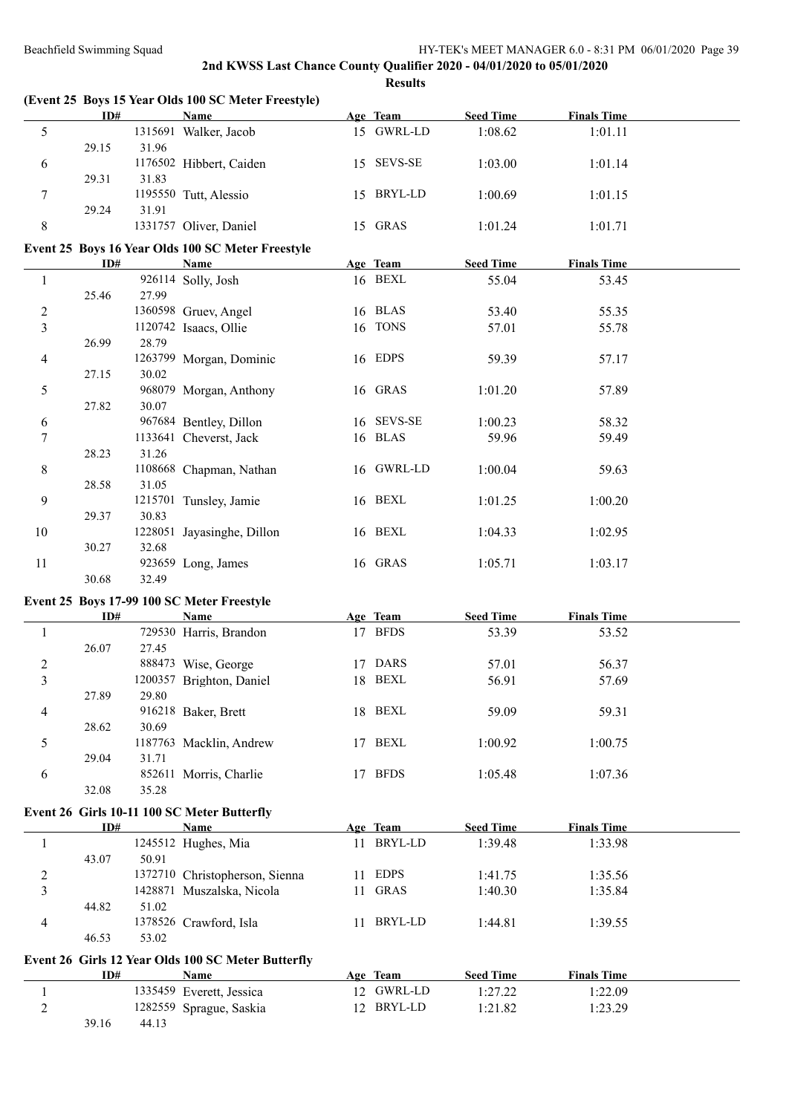|                |       |       | (Event 25 Boys 15 Year Olds 100 SC Meter Freestyle) |            |                  |                    |  |
|----------------|-------|-------|-----------------------------------------------------|------------|------------------|--------------------|--|
|                | ID#   |       | <b>Name</b>                                         | Age Team   | <b>Seed Time</b> | <b>Finals Time</b> |  |
| 5              | 29.15 | 31.96 | 1315691 Walker, Jacob                               | 15 GWRL-LD | 1:08.62          | 1:01.11            |  |
| 6              | 29.31 | 31.83 | 1176502 Hibbert, Caiden                             | 15 SEVS-SE | 1:03.00          | 1:01.14            |  |
| 7              |       |       | 1195550 Tutt, Alessio                               | 15 BRYL-LD | 1:00.69          | 1:01.15            |  |
| 8              | 29.24 | 31.91 | 1331757 Oliver, Daniel                              | 15 GRAS    | 1:01.24          | 1:01.71            |  |
|                |       |       | Event 25 Boys 16 Year Olds 100 SC Meter Freestyle   |            |                  |                    |  |
|                | ID#   |       | <b>Name</b>                                         | Age Team   | <b>Seed Time</b> | <b>Finals Time</b> |  |
| $\mathbf{1}$   | 25.46 | 27.99 | 926114 Solly, Josh                                  | 16 BEXL    | 55.04            | 53.45              |  |
| $\overline{c}$ |       |       | 1360598 Gruev, Angel                                | 16 BLAS    | 53.40            | 55.35              |  |
| $\overline{3}$ |       |       | 1120742 Isaacs, Ollie                               | 16 TONS    | 57.01            | 55.78              |  |
|                | 26.99 | 28.79 |                                                     |            |                  |                    |  |
| 4              | 27.15 | 30.02 | 1263799 Morgan, Dominic                             | 16 EDPS    | 59.39            | 57.17              |  |
| 5              | 27.82 | 30.07 | 968079 Morgan, Anthony                              | 16 GRAS    | 1:01.20          | 57.89              |  |
|                |       |       | 967684 Bentley, Dillon                              | 16 SEVS-SE | 1:00.23          | 58.32              |  |
| 6<br>7         |       |       | 1133641 Cheverst, Jack                              | 16 BLAS    | 59.96            | 59.49              |  |
|                | 28.23 | 31.26 |                                                     |            |                  |                    |  |
| 8              |       |       | 1108668 Chapman, Nathan                             | 16 GWRL-LD | 1:00.04          | 59.63              |  |
| 9              | 28.58 | 31.05 | 1215701 Tunsley, Jamie                              | 16 BEXL    | 1:01.25          | 1:00.20            |  |
|                | 29.37 | 30.83 |                                                     |            |                  |                    |  |
| 10             | 30.27 | 32.68 | 1228051 Jayasinghe, Dillon                          | 16 BEXL    | 1:04.33          | 1:02.95            |  |
| 11             |       |       | 923659 Long, James                                  | 16 GRAS    | 1:05.71          | 1:03.17            |  |
|                | 30.68 | 32.49 |                                                     |            |                  |                    |  |
|                |       |       | Event 25 Boys 17-99 100 SC Meter Freestyle          |            |                  |                    |  |
|                | ID#   |       | <b>Name</b>                                         | Age Team   | <b>Seed Time</b> | <b>Finals Time</b> |  |
| 1              | 26.07 | 27.45 | 729530 Harris, Brandon                              | 17 BFDS    | 53.39            | 53.52              |  |
| $\overline{c}$ |       |       | 888473 Wise, George                                 | 17 DARS    | 57.01            | 56.37              |  |
| $\overline{3}$ |       |       | 1200357 Brighton, Daniel                            | 18 BEXL    | 56.91            | 57.69              |  |
|                | 27.89 | 29.80 |                                                     |            |                  |                    |  |
| 4              | 28.62 | 30.69 | 916218 Baker, Brett                                 | 18 BEXL    | 59.09            | 59.31              |  |
| 5              |       |       | 1187763 Macklin, Andrew                             | 17 BEXL    | 1:00.92          | 1:00.75            |  |
|                | 29.04 | 31.71 |                                                     |            |                  |                    |  |
| 6              |       |       | 852611 Morris, Charlie                              | 17 BFDS    | 1:05.48          | 1:07.36            |  |
|                | 32.08 | 35.28 |                                                     |            |                  |                    |  |
|                | ID#   |       | Event 26 Girls 10-11 100 SC Meter Butterfly<br>Name | Age Team   | <b>Seed Time</b> | <b>Finals Time</b> |  |
| 1              |       |       | 1245512 Hughes, Mia                                 | 11 BRYL-LD | 1:39.48          | 1:33.98            |  |
|                | 43.07 | 50.91 |                                                     |            |                  |                    |  |
| 2              |       |       | 1372710 Christopherson, Sienna                      | 11 EDPS    | 1:41.75          | 1:35.56            |  |
| 3              |       |       | 1428871 Muszalska, Nicola                           | 11 GRAS    | 1:40.30          | 1:35.84            |  |
|                | 44.82 | 51.02 | 1378526 Crawford, Isla                              | 11 BRYL-LD |                  |                    |  |
| 4              | 46.53 | 53.02 |                                                     |            | 1:44.81          | 1:39.55            |  |
|                |       |       | Event 26 Girls 12 Year Olds 100 SC Meter Butterfly  |            |                  |                    |  |
|                | ID#   |       | Name                                                | Age Team   | <b>Seed Time</b> | <b>Finals Time</b> |  |
| $\mathbf{1}$   |       |       | 1335459 Everett, Jessica                            | 12 GWRL-LD | 1:27.22          | 1:22.09            |  |
| $\overline{c}$ |       |       | 1282559 Sprague, Saskia                             | 12 BRYL-LD | 1:21.82          | 1:23.29            |  |
|                | 39.16 | 44.13 |                                                     |            |                  |                    |  |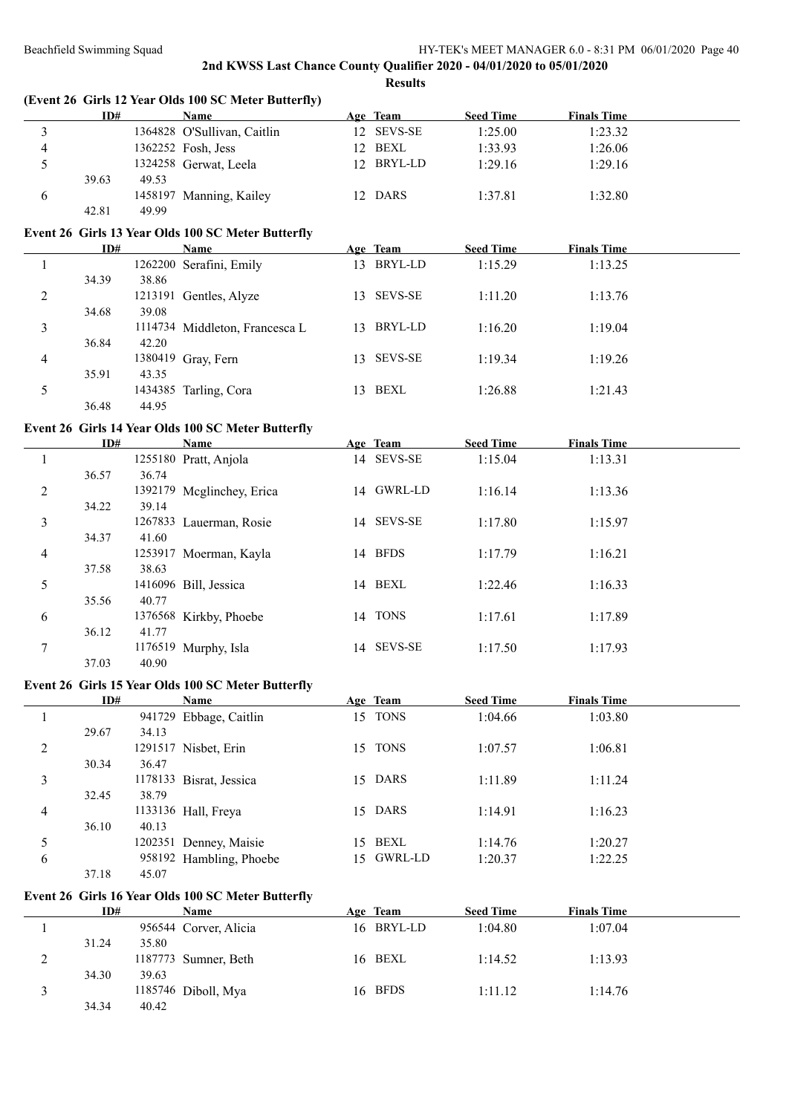|                          | ID#   |       | (Event 26 Girls 12 Year Olds 100 SC Meter Butterfly)<br><b>Name</b> | Age Team   | <b>Seed Time</b> | <b>Finals Time</b> |  |
|--------------------------|-------|-------|---------------------------------------------------------------------|------------|------------------|--------------------|--|
| $\mathfrak{Z}$           |       |       | 1364828 O'Sullivan, Caitlin                                         | 12 SEVS-SE | 1:25.00          | 1:23.32            |  |
| $\overline{\mathcal{A}}$ |       |       | 1362252 Fosh, Jess                                                  | 12 BEXL    | 1:33.93          | 1:26.06            |  |
| 5                        |       |       | 1324258 Gerwat, Leela                                               | 12 BRYL-LD | 1:29.16          | 1:29.16            |  |
|                          | 39.63 | 49.53 |                                                                     |            |                  |                    |  |
| 6                        |       |       | 1458197 Manning, Kailey                                             | 12 DARS    | 1:37.81          | 1:32.80            |  |
|                          | 42.81 | 49.99 |                                                                     |            |                  |                    |  |
|                          |       |       |                                                                     |            |                  |                    |  |
|                          |       |       | Event 26 Girls 13 Year Olds 100 SC Meter Butterfly                  |            |                  |                    |  |
|                          | ID#   |       | <b>Name</b>                                                         | Age Team   | <b>Seed Time</b> | <b>Finals Time</b> |  |
| 1                        |       |       | 1262200 Serafini, Emily                                             | 13 BRYL-LD | 1:15.29          | 1:13.25            |  |
|                          | 34.39 | 38.86 |                                                                     |            |                  |                    |  |
| 2                        |       |       | 1213191 Gentles, Alyze                                              | 13 SEVS-SE | 1:11.20          | 1:13.76            |  |
|                          | 34.68 | 39.08 |                                                                     |            |                  |                    |  |
| 3                        |       |       | 1114734 Middleton, Francesca L                                      | 13 BRYL-LD | 1:16.20          | 1:19.04            |  |
|                          | 36.84 | 42.20 |                                                                     |            |                  |                    |  |
| 4                        |       |       | 1380419 Gray, Fern                                                  | 13 SEVS-SE | 1:19.34          | 1:19.26            |  |
|                          | 35.91 | 43.35 |                                                                     |            |                  |                    |  |
| 5                        |       |       | 1434385 Tarling, Cora                                               | 13 BEXL    | 1:26.88          | 1:21.43            |  |
|                          | 36.48 | 44.95 |                                                                     |            |                  |                    |  |
|                          |       |       |                                                                     |            |                  |                    |  |
|                          |       |       | Event 26 Girls 14 Year Olds 100 SC Meter Butterfly                  |            |                  |                    |  |
|                          | ID#   |       | <b>Name</b>                                                         | Age Team   | <b>Seed Time</b> | <b>Finals Time</b> |  |
| $\mathbf{1}$             |       |       | 1255180 Pratt, Anjola                                               | 14 SEVS-SE | 1:15.04          | 1:13.31            |  |
|                          | 36.57 | 36.74 |                                                                     |            |                  |                    |  |
| 2                        |       |       | 1392179 Mcglinchey, Erica                                           | 14 GWRL-LD | 1:16.14          | 1:13.36            |  |
|                          | 34.22 | 39.14 |                                                                     |            |                  |                    |  |
| 3                        |       |       | 1267833 Lauerman, Rosie                                             | 14 SEVS-SE | 1:17.80          | 1:15.97            |  |
|                          | 34.37 | 41.60 |                                                                     |            |                  |                    |  |
| 4                        |       |       | 1253917 Moerman, Kayla                                              | 14 BFDS    | 1:17.79          | 1:16.21            |  |
|                          | 37.58 | 38.63 |                                                                     |            |                  |                    |  |
| 5                        |       |       | 1416096 Bill, Jessica                                               | 14 BEXL    | 1:22.46          | 1:16.33            |  |
|                          | 35.56 | 40.77 |                                                                     |            |                  |                    |  |
| 6                        |       |       | 1376568 Kirkby, Phoebe                                              | 14 TONS    | 1:17.61          | 1:17.89            |  |
|                          | 36.12 | 41.77 |                                                                     |            |                  |                    |  |
| 7                        |       |       | 1176519 Murphy, Isla                                                | 14 SEVS-SE | 1:17.50          | 1:17.93            |  |
|                          | 37.03 | 40.90 |                                                                     |            |                  |                    |  |
|                          |       |       |                                                                     |            |                  |                    |  |
|                          |       |       | Event 26 Girls 15 Year Olds 100 SC Meter Butterfly                  |            |                  |                    |  |
|                          | ID#   |       | Name                                                                | Age Team   | <b>Seed Time</b> | <b>Finals Time</b> |  |
| 1                        |       |       | 941729 Ebbage, Caitlin                                              | 15 TONS    | 1:04.66          | 1:03.80            |  |
|                          | 29.67 | 34.13 |                                                                     |            |                  |                    |  |
| 2                        |       |       | 1291517 Nisbet, Erin                                                | 15 TONS    | 1:07.57          | 1:06.81            |  |
|                          | 30.34 | 36.47 |                                                                     |            |                  |                    |  |
| 3                        |       |       | 1178133 Bisrat, Jessica                                             | 15 DARS    | 1:11.89          | 1:11.24            |  |
|                          | 32.45 | 38.79 |                                                                     |            |                  |                    |  |
| 4                        |       |       | 1133136 Hall, Freya                                                 | 15 DARS    | 1:14.91          | 1:16.23            |  |
|                          | 36.10 | 40.13 |                                                                     |            |                  |                    |  |
| 5                        |       |       | 1202351 Denney, Maisie                                              | 15 BEXL    | 1:14.76          | 1:20.27            |  |
| 6                        |       |       | 958192 Hambling, Phoebe                                             | 15 GWRL-LD | 1:20.37          | 1:22.25            |  |
|                          | 37.18 | 45.07 |                                                                     |            |                  |                    |  |
|                          |       |       |                                                                     |            |                  |                    |  |
|                          |       |       | Event 26 Girls 16 Year Olds 100 SC Meter Butterfly                  |            |                  |                    |  |
|                          | ID#   |       | <b>Name</b>                                                         | Age Team   | <b>Seed Time</b> | <b>Finals Time</b> |  |
| $\mathbf{1}$             |       |       | 956544 Corver, Alicia                                               | 16 BRYL-LD | 1:04.80          | 1:07.04            |  |
|                          | 31.24 | 35.80 |                                                                     |            |                  |                    |  |
| 2                        |       |       | 1187773 Sumner, Beth                                                | 16 BEXL    | 1:14.52          | 1:13.93            |  |
|                          | 34.30 | 39.63 |                                                                     |            |                  |                    |  |
| 3                        |       |       | 1185746 Diboll, Mya                                                 | 16 BFDS    | 1:11.12          | 1:14.76            |  |
|                          | 34.34 | 40.42 |                                                                     |            |                  |                    |  |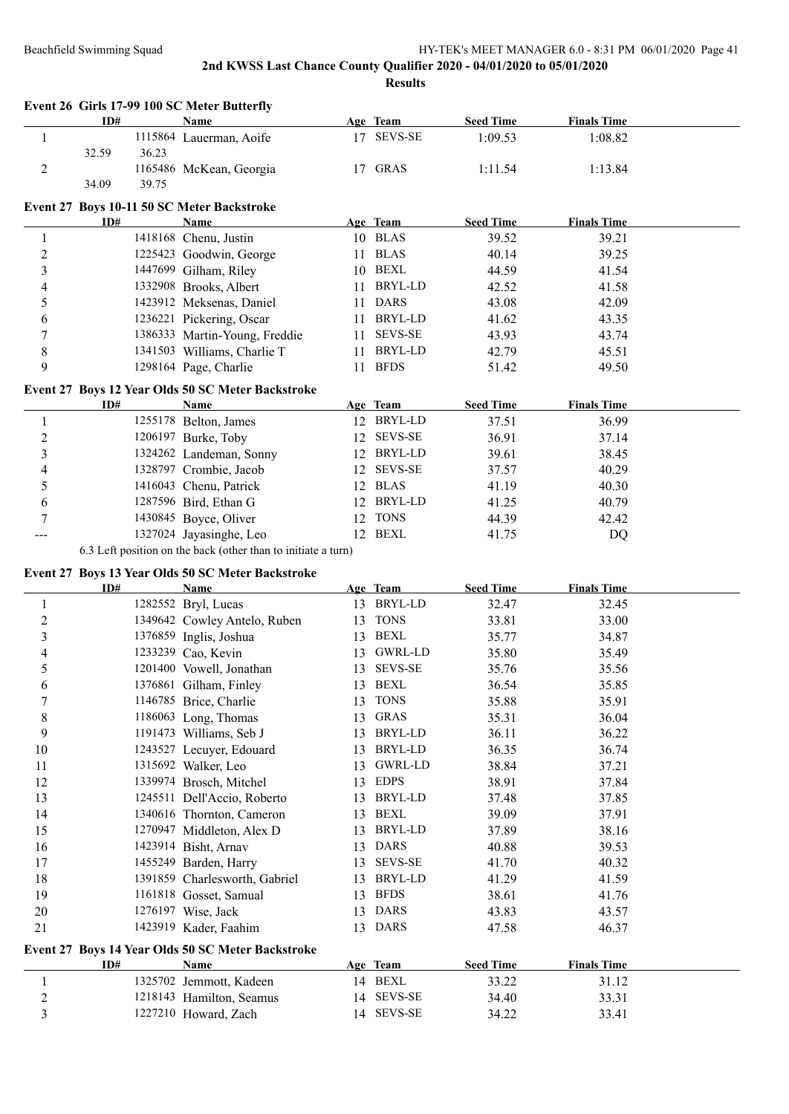|                  | ID#   |       | Name                                                          |    | Age Team       | <b>Seed Time</b> | <b>Finals Time</b> |  |
|------------------|-------|-------|---------------------------------------------------------------|----|----------------|------------------|--------------------|--|
| $\mathbf{1}$     |       |       | 1115864 Lauerman, Aoife                                       |    | 17 SEVS-SE     | 1:09.53          | 1:08.82            |  |
|                  | 32.59 | 36.23 |                                                               |    |                |                  |                    |  |
| 2                |       |       | 1165486 McKean, Georgia                                       |    | 17 GRAS        | 1:11.54          | 1:13.84            |  |
|                  | 34.09 | 39.75 |                                                               |    |                |                  |                    |  |
|                  |       |       | Event 27 Boys 10-11 50 SC Meter Backstroke                    |    |                |                  |                    |  |
|                  | ID#   |       | <b>Name</b>                                                   |    | Age Team       | <b>Seed Time</b> | <b>Finals Time</b> |  |
| 1                |       |       | 1418168 Chenu, Justin                                         |    | 10 BLAS        | 39.52            | 39.21              |  |
| $\overline{2}$   |       |       | 1225423 Goodwin, George                                       |    | 11 BLAS        | 40.14            | 39.25              |  |
| 3                |       |       | 1447699 Gilham, Riley                                         |    | 10 BEXL        | 44.59            | 41.54              |  |
| 4                |       |       | 1332908 Brooks, Albert                                        | 11 | BRYL-LD        | 42.52            | 41.58              |  |
| 5                |       |       | 1423912 Meksenas, Daniel                                      | 11 | DARS           | 43.08            | 42.09              |  |
| 6                |       |       | 1236221 Pickering, Oscar                                      |    | 11 BRYL-LD     | 41.62            | 43.35              |  |
| 7                |       |       | 1386333 Martin-Young, Freddie                                 | 11 | <b>SEVS-SE</b> | 43.93            | 43.74              |  |
| 8                |       |       | 1341503 Williams, Charlie T                                   | 11 | BRYL-LD        | 42.79            | 45.51              |  |
| 9                |       |       | 1298164 Page, Charlie                                         |    | 11 BFDS        | 51.42            | 49.50              |  |
|                  |       |       |                                                               |    |                |                  |                    |  |
|                  |       |       | Event 27 Boys 12 Year Olds 50 SC Meter Backstroke             |    |                |                  |                    |  |
|                  | ID#   |       | <b>Name</b>                                                   |    | Age Team       | <b>Seed Time</b> | <b>Finals Time</b> |  |
| 1                |       |       | 1255178 Belton, James                                         |    | 12 BRYL-LD     | 37.51            | 36.99              |  |
| $\overline{2}$   |       |       | 1206197 Burke, Toby                                           |    | 12 SEVS-SE     | 36.91            | 37.14              |  |
| 3                |       |       | 1324262 Landeman, Sonny                                       |    | 12 BRYL-LD     | 39.61            | 38.45              |  |
| 4                |       |       | 1328797 Crombie, Jacob                                        |    | 12 SEVS-SE     | 37.57            | 40.29              |  |
| 5                |       |       | 1416043 Chenu, Patrick                                        |    | 12 BLAS        | 41.19            | 40.30              |  |
| 6                |       |       | 1287596 Bird, Ethan G                                         |    | 12 BRYL-LD     | 41.25            | 40.79              |  |
| 7                |       |       | 1430845 Boyce, Oliver                                         |    | 12 TONS        | 44.39            | 42.42              |  |
|                  |       |       |                                                               |    |                |                  |                    |  |
|                  |       |       | 1327024 Jayasinghe, Leo                                       |    | 12 BEXL        | 41.75            | DQ                 |  |
|                  |       |       | 6.3 Left position on the back (other than to initiate a turn) |    |                |                  |                    |  |
|                  |       |       |                                                               |    |                |                  |                    |  |
|                  | ID#   |       | Event 27 Boys 13 Year Olds 50 SC Meter Backstroke<br>Name     |    | Age Team       | <b>Seed Time</b> | <b>Finals Time</b> |  |
| 1                |       |       | 1282552 Bryl, Lucas                                           |    | 13 BRYL-LD     | 32.47            | 32.45              |  |
| 2                |       |       | 1349642 Cowley Antelo, Ruben                                  | 13 | <b>TONS</b>    | 33.81            | 33.00              |  |
| 3                |       |       | 1376859 Inglis, Joshua                                        |    | 13 BEXL        | 35.77            | 34.87              |  |
| 4                |       |       | 1233239 Cao, Kevin                                            |    | 13 GWRL-LD     | 35.80            | 35.49              |  |
| 5                |       |       | 1201400 Vowell, Jonathan                                      | 13 | <b>SEVS-SE</b> | 35.76            | 35.56              |  |
| 6                |       |       |                                                               |    | 13 BEXL        |                  |                    |  |
| 7                |       |       | 1376861 Gilham, Finley<br>1146785 Brice, Charlie              |    | 13 TONS        | 36.54<br>35.88   | 35.85<br>35.91     |  |
|                  |       |       |                                                               | 13 | <b>GRAS</b>    |                  |                    |  |
| 8<br>9           |       |       | 1186063 Long, Thomas                                          | 13 | <b>BRYL-LD</b> | 35.31<br>36.11   | 36.04              |  |
|                  |       |       | 1191473 Williams, Seb J                                       | 13 |                |                  | 36.22              |  |
| 10               |       |       | 1243527 Lecuyer, Edouard                                      |    | BRYL-LD        | 36.35            | 36.74              |  |
| 11               |       |       | 1315692 Walker, Leo                                           | 13 | <b>GWRL-LD</b> | 38.84            | 37.21              |  |
| 12               |       |       | 1339974 Brosch, Mitchel                                       | 13 | <b>EDPS</b>    | 38.91            | 37.84              |  |
| 13               |       |       | 1245511 Dell'Accio, Roberto                                   | 13 | BRYL-LD        | 37.48            | 37.85              |  |
| 14               |       |       | 1340616 Thornton, Cameron                                     | 13 | <b>BEXL</b>    | 39.09            | 37.91              |  |
| 15               |       |       | 1270947 Middleton, Alex D                                     | 13 | BRYL-LD        | 37.89            | 38.16              |  |
| 16               |       |       | 1423914 Bisht, Arnav                                          | 13 | <b>DARS</b>    | 40.88            | 39.53              |  |
| 17               |       |       | 1455249 Barden, Harry                                         | 13 | <b>SEVS-SE</b> | 41.70            | 40.32              |  |
| 18               |       |       | 1391859 Charlesworth, Gabriel                                 | 13 | BRYL-LD        | 41.29            | 41.59              |  |
| 19               |       |       | 1161818 Gosset, Samual                                        | 13 | <b>BFDS</b>    | 38.61            | 41.76              |  |
| 20               |       |       | 1276197 Wise, Jack                                            | 13 | <b>DARS</b>    | 43.83            | 43.57              |  |
|                  |       |       | 1423919 Kader, Faahim                                         | 13 | DARS           | 47.58            | 46.37              |  |
| 21               |       |       | Event 27 Boys 14 Year Olds 50 SC Meter Backstroke             |    |                |                  |                    |  |
|                  | ID#   |       | <b>Name</b>                                                   |    | Age Team       | <b>Seed Time</b> | <b>Finals Time</b> |  |
| 1                |       |       | 1325702 Jemmott, Kadeen                                       |    | 14 BEXL        | 33.22            | 31.12              |  |
| $\boldsymbol{2}$ |       |       | 1218143 Hamilton, Seamus                                      | 14 | <b>SEVS-SE</b> | 34.40            | 33.31              |  |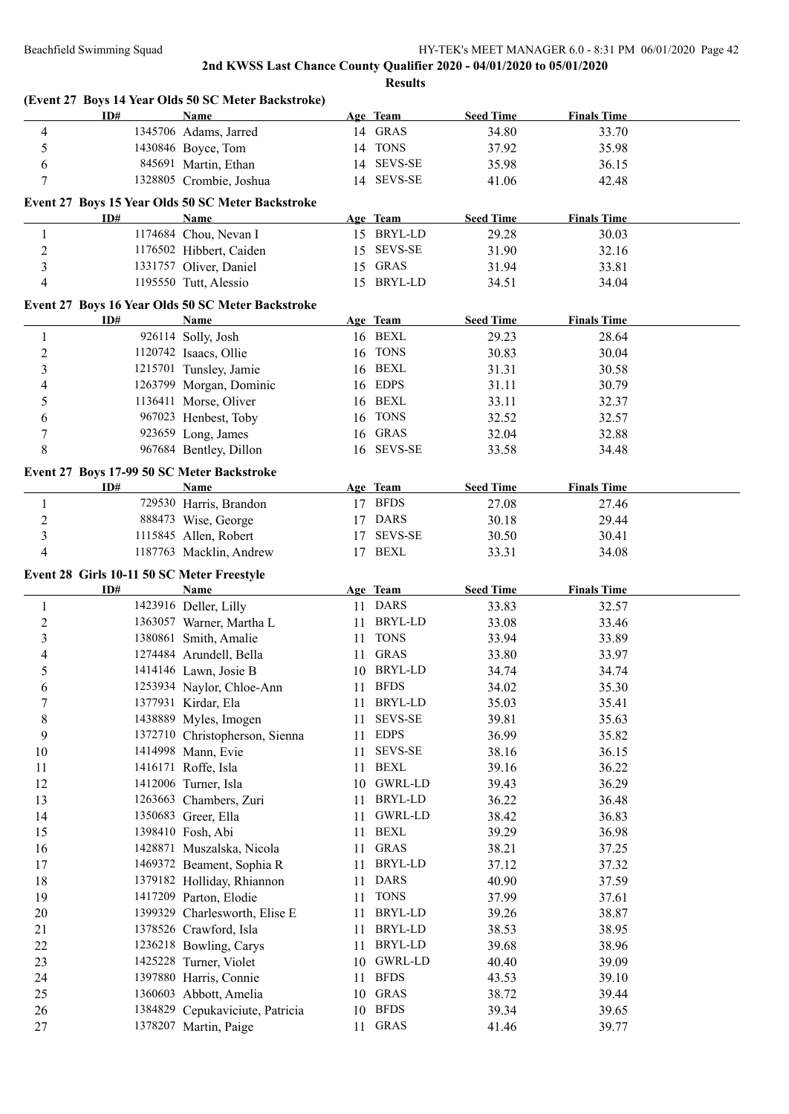|                  | (Event 27 Boys 14 Year Olds 50 SC Meter Backstroke) |                                                          |    |                    |                  |                    |  |
|------------------|-----------------------------------------------------|----------------------------------------------------------|----|--------------------|------------------|--------------------|--|
|                  | ID#                                                 | <b>Name</b>                                              |    | Age Team           | <b>Seed Time</b> | <b>Finals Time</b> |  |
| 4                |                                                     | 1345706 Adams, Jarred                                    |    | 14 GRAS            | 34.80            | 33.70              |  |
| 5                |                                                     | 1430846 Boyce, Tom                                       |    | 14 TONS            | 37.92            | 35.98              |  |
| 6                |                                                     | 845691 Martin, Ethan                                     |    | 14 SEVS-SE         | 35.98            | 36.15              |  |
| 7                |                                                     | 1328805 Crombie, Joshua                                  |    | 14 SEVS-SE         | 41.06            | 42.48              |  |
|                  |                                                     | Event 27 Boys 15 Year Olds 50 SC Meter Backstroke        |    |                    |                  |                    |  |
|                  | ID#                                                 | Name                                                     |    | Age Team           | <b>Seed Time</b> | <b>Finals Time</b> |  |
| 1                |                                                     | 1174684 Chou, Nevan I                                    |    | 15 BRYL-LD         | 29.28            | 30.03              |  |
| $\boldsymbol{2}$ |                                                     | 1176502 Hibbert, Caiden                                  |    | 15 SEVS-SE         | 31.90            | 32.16              |  |
| $\mathfrak{Z}$   |                                                     | 1331757 Oliver, Daniel                                   |    | 15 GRAS            | 31.94            | 33.81              |  |
| $\overline{4}$   |                                                     | 1195550 Tutt, Alessio                                    |    | 15 BRYL-LD         | 34.51            | 34.04              |  |
|                  |                                                     | Event 27 Boys 16 Year Olds 50 SC Meter Backstroke        |    |                    |                  |                    |  |
|                  | ID#                                                 | Name                                                     |    | Age Team           | <b>Seed Time</b> | <b>Finals Time</b> |  |
| 1                |                                                     | 926114 Solly, Josh                                       |    | 16 BEXL            | 29.23            | 28.64              |  |
| $\overline{c}$   |                                                     | 1120742 Isaacs, Ollie                                    |    | 16 TONS            | 30.83            | 30.04              |  |
| 3                |                                                     | 1215701 Tunsley, Jamie                                   |    | 16 BEXL            | 31.31            | 30.58              |  |
| 4                |                                                     | 1263799 Morgan, Dominic                                  |    | 16 EDPS            | 31.11            | 30.79              |  |
| 5                |                                                     | 1136411 Morse, Oliver                                    |    | 16 BEXL            | 33.11            | 32.37              |  |
|                  |                                                     | 967023 Henbest, Toby                                     |    | 16 TONS            |                  | 32.57              |  |
| 6                |                                                     |                                                          |    | 16 GRAS            | 32.52            |                    |  |
| 7                |                                                     | 923659 Long, James                                       |    |                    | 32.04            | 32.88              |  |
| 8                |                                                     | 967684 Bentley, Dillon                                   |    | 16 SEVS-SE         | 33.58            | 34.48              |  |
|                  | Event 27 Boys 17-99 50 SC Meter Backstroke          |                                                          |    |                    |                  |                    |  |
|                  | ID#                                                 | <b>Name</b>                                              |    | Age Team           | <b>Seed Time</b> | <b>Finals Time</b> |  |
| $\mathbf{1}$     |                                                     | 729530 Harris, Brandon                                   |    | 17 BFDS            | 27.08            | 27.46              |  |
| $\overline{c}$   |                                                     | 888473 Wise, George                                      |    | 17 DARS            | 30.18            | 29.44              |  |
| 3                |                                                     | 1115845 Allen, Robert                                    |    | 17 SEVS-SE         | 30.50            | 30.41              |  |
| $\overline{4}$   |                                                     | 1187763 Macklin, Andrew                                  |    | 17 BEXL            | 33.31            | 34.08              |  |
|                  | Event 28 Girls 10-11 50 SC Meter Freestyle          |                                                          |    |                    |                  |                    |  |
|                  |                                                     |                                                          |    |                    |                  |                    |  |
|                  | ID#                                                 | <b>Name</b>                                              |    | Age Team           | <b>Seed Time</b> | <b>Finals Time</b> |  |
| 1                |                                                     | 1423916 Deller, Lilly                                    |    | 11 DARS            | 33.83            | 32.57              |  |
| $\overline{c}$   |                                                     | 1363057 Warner, Martha L                                 |    | 11 BRYL-LD         | 33.08            | 33.46              |  |
| $\mathfrak{Z}$   |                                                     | 1380861 Smith, Amalie                                    | 11 | <b>TONS</b>        | 33.94            | 33.89              |  |
| 4                |                                                     | 1274484 Arundell, Bella                                  |    | 11 GRAS            | 33.80            | 33.97              |  |
|                  |                                                     |                                                          |    | 10 BRYL-LD         |                  |                    |  |
| 5                |                                                     | 1414146 Lawn, Josie B                                    |    |                    | 34.74            | 34.74              |  |
| 6                |                                                     | 1253934 Naylor, Chloe-Ann                                |    | 11 BFDS            | 34.02            | 35.30              |  |
| $\boldsymbol{7}$ |                                                     | 1377931 Kirdar, Ela                                      |    | 11 BRYL-LD         | 35.03            | 35.41              |  |
| 8                |                                                     | 1438889 Myles, Imogen                                    | 11 | <b>SEVS-SE</b>     | 39.81            | 35.63              |  |
| 9                |                                                     | 1372710 Christopherson, Sienna                           | 11 | <b>EDPS</b>        | 36.99            | 35.82              |  |
| 10               |                                                     | 1414998 Mann, Evie                                       | 11 | <b>SEVS-SE</b>     | 38.16            | 36.15              |  |
| 11               |                                                     | 1416171 Roffe, Isla                                      | 11 | <b>BEXL</b>        | 39.16            | 36.22              |  |
| 12               |                                                     | 1412006 Turner, Isla                                     |    | 10 GWRL-LD         | 39.43            | 36.29              |  |
| 13               |                                                     | 1263663 Chambers, Zuri                                   | 11 | BRYL-LD            | 36.22            | 36.48              |  |
| 14               |                                                     | 1350683 Greer, Ella                                      | 11 | GWRL-LD            | 38.42            | 36.83              |  |
| 15               |                                                     | 1398410 Fosh, Abi                                        | 11 | BEXL               | 39.29            | 36.98              |  |
| 16               |                                                     | 1428871 Muszalska, Nicola                                | 11 | <b>GRAS</b>        | 38.21            | 37.25              |  |
| 17               |                                                     | 1469372 Beament, Sophia R                                | 11 | <b>BRYL-LD</b>     | 37.12            | 37.32              |  |
| 18               |                                                     | 1379182 Holliday, Rhiannon                               | 11 | <b>DARS</b>        | 40.90            | 37.59              |  |
| 19               |                                                     | 1417209 Parton, Elodie                                   | 11 | <b>TONS</b>        | 37.99            | 37.61              |  |
| 20               |                                                     | 1399329 Charlesworth, Elise E                            | 11 | BRYL-LD            | 39.26            | 38.87              |  |
| 21               |                                                     | 1378526 Crawford, Isla                                   | 11 | BRYL-LD            | 38.53            | 38.95              |  |
| 22               |                                                     | 1236218 Bowling, Carys                                   | 11 | BRYL-LD            | 39.68            | 38.96              |  |
| 23               |                                                     | 1425228 Turner, Violet                                   | 10 | GWRL-LD            | 40.40            | 39.09              |  |
|                  |                                                     |                                                          | 11 | <b>BFDS</b>        |                  |                    |  |
| 24               |                                                     | 1397880 Harris, Connie                                   |    |                    | 43.53            | 39.10              |  |
| 25               |                                                     | 1360603 Abbott, Amelia                                   | 10 | <b>GRAS</b>        | 38.72            | 39.44              |  |
| 26<br>27         |                                                     | 1384829 Cepukaviciute, Patricia<br>1378207 Martin, Paige |    | 10 BFDS<br>11 GRAS | 39.34<br>41.46   | 39.65<br>39.77     |  |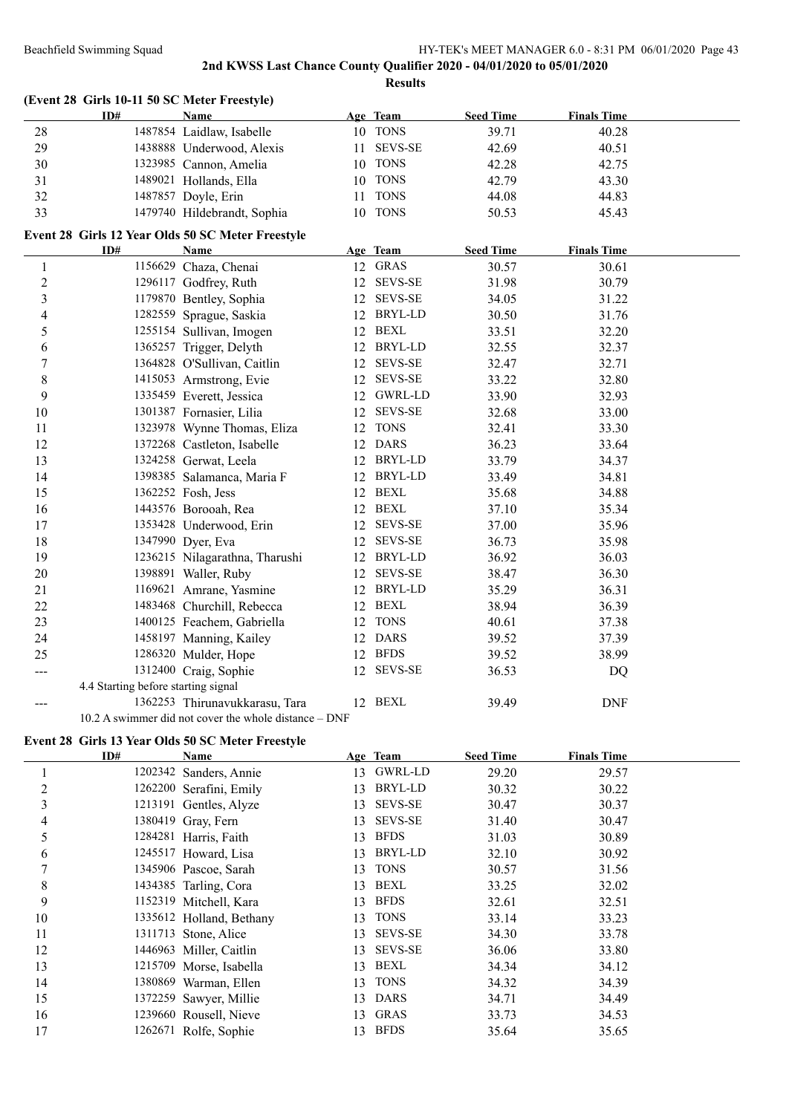|                           | (Event 28 Girls 10-11 50 SC Meter Freestyle) |                                                                  |    |                |                  |                    |  |
|---------------------------|----------------------------------------------|------------------------------------------------------------------|----|----------------|------------------|--------------------|--|
|                           | ID#                                          | Name                                                             |    | Age Team       | <b>Seed Time</b> | <b>Finals Time</b> |  |
| 28                        |                                              | 1487854 Laidlaw, Isabelle                                        |    | 10 TONS        | 39.71            | 40.28              |  |
| 29                        |                                              | 1438888 Underwood, Alexis                                        | 11 | <b>SEVS-SE</b> | 42.69            | 40.51              |  |
| 30                        |                                              | 1323985 Cannon, Amelia                                           | 10 | <b>TONS</b>    | 42.28            | 42.75              |  |
| 31                        |                                              | 1489021 Hollands, Ella                                           |    | 10 TONS        | 42.79            | 43.30              |  |
| 32                        |                                              | 1487857 Doyle, Erin                                              | 11 | <b>TONS</b>    | 44.08            | 44.83              |  |
| 33                        |                                              | 1479740 Hildebrandt, Sophia                                      | 10 | <b>TONS</b>    | 50.53            | 45.43              |  |
|                           |                                              |                                                                  |    |                |                  |                    |  |
|                           | ID#                                          | Event 28 Girls 12 Year Olds 50 SC Meter Freestyle<br>Name        |    | Age Team       | <b>Seed Time</b> | <b>Finals Time</b> |  |
|                           |                                              |                                                                  |    | 12 GRAS        |                  |                    |  |
| $\mathbf{1}$              |                                              | 1156629 Chaza, Chenai                                            |    |                | 30.57            | 30.61              |  |
| $\boldsymbol{2}$          |                                              | 1296117 Godfrey, Ruth                                            |    | 12 SEVS-SE     | 31.98            | 30.79              |  |
| $\overline{\mathbf{3}}$   |                                              | 1179870 Bentley, Sophia                                          |    | 12 SEVS-SE     | 34.05            | 31.22              |  |
| 4                         |                                              | 1282559 Sprague, Saskia                                          | 12 | <b>BRYL-LD</b> | 30.50            | 31.76              |  |
| 5                         |                                              | 1255154 Sullivan, Imogen                                         | 12 | BEXL           | 33.51            | 32.20              |  |
| 6                         |                                              | 1365257 Trigger, Delyth                                          | 12 | BRYL-LD        | 32.55            | 32.37              |  |
| $\tau$                    |                                              | 1364828 O'Sullivan, Caitlin                                      | 12 | <b>SEVS-SE</b> | 32.47            | 32.71              |  |
| $\,$ $\,$                 |                                              | 1415053 Armstrong, Evie                                          |    | 12 SEVS-SE     | 33.22            | 32.80              |  |
| 9                         |                                              | 1335459 Everett, Jessica                                         |    | 12 GWRL-LD     | 33.90            | 32.93              |  |
| $10\,$                    |                                              | 1301387 Fornasier, Lilia                                         | 12 | <b>SEVS-SE</b> | 32.68            | 33.00              |  |
| 11                        |                                              | 1323978 Wynne Thomas, Eliza                                      | 12 | <b>TONS</b>    | 32.41            | 33.30              |  |
| 12                        |                                              | 1372268 Castleton, Isabelle                                      | 12 | <b>DARS</b>    | 36.23            | 33.64              |  |
| 13                        |                                              | 1324258 Gerwat, Leela                                            | 12 | BRYL-LD        | 33.79            | 34.37              |  |
| 14                        |                                              | 1398385 Salamanca, Maria F                                       |    | 12 BRYL-LD     | 33.49            | 34.81              |  |
| 15                        |                                              | 1362252 Fosh, Jess                                               | 12 | <b>BEXL</b>    | 35.68            | 34.88              |  |
| 16                        |                                              | 1443576 Borooah, Rea                                             |    | 12 BEXL        | 37.10            | 35.34              |  |
| 17                        |                                              | 1353428 Underwood, Erin                                          | 12 | <b>SEVS-SE</b> | 37.00            | 35.96              |  |
| 18                        |                                              | 1347990 Dyer, Eva                                                | 12 | <b>SEVS-SE</b> | 36.73            | 35.98              |  |
| 19                        |                                              | 1236215 Nilagarathna, Tharushi                                   | 12 | <b>BRYL-LD</b> | 36.92            | 36.03              |  |
| 20                        |                                              | 1398891 Waller, Ruby                                             | 12 | <b>SEVS-SE</b> | 38.47            | 36.30              |  |
| 21                        |                                              | 1169621 Amrane, Yasmine                                          | 12 | BRYL-LD        | 35.29            | 36.31              |  |
| 22                        |                                              | 1483468 Churchill, Rebecca                                       | 12 | <b>BEXL</b>    | 38.94            | 36.39              |  |
| 23                        |                                              | 1400125 Feachem, Gabriella                                       |    | 12 TONS        | 40.61            | 37.38              |  |
| 24                        |                                              | 1458197 Manning, Kailey                                          | 12 | <b>DARS</b>    | 39.52            | 37.39              |  |
| 25                        |                                              | 1286320 Mulder, Hope                                             | 12 | <b>BFDS</b>    | 39.52            | 38.99              |  |
| $\qquad \qquad -\qquad -$ |                                              | 1312400 Craig, Sophie                                            | 12 | <b>SEVS-SE</b> | 36.53            | DQ                 |  |
|                           | 4.4 Starting before starting signal          |                                                                  |    |                |                  |                    |  |
|                           |                                              | 1362253 Thirunavukkarasu, Tara                                   |    | 12 BEXL        | 39.49            | <b>DNF</b>         |  |
|                           |                                              | 10.2 A swimmer did not cover the whole distance – DNF            |    |                |                  |                    |  |
|                           |                                              |                                                                  |    |                |                  |                    |  |
|                           | ID#                                          | Event 28 Girls 13 Year Olds 50 SC Meter Freestyle<br><u>Name</u> |    | Age Team       | <b>Seed Time</b> | <b>Finals Time</b> |  |
| 1                         |                                              | 1202342 Sanders, Annie                                           | 13 | <b>GWRL-LD</b> | 29.20            | 29.57              |  |
| $\mathfrak{2}$            |                                              | 1262200 Serafini, Emily                                          | 13 | <b>BRYL-LD</b> | 30.32            | 30.22              |  |
| 3                         |                                              | 1213191 Gentles, Alyze                                           | 13 | SEVS-SE        | 30.47            | 30.37              |  |
| 4                         |                                              | 1380419 Gray, Fern                                               | 13 | <b>SEVS-SE</b> | 31.40            | 30.47              |  |
| 5                         |                                              | 1284281 Harris, Faith                                            | 13 | <b>BFDS</b>    | 31.03            | 30.89              |  |
| 6                         |                                              | 1245517 Howard, Lisa                                             | 13 | <b>BRYL-LD</b> | 32.10            | 30.92              |  |
| 7                         |                                              | 1345906 Pascoe, Sarah                                            | 13 | <b>TONS</b>    | 30.57            | 31.56              |  |
| $\,8\,$                   |                                              |                                                                  |    | <b>BEXL</b>    |                  |                    |  |
| 9                         |                                              | 1434385 Tarling, Cora                                            | 13 | <b>BFDS</b>    | 33.25            | 32.02              |  |
|                           |                                              | 1152319 Mitchell, Kara                                           | 13 |                | 32.61            | 32.51              |  |
| 10                        |                                              | 1335612 Holland, Bethany                                         | 13 | <b>TONS</b>    | 33.14            | 33.23              |  |
| 11                        |                                              | 1311713 Stone, Alice                                             | 13 | <b>SEVS-SE</b> | 34.30            | 33.78              |  |
| 12                        |                                              | 1446963 Miller, Caitlin                                          | 13 | <b>SEVS-SE</b> | 36.06            | 33.80              |  |
| 13                        |                                              | 1215709 Morse, Isabella                                          | 13 | <b>BEXL</b>    | 34.34            | 34.12              |  |
| 14                        |                                              | 1380869 Warman, Ellen                                            | 13 | <b>TONS</b>    | 34.32            | 34.39              |  |
| 15                        |                                              | 1372259 Sawyer, Millie                                           | 13 | <b>DARS</b>    | 34.71            | 34.49              |  |
| 16                        |                                              | 1239660 Rousell, Nieve                                           | 13 | <b>GRAS</b>    | 33.73            | 34.53              |  |
| 17                        |                                              | 1262671 Rolfe, Sophie                                            |    | 13 BFDS        | 35.64            | 35.65              |  |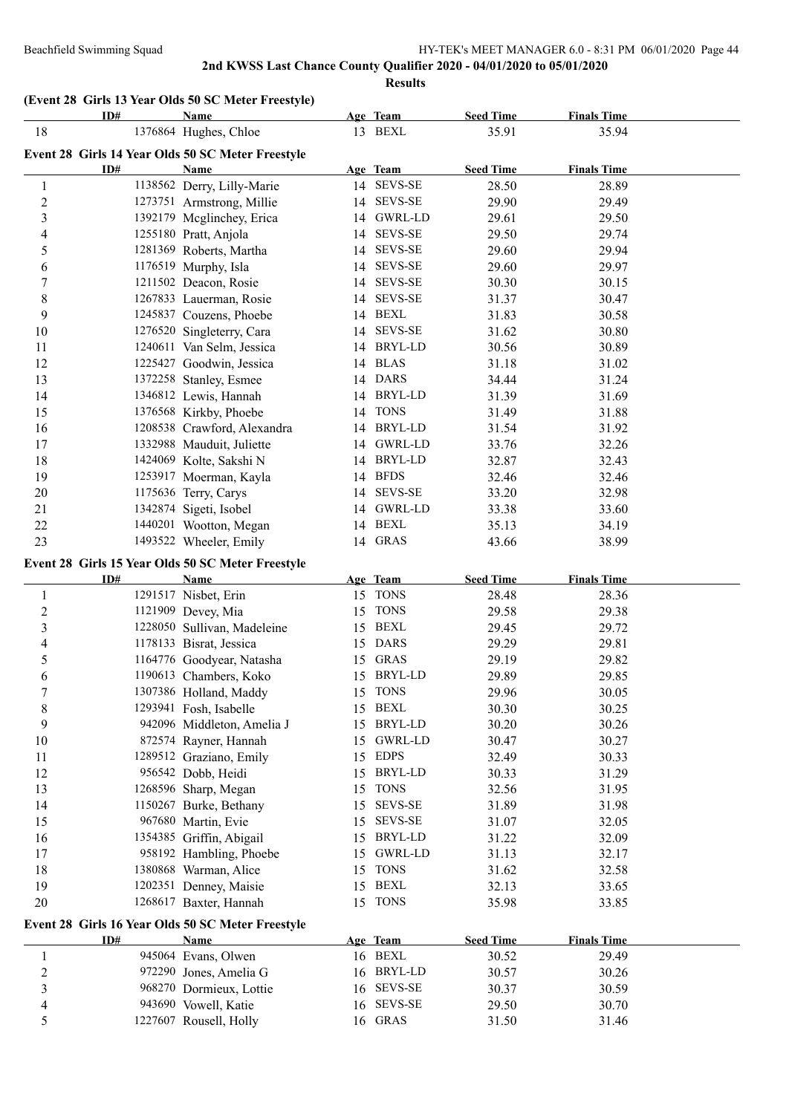### **2nd KWSS Last Chance County Qualifier 2020 - 04/01/2020 to 05/01/2020 Results**

### **(Event 28 Girls 13 Year Olds 50 SC Meter Freestyle)**

|                | ID# | Name                                              |                 | Age Team       | <b>Seed Time</b> | <b>Finals Time</b> |  |
|----------------|-----|---------------------------------------------------|-----------------|----------------|------------------|--------------------|--|
| 18             |     | 1376864 Hughes, Chloe                             |                 | 13 BEXL        | 35.91            | 35.94              |  |
|                |     | Event 28 Girls 14 Year Olds 50 SC Meter Freestyle |                 |                |                  |                    |  |
|                | ID# | <b>Name</b>                                       |                 | Age Team       | <b>Seed Time</b> | <b>Finals Time</b> |  |
| 1              |     | 1138562 Derry, Lilly-Marie                        |                 | 14 SEVS-SE     | 28.50            | 28.89              |  |
| $\mathbf{2}$   |     | 1273751 Armstrong, Millie                         |                 | 14 SEVS-SE     | 29.90            | 29.49              |  |
| 3              |     | 1392179 Mcglinchey, Erica                         |                 | 14 GWRL-LD     | 29.61            | 29.50              |  |
| 4              |     | 1255180 Pratt, Anjola                             |                 | 14 SEVS-SE     | 29.50            | 29.74              |  |
| 5              |     | 1281369 Roberts, Martha                           | 14              | <b>SEVS-SE</b> | 29.60            | 29.94              |  |
| 6              |     | 1176519 Murphy, Isla                              | 14              | <b>SEVS-SE</b> | 29.60            | 29.97              |  |
| 7              |     | 1211502 Deacon, Rosie                             | 14              | <b>SEVS-SE</b> | 30.30            | 30.15              |  |
| 8              |     | 1267833 Lauerman, Rosie                           | 14              | <b>SEVS-SE</b> | 31.37            | 30.47              |  |
| 9              |     | 1245837 Couzens, Phoebe                           |                 | 14 BEXL        | 31.83            | 30.58              |  |
| 10             |     | 1276520 Singleterry, Cara                         |                 | 14 SEVS-SE     | 31.62            | 30.80              |  |
| 11             |     | 1240611 Van Selm, Jessica                         | 14              | BRYL-LD        | 30.56            | 30.89              |  |
| 12             |     |                                                   |                 | 14 BLAS        | 31.18            | 31.02              |  |
| 13             |     | 1225427 Goodwin, Jessica                          |                 | 14 DARS        |                  |                    |  |
| 14             |     | 1372258 Stanley, Esmee                            |                 | 14 BRYL-LD     | 34.44            | 31.24<br>31.69     |  |
|                |     | 1346812 Lewis, Hannah                             |                 | <b>TONS</b>    | 31.39            |                    |  |
| 15<br>16       |     | 1376568 Kirkby, Phoebe                            | 14              | 14 BRYL-LD     | 31.49            | 31.88              |  |
|                |     | 1208538 Crawford, Alexandra                       |                 |                | 31.54            | 31.92              |  |
| 17             |     | 1332988 Mauduit, Juliette                         |                 | 14 GWRL-LD     | 33.76            | 32.26              |  |
| 18             |     | 1424069 Kolte, Sakshi N                           |                 | 14 BRYL-LD     | 32.87            | 32.43              |  |
| 19             |     | 1253917 Moerman, Kayla                            |                 | 14 BFDS        | 32.46            | 32.46              |  |
| $20\,$         |     | 1175636 Terry, Carys                              | 14              | <b>SEVS-SE</b> | 33.20            | 32.98              |  |
| 21             |     | 1342874 Sigeti, Isobel                            | 14              | GWRL-LD        | 33.38            | 33.60              |  |
| 22             |     | 1440201 Wootton, Megan                            | 14              | BEXL           | 35.13            | 34.19              |  |
| 23             |     | 1493522 Wheeler, Emily                            |                 | 14 GRAS        | 43.66            | 38.99              |  |
|                |     | Event 28 Girls 15 Year Olds 50 SC Meter Freestyle |                 |                |                  |                    |  |
|                | ID# | <b>Name</b>                                       |                 | Age Team       | <b>Seed Time</b> | <b>Finals Time</b> |  |
| $\mathbf{1}$   |     | 1291517 Nisbet, Erin                              |                 | 15 TONS        | 28.48            | 28.36              |  |
| $\mathbf{2}$   |     | 1121909 Devey, Mia                                | 15              | <b>TONS</b>    | 29.58            | 29.38              |  |
| 3              |     | 1228050 Sullivan, Madeleine                       |                 | 15 BEXL        | 29.45            | 29.72              |  |
| 4              |     | 1178133 Bisrat, Jessica                           | 15              | DARS           | 29.29            | 29.81              |  |
| 5              |     | 1164776 Goodyear, Natasha                         | 15              | <b>GRAS</b>    | 29.19            | 29.82              |  |
| 6              |     | 1190613 Chambers, Koko                            | 15              | <b>BRYL-LD</b> | 29.89            | 29.85              |  |
| $\overline{7}$ |     | 1307386 Holland, Maddy                            |                 | 15 TONS        | 29.96            | 30.05              |  |
| 8              |     | 1293941 Fosh, Isabelle                            | 15 <sup>2</sup> | <b>BEXL</b>    | 30.30            | 30.25              |  |
| 9              |     | 942096 Middleton, Amelia J                        | 15              | <b>BRYL-LD</b> | 30.20            | 30.26              |  |
| 10             |     | 872574 Rayner, Hannah                             | 15              | GWRL-LD        | 30.47            | 30.27              |  |
| 11             |     | 1289512 Graziano, Emily                           | 15              | <b>EDPS</b>    | 32.49            | 30.33              |  |
| 12             |     | 956542 Dobb, Heidi                                | 15              | <b>BRYL-LD</b> | 30.33            | 31.29              |  |
| 13             |     | 1268596 Sharp, Megan                              | 15              | <b>TONS</b>    | 32.56            | 31.95              |  |
| 14             |     | 1150267 Burke, Bethany                            | 15              | <b>SEVS-SE</b> | 31.89            | 31.98              |  |
| 15             |     | 967680 Martin, Evie                               | 15              | <b>SEVS-SE</b> | 31.07            | 32.05              |  |
| 16             |     | 1354385 Griffin, Abigail                          | 15              | <b>BRYL-LD</b> | 31.22            | 32.09              |  |
| 17             |     | 958192 Hambling, Phoebe                           | 15              | <b>GWRL-LD</b> | 31.13            | 32.17              |  |
| 18             |     | 1380868 Warman, Alice                             | 15              | <b>TONS</b>    | 31.62            | 32.58              |  |
| 19             |     | 1202351 Denney, Maisie                            |                 | 15 BEXL        | 32.13            | 33.65              |  |
| $20\,$         |     | 1268617 Baxter, Hannah                            |                 | 15 TONS        | 35.98            | 33.85              |  |
|                |     | Event 28 Girls 16 Year Olds 50 SC Meter Freestyle |                 |                |                  |                    |  |
|                | ID# | <b>Name</b>                                       |                 | Age Team       | <b>Seed Time</b> | <b>Finals Time</b> |  |
| 1              |     | 945064 Evans, Olwen                               |                 | 16 BEXL        | 30.52            | 29.49              |  |
| 2              |     | 972290 Jones, Amelia G                            | 16              | <b>BRYL-LD</b> | 30.57            | 30.26              |  |
| 3              |     | 968270 Dormieux, Lottie                           | 16              | <b>SEVS-SE</b> | 30.37            | 30.59              |  |
| 4              |     | 943690 Vowell, Katie                              | 16              | <b>SEVS-SE</b> | 29.50            | 30.70              |  |
|                |     |                                                   |                 |                |                  |                    |  |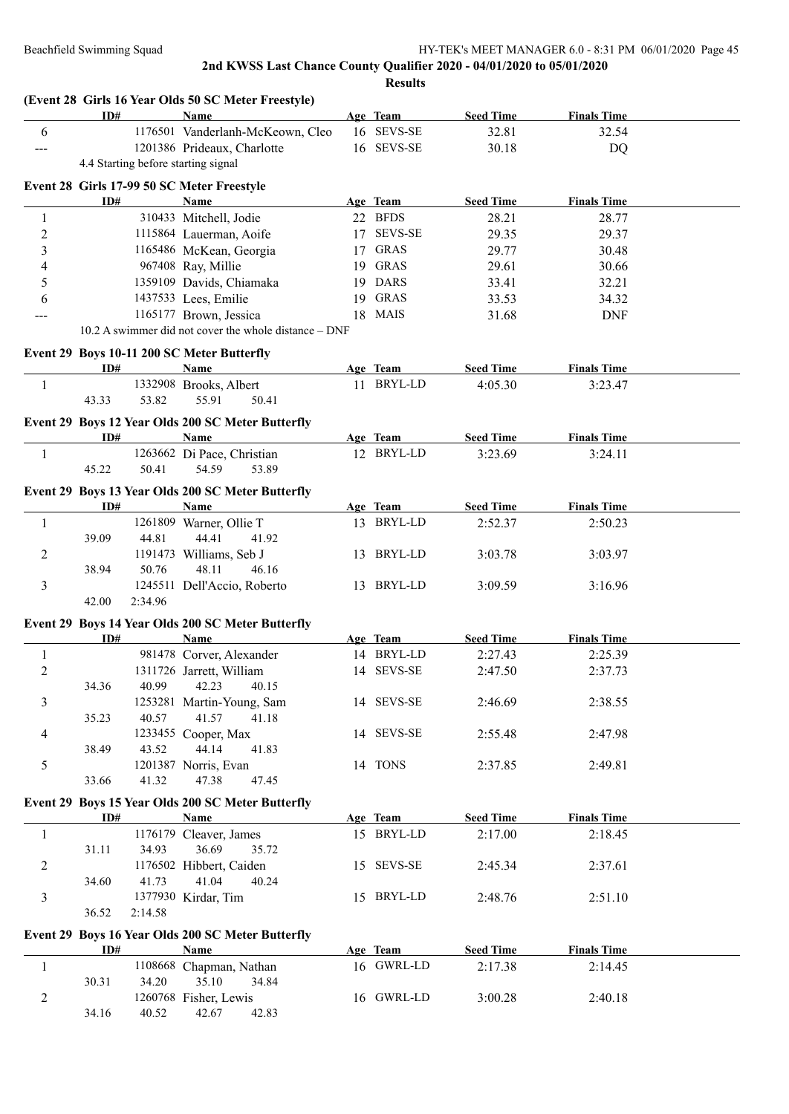|                | ID#   |         | (Event 28 Girls 16 Year Olds 50 SC Meter Freestyle)<br>Name | Age Team   | <b>Seed Time</b> | <b>Finals Time</b> |  |
|----------------|-------|---------|-------------------------------------------------------------|------------|------------------|--------------------|--|
| 6              |       |         | 1176501 Vanderlanh-McKeown, Cleo                            | 16 SEVS-SE | 32.81            | 32.54              |  |
| ---            |       |         | 1201386 Prideaux, Charlotte                                 | 16 SEVS-SE | 30.18            | DQ                 |  |
|                |       |         | 4.4 Starting before starting signal                         |            |                  |                    |  |
|                |       |         | Event 28 Girls 17-99 50 SC Meter Freestyle                  |            |                  |                    |  |
|                | ID#   |         | Name                                                        | Age Team   | <b>Seed Time</b> | <b>Finals Time</b> |  |
| 1              |       |         | 310433 Mitchell, Jodie                                      | 22 BFDS    | 28.21            | 28.77              |  |
| 2              |       |         | 1115864 Lauerman, Aoife                                     | 17 SEVS-SE | 29.35            | 29.37              |  |
| $\mathfrak{Z}$ |       |         | 1165486 McKean, Georgia                                     | 17 GRAS    | 29.77            | 30.48              |  |
| 4              |       |         | 967408 Ray, Millie                                          | 19 GRAS    | 29.61            | 30.66              |  |
| 5              |       |         | 1359109 Davids, Chiamaka                                    | 19 DARS    | 33.41            | 32.21              |  |
| 6              |       |         | 1437533 Lees, Emilie                                        | 19 GRAS    | 33.53            | 34.32              |  |
|                |       |         | 1165177 Brown, Jessica                                      | 18 MAIS    | 31.68            | <b>DNF</b>         |  |
|                |       |         | 10.2 A swimmer did not cover the whole distance - DNF       |            |                  |                    |  |
|                |       |         | Event 29 Boys 10-11 200 SC Meter Butterfly                  |            |                  |                    |  |
|                | ID#   |         | <b>Name</b>                                                 | Age Team   | <b>Seed Time</b> | <b>Finals Time</b> |  |
| 1              |       |         | 1332908 Brooks, Albert                                      | 11 BRYL-LD | 4:05.30          | 3:23.47            |  |
|                | 43.33 | 53.82   | 55.91<br>50.41                                              |            |                  |                    |  |
|                |       |         | Event 29 Boys 12 Year Olds 200 SC Meter Butterfly           |            |                  |                    |  |
|                | ID#   |         | <b>Name</b>                                                 | Age Team   | <b>Seed Time</b> | <b>Finals Time</b> |  |
| 1              |       |         | 1263662 Di Pace, Christian                                  | 12 BRYL-LD | 3:23.69          | 3:24.11            |  |
|                | 45.22 | 50.41   | 54.59<br>53.89                                              |            |                  |                    |  |
|                |       |         |                                                             |            |                  |                    |  |
|                | ID#   |         | Event 29 Boys 13 Year Olds 200 SC Meter Butterfly<br>Name   | Age Team   | <b>Seed Time</b> | <b>Finals Time</b> |  |
| 1              |       |         | 1261809 Warner, Ollie T                                     | 13 BRYL-LD | 2:52.37          | 2:50.23            |  |
|                | 39.09 | 44.81   | 44.41<br>41.92                                              |            |                  |                    |  |
| 2              |       |         | 1191473 Williams, Seb J                                     | 13 BRYL-LD | 3:03.78          | 3:03.97            |  |
|                | 38.94 | 50.76   | 48.11<br>46.16                                              |            |                  |                    |  |
| 3              |       |         | 1245511 Dell'Accio, Roberto                                 | 13 BRYL-LD | 3:09.59          | 3:16.96            |  |
|                | 42.00 | 2:34.96 |                                                             |            |                  |                    |  |
|                |       |         |                                                             |            |                  |                    |  |
|                | ID#   |         | Event 29 Boys 14 Year Olds 200 SC Meter Butterfly<br>Name   | Age Team   | <b>Seed Time</b> | <b>Finals Time</b> |  |
| 1              |       |         | 981478 Corver, Alexander                                    | 14 BRYL-LD | 2:27.43          | 2:25.39            |  |
| 2              |       |         | 1311726 Jarrett, William                                    | 14 SEVS-SE | 2:47.50          | 2:37.73            |  |
|                | 34.36 | 40.99   | 42.23<br>40.15                                              |            |                  |                    |  |
|                |       |         |                                                             |            |                  |                    |  |
| 3              |       |         | 1253281 Martin-Young, Sam                                   | 14 SEVS-SE | 2:46.69          | 2:38.55            |  |
|                | 35.23 | 40.57   | 41.57<br>41.18                                              |            |                  |                    |  |
| 4              |       |         | 1233455 Cooper, Max                                         | 14 SEVS-SE | 2:55.48          | 2:47.98            |  |
|                | 38.49 | 43.52   | 44.14<br>41.83                                              |            |                  |                    |  |
| 5              |       |         | 1201387 Norris, Evan                                        | 14 TONS    | 2:37.85          | 2:49.81            |  |
|                | 33.66 | 41.32   | 47.38<br>47.45                                              |            |                  |                    |  |
|                |       |         | Event 29 Boys 15 Year Olds 200 SC Meter Butterfly           |            |                  |                    |  |
|                |       |         |                                                             | Age Team   | <b>Seed Time</b> | <b>Finals Time</b> |  |
|                | ID#   |         | <b>Name</b>                                                 |            |                  |                    |  |
| 1              |       |         | 1176179 Cleaver, James                                      | 15 BRYL-LD | 2:17.00          | 2:18.45            |  |
|                | 31.11 | 34.93   | 36.69<br>35.72                                              |            |                  |                    |  |
| 2              |       |         | 1176502 Hibbert, Caiden                                     | 15 SEVS-SE | 2:45.34          | 2:37.61            |  |
|                | 34.60 | 41.73   | 41.04<br>40.24                                              |            |                  |                    |  |
| 3              |       |         | 1377930 Kirdar, Tim                                         | 15 BRYL-LD | 2:48.76          | 2:51.10            |  |
|                | 36.52 | 2:14.58 |                                                             |            |                  |                    |  |
|                |       |         | Event 29 Boys 16 Year Olds 200 SC Meter Butterfly           |            |                  |                    |  |
|                | ID#   |         | <b>Name</b>                                                 | Age Team   | <b>Seed Time</b> | <b>Finals Time</b> |  |
| $\mathbf{1}$   |       |         | 1108668 Chapman, Nathan                                     | 16 GWRL-LD | 2:17.38          | 2:14.45            |  |
|                | 30.31 | 34.20   | 35.10<br>34.84                                              |            |                  |                    |  |
| 2              |       |         | 1260768 Fisher, Lewis                                       | 16 GWRL-LD | 3:00.28          | 2:40.18            |  |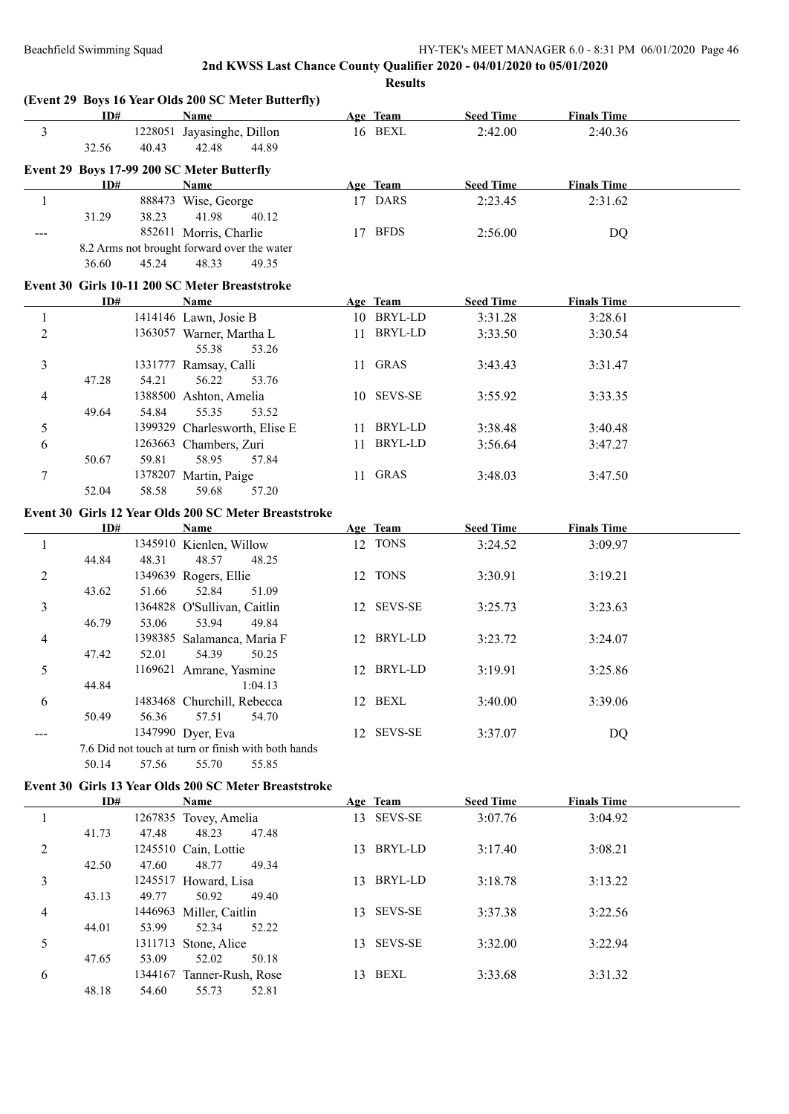|                | ID#   |       | (Event 29 Boys 16 Year Olds 200 SC Meter Butterfly)<br><b>Name</b> | Age Team   | <b>Seed Time</b> | <b>Finals Time</b> |  |
|----------------|-------|-------|--------------------------------------------------------------------|------------|------------------|--------------------|--|
| 3              |       |       | 1228051 Jayasinghe, Dillon                                         | 16 BEXL    | 2:42.00          | 2:40.36            |  |
|                | 32.56 | 40.43 | 42.48<br>44.89                                                     |            |                  |                    |  |
|                |       |       | Event 29 Boys 17-99 200 SC Meter Butterfly                         |            |                  |                    |  |
|                | ID#   |       | Name                                                               | Age Team   | <b>Seed Time</b> | <b>Finals Time</b> |  |
| $\mathbf{1}$   |       |       | 888473 Wise, George                                                | 17 DARS    | 2:23.45          | 2:31.62            |  |
|                | 31.29 | 38.23 | 41.98<br>40.12                                                     |            |                  |                    |  |
| ---            |       |       | 852611 Morris, Charlie                                             | 17 BFDS    | 2:56.00          | <b>DQ</b>          |  |
|                |       |       | 8.2 Arms not brought forward over the water                        |            |                  |                    |  |
|                | 36.60 | 45.24 | 48.33<br>49.35                                                     |            |                  |                    |  |
|                |       |       | Event 30 Girls 10-11 200 SC Meter Breaststroke                     |            |                  |                    |  |
|                | ID#   |       | <b>Name</b>                                                        | Age Team   | <b>Seed Time</b> | <b>Finals Time</b> |  |
| $\mathbf{1}$   |       |       | 1414146 Lawn, Josie B                                              | 10 BRYL-LD | 3:31.28          | 3:28.61            |  |
| $\overline{c}$ |       |       | 1363057 Warner, Martha L                                           | 11 BRYL-LD | 3:33.50          | 3:30.54            |  |
|                |       |       | 55.38<br>53.26                                                     |            |                  |                    |  |
| 3              |       |       | 1331777 Ramsay, Calli                                              | 11 GRAS    | 3:43.43          | 3:31.47            |  |
|                | 47.28 | 54.21 | 56.22<br>53.76                                                     |            |                  |                    |  |
| 4              |       |       | 1388500 Ashton, Amelia                                             | 10 SEVS-SE | 3:55.92          | 3:33.35            |  |
|                | 49.64 | 54.84 | 55.35<br>53.52                                                     |            |                  |                    |  |
| 5              |       |       | 1399329 Charlesworth, Elise E                                      | 11 BRYL-LD | 3:38.48          | 3:40.48            |  |
| 6              |       |       | 1263663 Chambers, Zuri                                             | 11 BRYL-LD | 3:56.64          | 3:47.27            |  |
|                | 50.67 | 59.81 | 58.95<br>57.84                                                     |            |                  |                    |  |
| 7              |       |       | 1378207 Martin, Paige                                              | 11 GRAS    | 3:48.03          | 3:47.50            |  |
|                | 52.04 | 58.58 | 59.68<br>57.20                                                     |            |                  |                    |  |
|                |       |       | Event 30 Girls 12 Year Olds 200 SC Meter Breaststroke              |            |                  |                    |  |
|                | ID#   |       | <b>Name</b>                                                        | Age Team   | <b>Seed Time</b> | <b>Finals Time</b> |  |
| $\mathbf{1}$   |       |       | 1345910 Kienlen, Willow                                            | 12 TONS    | 3:24.52          | 3:09.97            |  |
|                | 44.84 | 48.31 | 48.57<br>48.25                                                     |            |                  |                    |  |
| 2              |       |       | 1349639 Rogers, Ellie                                              | 12 TONS    | 3:30.91          | 3:19.21            |  |
|                | 43.62 | 51.66 | 52.84<br>51.09                                                     |            |                  |                    |  |
| 3              |       |       | 1364828 O'Sullivan, Caitlin                                        | 12 SEVS-SE | 3:25.73          | 3:23.63            |  |
|                | 46.79 | 53.06 | 53.94<br>49.84                                                     |            |                  |                    |  |
| 4              |       |       | 1398385 Salamanca, Maria F                                         | 12 BRYL-LD | 3:23.72          | 3:24.07            |  |
|                | 47.42 | 52.01 | 54.39<br>50.25                                                     |            |                  |                    |  |
| 5              |       |       | 1169621 Amrane, Yasmine                                            | 12 BRYL-LD | 3:19.91          | 3:25.86            |  |
|                | 44.84 |       | 1:04.13                                                            |            |                  |                    |  |
| 6              |       |       | 1483468 Churchill, Rebecca                                         | 12 BEXL    | 3:40.00          | 3:39.06            |  |
|                | 50.49 | 56.36 | 57.51<br>54.70                                                     |            |                  |                    |  |
| ---            |       |       | 1347990 Dyer, Eva                                                  | 12 SEVS-SE | 3:37.07          | <b>DQ</b>          |  |
|                |       |       | 7.6 Did not touch at turn or finish with both hands                |            |                  |                    |  |
|                | 50.14 | 57.56 | 55.70<br>55.85                                                     |            |                  |                    |  |
|                |       |       | Event 30 Girls 13 Year Olds 200 SC Meter Breaststroke              |            |                  |                    |  |
|                | ID#   |       | Name                                                               | Age Team   | <b>Seed Time</b> | <b>Finals Time</b> |  |
| $\mathbf{1}$   |       |       | 1267835 Tovey, Amelia                                              | 13 SEVS-SE | 3:07.76          | 3:04.92            |  |
|                | 41.73 | 47.48 | 48.23<br>47.48                                                     |            |                  |                    |  |
| 2              |       |       | 1245510 Cain, Lottie                                               | 13 BRYL-LD | 3:17.40          | 3:08.21            |  |
|                | 42.50 | 47.60 | 48.77<br>49.34                                                     |            |                  |                    |  |
| 3              |       |       | 1245517 Howard, Lisa                                               | 13 BRYL-LD | 3:18.78          | 3:13.22            |  |
|                | 43.13 | 49.77 | 50.92<br>49.40                                                     |            |                  |                    |  |
| 4              |       |       | 1446963 Miller, Caitlin                                            | 13 SEVS-SE | 3:37.38          | 3:22.56            |  |
|                | 44.01 | 53.99 | 52.34<br>52.22                                                     |            |                  |                    |  |
| 5              |       |       | 1311713 Stone, Alice                                               | 13 SEVS-SE | 3:32.00          | 3:22.94            |  |
|                | 47.65 | 53.09 | 52.02<br>50.18                                                     |            |                  |                    |  |
| 6              |       |       | 1344167 Tanner-Rush, Rose                                          | 13 BEXL    | 3:33.68          | 3:31.32            |  |
|                | 48.18 | 54.60 | 55.73<br>52.81                                                     |            |                  |                    |  |